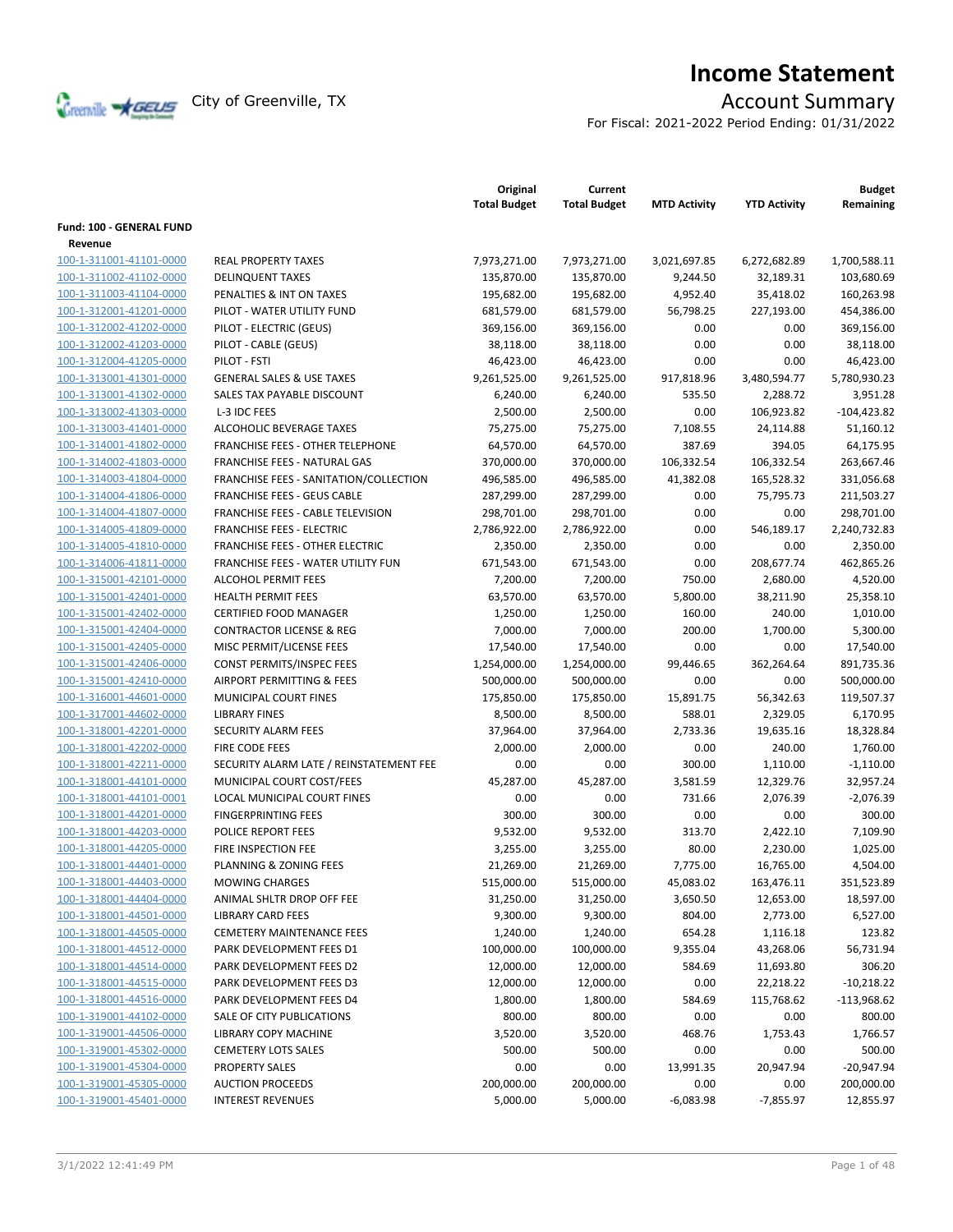

# **Income Statement**

For Fiscal: 2021-2022 Period Ending: 01/31/2022

|                                                    |                                         | Original<br><b>Total Budget</b> | Current<br><b>Total Budget</b> | <b>MTD Activity</b> | <b>YTD Activity</b> | <b>Budget</b><br>Remaining |
|----------------------------------------------------|-----------------------------------------|---------------------------------|--------------------------------|---------------------|---------------------|----------------------------|
| Fund: 100 - GENERAL FUND                           |                                         |                                 |                                |                     |                     |                            |
| Revenue<br>100-1-311001-41101-0000                 | <b>REAL PROPERTY TAXES</b>              |                                 |                                | 3,021,697.85        |                     |                            |
|                                                    |                                         | 7,973,271.00                    | 7,973,271.00                   |                     | 6,272,682.89        | 1,700,588.11               |
| 100-1-311002-41102-0000                            | <b>DELINQUENT TAXES</b>                 | 135,870.00                      | 135,870.00                     | 9,244.50            | 32,189.31           | 103,680.69                 |
| 100-1-311003-41104-0000                            | PENALTIES & INT ON TAXES                | 195,682.00                      | 195,682.00                     | 4,952.40            | 35,418.02           | 160,263.98                 |
| 100-1-312001-41201-0000                            | PILOT - WATER UTILITY FUND              | 681,579.00                      | 681,579.00                     | 56,798.25           | 227,193.00          | 454,386.00                 |
| 100-1-312002-41202-0000<br>100-1-312002-41203-0000 | PILOT - ELECTRIC (GEUS)                 | 369,156.00                      | 369,156.00                     | 0.00                | 0.00                | 369,156.00                 |
|                                                    | PILOT - CABLE (GEUS)                    | 38,118.00                       | 38,118.00                      | 0.00                | 0.00                | 38,118.00                  |
| 100-1-312004-41205-0000                            | PILOT - FSTI                            | 46,423.00                       | 46,423.00                      | 0.00                | 0.00                | 46,423.00                  |
| 100-1-313001-41301-0000                            | <b>GENERAL SALES &amp; USE TAXES</b>    | 9,261,525.00                    | 9,261,525.00                   | 917,818.96          | 3,480,594.77        | 5,780,930.23               |
| 100-1-313001-41302-0000                            | SALES TAX PAYABLE DISCOUNT              | 6,240.00                        | 6,240.00                       | 535.50              | 2,288.72            | 3,951.28                   |
| 100-1-313002-41303-0000                            | L-3 IDC FEES                            | 2,500.00                        | 2,500.00                       | 0.00                | 106,923.82          | $-104,423.82$              |
| 100-1-313003-41401-0000                            | ALCOHOLIC BEVERAGE TAXES                | 75,275.00                       | 75,275.00                      | 7,108.55            | 24,114.88           | 51,160.12                  |
| 100-1-314001-41802-0000                            | FRANCHISE FEES - OTHER TELEPHONE        | 64,570.00                       | 64,570.00                      | 387.69              | 394.05              | 64,175.95                  |
| 100-1-314002-41803-0000                            | FRANCHISE FEES - NATURAL GAS            | 370,000.00                      | 370,000.00                     | 106,332.54          | 106,332.54          | 263,667.46                 |
| 100-1-314003-41804-0000                            | FRANCHISE FEES - SANITATION/COLLECTION  | 496,585.00                      | 496,585.00                     | 41,382.08           | 165,528.32          | 331,056.68                 |
| 100-1-314004-41806-0000                            | <b>FRANCHISE FEES - GEUS CABLE</b>      | 287,299.00                      | 287,299.00                     | 0.00                | 75,795.73           | 211,503.27                 |
| 100-1-314004-41807-0000                            | FRANCHISE FEES - CABLE TELEVISION       | 298,701.00                      | 298,701.00                     | 0.00                | 0.00                | 298,701.00                 |
| 100-1-314005-41809-0000                            | <b>FRANCHISE FEES - ELECTRIC</b>        | 2,786,922.00                    | 2,786,922.00                   | 0.00                | 546,189.17          | 2,240,732.83               |
| 100-1-314005-41810-0000                            | <b>FRANCHISE FEES - OTHER ELECTRIC</b>  | 2,350.00                        | 2,350.00                       | 0.00                | 0.00                | 2,350.00                   |
| 100-1-314006-41811-0000                            | FRANCHISE FEES - WATER UTILITY FUN      | 671,543.00                      | 671,543.00                     | 0.00                | 208,677.74          | 462,865.26                 |
| 100-1-315001-42101-0000                            | ALCOHOL PERMIT FEES                     | 7,200.00                        | 7,200.00                       | 750.00              | 2,680.00            | 4,520.00                   |
| 100-1-315001-42401-0000                            | <b>HEALTH PERMIT FEES</b>               | 63,570.00                       | 63,570.00                      | 5,800.00            | 38,211.90           | 25,358.10                  |
| 100-1-315001-42402-0000                            | <b>CERTIFIED FOOD MANAGER</b>           | 1,250.00                        | 1,250.00                       | 160.00              | 240.00              | 1,010.00                   |
| 100-1-315001-42404-0000                            | <b>CONTRACTOR LICENSE &amp; REG</b>     | 7,000.00                        | 7,000.00                       | 200.00              | 1,700.00            | 5,300.00                   |
| 100-1-315001-42405-0000                            | MISC PERMIT/LICENSE FEES                | 17,540.00                       | 17,540.00                      | 0.00                | 0.00                | 17,540.00                  |
| 100-1-315001-42406-0000                            | CONST PERMITS/INSPEC FEES               | 1,254,000.00                    | 1,254,000.00                   | 99,446.65           | 362,264.64          | 891,735.36                 |
| 100-1-315001-42410-0000                            | AIRPORT PERMITTING & FEES               | 500,000.00                      | 500,000.00                     | 0.00                | 0.00                | 500,000.00                 |
| 100-1-316001-44601-0000                            | MUNICIPAL COURT FINES                   | 175,850.00                      | 175,850.00                     | 15,891.75           | 56,342.63           | 119,507.37                 |
| 100-1-317001-44602-0000                            | <b>LIBRARY FINES</b>                    | 8,500.00                        | 8,500.00                       | 588.01              | 2,329.05            | 6,170.95                   |
| 100-1-318001-42201-0000                            | SECURITY ALARM FEES                     | 37,964.00                       | 37,964.00                      | 2,733.36            | 19,635.16           | 18,328.84                  |
| 100-1-318001-42202-0000                            | FIRE CODE FEES                          | 2,000.00                        | 2,000.00                       | 0.00                | 240.00              | 1,760.00                   |
| 100-1-318001-42211-0000                            | SECURITY ALARM LATE / REINSTATEMENT FEE | 0.00                            | 0.00                           | 300.00              | 1,110.00            | $-1,110.00$                |
| 100-1-318001-44101-0000                            | MUNICIPAL COURT COST/FEES               | 45,287.00                       | 45,287.00                      | 3,581.59            | 12,329.76           | 32,957.24                  |
| 100-1-318001-44101-0001                            | LOCAL MUNICIPAL COURT FINES             | 0.00                            | 0.00                           | 731.66              | 2,076.39            | $-2,076.39$                |
| 100-1-318001-44201-0000                            | <b>FINGERPRINTING FEES</b>              | 300.00                          | 300.00                         | 0.00                | 0.00                | 300.00                     |
| 100-1-318001-44203-0000                            | POLICE REPORT FEES                      | 9,532.00                        | 9,532.00                       | 313.70              | 2,422.10            | 7,109.90                   |
| 100-1-318001-44205-0000                            | FIRE INSPECTION FEE                     | 3,255.00                        | 3,255.00                       | 80.00               | 2,230.00            | 1,025.00                   |
| 100-1-318001-44401-0000                            | PLANNING & ZONING FEES                  | 21,269.00                       | 21,269.00                      | 7,775.00            | 16,765.00           | 4,504.00                   |
| 100-1-318001-44403-0000                            | <b>MOWING CHARGES</b>                   | 515,000.00                      | 515,000.00                     | 45,083.02           | 163,476.11          | 351,523.89                 |
| 100-1-318001-44404-0000                            | ANIMAL SHLTR DROP OFF FEE               | 31,250.00                       | 31,250.00                      | 3,650.50            | 12,653.00           | 18,597.00                  |
| 100-1-318001-44501-0000                            | <b>LIBRARY CARD FEES</b>                | 9,300.00                        | 9,300.00                       | 804.00              | 2,773.00            | 6,527.00                   |
| 100-1-318001-44505-0000                            | <b>CEMETERY MAINTENANCE FEES</b>        | 1,240.00                        | 1,240.00                       | 654.28              | 1,116.18            | 123.82                     |
| 100-1-318001-44512-0000                            | PARK DEVELOPMENT FEES D1                | 100,000.00                      | 100,000.00                     | 9,355.04            | 43,268.06           | 56,731.94                  |
| 100-1-318001-44514-0000                            | PARK DEVELOPMENT FEES D2                | 12,000.00                       | 12,000.00                      | 584.69              | 11,693.80           | 306.20                     |
| 100-1-318001-44515-0000                            | PARK DEVELOPMENT FEES D3                | 12,000.00                       | 12,000.00                      | 0.00                | 22,218.22           | $-10,218.22$               |
| 100-1-318001-44516-0000                            | PARK DEVELOPMENT FEES D4                | 1,800.00                        | 1,800.00                       | 584.69              | 115,768.62          | $-113,968.62$              |
| 100-1-319001-44102-0000                            | SALE OF CITY PUBLICATIONS               | 800.00                          | 800.00                         | 0.00                | 0.00                | 800.00                     |
| 100-1-319001-44506-0000                            | LIBRARY COPY MACHINE                    | 3,520.00                        | 3,520.00                       | 468.76              | 1,753.43            | 1,766.57                   |
| 100-1-319001-45302-0000                            | <b>CEMETERY LOTS SALES</b>              | 500.00                          | 500.00                         | 0.00                | 0.00                | 500.00                     |
| 100-1-319001-45304-0000                            | <b>PROPERTY SALES</b>                   | 0.00                            | 0.00                           | 13,991.35           | 20,947.94           | $-20,947.94$               |
| 100-1-319001-45305-0000                            | <b>AUCTION PROCEEDS</b>                 | 200,000.00                      | 200,000.00                     | 0.00                | 0.00                | 200,000.00                 |
| 100-1-319001-45401-0000                            | <b>INTEREST REVENUES</b>                | 5,000.00                        | 5,000.00                       | $-6,083.98$         | $-7,855.97$         | 12,855.97                  |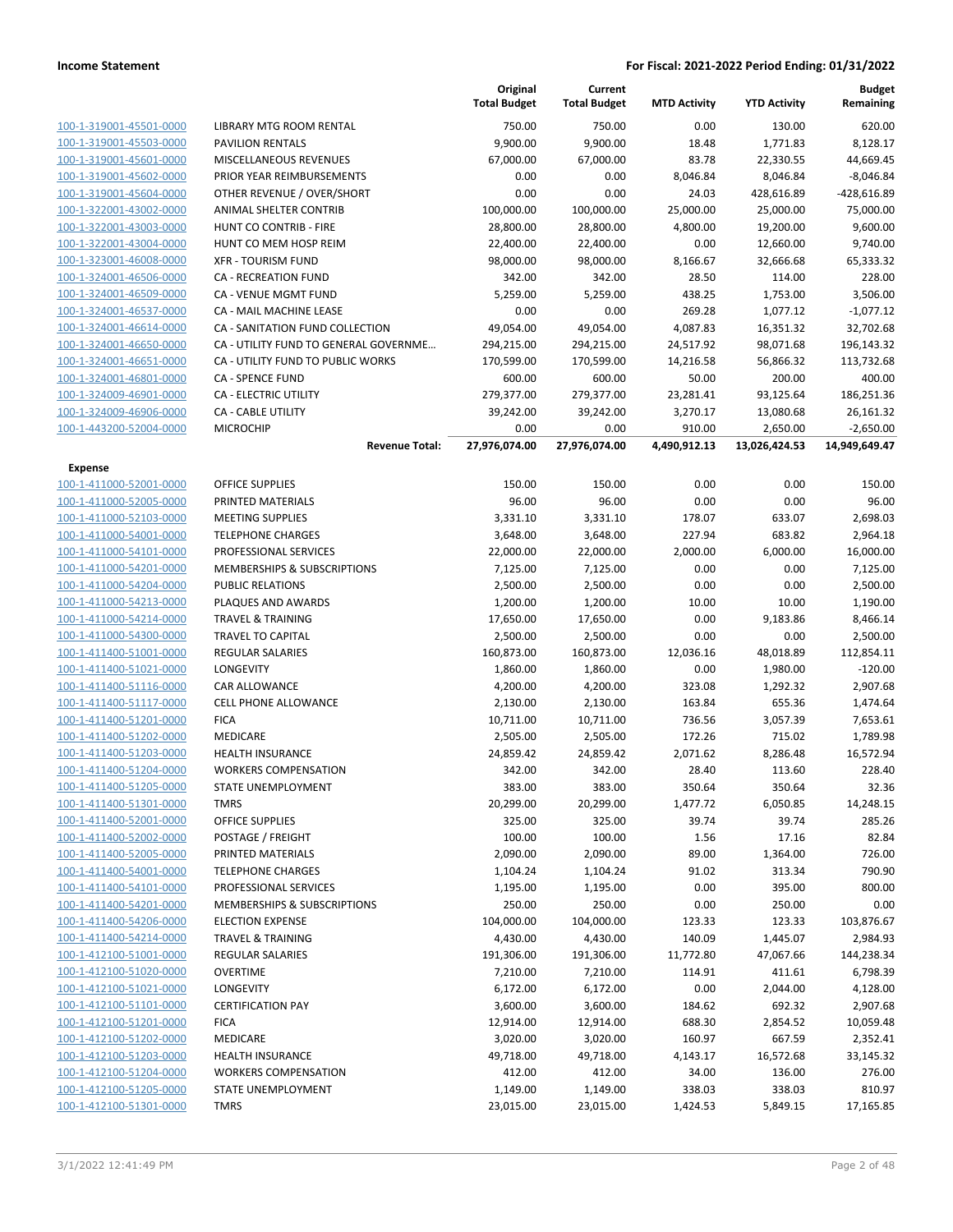|                         |                                        | Original<br><b>Total Budget</b> | Current<br><b>Total Budget</b> | <b>MTD Activity</b> | <b>YTD Activity</b> | <b>Budget</b><br>Remaining |
|-------------------------|----------------------------------------|---------------------------------|--------------------------------|---------------------|---------------------|----------------------------|
| 100-1-319001-45501-0000 | LIBRARY MTG ROOM RENTAL                | 750.00                          | 750.00                         | 0.00                | 130.00              | 620.00                     |
| 100-1-319001-45503-0000 | PAVILION RENTALS                       | 9,900.00                        | 9,900.00                       | 18.48               | 1,771.83            | 8,128.17                   |
| 100-1-319001-45601-0000 | MISCELLANEOUS REVENUES                 | 67,000.00                       | 67,000.00                      | 83.78               | 22,330.55           | 44,669.45                  |
| 100-1-319001-45602-0000 | PRIOR YEAR REIMBURSEMENTS              | 0.00                            | 0.00                           | 8,046.84            | 8,046.84            | $-8,046.84$                |
| 100-1-319001-45604-0000 | OTHER REVENUE / OVER/SHORT             | 0.00                            | 0.00                           | 24.03               | 428,616.89          | -428,616.89                |
| 100-1-322001-43002-0000 | ANIMAL SHELTER CONTRIB                 | 100,000.00                      | 100,000.00                     | 25,000.00           | 25,000.00           | 75,000.00                  |
| 100-1-322001-43003-0000 | HUNT CO CONTRIB - FIRE                 | 28,800.00                       | 28,800.00                      | 4,800.00            | 19,200.00           | 9,600.00                   |
| 100-1-322001-43004-0000 | HUNT CO MEM HOSP REIM                  | 22,400.00                       | 22,400.00                      | 0.00                | 12,660.00           | 9,740.00                   |
| 100-1-323001-46008-0000 | <b>XFR - TOURISM FUND</b>              | 98,000.00                       | 98,000.00                      | 8,166.67            | 32,666.68           | 65,333.32                  |
| 100-1-324001-46506-0000 | CA - RECREATION FUND                   | 342.00                          | 342.00                         | 28.50               | 114.00              | 228.00                     |
| 100-1-324001-46509-0000 | <b>CA - VENUE MGMT FUND</b>            | 5.259.00                        | 5,259.00                       | 438.25              | 1,753.00            | 3,506.00                   |
| 100-1-324001-46537-0000 | <b>CA - MAIL MACHINE LEASE</b>         | 0.00                            | 0.00                           | 269.28              | 1,077.12            | $-1,077.12$                |
| 100-1-324001-46614-0000 | CA - SANITATION FUND COLLECTION        | 49,054.00                       | 49,054.00                      | 4,087.83            | 16,351.32           | 32,702.68                  |
| 100-1-324001-46650-0000 | CA - UTILITY FUND TO GENERAL GOVERNME  | 294,215.00                      | 294,215.00                     | 24,517.92           | 98,071.68           | 196,143.32                 |
| 100-1-324001-46651-0000 | CA - UTILITY FUND TO PUBLIC WORKS      | 170,599.00                      | 170,599.00                     | 14,216.58           | 56,866.32           | 113,732.68                 |
| 100-1-324001-46801-0000 | <b>CA - SPENCE FUND</b>                | 600.00                          | 600.00                         | 50.00               | 200.00              | 400.00                     |
| 100-1-324009-46901-0000 | CA - ELECTRIC UTILITY                  | 279,377.00                      | 279,377.00                     | 23,281.41           | 93,125.64           | 186,251.36                 |
| 100-1-324009-46906-0000 | <b>CA - CABLE UTILITY</b>              | 39,242.00                       | 39,242.00                      | 3,270.17            | 13,080.68           | 26,161.32                  |
| 100-1-443200-52004-0000 | <b>MICROCHIP</b>                       | 0.00                            | 0.00                           | 910.00              | 2,650.00            | $-2,650.00$                |
|                         | <b>Revenue Total:</b>                  | 27,976,074.00                   | 27,976,074.00                  | 4,490,912.13        | 13,026,424.53       | 14,949,649.47              |
| <b>Expense</b>          |                                        |                                 |                                |                     |                     |                            |
| 100-1-411000-52001-0000 | <b>OFFICE SUPPLIES</b>                 | 150.00                          | 150.00                         | 0.00                | 0.00                | 150.00                     |
| 100-1-411000-52005-0000 | PRINTED MATERIALS                      | 96.00                           | 96.00                          | 0.00                | 0.00                | 96.00                      |
| 100-1-411000-52103-0000 | <b>MEETING SUPPLIES</b>                | 3,331.10                        | 3,331.10                       | 178.07              | 633.07              | 2,698.03                   |
| 100-1-411000-54001-0000 | <b>TELEPHONE CHARGES</b>               | 3,648.00                        | 3,648.00                       | 227.94              | 683.82              | 2.964.18                   |
| 100-1-411000-54101-0000 | PROFESSIONAL SERVICES                  | 22,000.00                       | 22,000.00                      | 2,000.00            | 6,000.00            | 16,000.00                  |
| 100-1-411000-54201-0000 | MEMBERSHIPS & SUBSCRIPTIONS            | 7,125.00                        | 7,125.00                       | 0.00                | 0.00                | 7,125.00                   |
| 100-1-411000-54204-0000 | PUBLIC RELATIONS                       | 2,500.00                        | 2,500.00                       | 0.00                | 0.00                | 2,500.00                   |
| 100-1-411000-54213-0000 | PLAQUES AND AWARDS                     | 1,200.00                        | 1,200.00                       | 10.00               | 10.00               | 1,190.00                   |
| 100-1-411000-54214-0000 | <b>TRAVEL &amp; TRAINING</b>           | 17,650.00                       | 17,650.00                      | 0.00                | 9,183.86            | 8,466.14                   |
| 100-1-411000-54300-0000 | <b>TRAVEL TO CAPITAL</b>               | 2,500.00                        | 2,500.00                       | 0.00                | 0.00                | 2,500.00                   |
| 100-1-411400-51001-0000 | <b>REGULAR SALARIES</b>                | 160,873.00                      | 160,873.00                     | 12,036.16           | 48,018.89           | 112,854.11                 |
| 100-1-411400-51021-0000 | <b>LONGEVITY</b>                       | 1,860.00                        | 1,860.00                       | 0.00                | 1,980.00            | $-120.00$                  |
| 100-1-411400-51116-0000 | CAR ALLOWANCE                          | 4,200.00                        | 4,200.00                       | 323.08              | 1,292.32            | 2,907.68                   |
| 100-1-411400-51117-0000 | <b>CELL PHONE ALLOWANCE</b>            | 2,130.00                        | 2,130.00                       | 163.84              | 655.36              | 1,474.64                   |
| 100-1-411400-51201-0000 | <b>FICA</b>                            | 10,711.00                       | 10,711.00                      | 736.56              | 3,057.39            | 7,653.61                   |
| 100-1-411400-51202-0000 | MEDICARE                               | 2,505.00                        | 2,505.00                       | 172.26              | 715.02              | 1,789.98                   |
| 100-1-411400-51203-0000 | <b>HEALTH INSURANCE</b>                | 24,859.42                       | 24,859.42                      | 2,071.62            | 8,286.48            | 16,572.94                  |
| 100-1-411400-51204-0000 | <b>WORKERS COMPENSATION</b>            | 342.00                          | 342.00                         | 28.40               | 113.60              | 228.40                     |
| 100-1-411400-51205-0000 | STATE UNEMPLOYMENT                     | 383.00                          | 383.00                         | 350.64              | 350.64              | 32.36                      |
| 100-1-411400-51301-0000 | <b>TMRS</b>                            | 20,299.00                       | 20,299.00                      | 1,477.72            | 6,050.85            | 14,248.15                  |
| 100-1-411400-52001-0000 | <b>OFFICE SUPPLIES</b>                 | 325.00                          | 325.00                         | 39.74               | 39.74               | 285.26                     |
| 100-1-411400-52002-0000 | POSTAGE / FREIGHT                      | 100.00                          | 100.00                         | 1.56                | 17.16               | 82.84                      |
| 100-1-411400-52005-0000 | PRINTED MATERIALS                      | 2,090.00                        | 2,090.00                       | 89.00               | 1,364.00            | 726.00                     |
| 100-1-411400-54001-0000 | <b>TELEPHONE CHARGES</b>               | 1,104.24                        | 1,104.24                       | 91.02               | 313.34              | 790.90                     |
| 100-1-411400-54101-0000 | PROFESSIONAL SERVICES                  | 1,195.00                        | 1,195.00                       | 0.00                | 395.00              | 800.00                     |
| 100-1-411400-54201-0000 | <b>MEMBERSHIPS &amp; SUBSCRIPTIONS</b> | 250.00                          | 250.00                         | 0.00                | 250.00              | 0.00                       |
| 100-1-411400-54206-0000 | <b>ELECTION EXPENSE</b>                | 104,000.00                      | 104,000.00                     | 123.33              | 123.33              | 103,876.67                 |
| 100-1-411400-54214-0000 | <b>TRAVEL &amp; TRAINING</b>           | 4,430.00                        | 4,430.00                       | 140.09              | 1,445.07            | 2,984.93                   |
| 100-1-412100-51001-0000 | <b>REGULAR SALARIES</b>                | 191,306.00                      | 191,306.00                     | 11,772.80           | 47,067.66           | 144,238.34                 |
| 100-1-412100-51020-0000 | <b>OVERTIME</b>                        | 7,210.00                        | 7,210.00                       | 114.91              | 411.61              | 6,798.39                   |
| 100-1-412100-51021-0000 | LONGEVITY                              | 6,172.00                        | 6,172.00                       | 0.00                | 2,044.00            | 4,128.00                   |
| 100-1-412100-51101-0000 | <b>CERTIFICATION PAY</b>               | 3,600.00                        | 3,600.00                       | 184.62              | 692.32              | 2,907.68                   |
| 100-1-412100-51201-0000 | <b>FICA</b>                            | 12,914.00                       | 12,914.00                      | 688.30              | 2,854.52            | 10,059.48                  |
| 100-1-412100-51202-0000 | MEDICARE                               | 3,020.00                        | 3,020.00                       | 160.97              | 667.59              | 2,352.41                   |
| 100-1-412100-51203-0000 | <b>HEALTH INSURANCE</b>                | 49,718.00                       | 49,718.00                      | 4,143.17            | 16,572.68           | 33,145.32                  |
| 100-1-412100-51204-0000 | <b>WORKERS COMPENSATION</b>            | 412.00                          | 412.00                         | 34.00               | 136.00              | 276.00                     |
| 100-1-412100-51205-0000 | STATE UNEMPLOYMENT                     | 1,149.00                        | 1,149.00                       | 338.03              | 338.03              | 810.97                     |

100-1-412100-51301-0000 TMRS 23,015.00 23,015.00 1,424.53 5,849.15 17,165.85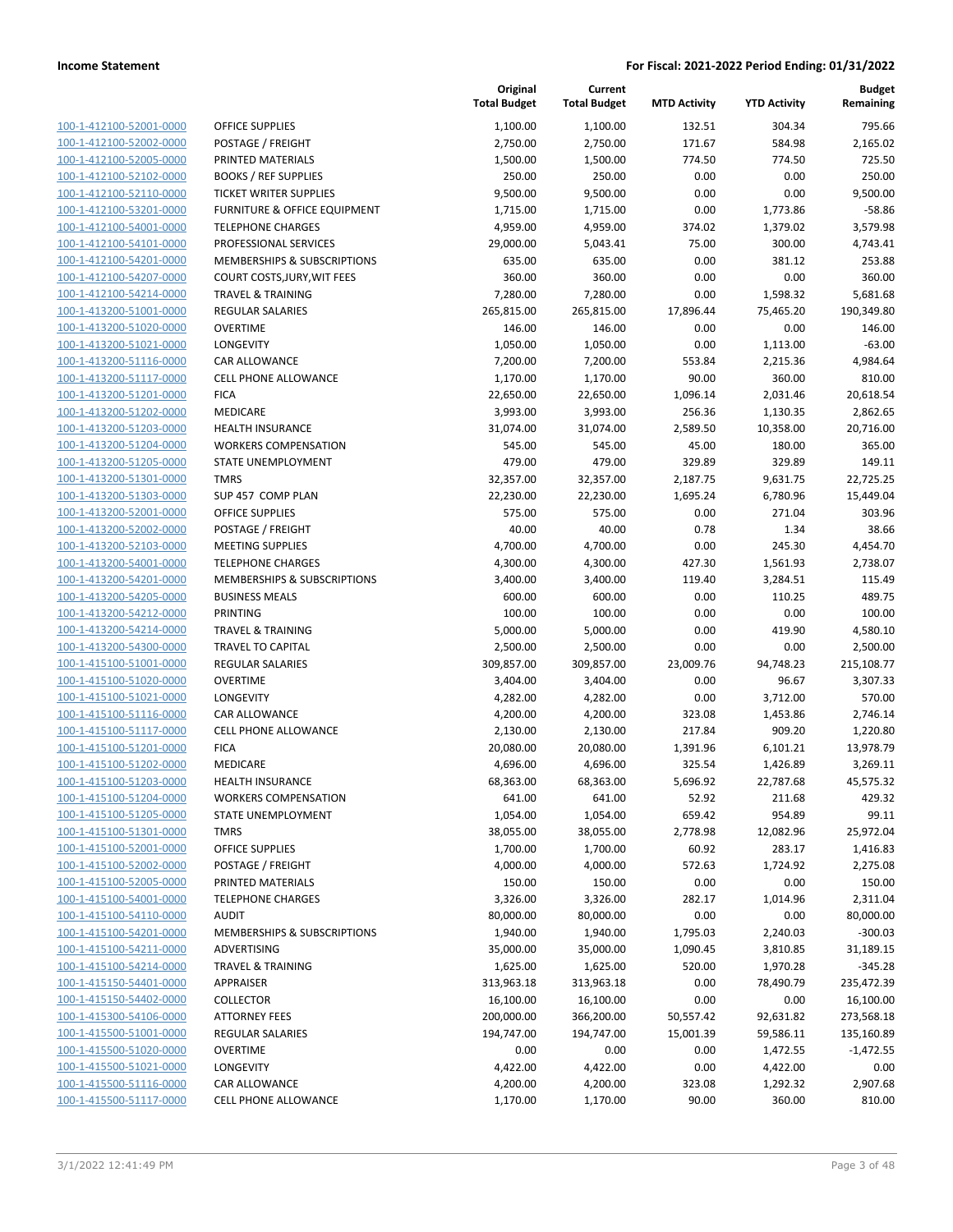| 100-1-412100-52001-0000        |
|--------------------------------|
| 100-1-412100-52002-0000        |
| 100-1-412100-52005-0000        |
| 100-1-412100-52102-0000        |
| 100-1-412100-52110-0000        |
| 100-1-412100-53201-0000        |
| 100-1-412100-54001-0000        |
| 100-1-412100-54101-0000        |
| 100-1-412100-54201-0000        |
| 100-1-412100-54207-0000        |
| 100-1-412100-54214-0000        |
| 100-1-413200-51001-0000        |
| 100-1-413200-51020-0000        |
| 100-1-413200-51021-0000        |
| <u>100-1-413200-51116-0000</u> |
| 100-1-413200-51117-0000        |
| 100-1-413200-51201-0000        |
| 100-1-413200-51202-0000        |
| 100-1-413200-51203-0000        |
| 100-1-413200-51204-0000        |
| 100-1-413200-51205-0000        |
| 100-1-413200-51301-0000        |
| 100-1-413200-51303-0000        |
| 100-1-413200-52001-0000        |
| 100-1-413200-52002-0000        |
| 100-1-413200-52103-0000        |
| 100-1-413200-54001-0000        |
| 100-1-413200-54201-0000        |
| 100-1-413200-54205-0000        |
| 100-1-413200-54212-0000        |
| 100-1-413200-54214-0000        |
| 100-1-413200-54300-0000        |
| 100-1-415100-51001-0000        |
| 100-1-415100-51020-0000        |
| <u>100-1-415100-51021-0000</u> |
| 100-1-415100-51116-0000        |
| 100-1-415100-51117-0000        |
| 100-1-415100-51201-0000        |
| 100-1-415100-51202-0000        |
| 100-1-415100-51203-0000        |
| 100-1-415100-51204-0000        |
| <u>100-1-415100-51205-0000</u> |
| <u>100-1-415100-51301-0000</u> |
| <u>100-1-415100-52001-0000</u> |
| <u>100-1-415100-52002-0000</u> |
| <u>100-1-415100-52005-0000</u> |
| <u>100-1-415100-54001-0000</u> |
| <u>100-1-415100-54110-0000</u> |
| <u>100-1-415100-54201-0000</u> |
| <u>100-1-415100-54211-0000</u> |
| <u>100-1-415100-54214-0000</u> |
| 100-1-415150-54401-0000        |
| 100-1-415150-54402-0000        |
| <u>100-1-415300-54106-0000</u> |
| <u>100-1-415500-51001-0000</u> |
| <u>100-1-415500-51020-0000</u> |
| <u>100-1-415500-51021-0000</u> |
| <u>100-1-415500-51116-0000</u> |
| <u>100-1-415500-51117-0000</u> |
|                                |

|                                                    |                                                   | Original<br><b>Total Budget</b> | Current<br><b>Total Budget</b> | <b>MTD Activity</b> | <b>YTD Activity</b> | Budget<br>Remaining |
|----------------------------------------------------|---------------------------------------------------|---------------------------------|--------------------------------|---------------------|---------------------|---------------------|
| 100-1-412100-52001-0000                            | <b>OFFICE SUPPLIES</b>                            | 1,100.00                        | 1,100.00                       | 132.51              | 304.34              | 795.66              |
| 100-1-412100-52002-0000                            | POSTAGE / FREIGHT                                 | 2,750.00                        | 2,750.00                       | 171.67              | 584.98              | 2,165.02            |
| 100-1-412100-52005-0000                            | PRINTED MATERIALS                                 | 1,500.00                        | 1,500.00                       | 774.50              | 774.50              | 725.50              |
| 100-1-412100-52102-0000                            | <b>BOOKS / REF SUPPLIES</b>                       | 250.00                          | 250.00                         | 0.00                | 0.00                | 250.00              |
| 100-1-412100-52110-0000                            | <b>TICKET WRITER SUPPLIES</b>                     | 9,500.00                        | 9,500.00                       | 0.00                | 0.00                | 9,500.00            |
| 100-1-412100-53201-0000                            | FURNITURE & OFFICE EQUIPMENT                      | 1,715.00                        | 1,715.00                       | 0.00                | 1,773.86            | $-58.86$            |
| 100-1-412100-54001-0000                            | <b>TELEPHONE CHARGES</b>                          | 4,959.00                        | 4,959.00                       | 374.02              | 1,379.02            | 3,579.98            |
| 100-1-412100-54101-0000                            | PROFESSIONAL SERVICES                             | 29,000.00                       | 5,043.41                       | 75.00               | 300.00              | 4,743.41            |
| 100-1-412100-54201-0000                            | MEMBERSHIPS & SUBSCRIPTIONS                       | 635.00                          | 635.00                         | 0.00                | 381.12              | 253.88              |
| 100-1-412100-54207-0000                            | COURT COSTS, JURY, WIT FEES                       | 360.00                          | 360.00                         | 0.00                | 0.00                | 360.00              |
| 100-1-412100-54214-0000                            | <b>TRAVEL &amp; TRAINING</b>                      | 7,280.00                        | 7,280.00                       | 0.00                | 1,598.32            | 5,681.68            |
| 100-1-413200-51001-0000                            | REGULAR SALARIES                                  | 265,815.00                      | 265,815.00                     | 17,896.44           | 75,465.20           | 190,349.80          |
| 100-1-413200-51020-0000                            | OVERTIME                                          | 146.00                          | 146.00                         | 0.00                | 0.00                | 146.00              |
| 100-1-413200-51021-0000                            | LONGEVITY                                         | 1,050.00                        | 1,050.00                       | 0.00                | 1,113.00            | $-63.00$            |
| 100-1-413200-51116-0000                            | CAR ALLOWANCE                                     | 7,200.00                        | 7,200.00                       | 553.84              | 2,215.36            | 4,984.64            |
| 100-1-413200-51117-0000                            | <b>CELL PHONE ALLOWANCE</b>                       | 1,170.00                        | 1,170.00                       | 90.00               | 360.00              | 810.00              |
| 100-1-413200-51201-0000                            | <b>FICA</b>                                       | 22,650.00                       | 22,650.00                      | 1,096.14            | 2,031.46            | 20,618.54           |
| 100-1-413200-51202-0000                            | MEDICARE                                          | 3,993.00                        | 3,993.00                       | 256.36              | 1,130.35            | 2,862.65            |
| 100-1-413200-51203-0000                            | <b>HEALTH INSURANCE</b>                           | 31,074.00                       | 31,074.00                      | 2,589.50            | 10,358.00           | 20,716.00           |
| 100-1-413200-51204-0000                            | <b>WORKERS COMPENSATION</b>                       | 545.00                          | 545.00                         | 45.00               | 180.00              | 365.00              |
| 100-1-413200-51205-0000                            | <b>STATE UNEMPLOYMENT</b>                         | 479.00                          | 479.00                         | 329.89              | 329.89              | 149.11              |
| 100-1-413200-51301-0000                            | <b>TMRS</b>                                       | 32,357.00                       | 32,357.00                      | 2,187.75            | 9,631.75            | 22,725.25           |
| 100-1-413200-51303-0000                            | SUP 457 COMP PLAN                                 | 22,230.00                       | 22,230.00                      | 1,695.24            | 6,780.96            | 15,449.04           |
| 100-1-413200-52001-0000                            | OFFICE SUPPLIES                                   | 575.00                          | 575.00                         | 0.00                | 271.04              | 303.96              |
| 100-1-413200-52002-0000                            | POSTAGE / FREIGHT                                 | 40.00                           | 40.00                          | 0.78                | 1.34                | 38.66               |
| 100-1-413200-52103-0000                            | <b>MEETING SUPPLIES</b>                           | 4,700.00                        | 4,700.00                       | 0.00                | 245.30              | 4,454.70            |
| 100-1-413200-54001-0000                            | <b>TELEPHONE CHARGES</b>                          | 4,300.00                        | 4,300.00                       | 427.30              | 1,561.93            | 2,738.07            |
| 100-1-413200-54201-0000                            | MEMBERSHIPS & SUBSCRIPTIONS                       | 3,400.00                        | 3,400.00                       | 119.40              | 3,284.51            | 115.49              |
| 100-1-413200-54205-0000                            | <b>BUSINESS MEALS</b>                             | 600.00                          | 600.00                         | 0.00                | 110.25              | 489.75              |
| 100-1-413200-54212-0000                            | PRINTING                                          | 100.00                          | 100.00                         | 0.00                | 0.00                | 100.00              |
| 100-1-413200-54214-0000                            | <b>TRAVEL &amp; TRAINING</b>                      | 5,000.00                        | 5,000.00                       | 0.00                | 419.90              | 4,580.10            |
| 100-1-413200-54300-0000                            | TRAVEL TO CAPITAL                                 | 2,500.00                        | 2,500.00                       | 0.00                | 0.00                | 2,500.00            |
| 100-1-415100-51001-0000                            | REGULAR SALARIES                                  | 309,857.00                      | 309,857.00                     | 23,009.76           | 94,748.23           | 215,108.77          |
| 100-1-415100-51020-0000                            | <b>OVERTIME</b>                                   | 3,404.00                        | 3,404.00                       | 0.00                | 96.67               | 3,307.33            |
| 100-1-415100-51021-0000                            | LONGEVITY                                         | 4,282.00                        | 4,282.00                       | 0.00                | 3,712.00            | 570.00              |
| 100-1-415100-51116-0000                            | <b>CAR ALLOWANCE</b>                              | 4,200.00                        | 4,200.00                       | 323.08              | 1,453.86            | 2,746.14            |
| 100-1-415100-51117-0000                            | <b>CELL PHONE ALLOWANCE</b>                       | 2,130.00                        | 2,130.00                       | 217.84              | 909.20              | 1,220.80            |
| 100-1-415100-51201-0000                            | <b>FICA</b>                                       | 20,080.00                       | 20,080.00                      | 1,391.96            | 6,101.21            | 13,978.79           |
| 100-1-415100-51202-0000                            | MEDICARE                                          | 4,696.00                        | 4,696.00                       | 325.54              | 1,426.89            | 3,269.11            |
| 100-1-415100-51203-0000                            | <b>HEALTH INSURANCE</b>                           | 68,363.00                       | 68,363.00                      | 5,696.92            | 22,787.68           | 45,575.32           |
| 100-1-415100-51204-0000<br>100-1-415100-51205-0000 | <b>WORKERS COMPENSATION</b><br>STATE UNEMPLOYMENT | 641.00                          | 641.00                         | 52.92<br>659.42     | 211.68<br>954.89    | 429.32<br>99.11     |
| 100-1-415100-51301-0000                            | <b>TMRS</b>                                       | 1,054.00<br>38,055.00           | 1,054.00<br>38,055.00          | 2,778.98            | 12,082.96           | 25,972.04           |
| 100-1-415100-52001-0000                            | OFFICE SUPPLIES                                   | 1,700.00                        | 1,700.00                       | 60.92               | 283.17              | 1,416.83            |
| 100-1-415100-52002-0000                            | <b>POSTAGE / FREIGHT</b>                          | 4,000.00                        | 4,000.00                       | 572.63              | 1,724.92            | 2,275.08            |
| 100-1-415100-52005-0000                            | PRINTED MATERIALS                                 | 150.00                          | 150.00                         | 0.00                | 0.00                | 150.00              |
| 100-1-415100-54001-0000                            | <b>TELEPHONE CHARGES</b>                          | 3,326.00                        | 3,326.00                       | 282.17              | 1,014.96            | 2,311.04            |
| 100-1-415100-54110-0000                            | <b>AUDIT</b>                                      | 80,000.00                       | 80,000.00                      | 0.00                | 0.00                | 80,000.00           |
| 100-1-415100-54201-0000                            | MEMBERSHIPS & SUBSCRIPTIONS                       | 1,940.00                        | 1,940.00                       | 1,795.03            | 2,240.03            | $-300.03$           |
| 100-1-415100-54211-0000                            | ADVERTISING                                       | 35,000.00                       | 35,000.00                      | 1,090.45            | 3,810.85            | 31,189.15           |
| 100-1-415100-54214-0000                            | <b>TRAVEL &amp; TRAINING</b>                      | 1,625.00                        | 1,625.00                       | 520.00              | 1,970.28            | $-345.28$           |
| 100-1-415150-54401-0000                            | APPRAISER                                         | 313,963.18                      | 313,963.18                     | 0.00                | 78,490.79           | 235,472.39          |
| 100-1-415150-54402-0000                            | <b>COLLECTOR</b>                                  | 16,100.00                       | 16,100.00                      | 0.00                | 0.00                | 16,100.00           |
| 100-1-415300-54106-0000                            | <b>ATTORNEY FEES</b>                              | 200,000.00                      | 366,200.00                     | 50,557.42           | 92,631.82           | 273,568.18          |
| 100-1-415500-51001-0000                            | <b>REGULAR SALARIES</b>                           | 194,747.00                      | 194,747.00                     | 15,001.39           | 59,586.11           | 135,160.89          |
| 100-1-415500-51020-0000                            | <b>OVERTIME</b>                                   | 0.00                            | 0.00                           | 0.00                | 1,472.55            | $-1,472.55$         |
| 100-1-415500-51021-0000                            | <b>LONGEVITY</b>                                  | 4,422.00                        | 4,422.00                       | 0.00                | 4,422.00            | 0.00                |
| 100-1-415500-51116-0000                            | CAR ALLOWANCE                                     | 4,200.00                        | 4,200.00                       | 323.08              | 1,292.32            | 2,907.68            |
| 100-1-415500-51117-0000                            | CELL PHONE ALLOWANCE                              | 1,170.00                        | 1,170.00                       | 90.00               | 360.00              | 810.00              |
|                                                    |                                                   |                                 |                                |                     |                     |                     |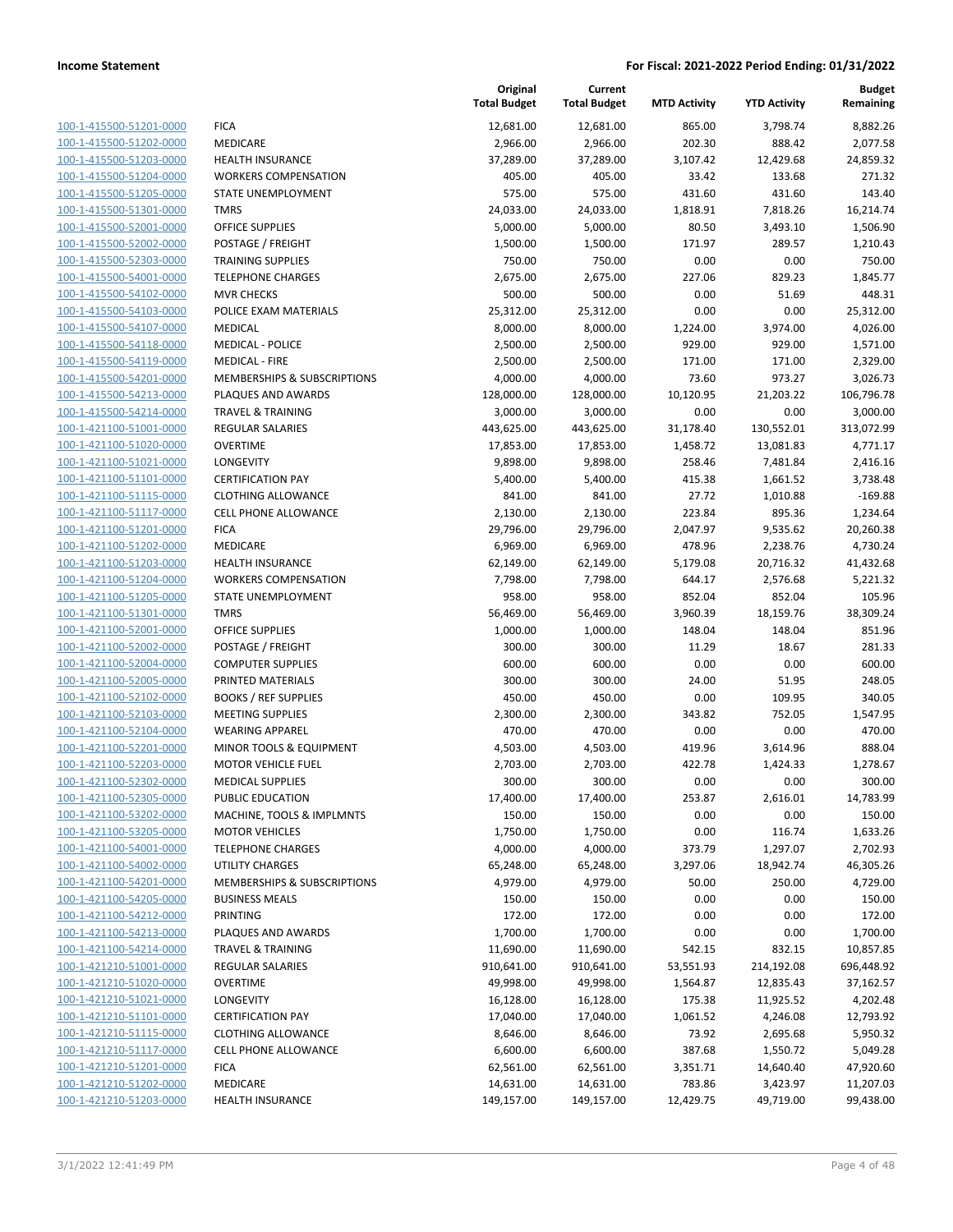| 100-1-415500-51201-0000        |
|--------------------------------|
| 100-1-415500-51202-0000        |
| 100-1-415500-51203-0000        |
| 100-1-415500-51204-0000        |
| 100-1-415500-51205-0000        |
| <u>100-1-415500-51301-0000</u> |
| 100-1-415500-52001-0000        |
| 100-1-415500-52002-0000        |
| 100-1-415500-52303-0000        |
| 100-1-415500-54001-0000        |
| 100-1-415500-54102-0000        |
| 100-1-415500-54103-0000        |
| 100-1-415500-54107-0000        |
| 100-1-415500-54118-0000        |
| 100-1-415500-54119-0000        |
| <u>100-1-415500-54201-0000</u> |
| 100-1-415500-54213-0000        |
| 100-1-415500-54214-0000        |
| 100-1-421100-51001-0000        |
|                                |
| 100-1-421100-51020-0000        |
| 100-1-421100-51021-0000        |
| 100-1-421100-51101-0000        |
| 100-1-421100-51115-0000        |
| 100-1-421100-51117-0000        |
| 100-1-421100-51201-0000        |
| 100-1-421100-51202-0000        |
| 100-1-421100-51203-0000        |
| 100-1-421100-51204-0000        |
| 100-1-421100-51205-0000        |
| 100-1-421100-51301-0000        |
| <u>100-1-421100-52001-0000</u> |
| 100-1-421100-52002-0000        |
| 100-1-421100-52004-0000        |
| 100-1-421100-52005-0000        |
| 100-1-421100-52102-0000        |
| <u>100-1-421100-52103-0000</u> |
| 100-1-421100-52104-0000        |
| 100-1-421100-52201-0000        |
| 100-1-421100-52203-0000        |
| 100-1-421100-52302-0000        |
| 100-1-421100-52305-0000        |
| 100-1-421100-53202-0000        |
|                                |
| 100-1-421100-53205-0000        |
| 100-1-421100-54001-0000        |
| <u>100-1-421100-54002-0000</u> |
| 100-1-421100-54201-0000        |
| <u>100-1-421100-54205-0000</u> |
| 100-1-421100-54212-0000        |
| 100-1-421100-54213-0000        |
| <u>100-1-421100-54214-0000</u> |
| <u>100-1-421210-51001-0000</u> |
| <u>100-1-421210-51020-0000</u> |
| 100-1-421210-51021-0000        |
| 100-1-421210-51101-0000        |
| <u>100-1-421210-51115-0000</u> |
| 100-1-421210-51117-0000        |
| <u>100-1-421210-51201-0000</u> |
| 100-1-421210-51202-0000        |
| 100-1-421210-51203-0000        |
|                                |

|                         |                              | Original<br><b>Total Budget</b> | Current<br><b>Total Budget</b> | <b>MTD Activity</b> | <b>YTD Activity</b> | <b>Budget</b><br>Remaining |
|-------------------------|------------------------------|---------------------------------|--------------------------------|---------------------|---------------------|----------------------------|
| 100-1-415500-51201-0000 | <b>FICA</b>                  | 12,681.00                       | 12,681.00                      | 865.00              | 3,798.74            | 8,882.26                   |
| 100-1-415500-51202-0000 | MEDICARE                     | 2,966.00                        | 2,966.00                       | 202.30              | 888.42              | 2,077.58                   |
| 100-1-415500-51203-0000 | <b>HEALTH INSURANCE</b>      | 37,289.00                       | 37,289.00                      | 3,107.42            | 12,429.68           | 24,859.32                  |
| 100-1-415500-51204-0000 | <b>WORKERS COMPENSATION</b>  | 405.00                          | 405.00                         | 33.42               | 133.68              | 271.32                     |
| 100-1-415500-51205-0000 | <b>STATE UNEMPLOYMENT</b>    | 575.00                          | 575.00                         | 431.60              | 431.60              | 143.40                     |
| 100-1-415500-51301-0000 | <b>TMRS</b>                  | 24,033.00                       | 24,033.00                      | 1,818.91            | 7,818.26            | 16,214.74                  |
| 100-1-415500-52001-0000 | OFFICE SUPPLIES              | 5,000.00                        | 5,000.00                       | 80.50               | 3,493.10            | 1,506.90                   |
| 100-1-415500-52002-0000 | POSTAGE / FREIGHT            | 1,500.00                        | 1,500.00                       | 171.97              | 289.57              | 1,210.43                   |
| 100-1-415500-52303-0000 | <b>TRAINING SUPPLIES</b>     | 750.00                          | 750.00                         | 0.00                | 0.00                | 750.00                     |
| 100-1-415500-54001-0000 | <b>TELEPHONE CHARGES</b>     | 2,675.00                        | 2,675.00                       | 227.06              | 829.23              | 1,845.77                   |
| 100-1-415500-54102-0000 | <b>MVR CHECKS</b>            | 500.00                          | 500.00                         | 0.00                | 51.69               | 448.31                     |
| 100-1-415500-54103-0000 | POLICE EXAM MATERIALS        | 25,312.00                       | 25,312.00                      | 0.00                | 0.00                | 25,312.00                  |
| 100-1-415500-54107-0000 | <b>MEDICAL</b>               | 8,000.00                        | 8,000.00                       | 1,224.00            | 3,974.00            | 4,026.00                   |
| 100-1-415500-54118-0000 | <b>MEDICAL - POLICE</b>      | 2,500.00                        | 2,500.00                       | 929.00              | 929.00              | 1,571.00                   |
| 100-1-415500-54119-0000 | <b>MEDICAL - FIRE</b>        | 2,500.00                        | 2,500.00                       | 171.00              | 171.00              | 2,329.00                   |
| 100-1-415500-54201-0000 | MEMBERSHIPS & SUBSCRIPTIONS  | 4,000.00                        | 4,000.00                       | 73.60               | 973.27              | 3,026.73                   |
| 100-1-415500-54213-0000 | PLAQUES AND AWARDS           | 128,000.00                      | 128,000.00                     | 10,120.95           | 21,203.22           | 106,796.78                 |
| 100-1-415500-54214-0000 | <b>TRAVEL &amp; TRAINING</b> | 3,000.00                        | 3,000.00                       | 0.00                | 0.00                | 3,000.00                   |
| 100-1-421100-51001-0000 | <b>REGULAR SALARIES</b>      | 443,625.00                      | 443,625.00                     | 31,178.40           | 130,552.01          | 313,072.99                 |
| 100-1-421100-51020-0000 | <b>OVERTIME</b>              | 17,853.00                       | 17,853.00                      | 1,458.72            | 13,081.83           | 4,771.17                   |
| 100-1-421100-51021-0000 | <b>LONGEVITY</b>             | 9,898.00                        | 9,898.00                       | 258.46              | 7,481.84            | 2,416.16                   |
| 100-1-421100-51101-0000 | <b>CERTIFICATION PAY</b>     | 5,400.00                        | 5,400.00                       | 415.38              | 1,661.52            | 3,738.48                   |
| 100-1-421100-51115-0000 | <b>CLOTHING ALLOWANCE</b>    | 841.00                          | 841.00                         | 27.72               | 1,010.88            | $-169.88$                  |
| 100-1-421100-51117-0000 | CELL PHONE ALLOWANCE         | 2,130.00                        | 2,130.00                       | 223.84              | 895.36              | 1,234.64                   |
| 100-1-421100-51201-0000 | <b>FICA</b>                  | 29,796.00                       | 29,796.00                      | 2,047.97            | 9,535.62            | 20,260.38                  |
| 100-1-421100-51202-0000 | MEDICARE                     | 6,969.00                        | 6,969.00                       | 478.96              | 2,238.76            | 4,730.24                   |
| 100-1-421100-51203-0000 | <b>HEALTH INSURANCE</b>      | 62,149.00                       | 62,149.00                      | 5,179.08            | 20,716.32           | 41,432.68                  |
| 100-1-421100-51204-0000 | <b>WORKERS COMPENSATION</b>  | 7,798.00                        | 7,798.00                       | 644.17              | 2,576.68            | 5,221.32                   |
| 100-1-421100-51205-0000 | STATE UNEMPLOYMENT           | 958.00                          | 958.00                         | 852.04              | 852.04              | 105.96                     |
| 100-1-421100-51301-0000 | <b>TMRS</b>                  | 56,469.00                       | 56,469.00                      | 3,960.39            | 18,159.76           | 38,309.24                  |
| 100-1-421100-52001-0000 | OFFICE SUPPLIES              | 1,000.00                        | 1,000.00                       | 148.04              | 148.04              | 851.96                     |
| 100-1-421100-52002-0000 | POSTAGE / FREIGHT            | 300.00                          | 300.00                         | 11.29               | 18.67               | 281.33                     |
| 100-1-421100-52004-0000 | <b>COMPUTER SUPPLIES</b>     | 600.00                          | 600.00                         | 0.00                | 0.00                | 600.00                     |
| 100-1-421100-52005-0000 | PRINTED MATERIALS            | 300.00                          | 300.00                         | 24.00               | 51.95               | 248.05                     |
| 100-1-421100-52102-0000 | <b>BOOKS / REF SUPPLIES</b>  | 450.00                          | 450.00                         | 0.00                | 109.95              | 340.05                     |
| 100-1-421100-52103-0000 | <b>MEETING SUPPLIES</b>      | 2,300.00                        | 2,300.00                       | 343.82              | 752.05              | 1,547.95                   |
| 100-1-421100-52104-0000 | <b>WEARING APPAREL</b>       | 470.00                          | 470.00                         | 0.00                | 0.00                | 470.00                     |
| 100-1-421100-52201-0000 | MINOR TOOLS & EQUIPMENT      | 4,503.00                        | 4,503.00                       | 419.96              | 3,614.96            | 888.04                     |
| 100-1-421100-52203-0000 | <b>MOTOR VEHICLE FUEL</b>    | 2,703.00                        | 2,703.00                       | 422.78              | 1,424.33            | 1,278.67                   |
| 100-1-421100-52302-0000 | <b>MEDICAL SUPPLIES</b>      | 300.00                          | 300.00                         | 0.00                | 0.00                | 300.00                     |
| 100-1-421100-52305-0000 | PUBLIC EDUCATION             | 17,400.00                       | 17,400.00                      | 253.87              | 2,616.01            | 14,783.99                  |
| 100-1-421100-53202-0000 | MACHINE, TOOLS & IMPLMNTS    | 150.00                          | 150.00                         | 0.00                | 0.00                | 150.00                     |
| 100-1-421100-53205-0000 | <b>MOTOR VEHICLES</b>        | 1,750.00                        | 1,750.00                       | 0.00                | 116.74              | 1,633.26                   |
| 100-1-421100-54001-0000 | <b>TELEPHONE CHARGES</b>     | 4,000.00                        | 4,000.00                       | 373.79              | 1,297.07            | 2,702.93                   |
| 100-1-421100-54002-0000 | <b>UTILITY CHARGES</b>       | 65,248.00                       | 65,248.00                      | 3,297.06            | 18,942.74           | 46,305.26                  |
| 100-1-421100-54201-0000 | MEMBERSHIPS & SUBSCRIPTIONS  | 4,979.00                        | 4,979.00                       | 50.00               | 250.00              | 4,729.00                   |
| 100-1-421100-54205-0000 | <b>BUSINESS MEALS</b>        | 150.00                          | 150.00                         | 0.00                | 0.00                | 150.00                     |
| 100-1-421100-54212-0000 | <b>PRINTING</b>              | 172.00                          | 172.00                         | 0.00                | 0.00                | 172.00                     |
| 100-1-421100-54213-0000 | PLAQUES AND AWARDS           | 1,700.00                        | 1,700.00                       | 0.00                | 0.00                | 1,700.00                   |
| 100-1-421100-54214-0000 | <b>TRAVEL &amp; TRAINING</b> | 11,690.00                       | 11,690.00                      | 542.15              | 832.15              | 10,857.85                  |
| 100-1-421210-51001-0000 | <b>REGULAR SALARIES</b>      | 910,641.00                      | 910,641.00                     | 53,551.93           | 214,192.08          | 696,448.92                 |
| 100-1-421210-51020-0000 | <b>OVERTIME</b>              | 49,998.00                       | 49,998.00                      | 1,564.87            | 12,835.43           | 37,162.57                  |
| 100-1-421210-51021-0000 | LONGEVITY                    | 16,128.00                       | 16,128.00                      | 175.38              | 11,925.52           | 4,202.48                   |
| 100-1-421210-51101-0000 |                              |                                 |                                |                     |                     |                            |
| 100-1-421210-51115-0000 | <b>CERTIFICATION PAY</b>     | 17,040.00                       | 17,040.00                      | 1,061.52<br>73.92   | 4,246.08            | 12,793.92                  |
|                         | <b>CLOTHING ALLOWANCE</b>    | 8,646.00                        | 8,646.00                       |                     | 2,695.68            | 5,950.32                   |
| 100-1-421210-51117-0000 | <b>CELL PHONE ALLOWANCE</b>  | 6,600.00                        | 6,600.00                       | 387.68              | 1,550.72            | 5,049.28                   |
| 100-1-421210-51201-0000 | <b>FICA</b>                  | 62,561.00                       | 62,561.00                      | 3,351.71            | 14,640.40           | 47,920.60                  |
| 100-1-421210-51202-0000 | MEDICARE                     | 14,631.00                       | 14,631.00                      | 783.86              | 3,423.97            | 11,207.03                  |
| 100-1-421210-51203-0000 | <b>HEALTH INSURANCE</b>      | 149,157.00                      | 149,157.00                     | 12,429.75           | 49,719.00           | 99,438.00                  |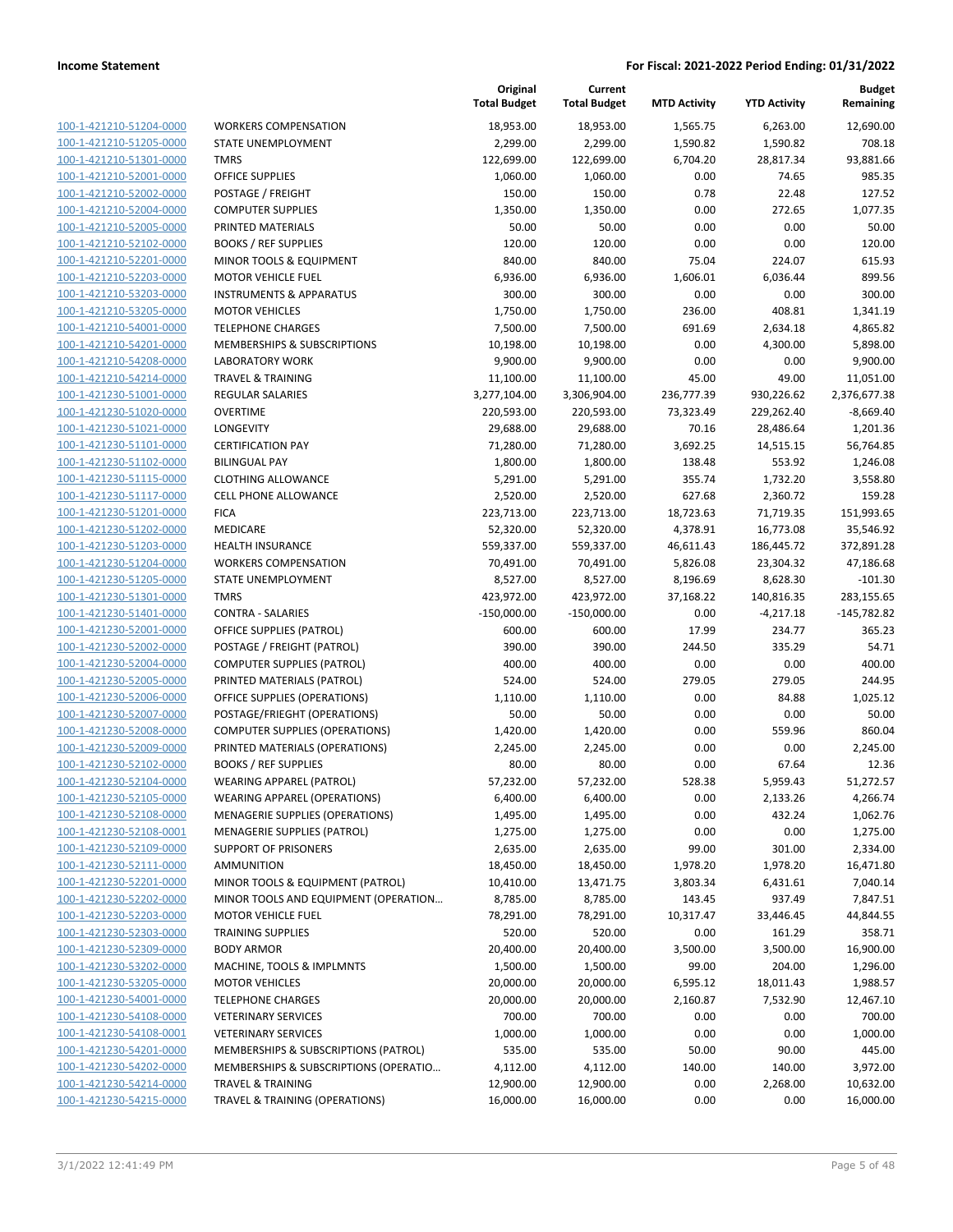**Current**

**Original**

**Budget Remaining**

| 100-1-421210-51204-0000                            |
|----------------------------------------------------|
| 100-1-421210-51205-0000                            |
| 100-1-421210-51301-0000                            |
| 100-1-421210-52001-0000                            |
| 100-1-421210-52002-0000                            |
| 100-1-421210-52004-0000                            |
| 100-1-421210-52005-0000                            |
| 100-1-421210-52102-0000                            |
| 100-1-421210-52201-0000                            |
| 100-1-421210-52203-0000                            |
| 100-1-421210-53203-0000                            |
| 100-1-421210-53205-0000                            |
| 100-1-421210-54001-0000                            |
| 100-1-421210-54201-0000                            |
| 100-1-421210-54208-0000                            |
| 100-1-421210-54214-0000                            |
| 100-1-421230-51001-0000                            |
| 100-1-421230-51020-0000                            |
| 100-1-421230-51021-0000                            |
| 100-1-421230-51101-0000                            |
| 100-1-421230-51102-0000                            |
| 100-1-421230-51115-0000                            |
| 100-1-421230-51117-0000                            |
| 100-1-421230-51201-0000                            |
| 100-1-421230-51202-0000                            |
| 100-1-421230-51203-0000                            |
| 100-1-421230-51204-0000                            |
| 100-1-421230-51205-0000                            |
| 100-1-421230-51301-0000                            |
| 100-1-421230-51401-0000                            |
| 100-1-421230-52001-0000                            |
| 100-1-421230-52002-0000                            |
| <u>100-1-421230-52004-0000</u>                     |
| 100-1-421230-52005-0000                            |
| 100-1-421230-52006-0000                            |
| 100-1-421230-52007-0000                            |
| 100-1-421230-52008-0000                            |
| 100-1-421230-52009-0000                            |
| 100-1-421230-52102-0000                            |
| 100-1-421230-52104-0000                            |
| 100-1-421230-52105-0000                            |
| 100-1-421230-52108-0000                            |
| <u>100-1-421230-52108-0001</u>                     |
| 100-1-421230-52109-0000                            |
| 100-1-421230-52111-0000                            |
| 100-1-421230-52201-0000                            |
| 100-1-421230-52202-0000                            |
| <u>100-1-421230-52203-0000</u>                     |
| 100-1-421230-52303-0000                            |
| 100-1-421230-52309-0000                            |
| 100-1-421230-53202-0000                            |
| 100-1-421230-53205-0000                            |
| 100-1-421230-54001-0000                            |
| 100-1-421230-54108-0000                            |
| 100-1-421230-54108-0001<br>100-1-421230-54201-0000 |
| 100-1-421230-54202-0000                            |
| <u>100-1-421230-54214-0000</u>                     |
| 100-1-421230-54215-0000                            |
|                                                    |

|                                                    |                                        | <b>Total Budget</b>    | <b>Total Budget</b>    | <b>MTD Activity</b> | <b>YTD Activity</b>       | Remaining                   |
|----------------------------------------------------|----------------------------------------|------------------------|------------------------|---------------------|---------------------------|-----------------------------|
| 100-1-421210-51204-0000                            | <b>WORKERS COMPENSATION</b>            | 18,953.00              | 18,953.00              | 1,565.75            | 6,263.00                  | 12,690.00                   |
| 100-1-421210-51205-0000                            | STATE UNEMPLOYMENT                     | 2,299.00               | 2,299.00               | 1,590.82            | 1,590.82                  | 708.18                      |
| 100-1-421210-51301-0000                            | <b>TMRS</b>                            | 122,699.00             | 122,699.00             | 6,704.20            | 28,817.34                 | 93,881.66                   |
| 100-1-421210-52001-0000                            | <b>OFFICE SUPPLIES</b>                 | 1,060.00               | 1,060.00               | 0.00                | 74.65                     | 985.35                      |
| 100-1-421210-52002-0000                            | POSTAGE / FREIGHT                      | 150.00                 | 150.00                 | 0.78                | 22.48                     | 127.52                      |
| 100-1-421210-52004-0000                            | <b>COMPUTER SUPPLIES</b>               | 1,350.00               | 1,350.00               | 0.00                | 272.65                    | 1,077.35                    |
| 100-1-421210-52005-0000                            | PRINTED MATERIALS                      | 50.00                  | 50.00                  | 0.00                | 0.00                      | 50.00                       |
| 100-1-421210-52102-0000                            | <b>BOOKS / REF SUPPLIES</b>            | 120.00                 | 120.00                 | 0.00                | 0.00                      | 120.00                      |
| 100-1-421210-52201-0000                            | MINOR TOOLS & EQUIPMENT                | 840.00                 | 840.00                 | 75.04               | 224.07                    | 615.93                      |
| 100-1-421210-52203-0000                            | <b>MOTOR VEHICLE FUEL</b>              | 6,936.00               | 6,936.00               | 1,606.01            | 6,036.44                  | 899.56                      |
| 100-1-421210-53203-0000                            | <b>INSTRUMENTS &amp; APPARATUS</b>     | 300.00                 | 300.00                 | 0.00                | 0.00                      | 300.00                      |
| 100-1-421210-53205-0000                            | <b>MOTOR VEHICLES</b>                  | 1,750.00               | 1,750.00               | 236.00              | 408.81                    | 1,341.19                    |
| 100-1-421210-54001-0000                            | <b>TELEPHONE CHARGES</b>               | 7,500.00               | 7,500.00               | 691.69              | 2,634.18                  | 4,865.82                    |
| 100-1-421210-54201-0000                            | MEMBERSHIPS & SUBSCRIPTIONS            | 10,198.00              | 10,198.00              | 0.00                | 4,300.00                  | 5,898.00                    |
| 100-1-421210-54208-0000                            | <b>LABORATORY WORK</b>                 | 9,900.00               | 9,900.00               | 0.00                | 0.00                      | 9,900.00                    |
| 100-1-421210-54214-0000                            | <b>TRAVEL &amp; TRAINING</b>           | 11,100.00              | 11,100.00              | 45.00               | 49.00                     | 11,051.00                   |
| 100-1-421230-51001-0000                            | REGULAR SALARIES                       | 3,277,104.00           | 3,306,904.00           | 236,777.39          | 930,226.62                | 2,376,677.38                |
| 100-1-421230-51020-0000                            | <b>OVERTIME</b>                        | 220,593.00             | 220,593.00             | 73,323.49           | 229,262.40                | $-8,669.40$                 |
| 100-1-421230-51021-0000                            | <b>LONGEVITY</b>                       | 29,688.00              | 29,688.00              | 70.16               | 28,486.64                 | 1,201.36                    |
| 100-1-421230-51101-0000                            | <b>CERTIFICATION PAY</b>               | 71,280.00              | 71,280.00              | 3,692.25            | 14,515.15                 | 56,764.85                   |
| 100-1-421230-51102-0000                            | <b>BILINGUAL PAY</b>                   | 1,800.00               | 1,800.00               | 138.48              | 553.92                    | 1,246.08                    |
| 100-1-421230-51115-0000                            | <b>CLOTHING ALLOWANCE</b>              | 5,291.00               | 5,291.00               | 355.74              | 1,732.20                  | 3,558.80                    |
| 100-1-421230-51117-0000                            | CELL PHONE ALLOWANCE                   | 2,520.00               | 2,520.00               | 627.68              | 2,360.72                  | 159.28                      |
| 100-1-421230-51201-0000                            | <b>FICA</b>                            | 223,713.00             | 223,713.00             | 18,723.63           | 71,719.35                 | 151,993.65                  |
| 100-1-421230-51202-0000                            | MEDICARE                               | 52,320.00              | 52,320.00              | 4,378.91            | 16,773.08                 | 35,546.92                   |
| 100-1-421230-51203-0000                            | HEALTH INSURANCE                       | 559,337.00             | 559,337.00             | 46,611.43           | 186,445.72                | 372,891.28                  |
| 100-1-421230-51204-0000                            | <b>WORKERS COMPENSATION</b>            | 70,491.00              | 70,491.00              | 5,826.08            | 23,304.32                 | 47,186.68                   |
| 100-1-421230-51205-0000<br>100-1-421230-51301-0000 | STATE UNEMPLOYMENT<br><b>TMRS</b>      | 8,527.00<br>423,972.00 | 8,527.00<br>423,972.00 | 8,196.69            | 8,628.30                  | $-101.30$                   |
| 100-1-421230-51401-0000                            | <b>CONTRA - SALARIES</b>               | $-150,000.00$          | $-150,000.00$          | 37,168.22<br>0.00   | 140,816.35<br>$-4,217.18$ | 283,155.65<br>$-145,782.82$ |
| 100-1-421230-52001-0000                            | OFFICE SUPPLIES (PATROL)               | 600.00                 | 600.00                 | 17.99               | 234.77                    | 365.23                      |
| 100-1-421230-52002-0000                            | POSTAGE / FREIGHT (PATROL)             | 390.00                 | 390.00                 | 244.50              | 335.29                    | 54.71                       |
| 100-1-421230-52004-0000                            | <b>COMPUTER SUPPLIES (PATROL)</b>      | 400.00                 | 400.00                 | 0.00                | 0.00                      | 400.00                      |
| 100-1-421230-52005-0000                            | PRINTED MATERIALS (PATROL)             | 524.00                 | 524.00                 | 279.05              | 279.05                    | 244.95                      |
| 100-1-421230-52006-0000                            | OFFICE SUPPLIES (OPERATIONS)           | 1,110.00               | 1,110.00               | 0.00                | 84.88                     | 1,025.12                    |
| 100-1-421230-52007-0000                            | POSTAGE/FRIEGHT (OPERATIONS)           | 50.00                  | 50.00                  | 0.00                | 0.00                      | 50.00                       |
| 100-1-421230-52008-0000                            | <b>COMPUTER SUPPLIES (OPERATIONS)</b>  | 1,420.00               | 1,420.00               | 0.00                | 559.96                    | 860.04                      |
| 100-1-421230-52009-0000                            | PRINTED MATERIALS (OPERATIONS)         | 2,245.00               | 2,245.00               | 0.00                | 0.00                      | 2,245.00                    |
| 100-1-421230-52102-0000                            | <b>BOOKS / REF SUPPLIES</b>            | 80.00                  | 80.00                  | 0.00                | 67.64                     | 12.36                       |
| 100-1-421230-52104-0000                            | WEARING APPAREL (PATROL)               | 57,232.00              | 57,232.00              | 528.38              | 5,959.43                  | 51,272.57                   |
| 100-1-421230-52105-0000                            | WEARING APPAREL (OPERATIONS)           | 6,400.00               | 6,400.00               | 0.00                | 2,133.26                  | 4,266.74                    |
| 100-1-421230-52108-0000                            | <b>MENAGERIE SUPPLIES (OPERATIONS)</b> | 1,495.00               | 1,495.00               | 0.00                | 432.24                    | 1,062.76                    |
| 100-1-421230-52108-0001                            | MENAGERIE SUPPLIES (PATROL)            | 1,275.00               | 1,275.00               | 0.00                | 0.00                      | 1,275.00                    |
| 100-1-421230-52109-0000                            | <b>SUPPORT OF PRISONERS</b>            | 2,635.00               | 2,635.00               | 99.00               | 301.00                    | 2,334.00                    |
| 100-1-421230-52111-0000                            | <b>AMMUNITION</b>                      | 18,450.00              | 18,450.00              | 1,978.20            | 1,978.20                  | 16,471.80                   |
| 100-1-421230-52201-0000                            | MINOR TOOLS & EQUIPMENT (PATROL)       | 10,410.00              | 13,471.75              | 3,803.34            | 6,431.61                  | 7,040.14                    |
| 100-1-421230-52202-0000                            | MINOR TOOLS AND EQUIPMENT (OPERATION   | 8,785.00               | 8,785.00               | 143.45              | 937.49                    | 7,847.51                    |
| 100-1-421230-52203-0000                            | <b>MOTOR VEHICLE FUEL</b>              | 78,291.00              | 78,291.00              | 10,317.47           | 33,446.45                 | 44,844.55                   |
| 100-1-421230-52303-0000                            | <b>TRAINING SUPPLIES</b>               | 520.00                 | 520.00                 | 0.00                | 161.29                    | 358.71                      |
| 100-1-421230-52309-0000                            | <b>BODY ARMOR</b>                      | 20,400.00              | 20,400.00              | 3,500.00            | 3,500.00                  | 16,900.00                   |
| 100-1-421230-53202-0000                            | MACHINE, TOOLS & IMPLMNTS              | 1,500.00               | 1,500.00               | 99.00               | 204.00                    | 1,296.00                    |
| 100-1-421230-53205-0000                            | <b>MOTOR VEHICLES</b>                  | 20,000.00              | 20,000.00              | 6,595.12            | 18,011.43                 | 1,988.57                    |
| 100-1-421230-54001-0000                            | <b>TELEPHONE CHARGES</b>               | 20,000.00              | 20,000.00              | 2,160.87            | 7,532.90                  | 12,467.10                   |
| 100-1-421230-54108-0000                            | <b>VETERINARY SERVICES</b>             | 700.00                 | 700.00                 | 0.00                | 0.00                      | 700.00                      |
| 100-1-421230-54108-0001                            | <b>VETERINARY SERVICES</b>             | 1,000.00               | 1,000.00               | 0.00                | 0.00                      | 1,000.00                    |
| 100-1-421230-54201-0000                            | MEMBERSHIPS & SUBSCRIPTIONS (PATROL)   | 535.00                 | 535.00                 | 50.00               | 90.00                     | 445.00                      |
| 100-1-421230-54202-0000                            | MEMBERSHIPS & SUBSCRIPTIONS (OPERATIO  | 4,112.00               | 4,112.00               | 140.00              | 140.00                    | 3,972.00                    |
| 100-1-421230-54214-0000                            | <b>TRAVEL &amp; TRAINING</b>           | 12,900.00              | 12,900.00              | 0.00                | 2,268.00                  | 10,632.00                   |
| 100-1-421230-54215-0000                            | TRAVEL & TRAINING (OPERATIONS)         | 16,000.00              | 16,000.00              | 0.00                | 0.00                      | 16,000.00                   |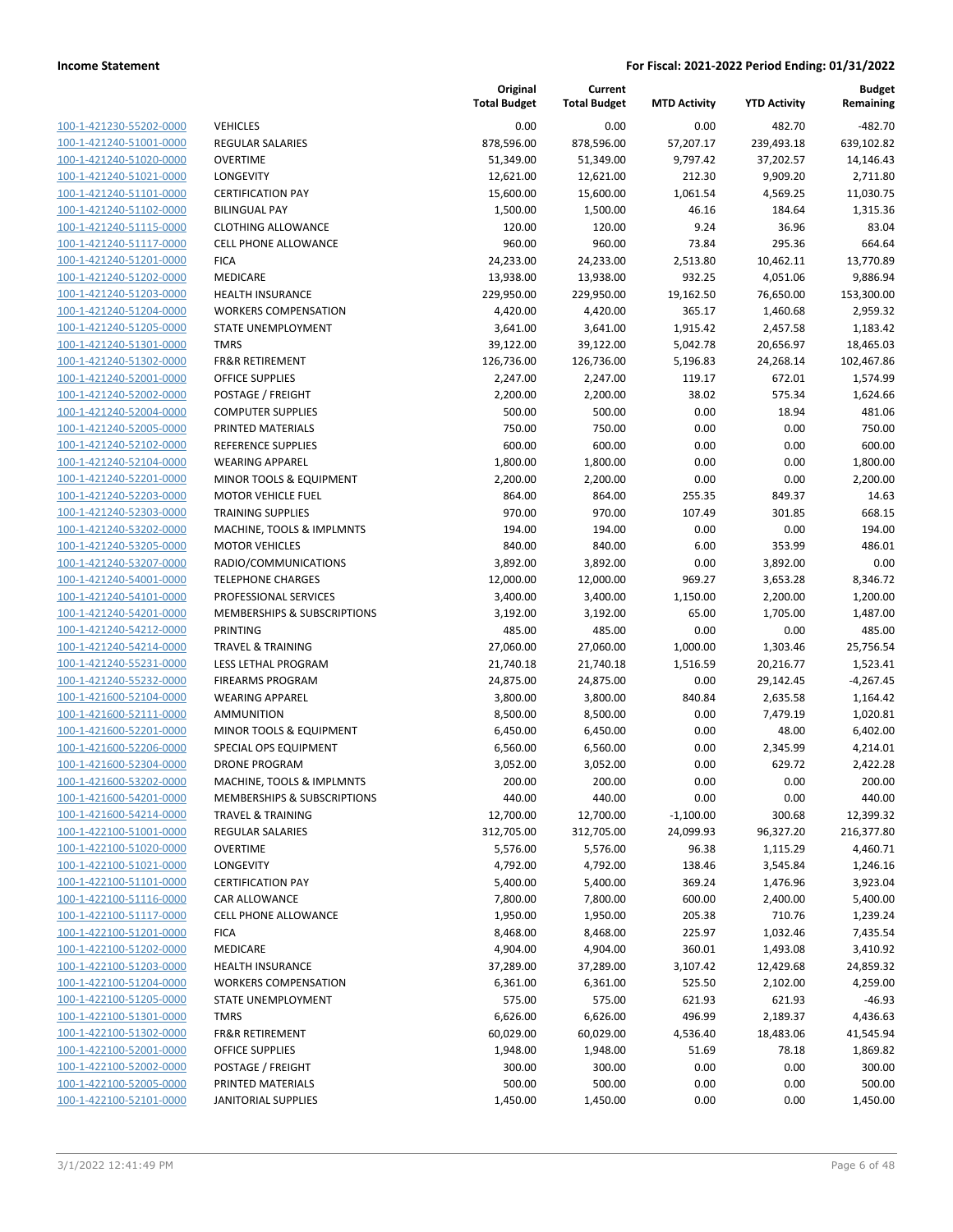| 100-1-421230-55202-0000        |
|--------------------------------|
| 100-1-421240-51001-0000        |
| 100-1-421240-51020-0000        |
| 100-1-421240-51021-0000        |
| 100-1-421240-51101-0000        |
| 100-1-421240-51102-0000        |
| 100-1-421240-51115-0000        |
| 100-1-421240-51117-0000        |
| 100-1-421240-51201-0000        |
| 100-1-421240-51202-0000        |
| 100-1-421240-51203-0000        |
| 100-1-421240-51204-0000        |
| 100-1-421240-51205-0000        |
| 100-1-421240-51301-0000        |
| 100-1-421240-51302-0000        |
| 100-1-421240-52001-0000        |
| 100-1-421240-52002-0000        |
| 100-1-421240-52004-0000        |
| 100-1-421240-52005-0000        |
| 100-1-421240-52102-0000        |
| 100-1-421240-52104-0000        |
| 100-1-421240-52201-0000        |
| 100-1-421240-52203-0000        |
| 100-1-421240-52303-0000        |
| 100-1-421240-53202-0000        |
| 100-1-421240-53205-0000        |
| 100-1-421240-53207-0000        |
| 100-1-421240-54001-0000        |
| 100-1-421240-54101-0000        |
|                                |
| 100-1-421240-54201-0000        |
| 100-1-421240-54212-0000        |
| 100-1-421240-54214-0000        |
| 100-1-421240-55231-0000        |
| 100-1-421240-55232-0000        |
| 100-1-421600-52104-0000        |
| 100-1-421600-52111-0000        |
| 100-1-421600-52201-0000        |
| 100-1-421600-52206-0000        |
| 100-1-421600-52304-0000        |
| 100-1-421600-53202-0000        |
| <u>100-1-421600-54201-0000</u> |
| <u>100-1-421600-54214-0000</u> |
| <u>100-1-422100-51001-0000</u> |
| 100-1-422100-51020-0000        |
| 100-1-422100-51021-0000        |
| <u>100-1-422100-51101-0000</u> |
| <u>100-1-422100-51116-0000</u> |
| 100-1-422100-51117-0000        |
| 100-1-422100-51201-0000        |
| 100-1-422100-51202-0000        |
| <u>100-1-422100-51203-0000</u> |
| <u>100-1-422100-51204-0000</u> |
| 100-1-422100-51205-0000        |
| 100-1-422100-51301-0000        |
| 100-1-422100-51302-0000        |
| <u>100-1-422100-52001-0000</u> |
| <u>100-1-422100-52002-0000</u> |
| <u>100-1-422100-52005-0000</u> |
| 100-1-422100-52101-0000        |
|                                |

|                                                    |                                                        | Original<br><b>Total Budget</b> | Current<br><b>Total Budget</b> | <b>MTD Activity</b> | <b>YTD Activity</b>   | <b>Budget</b><br>Remaining |
|----------------------------------------------------|--------------------------------------------------------|---------------------------------|--------------------------------|---------------------|-----------------------|----------------------------|
| 100-1-421230-55202-0000                            | <b>VEHICLES</b>                                        | 0.00                            | 0.00                           | 0.00                | 482.70                | $-482.70$                  |
| 100-1-421240-51001-0000                            | <b>REGULAR SALARIES</b>                                | 878,596.00                      | 878,596.00                     | 57,207.17           | 239,493.18            | 639,102.82                 |
| 100-1-421240-51020-0000                            | <b>OVERTIME</b>                                        | 51,349.00                       | 51,349.00                      | 9,797.42            | 37,202.57             | 14,146.43                  |
| 100-1-421240-51021-0000                            | <b>LONGEVITY</b>                                       | 12,621.00                       | 12,621.00                      | 212.30              | 9,909.20              | 2,711.80                   |
| 100-1-421240-51101-0000                            | <b>CERTIFICATION PAY</b>                               | 15,600.00                       | 15,600.00                      | 1,061.54            | 4,569.25              | 11,030.75                  |
| 100-1-421240-51102-0000                            | <b>BILINGUAL PAY</b>                                   | 1,500.00                        | 1,500.00                       | 46.16               | 184.64                | 1,315.36                   |
| 100-1-421240-51115-0000                            | <b>CLOTHING ALLOWANCE</b>                              | 120.00                          | 120.00                         | 9.24                | 36.96                 | 83.04                      |
| 100-1-421240-51117-0000                            | <b>CELL PHONE ALLOWANCE</b>                            | 960.00                          | 960.00                         | 73.84               | 295.36                | 664.64                     |
| 100-1-421240-51201-0000                            | <b>FICA</b>                                            | 24,233.00                       | 24,233.00                      | 2,513.80            | 10,462.11             | 13,770.89                  |
| 100-1-421240-51202-0000                            | MEDICARE                                               | 13,938.00                       | 13,938.00                      | 932.25              | 4,051.06              | 9,886.94                   |
| 100-1-421240-51203-0000                            | HEALTH INSURANCE                                       | 229,950.00                      | 229,950.00                     | 19,162.50           | 76,650.00             | 153,300.00                 |
| 100-1-421240-51204-0000                            | <b>WORKERS COMPENSATION</b>                            | 4,420.00                        | 4,420.00                       | 365.17              | 1,460.68              | 2,959.32                   |
| 100-1-421240-51205-0000                            | STATE UNEMPLOYMENT                                     | 3,641.00                        | 3,641.00                       | 1,915.42            | 2,457.58              | 1,183.42                   |
| 100-1-421240-51301-0000                            | <b>TMRS</b>                                            | 39,122.00                       | 39,122.00                      | 5,042.78            | 20,656.97             | 18,465.03                  |
| 100-1-421240-51302-0000                            | <b>FR&amp;R RETIREMENT</b>                             | 126,736.00                      | 126,736.00                     | 5,196.83            | 24,268.14             | 102,467.86                 |
| 100-1-421240-52001-0000                            | <b>OFFICE SUPPLIES</b>                                 | 2,247.00                        | 2,247.00                       | 119.17              | 672.01                | 1,574.99                   |
| 100-1-421240-52002-0000                            | POSTAGE / FREIGHT                                      | 2,200.00                        | 2,200.00                       | 38.02               | 575.34                | 1,624.66                   |
| 100-1-421240-52004-0000                            | <b>COMPUTER SUPPLIES</b>                               | 500.00                          | 500.00                         | 0.00                | 18.94                 | 481.06                     |
| 100-1-421240-52005-0000                            | PRINTED MATERIALS                                      | 750.00                          | 750.00                         | 0.00                | 0.00                  | 750.00                     |
| 100-1-421240-52102-0000                            | <b>REFERENCE SUPPLIES</b><br><b>WEARING APPAREL</b>    | 600.00                          | 600.00                         | 0.00                | 0.00                  | 600.00                     |
| 100-1-421240-52104-0000                            | MINOR TOOLS & EQUIPMENT                                | 1,800.00                        | 1,800.00                       | 0.00                | 0.00                  | 1,800.00                   |
| 100-1-421240-52201-0000<br>100-1-421240-52203-0000 | <b>MOTOR VEHICLE FUEL</b>                              | 2,200.00<br>864.00              | 2,200.00<br>864.00             | 0.00<br>255.35      | 0.00<br>849.37        | 2,200.00<br>14.63          |
| 100-1-421240-52303-0000                            | <b>TRAINING SUPPLIES</b>                               | 970.00                          | 970.00                         | 107.49              | 301.85                | 668.15                     |
| 100-1-421240-53202-0000                            | MACHINE, TOOLS & IMPLMNTS                              | 194.00                          | 194.00                         | 0.00                | 0.00                  | 194.00                     |
| 100-1-421240-53205-0000                            | <b>MOTOR VEHICLES</b>                                  | 840.00                          | 840.00                         | 6.00                | 353.99                | 486.01                     |
| 100-1-421240-53207-0000                            | RADIO/COMMUNICATIONS                                   | 3,892.00                        | 3,892.00                       | 0.00                | 3,892.00              | 0.00                       |
| 100-1-421240-54001-0000                            | <b>TELEPHONE CHARGES</b>                               | 12,000.00                       | 12,000.00                      | 969.27              | 3,653.28              | 8,346.72                   |
| 100-1-421240-54101-0000                            | PROFESSIONAL SERVICES                                  | 3,400.00                        | 3,400.00                       | 1,150.00            | 2,200.00              | 1,200.00                   |
| 100-1-421240-54201-0000                            | MEMBERSHIPS & SUBSCRIPTIONS                            | 3,192.00                        | 3,192.00                       | 65.00               | 1,705.00              | 1,487.00                   |
| 100-1-421240-54212-0000                            | PRINTING                                               | 485.00                          | 485.00                         | 0.00                | 0.00                  | 485.00                     |
| 100-1-421240-54214-0000                            | <b>TRAVEL &amp; TRAINING</b>                           | 27,060.00                       | 27,060.00                      | 1,000.00            | 1,303.46              | 25,756.54                  |
| 100-1-421240-55231-0000                            | LESS LETHAL PROGRAM                                    | 21,740.18                       | 21,740.18                      | 1,516.59            | 20,216.77             | 1,523.41                   |
| 100-1-421240-55232-0000                            | <b>FIREARMS PROGRAM</b>                                | 24,875.00                       | 24,875.00                      | 0.00                | 29,142.45             | $-4,267.45$                |
| 100-1-421600-52104-0000                            | <b>WEARING APPAREL</b>                                 | 3,800.00                        | 3,800.00                       | 840.84              | 2,635.58              | 1,164.42                   |
| 100-1-421600-52111-0000                            | AMMUNITION                                             | 8,500.00                        | 8,500.00                       | 0.00                | 7,479.19              | 1,020.81                   |
| 100-1-421600-52201-0000                            | MINOR TOOLS & EQUIPMENT                                | 6,450.00                        | 6,450.00                       | 0.00                | 48.00                 | 6,402.00                   |
| 100-1-421600-52206-0000                            | SPECIAL OPS EQUIPMENT                                  | 6,560.00                        | 6,560.00                       | 0.00                | 2,345.99              | 4,214.01                   |
| 100-1-421600-52304-0000                            | <b>DRONE PROGRAM</b>                                   | 3,052.00                        | 3,052.00                       | 0.00                | 629.72                | 2,422.28                   |
| 100-1-421600-53202-0000                            | MACHINE, TOOLS & IMPLMNTS                              | 200.00                          | 200.00                         | 0.00                | 0.00                  | 200.00                     |
| 100-1-421600-54201-0000                            | MEMBERSHIPS & SUBSCRIPTIONS                            | 440.00                          | 440.00                         | 0.00                | 0.00                  | 440.00                     |
| 100-1-421600-54214-0000                            | <b>TRAVEL &amp; TRAINING</b>                           | 12,700.00                       | 12,700.00                      | $-1,100.00$         | 300.68                | 12,399.32                  |
| 100-1-422100-51001-0000                            | <b>REGULAR SALARIES</b>                                | 312,705.00                      | 312,705.00                     | 24,099.93           | 96,327.20             | 216,377.80                 |
| 100-1-422100-51020-0000                            | <b>OVERTIME</b>                                        | 5,576.00                        | 5,576.00                       | 96.38               | 1,115.29              | 4,460.71                   |
| 100-1-422100-51021-0000                            | LONGEVITY                                              | 4,792.00                        | 4,792.00                       | 138.46              | 3,545.84              | 1,246.16                   |
| 100-1-422100-51101-0000                            | <b>CERTIFICATION PAY</b>                               | 5,400.00                        | 5,400.00                       | 369.24              | 1,476.96              | 3,923.04                   |
| 100-1-422100-51116-0000                            | CAR ALLOWANCE                                          | 7,800.00                        | 7,800.00                       | 600.00              | 2,400.00              | 5,400.00                   |
| 100-1-422100-51117-0000                            | CELL PHONE ALLOWANCE                                   | 1,950.00                        | 1,950.00                       | 205.38              | 710.76                | 1,239.24                   |
| 100-1-422100-51201-0000<br>100-1-422100-51202-0000 | <b>FICA</b><br><b>MEDICARE</b>                         | 8,468.00<br>4,904.00            | 8,468.00<br>4,904.00           | 225.97<br>360.01    | 1,032.46<br>1,493.08  | 7,435.54<br>3,410.92       |
| 100-1-422100-51203-0000                            |                                                        |                                 |                                |                     |                       |                            |
| 100-1-422100-51204-0000                            | <b>HEALTH INSURANCE</b><br><b>WORKERS COMPENSATION</b> | 37,289.00<br>6,361.00           | 37,289.00<br>6,361.00          | 3,107.42<br>525.50  | 12,429.68<br>2,102.00 | 24,859.32<br>4,259.00      |
| 100-1-422100-51205-0000                            | STATE UNEMPLOYMENT                                     | 575.00                          | 575.00                         | 621.93              | 621.93                | $-46.93$                   |
| 100-1-422100-51301-0000                            | <b>TMRS</b>                                            | 6,626.00                        | 6,626.00                       | 496.99              | 2,189.37              | 4,436.63                   |
| 100-1-422100-51302-0000                            | <b>FR&amp;R RETIREMENT</b>                             | 60,029.00                       | 60,029.00                      | 4,536.40            | 18,483.06             | 41,545.94                  |
| 100-1-422100-52001-0000                            | OFFICE SUPPLIES                                        | 1,948.00                        | 1,948.00                       | 51.69               | 78.18                 | 1,869.82                   |
| 100-1-422100-52002-0000                            | POSTAGE / FREIGHT                                      | 300.00                          | 300.00                         | 0.00                | 0.00                  | 300.00                     |
| 100-1-422100-52005-0000                            | PRINTED MATERIALS                                      | 500.00                          | 500.00                         | 0.00                | 0.00                  | 500.00                     |
| 100-1-422100-52101-0000                            | <b>JANITORIAL SUPPLIES</b>                             | 1,450.00                        | 1,450.00                       | 0.00                | 0.00                  | 1,450.00                   |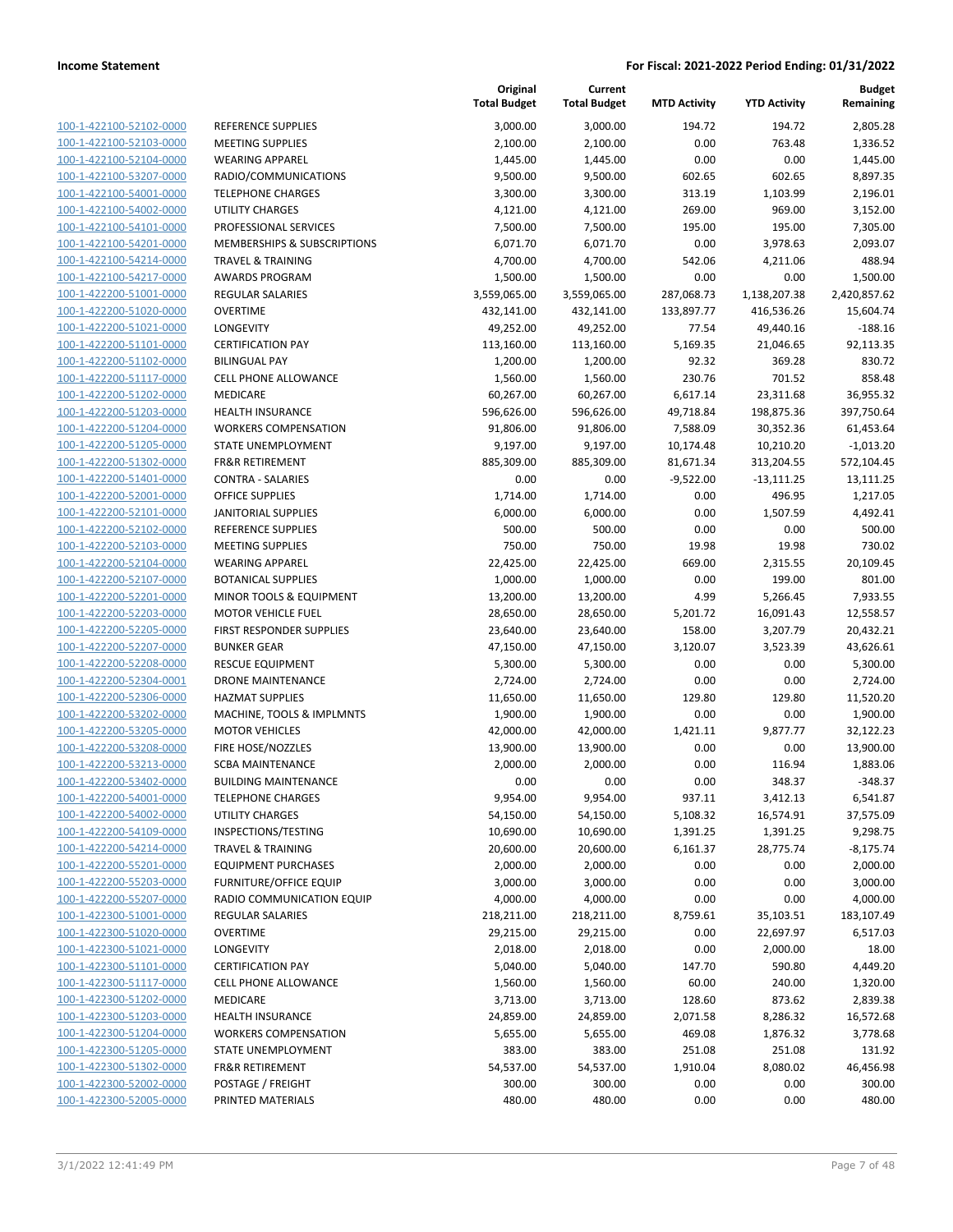| 100-1-422100-52102-0000                                          |
|------------------------------------------------------------------|
| 100-1-422100-52103-0000                                          |
| 100-1-422100-52104-0000                                          |
| <u>100-1-422100-53207-0000</u>                                   |
| 100-1-422100-54001-0000                                          |
| 100-1-422100-54002-0000                                          |
| 100-1-422100-54101-0000                                          |
|                                                                  |
| 100-1-422100-54201-0000                                          |
| 100-1-422100-54214-0000                                          |
| 100-1-422100-54217-0000                                          |
| 100-1-422200-51001-0000                                          |
| 100-1-422200-51020-0000                                          |
| 100-1-422200-51021-0000                                          |
| <u>100-1-422200-51101-0000</u>                                   |
| 100-1-422200-51102-0000                                          |
| 100-1-422200-51117-0000                                          |
| 100-1-422200-51202-0000                                          |
|                                                                  |
| 100-1-422200-51203-0000                                          |
| 100-1-422200-51204-0000                                          |
| 100-1-422200-51205-0000                                          |
| 100-1-422200-51302-0000                                          |
| 100-1-422200-51401-0000                                          |
| 100-1-422200-52001-0000                                          |
| <u>100-1-422200-52101-0000</u>                                   |
| 100-1-422200-52102-0000                                          |
| 100-1-422200-52103-0000                                          |
| 100-1-422200-52104-0000                                          |
|                                                                  |
| 100-1-422200-52107-0000                                          |
| 100-1-422200-52201-0000                                          |
| 100-1-422200-52203-0000                                          |
| 100-1-422200-52205-0000                                          |
| 100-1-422200-52207-0000                                          |
| 100-1-422200-52208-0000                                          |
| <u>100-1-422200-52304-0001</u>                                   |
| 100-1-422200-52306-0000                                          |
| 100-1-422200-53202-0000                                          |
| 100-1-422200-53205-0000                                          |
|                                                                  |
| 100-1-422200-53208-0000                                          |
| 100-1-422200-53213-0000                                          |
| 100-1-422200-53402-0000                                          |
| 100-1-422200-54001-0000                                          |
| 100-1-422200-54002-0000                                          |
| <u>100-1-422200-54109-0000</u>                                   |
| <u>100-1-422200-54214-0000</u>                                   |
| 100-1-422200-55201-0000                                          |
| <u>100-1-422200-55203-0000</u>                                   |
| 100-1-422200-55207-0000                                          |
| 100-1-422300-51001-0000                                          |
|                                                                  |
| <u>100-1-422300-51020-0000</u>                                   |
| <u>100-1-422300-51021-0000</u>                                   |
| 100-1-422300-51101-0000                                          |
|                                                                  |
| 100-1-422300-51117-0000                                          |
| <u>100-1-422300-51202-0000</u>                                   |
| <u>100-1-422300-51203-0000</u>                                   |
|                                                                  |
| <u>100-1-422300-51204-0000</u>                                   |
| <u>100-1-422300-51205-0000</u>                                   |
| 100-1-422300-51302-0000                                          |
| <u>100-1-422300-52002-0000</u><br><u>100-1-422300-52005-0000</u> |

|                                                    |                                                 | Original<br><b>Total Budget</b> | Current<br><b>Total Budget</b> | <b>MTD Activity</b> | <b>YTD Activity</b>    | <b>Budget</b><br>Remaining |
|----------------------------------------------------|-------------------------------------------------|---------------------------------|--------------------------------|---------------------|------------------------|----------------------------|
| 100-1-422100-52102-0000                            | REFERENCE SUPPLIES                              | 3,000.00                        | 3,000.00                       | 194.72              | 194.72                 | 2,805.28                   |
| 100-1-422100-52103-0000                            | <b>MEETING SUPPLIES</b>                         | 2,100.00                        | 2,100.00                       | 0.00                | 763.48                 | 1,336.52                   |
| 100-1-422100-52104-0000                            | <b>WEARING APPAREL</b>                          | 1,445.00                        | 1,445.00                       | 0.00                | 0.00                   | 1,445.00                   |
| 100-1-422100-53207-0000                            | RADIO/COMMUNICATIONS                            | 9,500.00                        | 9,500.00                       | 602.65              | 602.65                 | 8,897.35                   |
| 100-1-422100-54001-0000                            | <b>TELEPHONE CHARGES</b>                        | 3,300.00                        | 3,300.00                       | 313.19              | 1,103.99               | 2,196.01                   |
| 100-1-422100-54002-0000                            | UTILITY CHARGES                                 | 4,121.00                        | 4,121.00                       | 269.00              | 969.00                 | 3,152.00                   |
| 100-1-422100-54101-0000                            | PROFESSIONAL SERVICES                           | 7,500.00                        | 7,500.00                       | 195.00              | 195.00                 | 7,305.00                   |
| 100-1-422100-54201-0000                            | MEMBERSHIPS & SUBSCRIPTIONS                     | 6,071.70                        | 6,071.70                       | 0.00                | 3,978.63               | 2,093.07                   |
| 100-1-422100-54214-0000                            | <b>TRAVEL &amp; TRAINING</b>                    | 4,700.00                        | 4,700.00                       | 542.06              | 4,211.06               | 488.94                     |
| 100-1-422100-54217-0000                            | <b>AWARDS PROGRAM</b>                           | 1,500.00                        | 1,500.00                       | 0.00                | 0.00                   | 1,500.00                   |
| 100-1-422200-51001-0000                            | <b>REGULAR SALARIES</b>                         | 3,559,065.00                    | 3,559,065.00                   | 287,068.73          | 1,138,207.38           | 2,420,857.62               |
| 100-1-422200-51020-0000                            | <b>OVERTIME</b>                                 | 432,141.00                      | 432,141.00                     | 133,897.77          | 416,536.26             | 15,604.74                  |
| 100-1-422200-51021-0000<br>100-1-422200-51101-0000 | LONGEVITY<br><b>CERTIFICATION PAY</b>           | 49,252.00                       | 49,252.00<br>113,160.00        | 77.54<br>5,169.35   | 49,440.16<br>21,046.65 | $-188.16$<br>92,113.35     |
| 100-1-422200-51102-0000                            | <b>BILINGUAL PAY</b>                            | 113,160.00<br>1,200.00          | 1,200.00                       | 92.32               | 369.28                 | 830.72                     |
| 100-1-422200-51117-0000                            | <b>CELL PHONE ALLOWANCE</b>                     | 1,560.00                        | 1,560.00                       | 230.76              | 701.52                 | 858.48                     |
| 100-1-422200-51202-0000                            | MEDICARE                                        | 60,267.00                       | 60,267.00                      | 6,617.14            | 23,311.68              | 36,955.32                  |
| 100-1-422200-51203-0000                            | <b>HEALTH INSURANCE</b>                         | 596,626.00                      | 596,626.00                     | 49,718.84           | 198,875.36             | 397,750.64                 |
| 100-1-422200-51204-0000                            | <b>WORKERS COMPENSATION</b>                     | 91,806.00                       | 91,806.00                      | 7,588.09            | 30,352.36              | 61,453.64                  |
| 100-1-422200-51205-0000                            | STATE UNEMPLOYMENT                              | 9,197.00                        | 9,197.00                       | 10,174.48           | 10,210.20              | $-1,013.20$                |
| 100-1-422200-51302-0000                            | <b>FR&amp;R RETIREMENT</b>                      | 885,309.00                      | 885,309.00                     | 81,671.34           | 313,204.55             | 572,104.45                 |
| 100-1-422200-51401-0000                            | <b>CONTRA - SALARIES</b>                        | 0.00                            | 0.00                           | $-9,522.00$         | $-13,111.25$           | 13,111.25                  |
| 100-1-422200-52001-0000                            | OFFICE SUPPLIES                                 | 1,714.00                        | 1,714.00                       | 0.00                | 496.95                 | 1,217.05                   |
| 100-1-422200-52101-0000                            | <b>JANITORIAL SUPPLIES</b>                      | 6,000.00                        | 6,000.00                       | 0.00                | 1,507.59               | 4,492.41                   |
| 100-1-422200-52102-0000                            | REFERENCE SUPPLIES                              | 500.00                          | 500.00                         | 0.00                | 0.00                   | 500.00                     |
| 100-1-422200-52103-0000                            | <b>MEETING SUPPLIES</b>                         | 750.00                          | 750.00                         | 19.98               | 19.98                  | 730.02                     |
| 100-1-422200-52104-0000                            | <b>WEARING APPAREL</b>                          | 22,425.00                       | 22,425.00                      | 669.00              | 2,315.55               | 20,109.45                  |
| 100-1-422200-52107-0000                            | <b>BOTANICAL SUPPLIES</b>                       | 1,000.00                        | 1,000.00                       | 0.00                | 199.00                 | 801.00                     |
| 100-1-422200-52201-0000                            | MINOR TOOLS & EQUIPMENT                         | 13,200.00                       | 13,200.00                      | 4.99                | 5,266.45               | 7,933.55                   |
| 100-1-422200-52203-0000                            | <b>MOTOR VEHICLE FUEL</b>                       | 28,650.00                       | 28,650.00                      | 5,201.72            | 16,091.43              | 12,558.57                  |
| 100-1-422200-52205-0000                            | FIRST RESPONDER SUPPLIES                        | 23,640.00                       | 23,640.00                      | 158.00              | 3,207.79               | 20,432.21                  |
| 100-1-422200-52207-0000                            | <b>BUNKER GEAR</b>                              | 47,150.00                       | 47,150.00                      | 3,120.07            | 3,523.39               | 43,626.61                  |
| 100-1-422200-52208-0000                            | <b>RESCUE EQUIPMENT</b>                         | 5,300.00                        | 5,300.00                       | 0.00                | 0.00                   | 5,300.00                   |
| 100-1-422200-52304-0001                            | DRONE MAINTENANCE<br><b>HAZMAT SUPPLIES</b>     | 2,724.00                        | 2,724.00                       | 0.00                | 0.00                   | 2,724.00                   |
| 100-1-422200-52306-0000<br>100-1-422200-53202-0000 | MACHINE, TOOLS & IMPLMNTS                       | 11,650.00<br>1,900.00           | 11,650.00<br>1,900.00          | 129.80<br>0.00      | 129.80<br>0.00         | 11,520.20<br>1,900.00      |
| 100-1-422200-53205-0000                            | <b>MOTOR VEHICLES</b>                           | 42,000.00                       | 42,000.00                      | 1,421.11            | 9,877.77               | 32,122.23                  |
| 100-1-422200-53208-0000                            | FIRE HOSE/NOZZLES                               | 13,900.00                       | 13,900.00                      | 0.00                | 0.00                   | 13,900.00                  |
| 100-1-422200-53213-0000                            | <b>SCBA MAINTENANCE</b>                         | 2,000.00                        | 2,000.00                       | 0.00                | 116.94                 | 1,883.06                   |
| 100-1-422200-53402-0000                            | <b>BUILDING MAINTENANCE</b>                     | 0.00                            | 0.00                           | 0.00                | 348.37                 | $-348.37$                  |
| 100-1-422200-54001-0000                            | <b>TELEPHONE CHARGES</b>                        | 9,954.00                        | 9,954.00                       | 937.11              | 3,412.13               | 6,541.87                   |
| 100-1-422200-54002-0000                            | <b>UTILITY CHARGES</b>                          | 54,150.00                       | 54,150.00                      | 5,108.32            | 16,574.91              | 37,575.09                  |
| 100-1-422200-54109-0000                            | INSPECTIONS/TESTING                             | 10,690.00                       | 10,690.00                      | 1,391.25            | 1,391.25               | 9,298.75                   |
| 100-1-422200-54214-0000                            | <b>TRAVEL &amp; TRAINING</b>                    | 20,600.00                       | 20,600.00                      | 6,161.37            | 28,775.74              | $-8,175.74$                |
| 100-1-422200-55201-0000                            | <b>EQUIPMENT PURCHASES</b>                      | 2,000.00                        | 2,000.00                       | 0.00                | 0.00                   | 2,000.00                   |
| 100-1-422200-55203-0000                            | <b>FURNITURE/OFFICE EQUIP</b>                   | 3,000.00                        | 3,000.00                       | 0.00                | 0.00                   | 3,000.00                   |
| 100-1-422200-55207-0000                            | RADIO COMMUNICATION EQUIP                       | 4,000.00                        | 4,000.00                       | 0.00                | 0.00                   | 4,000.00                   |
| 100-1-422300-51001-0000                            | <b>REGULAR SALARIES</b>                         | 218,211.00                      | 218,211.00                     | 8,759.61            | 35,103.51              | 183,107.49                 |
| 100-1-422300-51020-0000                            | <b>OVERTIME</b>                                 | 29,215.00                       | 29,215.00                      | 0.00                | 22,697.97              | 6,517.03                   |
| 100-1-422300-51021-0000                            | LONGEVITY                                       | 2,018.00                        | 2,018.00                       | 0.00                | 2,000.00               | 18.00                      |
| 100-1-422300-51101-0000                            | <b>CERTIFICATION PAY</b>                        | 5,040.00                        | 5,040.00                       | 147.70              | 590.80                 | 4,449.20                   |
| 100-1-422300-51117-0000                            | CELL PHONE ALLOWANCE                            | 1,560.00                        | 1,560.00                       | 60.00               | 240.00                 | 1,320.00                   |
| 100-1-422300-51202-0000                            | MEDICARE                                        | 3,713.00                        | 3,713.00                       | 128.60              | 873.62                 | 2,839.38                   |
| 100-1-422300-51203-0000                            | <b>HEALTH INSURANCE</b>                         | 24,859.00                       | 24,859.00                      | 2,071.58            | 8,286.32               | 16,572.68                  |
| 100-1-422300-51204-0000                            | <b>WORKERS COMPENSATION</b>                     | 5,655.00                        | 5,655.00                       | 469.08              | 1,876.32               | 3,778.68                   |
| 100-1-422300-51205-0000                            | STATE UNEMPLOYMENT                              | 383.00                          | 383.00                         | 251.08              | 251.08                 | 131.92                     |
| 100-1-422300-51302-0000<br>100-1-422300-52002-0000 | <b>FR&amp;R RETIREMENT</b><br>POSTAGE / FREIGHT | 54,537.00<br>300.00             | 54,537.00<br>300.00            | 1,910.04<br>0.00    | 8,080.02<br>0.00       | 46,456.98<br>300.00        |
| 100-1-422300-52005-0000                            | PRINTED MATERIALS                               | 480.00                          | 480.00                         | 0.00                | 0.00                   | 480.00                     |
|                                                    |                                                 |                                 |                                |                     |                        |                            |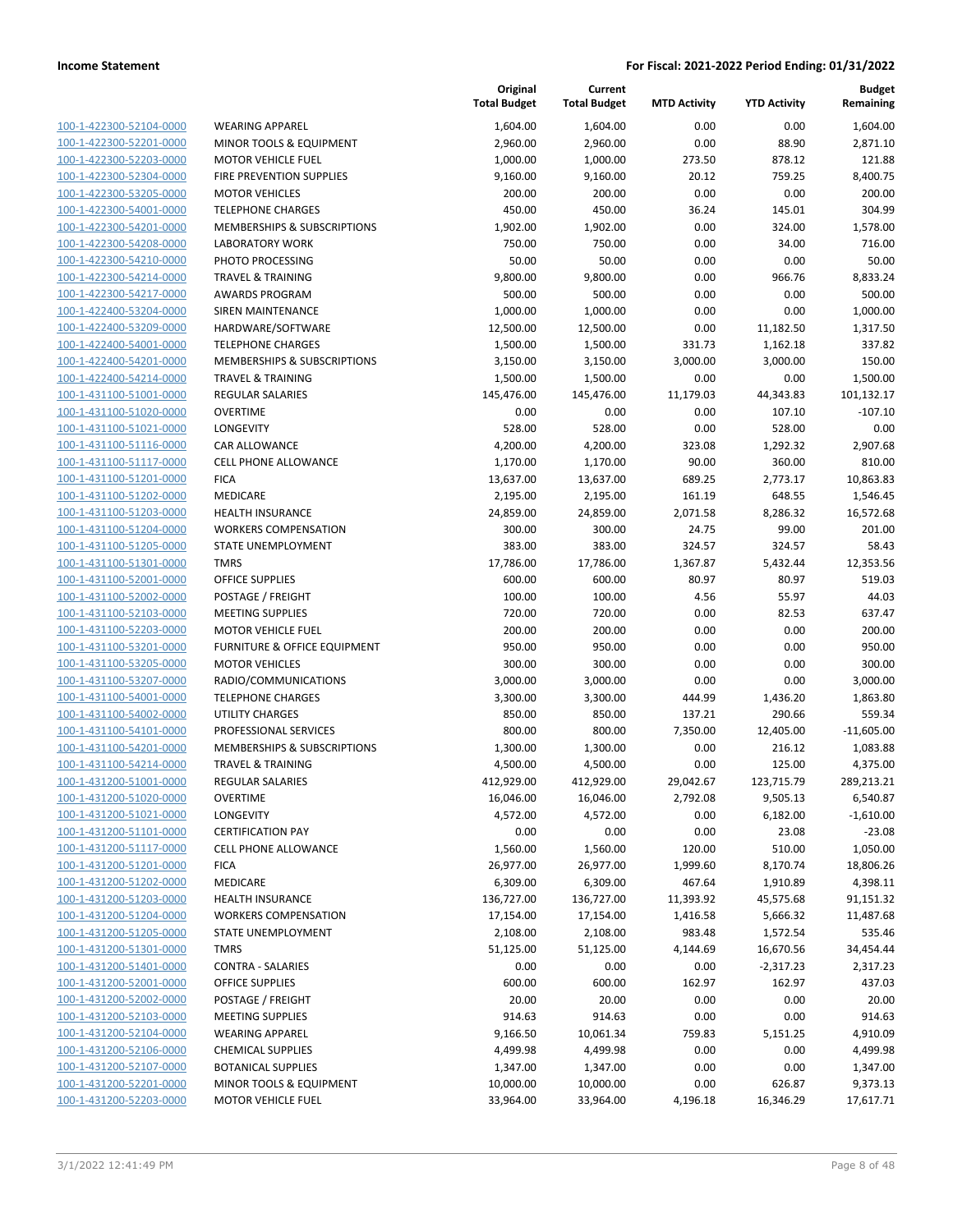**Current**

**Original**

**Budget**

|                                                    |                                                  | <b>Total Budget</b> | <b>Total Budget</b>  | <b>MTD Activity</b> | <b>YTD Activity</b> | Remaining            |
|----------------------------------------------------|--------------------------------------------------|---------------------|----------------------|---------------------|---------------------|----------------------|
| 100-1-422300-52104-0000                            | <b>WEARING APPAREL</b>                           | 1,604.00            | 1,604.00             | 0.00                | 0.00                | 1,604.00             |
| 100-1-422300-52201-0000                            | <b>MINOR TOOLS &amp; EQUIPMENT</b>               | 2,960.00            | 2,960.00             | 0.00                | 88.90               | 2,871.10             |
| 100-1-422300-52203-0000                            | <b>MOTOR VEHICLE FUEL</b>                        | 1,000.00            | 1,000.00             | 273.50              | 878.12              | 121.88               |
| 100-1-422300-52304-0000                            | FIRE PREVENTION SUPPLIES                         | 9,160.00            | 9,160.00             | 20.12               | 759.25              | 8,400.75             |
| 100-1-422300-53205-0000                            | <b>MOTOR VEHICLES</b>                            | 200.00              | 200.00               | 0.00                | 0.00                | 200.00               |
| 100-1-422300-54001-0000                            | <b>TELEPHONE CHARGES</b>                         | 450.00              | 450.00               | 36.24               | 145.01              | 304.99               |
| 100-1-422300-54201-0000                            | MEMBERSHIPS & SUBSCRIPTIONS                      | 1,902.00            | 1,902.00             | 0.00                | 324.00              | 1,578.00             |
| 100-1-422300-54208-0000                            | <b>LABORATORY WORK</b>                           | 750.00              | 750.00               | 0.00                | 34.00               | 716.00               |
| 100-1-422300-54210-0000                            | PHOTO PROCESSING                                 | 50.00               | 50.00                | 0.00                | 0.00                | 50.00                |
| 100-1-422300-54214-0000                            | <b>TRAVEL &amp; TRAINING</b>                     | 9,800.00            | 9,800.00             | 0.00                | 966.76              | 8,833.24             |
| 100-1-422300-54217-0000                            | <b>AWARDS PROGRAM</b>                            | 500.00              | 500.00               | 0.00                | 0.00                | 500.00               |
| 100-1-422400-53204-0000                            | <b>SIREN MAINTENANCE</b>                         | 1,000.00            | 1,000.00             | 0.00                | 0.00                | 1,000.00             |
| 100-1-422400-53209-0000                            | HARDWARE/SOFTWARE                                | 12,500.00           | 12,500.00            | 0.00                | 11,182.50           | 1,317.50             |
| 100-1-422400-54001-0000                            | <b>TELEPHONE CHARGES</b>                         | 1,500.00            | 1,500.00             | 331.73              | 1,162.18            | 337.82               |
| 100-1-422400-54201-0000                            | <b>MEMBERSHIPS &amp; SUBSCRIPTIONS</b>           | 3,150.00            | 3,150.00             | 3,000.00            | 3,000.00            | 150.00               |
| 100-1-422400-54214-0000                            | <b>TRAVEL &amp; TRAINING</b>                     | 1,500.00            | 1,500.00             | 0.00                | 0.00                | 1,500.00             |
| 100-1-431100-51001-0000                            | <b>REGULAR SALARIES</b>                          | 145,476.00          | 145,476.00           | 11,179.03           | 44,343.83           | 101,132.17           |
| 100-1-431100-51020-0000                            | <b>OVERTIME</b>                                  | 0.00                | 0.00                 | 0.00                | 107.10              | $-107.10$            |
| 100-1-431100-51021-0000                            | LONGEVITY                                        | 528.00              | 528.00               | 0.00                | 528.00              | 0.00                 |
| 100-1-431100-51116-0000                            | CAR ALLOWANCE                                    | 4,200.00            | 4,200.00             | 323.08              | 1,292.32            | 2,907.68             |
| 100-1-431100-51117-0000                            | <b>CELL PHONE ALLOWANCE</b>                      | 1,170.00            | 1,170.00             | 90.00               | 360.00              | 810.00               |
| 100-1-431100-51201-0000                            | <b>FICA</b>                                      | 13,637.00           | 13,637.00            | 689.25              | 2,773.17            | 10,863.83            |
| 100-1-431100-51202-0000                            | MEDICARE                                         | 2,195.00            | 2,195.00             | 161.19              | 648.55              | 1,546.45             |
| 100-1-431100-51203-0000                            | <b>HEALTH INSURANCE</b>                          | 24,859.00           | 24,859.00            | 2,071.58            | 8,286.32            | 16,572.68            |
| 100-1-431100-51204-0000                            | <b>WORKERS COMPENSATION</b>                      | 300.00              | 300.00               | 24.75               | 99.00               | 201.00               |
| 100-1-431100-51205-0000                            | STATE UNEMPLOYMENT                               | 383.00              | 383.00               | 324.57              | 324.57              | 58.43                |
| 100-1-431100-51301-0000                            | <b>TMRS</b>                                      | 17,786.00           | 17,786.00            | 1,367.87            | 5,432.44            | 12,353.56            |
| 100-1-431100-52001-0000                            | <b>OFFICE SUPPLIES</b>                           | 600.00              | 600.00               | 80.97               | 80.97               | 519.03               |
| 100-1-431100-52002-0000                            | POSTAGE / FREIGHT                                | 100.00              | 100.00               | 4.56                | 55.97               | 44.03                |
| 100-1-431100-52103-0000                            | <b>MEETING SUPPLIES</b>                          | 720.00              | 720.00               | 0.00                | 82.53               | 637.47               |
| 100-1-431100-52203-0000                            | <b>MOTOR VEHICLE FUEL</b>                        | 200.00              | 200.00               | 0.00                | 0.00                | 200.00               |
| 100-1-431100-53201-0000                            | FURNITURE & OFFICE EQUIPMENT                     | 950.00              | 950.00               | 0.00                | 0.00                | 950.00               |
| 100-1-431100-53205-0000                            | <b>MOTOR VEHICLES</b>                            | 300.00              | 300.00               | 0.00                | 0.00                | 300.00               |
| 100-1-431100-53207-0000<br>100-1-431100-54001-0000 | RADIO/COMMUNICATIONS<br><b>TELEPHONE CHARGES</b> | 3,000.00            | 3,000.00<br>3,300.00 | 0.00<br>444.99      | 0.00                | 3,000.00<br>1,863.80 |
| 100-1-431100-54002-0000                            | <b>UTILITY CHARGES</b>                           | 3,300.00<br>850.00  | 850.00               | 137.21              | 1,436.20<br>290.66  | 559.34               |
| 100-1-431100-54101-0000                            | PROFESSIONAL SERVICES                            | 800.00              | 800.00               | 7,350.00            | 12,405.00           | $-11,605.00$         |
| 100-1-431100-54201-0000                            | <b>MEMBERSHIPS &amp; SUBSCRIPTIONS</b>           | 1,300.00            | 1,300.00             | 0.00                | 216.12              | 1,083.88             |
| 100-1-431100-54214-0000                            | <b>TRAVEL &amp; TRAINING</b>                     | 4,500.00            | 4,500.00             | 0.00                | 125.00              | 4,375.00             |
| 100-1-431200-51001-0000                            | REGULAR SALARIES                                 | 412,929.00          | 412,929.00           | 29,042.67           | 123,715.79          | 289,213.21           |
| 100-1-431200-51020-0000                            | OVERTIME                                         | 16,046.00           | 16,046.00            | 2,792.08            | 9,505.13            | 6,540.87             |
| 100-1-431200-51021-0000                            | LONGEVITY                                        | 4,572.00            | 4,572.00             | 0.00                | 6,182.00            | $-1,610.00$          |
| 100-1-431200-51101-0000                            | <b>CERTIFICATION PAY</b>                         | 0.00                | 0.00                 | 0.00                | 23.08               | $-23.08$             |
| 100-1-431200-51117-0000                            | <b>CELL PHONE ALLOWANCE</b>                      | 1,560.00            | 1,560.00             | 120.00              | 510.00              | 1,050.00             |
| 100-1-431200-51201-0000                            | <b>FICA</b>                                      | 26,977.00           | 26,977.00            | 1,999.60            | 8,170.74            | 18,806.26            |
| 100-1-431200-51202-0000                            | MEDICARE                                         | 6,309.00            | 6,309.00             | 467.64              | 1,910.89            | 4,398.11             |
| 100-1-431200-51203-0000                            | <b>HEALTH INSURANCE</b>                          | 136,727.00          | 136,727.00           | 11,393.92           | 45,575.68           | 91,151.32            |
| 100-1-431200-51204-0000                            | <b>WORKERS COMPENSATION</b>                      | 17,154.00           | 17,154.00            | 1,416.58            | 5,666.32            | 11,487.68            |
| 100-1-431200-51205-0000                            | <b>STATE UNEMPLOYMENT</b>                        | 2,108.00            | 2,108.00             | 983.48              | 1,572.54            | 535.46               |
| 100-1-431200-51301-0000                            | <b>TMRS</b>                                      | 51,125.00           | 51,125.00            | 4,144.69            | 16,670.56           | 34,454.44            |
| 100-1-431200-51401-0000                            | <b>CONTRA - SALARIES</b>                         | 0.00                | 0.00                 | 0.00                | $-2,317.23$         | 2,317.23             |
| 100-1-431200-52001-0000                            | OFFICE SUPPLIES                                  | 600.00              | 600.00               | 162.97              | 162.97              | 437.03               |
| 100-1-431200-52002-0000                            | POSTAGE / FREIGHT                                | 20.00               | 20.00                | 0.00                | 0.00                | 20.00                |
| 100-1-431200-52103-0000                            | <b>MEETING SUPPLIES</b>                          | 914.63              | 914.63               | 0.00                | 0.00                | 914.63               |
| 100-1-431200-52104-0000                            | <b>WEARING APPAREL</b>                           | 9,166.50            | 10,061.34            | 759.83              | 5,151.25            | 4,910.09             |
| 100-1-431200-52106-0000                            | <b>CHEMICAL SUPPLIES</b>                         | 4,499.98            | 4,499.98             | 0.00                | 0.00                | 4,499.98             |
| 100-1-431200-52107-0000                            | <b>BOTANICAL SUPPLIES</b>                        | 1,347.00            | 1,347.00             | 0.00                | 0.00                | 1,347.00             |
| 100-1-431200-52201-0000                            | MINOR TOOLS & EQUIPMENT                          | 10,000.00           | 10,000.00            | 0.00                | 626.87              | 9,373.13             |
| 100-1-431200-52203-0000                            | <b>MOTOR VEHICLE FUEL</b>                        | 33,964.00           | 33,964.00            | 4,196.18            | 16,346.29           | 17,617.71            |
|                                                    |                                                  |                     |                      |                     |                     |                      |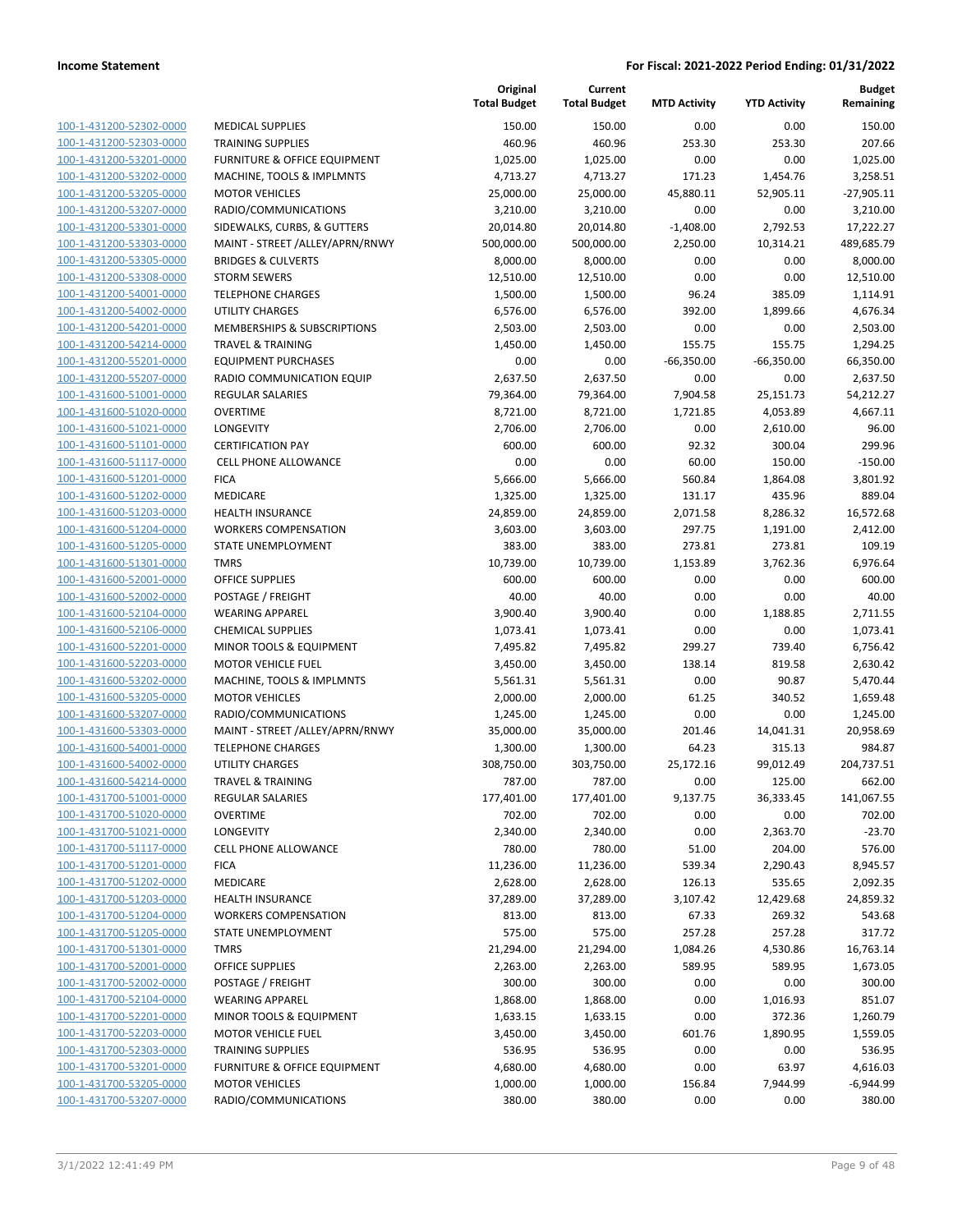|                         |                                         | Original<br><b>Total Budget</b> | Current<br><b>Total Budget</b> | <b>MTD Activity</b> | <b>YTD Activity</b> | <b>Budget</b><br>Remaining |
|-------------------------|-----------------------------------------|---------------------------------|--------------------------------|---------------------|---------------------|----------------------------|
| 100-1-431200-52302-0000 | <b>MEDICAL SUPPLIES</b>                 | 150.00                          | 150.00                         | 0.00                | 0.00                | 150.00                     |
| 100-1-431200-52303-0000 | <b>TRAINING SUPPLIES</b>                | 460.96                          | 460.96                         | 253.30              | 253.30              | 207.66                     |
| 100-1-431200-53201-0000 | <b>FURNITURE &amp; OFFICE EQUIPMENT</b> | 1,025.00                        | 1,025.00                       | 0.00                | 0.00                | 1,025.00                   |
| 100-1-431200-53202-0000 | MACHINE, TOOLS & IMPLMNTS               | 4,713.27                        | 4,713.27                       | 171.23              | 1,454.76            | 3,258.51                   |
| 100-1-431200-53205-0000 | <b>MOTOR VEHICLES</b>                   | 25,000.00                       | 25,000.00                      | 45,880.11           | 52,905.11           | $-27,905.11$               |
| 100-1-431200-53207-0000 | RADIO/COMMUNICATIONS                    | 3,210.00                        | 3,210.00                       | 0.00                | 0.00                | 3,210.00                   |
| 100-1-431200-53301-0000 | SIDEWALKS, CURBS, & GUTTERS             | 20,014.80                       | 20,014.80                      | $-1,408.00$         | 2,792.53            | 17,222.27                  |
| 100-1-431200-53303-0000 | MAINT - STREET /ALLEY/APRN/RNWY         | 500,000.00                      | 500,000.00                     | 2,250.00            | 10,314.21           | 489,685.79                 |
| 100-1-431200-53305-0000 | <b>BRIDGES &amp; CULVERTS</b>           | 8,000.00                        | 8,000.00                       | 0.00                | 0.00                | 8,000.00                   |
| 100-1-431200-53308-0000 | <b>STORM SEWERS</b>                     | 12,510.00                       | 12,510.00                      | 0.00                | 0.00                | 12,510.00                  |
| 100-1-431200-54001-0000 | <b>TELEPHONE CHARGES</b>                | 1,500.00                        | 1,500.00                       | 96.24               | 385.09              | 1,114.91                   |
| 100-1-431200-54002-0000 | <b>UTILITY CHARGES</b>                  | 6,576.00                        | 6,576.00                       | 392.00              | 1,899.66            | 4,676.34                   |
| 100-1-431200-54201-0000 | <b>MEMBERSHIPS &amp; SUBSCRIPTIONS</b>  | 2,503.00                        | 2,503.00                       | 0.00                | 0.00                | 2,503.00                   |
| 100-1-431200-54214-0000 | <b>TRAVEL &amp; TRAINING</b>            | 1,450.00                        | 1,450.00                       | 155.75              | 155.75              | 1,294.25                   |
| 100-1-431200-55201-0000 | <b>EQUIPMENT PURCHASES</b>              | 0.00                            | 0.00                           | $-66,350.00$        | $-66,350.00$        | 66,350.00                  |
| 100-1-431200-55207-0000 | RADIO COMMUNICATION EQUIP               | 2,637.50                        | 2,637.50                       | 0.00                | 0.00                | 2,637.50                   |
| 100-1-431600-51001-0000 | REGULAR SALARIES                        | 79,364.00                       | 79,364.00                      | 7,904.58            | 25,151.73           | 54,212.27                  |
| 100-1-431600-51020-0000 | <b>OVERTIME</b>                         | 8,721.00                        | 8,721.00                       | 1,721.85            | 4,053.89            | 4,667.11                   |
| 100-1-431600-51021-0000 | LONGEVITY                               | 2,706.00                        | 2,706.00                       | 0.00                | 2,610.00            | 96.00                      |
| 100-1-431600-51101-0000 | <b>CERTIFICATION PAY</b>                | 600.00                          | 600.00                         | 92.32               | 300.04              | 299.96                     |
| 100-1-431600-51117-0000 | CELL PHONE ALLOWANCE                    | 0.00                            | 0.00                           | 60.00               | 150.00              | $-150.00$                  |
| 100-1-431600-51201-0000 | <b>FICA</b>                             | 5,666.00                        | 5,666.00                       | 560.84              | 1,864.08            | 3,801.92                   |
| 100-1-431600-51202-0000 | MEDICARE                                | 1,325.00                        | 1,325.00                       | 131.17              | 435.96              | 889.04                     |
| 100-1-431600-51203-0000 | <b>HEALTH INSURANCE</b>                 | 24,859.00                       | 24,859.00                      | 2,071.58            | 8,286.32            | 16,572.68                  |
| 100-1-431600-51204-0000 | <b>WORKERS COMPENSATION</b>             | 3,603.00                        | 3,603.00                       | 297.75              | 1,191.00            | 2,412.00                   |
| 100-1-431600-51205-0000 | STATE UNEMPLOYMENT                      | 383.00                          | 383.00                         | 273.81              | 273.81              | 109.19                     |
| 100-1-431600-51301-0000 | <b>TMRS</b>                             | 10,739.00                       | 10,739.00                      | 1,153.89            | 3,762.36            | 6,976.64                   |
| 100-1-431600-52001-0000 | <b>OFFICE SUPPLIES</b>                  | 600.00                          | 600.00                         | 0.00                | 0.00                | 600.00                     |
| 100-1-431600-52002-0000 | POSTAGE / FREIGHT                       | 40.00                           | 40.00                          | 0.00                | 0.00                | 40.00                      |
| 100-1-431600-52104-0000 | <b>WEARING APPAREL</b>                  | 3,900.40                        | 3,900.40                       | 0.00                | 1,188.85            | 2,711.55                   |
| 100-1-431600-52106-0000 | <b>CHEMICAL SUPPLIES</b>                | 1,073.41                        | 1,073.41                       | 0.00                | 0.00                | 1,073.41                   |
| 100-1-431600-52201-0000 | MINOR TOOLS & EQUIPMENT                 | 7,495.82                        | 7,495.82                       | 299.27              | 739.40              | 6,756.42                   |
| 100-1-431600-52203-0000 | <b>MOTOR VEHICLE FUEL</b>               | 3,450.00                        | 3,450.00                       | 138.14              | 819.58              | 2,630.42                   |
| 100-1-431600-53202-0000 | MACHINE, TOOLS & IMPLMNTS               | 5,561.31                        | 5,561.31                       | 0.00                | 90.87               | 5,470.44                   |
| 100-1-431600-53205-0000 | <b>MOTOR VEHICLES</b>                   | 2,000.00                        | 2,000.00                       | 61.25               | 340.52              | 1,659.48                   |
| 100-1-431600-53207-0000 | RADIO/COMMUNICATIONS                    | 1,245.00                        | 1,245.00                       | 0.00                | 0.00                | 1,245.00                   |
| 100-1-431600-53303-0000 | MAINT - STREET /ALLEY/APRN/RNWY         | 35,000.00                       | 35,000.00                      | 201.46              | 14,041.31           | 20,958.69                  |
| 100-1-431600-54001-0000 | <b>TELEPHONE CHARGES</b>                | 1,300.00                        | 1,300.00                       | 64.23               | 315.13              | 984.87                     |
| 100-1-431600-54002-0000 | <b>UTILITY CHARGES</b>                  | 308,750.00                      | 303,750.00                     | 25,172.16           | 99,012.49           | 204,737.51                 |
| 100-1-431600-54214-0000 | <b>TRAVEL &amp; TRAINING</b>            | 787.00                          | 787.00                         | 0.00                | 125.00              | 662.00                     |
| 100-1-431700-51001-0000 | REGULAR SALARIES                        | 177,401.00                      | 177,401.00                     | 9,137.75            | 36,333.45           | 141,067.55                 |
| 100-1-431700-51020-0000 | <b>OVERTIME</b>                         | 702.00                          | 702.00                         | 0.00                | 0.00                | 702.00                     |
| 100-1-431700-51021-0000 | LONGEVITY                               | 2,340.00                        | 2,340.00                       | 0.00                | 2,363.70            | $-23.70$                   |
| 100-1-431700-51117-0000 | <b>CELL PHONE ALLOWANCE</b>             | 780.00                          | 780.00                         | 51.00               | 204.00              | 576.00                     |
| 100-1-431700-51201-0000 | <b>FICA</b>                             | 11,236.00                       | 11,236.00                      | 539.34              | 2,290.43            | 8,945.57                   |
| 100-1-431700-51202-0000 | MEDICARE                                | 2,628.00                        | 2,628.00                       | 126.13              | 535.65              | 2,092.35                   |
| 100-1-431700-51203-0000 | <b>HEALTH INSURANCE</b>                 | 37,289.00                       | 37,289.00                      | 3,107.42            | 12,429.68           | 24,859.32                  |
| 100-1-431700-51204-0000 | <b>WORKERS COMPENSATION</b>             | 813.00                          | 813.00                         | 67.33               | 269.32              | 543.68                     |
| 100-1-431700-51205-0000 | STATE UNEMPLOYMENT                      | 575.00                          | 575.00                         | 257.28              | 257.28              | 317.72                     |
| 100-1-431700-51301-0000 | <b>TMRS</b>                             | 21,294.00                       | 21,294.00                      | 1,084.26            | 4,530.86            | 16,763.14                  |
| 100-1-431700-52001-0000 | <b>OFFICE SUPPLIES</b>                  | 2,263.00                        | 2,263.00                       | 589.95              | 589.95              | 1,673.05                   |
| 100-1-431700-52002-0000 | POSTAGE / FREIGHT                       | 300.00                          | 300.00                         | 0.00                | 0.00                | 300.00                     |
| 100-1-431700-52104-0000 | <b>WEARING APPAREL</b>                  | 1,868.00                        | 1,868.00                       | 0.00                | 1,016.93            | 851.07                     |
| 100-1-431700-52201-0000 | MINOR TOOLS & EQUIPMENT                 | 1,633.15                        | 1,633.15                       | 0.00                | 372.36              | 1,260.79                   |
| 100-1-431700-52203-0000 | <b>MOTOR VEHICLE FUEL</b>               | 3,450.00                        | 3,450.00                       | 601.76              | 1,890.95            | 1,559.05                   |
| 100-1-431700-52303-0000 | <b>TRAINING SUPPLIES</b>                | 536.95                          | 536.95                         | 0.00                | 0.00                | 536.95                     |
| 100-1-431700-53201-0000 | <b>FURNITURE &amp; OFFICE EQUIPMENT</b> | 4,680.00                        | 4,680.00                       | 0.00                | 63.97               | 4,616.03                   |
| 100-1-431700-53205-0000 | <b>MOTOR VEHICLES</b>                   | 1,000.00                        | 1,000.00                       | 156.84              | 7,944.99            | $-6,944.99$                |
| 100-1-431700-53207-0000 | RADIO/COMMUNICATIONS                    | 380.00                          | 380.00                         | 0.00                | 0.00                | 380.00                     |
|                         |                                         |                                 |                                |                     |                     |                            |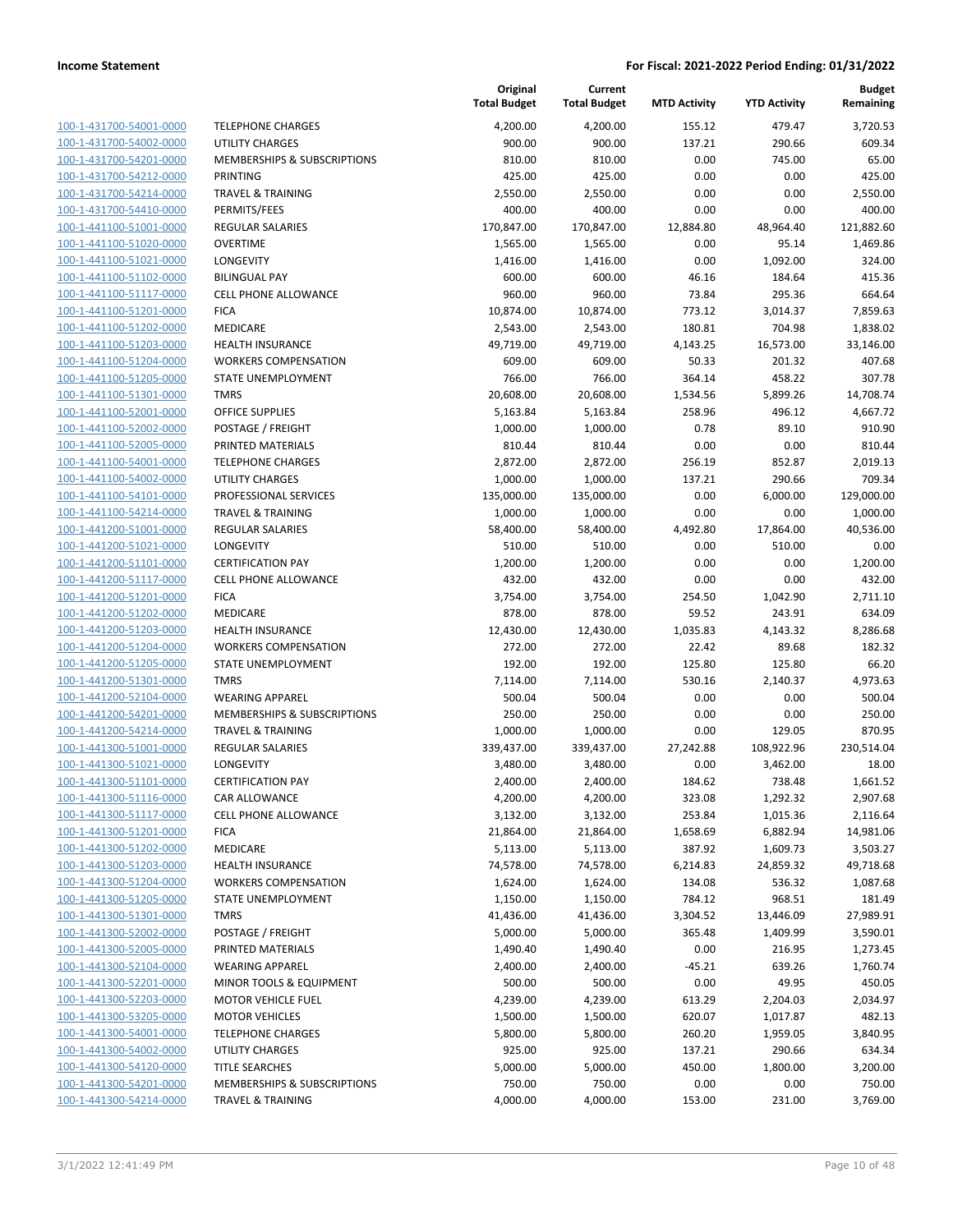| 100-1-431700-54001-0000        |
|--------------------------------|
| 100-1-431700-54002-0000        |
| 100-1-431700-54201-0000        |
| 100-1-431700-54212-0000        |
| 100-1-431700-54214-0000        |
| 100-1-431700-54410-0000        |
| 100-1-441100-51001-0000        |
| 100-1-441100-51020-0000        |
| 100-1-441100-51021-0000        |
| 100-1-441100-51102-0000        |
| 100-1-441100-51117-0000        |
| 100-1-441100-51201-0000        |
| 100-1-441100-51202-0000        |
| 100-1-441100-51203-0000        |
| <u>100-1-441100-51204-0000</u> |
| 100-1-441100-51205-0000        |
| 100-1-441100-51301-0000        |
| 100-1-441100-52001-0000        |
| 100-1-441100-52002-0000        |
| 100-1-441100-52005-0000        |
| 100-1-441100-54001-0000        |
| 100-1-441100-54002-0000        |
| 100-1-441100-54101-0000        |
| 100-1-441100-54214-0000        |
| 100-1-441200-51001-0000        |
| 100-1-441200-51021-0000        |
| 100-1-441200-51101-0000        |
| 100-1-441200-51117-0000        |
|                                |
| 100-1-441200-51201-0000        |
| 100-1-441200-51202-0000        |
| 100-1-441200-51203-0000        |
| 100-1-441200-51204-0000        |
| 100-1-441200-51205-0000        |
| 100-1-441200-51301-0000        |
| 100-1-441200-52104-0000        |
| 100-1-441200-54201-0000        |
| 100-1-441200-54214-0000        |
| 100-1-441300-51001-0000        |
| 100-1-441300-51021-0000        |
| 100-1-441300-51101-0000        |
| 100-1-441300-51116-0000        |
| 100-1-441300-51117-0000        |
| 100-1-441300-51201-0000        |
| 100-1-441300-51202-0000        |
| <u>100-1-441300-51203-0000</u> |
| 100-1-441300-51204-0000        |
| 100-1-441300-51205-0000        |
| 100-1-441300-51301-0000        |
| 100-1-441300-52002-0000        |
| <u>100-1-441300-52005-0000</u> |
| <u>100-1-441300-52104-0000</u> |
| <u>100-1-441300-52201-0000</u> |
| 100-1-441300-52203-0000        |
| 100-1-441300-53205-0000        |
| <u>100-1-441300-54001-0000</u> |
| <u>100-1-441300-54002-0000</u> |
| <u>100-1-441300-54120-0000</u> |
| <u>100-1-441300-54201-0000</u> |
| 100-1-441300-54214-0000        |
|                                |

|                         |                              | Original<br><b>Total Budget</b> | Current<br><b>Total Budget</b> | <b>MTD Activity</b> | <b>YTD Activity</b> | <b>Budget</b><br>Remaining |
|-------------------------|------------------------------|---------------------------------|--------------------------------|---------------------|---------------------|----------------------------|
| 100-1-431700-54001-0000 | <b>TELEPHONE CHARGES</b>     | 4,200.00                        | 4,200.00                       | 155.12              | 479.47              | 3,720.53                   |
| 100-1-431700-54002-0000 | <b>UTILITY CHARGES</b>       | 900.00                          | 900.00                         | 137.21              | 290.66              | 609.34                     |
| 100-1-431700-54201-0000 | MEMBERSHIPS & SUBSCRIPTIONS  | 810.00                          | 810.00                         | 0.00                | 745.00              | 65.00                      |
| 100-1-431700-54212-0000 | <b>PRINTING</b>              | 425.00                          | 425.00                         | 0.00                | 0.00                | 425.00                     |
| 100-1-431700-54214-0000 | <b>TRAVEL &amp; TRAINING</b> | 2,550.00                        | 2,550.00                       | 0.00                | 0.00                | 2,550.00                   |
| 100-1-431700-54410-0000 | PERMITS/FEES                 | 400.00                          | 400.00                         | 0.00                | 0.00                | 400.00                     |
| 100-1-441100-51001-0000 | <b>REGULAR SALARIES</b>      | 170,847.00                      | 170,847.00                     | 12,884.80           | 48,964.40           | 121,882.60                 |
| 100-1-441100-51020-0000 | <b>OVERTIME</b>              | 1,565.00                        | 1,565.00                       | 0.00                | 95.14               | 1,469.86                   |
| 100-1-441100-51021-0000 | LONGEVITY                    | 1,416.00                        | 1,416.00                       | 0.00                | 1,092.00            | 324.00                     |
| 100-1-441100-51102-0000 | <b>BILINGUAL PAY</b>         | 600.00                          | 600.00                         | 46.16               | 184.64              | 415.36                     |
| 100-1-441100-51117-0000 | CELL PHONE ALLOWANCE         | 960.00                          | 960.00                         | 73.84               | 295.36              | 664.64                     |
| 100-1-441100-51201-0000 | <b>FICA</b>                  | 10,874.00                       | 10,874.00                      | 773.12              | 3,014.37            | 7,859.63                   |
| 100-1-441100-51202-0000 | MEDICARE                     | 2,543.00                        | 2,543.00                       | 180.81              | 704.98              | 1,838.02                   |
| 100-1-441100-51203-0000 | <b>HEALTH INSURANCE</b>      | 49,719.00                       | 49,719.00                      | 4,143.25            | 16,573.00           | 33,146.00                  |
| 100-1-441100-51204-0000 | <b>WORKERS COMPENSATION</b>  | 609.00                          | 609.00                         | 50.33               | 201.32              | 407.68                     |
| 100-1-441100-51205-0000 | STATE UNEMPLOYMENT           | 766.00                          | 766.00                         | 364.14              | 458.22              | 307.78                     |
| 100-1-441100-51301-0000 | <b>TMRS</b>                  | 20,608.00                       | 20,608.00                      | 1,534.56            | 5,899.26            | 14,708.74                  |
| 100-1-441100-52001-0000 | <b>OFFICE SUPPLIES</b>       | 5,163.84                        | 5,163.84                       | 258.96              | 496.12              | 4,667.72                   |
| 100-1-441100-52002-0000 | POSTAGE / FREIGHT            | 1,000.00                        | 1,000.00                       | 0.78                | 89.10               | 910.90                     |
| 100-1-441100-52005-0000 | PRINTED MATERIALS            | 810.44                          | 810.44                         | 0.00                | 0.00                | 810.44                     |
| 100-1-441100-54001-0000 | <b>TELEPHONE CHARGES</b>     | 2,872.00                        | 2,872.00                       | 256.19              | 852.87              | 2,019.13                   |
| 100-1-441100-54002-0000 | UTILITY CHARGES              | 1,000.00                        | 1,000.00                       | 137.21              | 290.66              | 709.34                     |
| 100-1-441100-54101-0000 | PROFESSIONAL SERVICES        | 135,000.00                      | 135,000.00                     | 0.00                | 6,000.00            | 129,000.00                 |
| 100-1-441100-54214-0000 | <b>TRAVEL &amp; TRAINING</b> | 1,000.00                        | 1,000.00                       | 0.00                | 0.00                | 1,000.00                   |
| 100-1-441200-51001-0000 | <b>REGULAR SALARIES</b>      | 58,400.00                       | 58,400.00                      | 4,492.80            | 17,864.00           | 40,536.00                  |
| 100-1-441200-51021-0000 | LONGEVITY                    | 510.00                          | 510.00                         | 0.00                | 510.00              | 0.00                       |
| 100-1-441200-51101-0000 | <b>CERTIFICATION PAY</b>     | 1,200.00                        | 1,200.00                       | 0.00                | 0.00                | 1,200.00                   |
| 100-1-441200-51117-0000 | <b>CELL PHONE ALLOWANCE</b>  | 432.00                          | 432.00                         | 0.00                | 0.00                | 432.00                     |
| 100-1-441200-51201-0000 | <b>FICA</b>                  | 3,754.00                        | 3,754.00                       | 254.50              | 1,042.90            | 2,711.10                   |
| 100-1-441200-51202-0000 | MEDICARE                     | 878.00                          | 878.00                         | 59.52               | 243.91              | 634.09                     |
| 100-1-441200-51203-0000 | <b>HEALTH INSURANCE</b>      | 12,430.00                       | 12,430.00                      | 1,035.83            | 4,143.32            | 8,286.68                   |
| 100-1-441200-51204-0000 | <b>WORKERS COMPENSATION</b>  | 272.00                          | 272.00                         | 22.42               | 89.68               | 182.32                     |
| 100-1-441200-51205-0000 | STATE UNEMPLOYMENT           | 192.00                          | 192.00                         | 125.80              | 125.80              | 66.20                      |
| 100-1-441200-51301-0000 | <b>TMRS</b>                  | 7,114.00                        | 7,114.00                       | 530.16              | 2,140.37            | 4,973.63                   |
| 100-1-441200-52104-0000 | <b>WEARING APPAREL</b>       | 500.04                          | 500.04                         | 0.00                | 0.00                | 500.04                     |
| 100-1-441200-54201-0000 | MEMBERSHIPS & SUBSCRIPTIONS  | 250.00                          | 250.00                         | 0.00                | 0.00                | 250.00                     |
| 100-1-441200-54214-0000 | <b>TRAVEL &amp; TRAINING</b> | 1,000.00                        | 1,000.00                       | 0.00                | 129.05              | 870.95                     |
| 100-1-441300-51001-0000 | REGULAR SALARIES             | 339,437.00                      | 339,437.00                     | 27,242.88           | 108,922.96          | 230,514.04                 |
| 100-1-441300-51021-0000 | LONGEVITY                    | 3,480.00                        | 3,480.00                       | 0.00                | 3,462.00            | 18.00                      |
| 100-1-441300-51101-0000 | <b>CERTIFICATION PAY</b>     | 2,400.00                        | 2,400.00                       | 184.62              | 738.48              | 1,661.52                   |
| 100-1-441300-51116-0000 | CAR ALLOWANCE                | 4,200.00                        | 4,200.00                       | 323.08              | 1,292.32            | 2,907.68                   |
| 100-1-441300-51117-0000 | CELL PHONE ALLOWANCE         | 3,132.00                        | 3,132.00                       | 253.84              | 1,015.36            | 2,116.64                   |
| 100-1-441300-51201-0000 | <b>FICA</b>                  | 21,864.00                       | 21,864.00                      | 1,658.69            | 6,882.94            | 14,981.06                  |
| 100-1-441300-51202-0000 | MEDICARE                     | 5,113.00                        | 5,113.00                       | 387.92              | 1,609.73            | 3,503.27                   |
| 100-1-441300-51203-0000 | <b>HEALTH INSURANCE</b>      | 74,578.00                       | 74,578.00                      | 6,214.83            | 24,859.32           | 49,718.68                  |
| 100-1-441300-51204-0000 | <b>WORKERS COMPENSATION</b>  | 1,624.00                        | 1,624.00                       | 134.08              | 536.32              | 1,087.68                   |
| 100-1-441300-51205-0000 | STATE UNEMPLOYMENT           | 1,150.00                        | 1,150.00                       | 784.12              | 968.51              | 181.49                     |
| 100-1-441300-51301-0000 | <b>TMRS</b>                  | 41,436.00                       | 41,436.00                      | 3,304.52            | 13,446.09           | 27,989.91                  |
| 100-1-441300-52002-0000 | POSTAGE / FREIGHT            | 5,000.00                        | 5,000.00                       | 365.48              | 1,409.99            | 3,590.01                   |
| 100-1-441300-52005-0000 | PRINTED MATERIALS            | 1,490.40                        | 1,490.40                       | 0.00                | 216.95              | 1,273.45                   |
| 100-1-441300-52104-0000 | <b>WEARING APPAREL</b>       | 2,400.00                        | 2,400.00                       | $-45.21$            | 639.26              | 1,760.74                   |
| 100-1-441300-52201-0000 | MINOR TOOLS & EQUIPMENT      | 500.00                          | 500.00                         | 0.00                | 49.95               | 450.05                     |
| 100-1-441300-52203-0000 | <b>MOTOR VEHICLE FUEL</b>    | 4,239.00                        | 4,239.00                       | 613.29              | 2,204.03            | 2,034.97                   |
| 100-1-441300-53205-0000 | <b>MOTOR VEHICLES</b>        | 1,500.00                        | 1,500.00                       | 620.07              | 1,017.87            | 482.13                     |
| 100-1-441300-54001-0000 | <b>TELEPHONE CHARGES</b>     | 5,800.00                        | 5,800.00                       | 260.20              | 1,959.05            | 3,840.95                   |
| 100-1-441300-54002-0000 | UTILITY CHARGES              | 925.00                          | 925.00                         | 137.21              | 290.66              | 634.34                     |
| 100-1-441300-54120-0000 | <b>TITLE SEARCHES</b>        | 5,000.00                        | 5,000.00                       | 450.00              | 1,800.00            | 3,200.00                   |
| 100-1-441300-54201-0000 | MEMBERSHIPS & SUBSCRIPTIONS  | 750.00                          | 750.00                         | 0.00                | 0.00                | 750.00                     |
| 100-1-441300-54214-0000 | <b>TRAVEL &amp; TRAINING</b> | 4,000.00                        | 4,000.00                       | 153.00              | 231.00              | 3,769.00                   |
|                         |                              |                                 |                                |                     |                     |                            |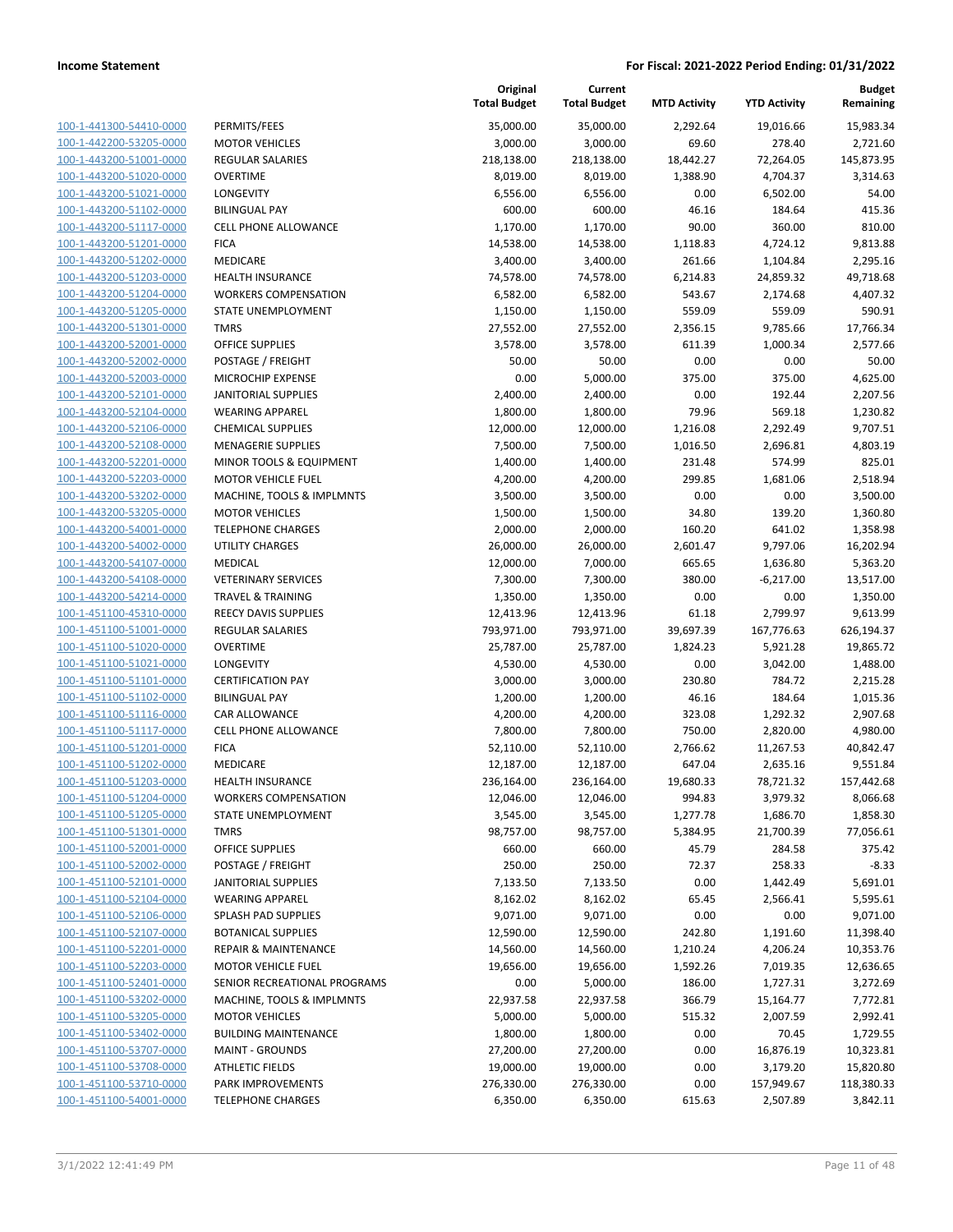**Current**

**Original**

**Budget Remaining**

|                                                    |                                              | <b>Total Budget</b>  | <b>Total Budget</b>  | <b>MTD Activity</b> | <b>YTD Activity</b>  | Remaining            |
|----------------------------------------------------|----------------------------------------------|----------------------|----------------------|---------------------|----------------------|----------------------|
| 100-1-441300-54410-0000                            | PERMITS/FEES                                 | 35,000.00            | 35,000.00            | 2,292.64            | 19,016.66            | 15,983.34            |
| 100-1-442200-53205-0000                            | <b>MOTOR VEHICLES</b>                        | 3,000.00             | 3,000.00             | 69.60               | 278.40               | 2,721.60             |
| 100-1-443200-51001-0000                            | <b>REGULAR SALARIES</b>                      | 218,138.00           | 218,138.00           | 18,442.27           | 72,264.05            | 145,873.95           |
| 100-1-443200-51020-0000                            | <b>OVERTIME</b>                              | 8,019.00             | 8,019.00             | 1,388.90            | 4,704.37             | 3,314.63             |
| 100-1-443200-51021-0000                            | LONGEVITY                                    | 6,556.00             | 6,556.00             | 0.00                | 6,502.00             | 54.00                |
| 100-1-443200-51102-0000                            | <b>BILINGUAL PAY</b>                         | 600.00               | 600.00               | 46.16               | 184.64               | 415.36               |
| 100-1-443200-51117-0000                            | <b>CELL PHONE ALLOWANCE</b>                  | 1,170.00             | 1,170.00             | 90.00               | 360.00               | 810.00               |
| 100-1-443200-51201-0000                            | <b>FICA</b>                                  | 14,538.00            | 14,538.00            | 1,118.83            | 4,724.12             | 9,813.88             |
| 100-1-443200-51202-0000                            | <b>MEDICARE</b>                              | 3,400.00             | 3,400.00             | 261.66              | 1,104.84             | 2,295.16             |
| 100-1-443200-51203-0000                            | <b>HEALTH INSURANCE</b>                      | 74,578.00            | 74,578.00            | 6,214.83            | 24,859.32            | 49,718.68            |
| 100-1-443200-51204-0000                            | <b>WORKERS COMPENSATION</b>                  | 6,582.00             | 6,582.00             | 543.67              | 2,174.68             | 4,407.32             |
| 100-1-443200-51205-0000                            | STATE UNEMPLOYMENT                           | 1,150.00             | 1,150.00             | 559.09              | 559.09               | 590.91               |
| 100-1-443200-51301-0000                            | <b>TMRS</b>                                  | 27,552.00            | 27,552.00            | 2,356.15            | 9,785.66             | 17,766.34            |
| 100-1-443200-52001-0000                            | <b>OFFICE SUPPLIES</b>                       | 3,578.00             | 3,578.00             | 611.39              | 1,000.34             | 2,577.66             |
| 100-1-443200-52002-0000                            | POSTAGE / FREIGHT                            | 50.00                | 50.00                | 0.00                | 0.00                 | 50.00                |
| 100-1-443200-52003-0000                            | MICROCHIP EXPENSE                            | 0.00                 | 5,000.00             | 375.00              | 375.00               | 4,625.00             |
| 100-1-443200-52101-0000                            | <b>JANITORIAL SUPPLIES</b>                   | 2,400.00             | 2,400.00             | 0.00                | 192.44               | 2,207.56             |
| 100-1-443200-52104-0000                            | <b>WEARING APPAREL</b>                       | 1,800.00             | 1,800.00             | 79.96               | 569.18               | 1,230.82             |
| 100-1-443200-52106-0000                            | <b>CHEMICAL SUPPLIES</b>                     | 12,000.00            | 12,000.00            | 1,216.08            | 2,292.49             | 9,707.51             |
| 100-1-443200-52108-0000                            | <b>MENAGERIE SUPPLIES</b>                    | 7,500.00             | 7,500.00             | 1,016.50            | 2,696.81             | 4,803.19             |
| 100-1-443200-52201-0000                            | MINOR TOOLS & EQUIPMENT                      | 1,400.00             | 1,400.00             | 231.48              | 574.99               | 825.01               |
| 100-1-443200-52203-0000                            | <b>MOTOR VEHICLE FUEL</b>                    | 4,200.00             | 4,200.00             | 299.85              | 1,681.06             | 2,518.94             |
| 100-1-443200-53202-0000                            | MACHINE, TOOLS & IMPLMNTS                    | 3,500.00             | 3,500.00             | 0.00                | 0.00                 | 3,500.00             |
| 100-1-443200-53205-0000                            | <b>MOTOR VEHICLES</b>                        | 1,500.00             | 1,500.00             | 34.80               | 139.20               | 1,360.80             |
| 100-1-443200-54001-0000                            | <b>TELEPHONE CHARGES</b>                     | 2,000.00             | 2,000.00             | 160.20              | 641.02               | 1,358.98             |
| 100-1-443200-54002-0000                            | UTILITY CHARGES                              | 26,000.00            | 26,000.00            | 2,601.47            | 9,797.06             | 16,202.94            |
| 100-1-443200-54107-0000                            | MEDICAL                                      | 12,000.00            | 7,000.00             | 665.65              | 1,636.80             | 5,363.20             |
| 100-1-443200-54108-0000                            | <b>VETERINARY SERVICES</b>                   | 7,300.00             | 7,300.00             | 380.00              | $-6,217.00$          | 13,517.00            |
| 100-1-443200-54214-0000                            | <b>TRAVEL &amp; TRAINING</b>                 | 1,350.00             | 1,350.00             | 0.00                | 0.00                 | 1,350.00             |
| 100-1-451100-45310-0000                            | REECY DAVIS SUPPLIES                         | 12,413.96            | 12,413.96            | 61.18               | 2,799.97             | 9,613.99             |
| 100-1-451100-51001-0000                            | <b>REGULAR SALARIES</b>                      | 793,971.00           | 793,971.00           | 39,697.39           | 167,776.63           | 626,194.37           |
| 100-1-451100-51020-0000                            | <b>OVERTIME</b>                              | 25,787.00            | 25,787.00            | 1,824.23            | 5,921.28             | 19,865.72            |
| 100-1-451100-51021-0000                            | LONGEVITY                                    | 4,530.00             | 4,530.00             | 0.00                | 3,042.00             | 1,488.00             |
| 100-1-451100-51101-0000                            | <b>CERTIFICATION PAY</b>                     | 3,000.00             | 3,000.00             | 230.80              | 784.72               | 2,215.28             |
| 100-1-451100-51102-0000<br>100-1-451100-51116-0000 | <b>BILINGUAL PAY</b><br><b>CAR ALLOWANCE</b> | 1,200.00             | 1,200.00             | 46.16<br>323.08     | 184.64               | 1,015.36<br>2,907.68 |
| 100-1-451100-51117-0000                            | CELL PHONE ALLOWANCE                         | 4,200.00<br>7,800.00 | 4,200.00<br>7,800.00 | 750.00              | 1,292.32<br>2,820.00 | 4,980.00             |
| 100-1-451100-51201-0000                            | <b>FICA</b>                                  | 52,110.00            | 52,110.00            | 2,766.62            | 11,267.53            | 40,842.47            |
| 100-1-451100-51202-0000                            | MEDICARE                                     | 12,187.00            | 12,187.00            | 647.04              | 2,635.16             | 9,551.84             |
| 100-1-451100-51203-0000                            | HEALTH INSURANCE                             | 236,164.00           | 236,164.00           | 19,680.33           | 78,721.32            | 157,442.68           |
| 100-1-451100-51204-0000                            | WORKERS COMPENSATION                         | 12,046.00            | 12,046.00            | 994.83              | 3,979.32             | 8,066.68             |
| 100-1-451100-51205-0000                            | STATE UNEMPLOYMENT                           | 3,545.00             | 3,545.00             | 1,277.78            | 1,686.70             | 1,858.30             |
| 100-1-451100-51301-0000                            | <b>TMRS</b>                                  | 98,757.00            | 98,757.00            | 5,384.95            | 21,700.39            | 77,056.61            |
| 100-1-451100-52001-0000                            | OFFICE SUPPLIES                              | 660.00               | 660.00               | 45.79               | 284.58               | 375.42               |
| 100-1-451100-52002-0000                            | POSTAGE / FREIGHT                            | 250.00               | 250.00               | 72.37               | 258.33               | $-8.33$              |
| 100-1-451100-52101-0000                            | JANITORIAL SUPPLIES                          | 7,133.50             | 7,133.50             | 0.00                | 1,442.49             | 5,691.01             |
| 100-1-451100-52104-0000                            | <b>WEARING APPAREL</b>                       | 8,162.02             | 8,162.02             | 65.45               | 2,566.41             | 5,595.61             |
| 100-1-451100-52106-0000                            | SPLASH PAD SUPPLIES                          | 9,071.00             | 9,071.00             | 0.00                | 0.00                 | 9,071.00             |
| 100-1-451100-52107-0000                            | <b>BOTANICAL SUPPLIES</b>                    | 12,590.00            | 12,590.00            | 242.80              | 1,191.60             | 11,398.40            |
| 100-1-451100-52201-0000                            | <b>REPAIR &amp; MAINTENANCE</b>              | 14,560.00            | 14,560.00            | 1,210.24            | 4,206.24             | 10,353.76            |
| 100-1-451100-52203-0000                            | <b>MOTOR VEHICLE FUEL</b>                    | 19,656.00            | 19,656.00            | 1,592.26            | 7,019.35             | 12,636.65            |
| 100-1-451100-52401-0000                            | SENIOR RECREATIONAL PROGRAMS                 | 0.00                 | 5,000.00             | 186.00              | 1,727.31             | 3,272.69             |
| 100-1-451100-53202-0000                            | MACHINE, TOOLS & IMPLMNTS                    | 22,937.58            | 22,937.58            | 366.79              | 15,164.77            | 7,772.81             |
| 100-1-451100-53205-0000                            | <b>MOTOR VEHICLES</b>                        | 5,000.00             | 5,000.00             | 515.32              | 2,007.59             | 2,992.41             |
| 100-1-451100-53402-0000                            | <b>BUILDING MAINTENANCE</b>                  | 1,800.00             | 1,800.00             | 0.00                | 70.45                | 1,729.55             |
| 100-1-451100-53707-0000                            | <b>MAINT - GROUNDS</b>                       | 27,200.00            | 27,200.00            | 0.00                | 16,876.19            | 10,323.81            |
| 100-1-451100-53708-0000                            | <b>ATHLETIC FIELDS</b>                       | 19,000.00            | 19,000.00            | 0.00                | 3,179.20             | 15,820.80            |
| 100-1-451100-53710-0000                            | PARK IMPROVEMENTS                            | 276,330.00           | 276,330.00           | 0.00                | 157,949.67           | 118,380.33           |
| 100-1-451100-54001-0000                            | <b>TELEPHONE CHARGES</b>                     | 6,350.00             | 6,350.00             | 615.63              | 2,507.89             | 3,842.11             |
|                                                    |                                              |                      |                      |                     |                      |                      |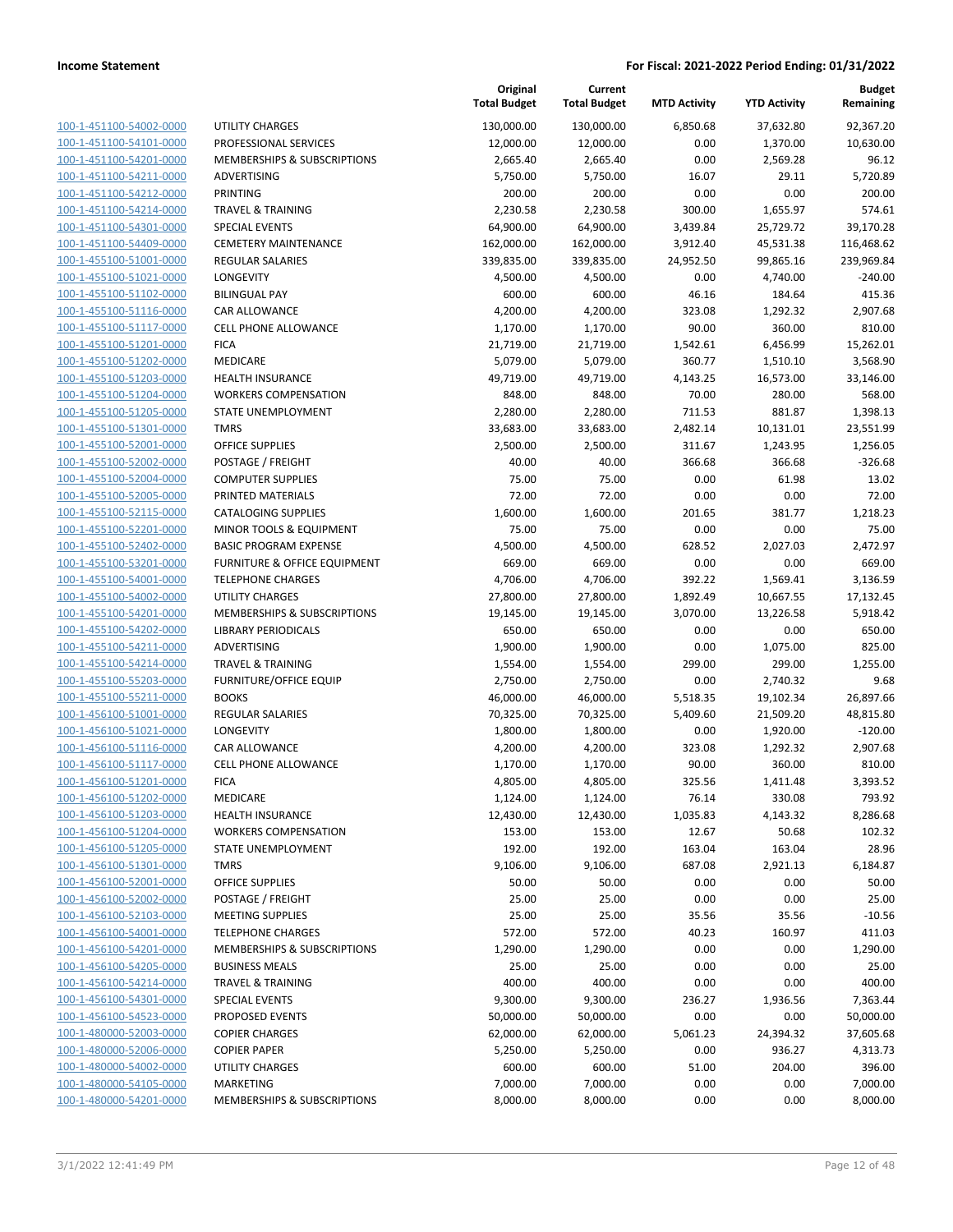**Current**

**Original**

**Budget Remaining**

|                                                    |                                               | <b>Total Budget</b>    | <b>Total Budget</b>  | <b>MTD Activity</b>  | <b>YTD Activity</b>    | Remaining              |
|----------------------------------------------------|-----------------------------------------------|------------------------|----------------------|----------------------|------------------------|------------------------|
| 100-1-451100-54002-0000                            | UTILITY CHARGES                               | 130,000.00             | 130,000.00           | 6,850.68             | 37,632.80              | 92,367.20              |
| 100-1-451100-54101-0000                            | PROFESSIONAL SERVICES                         | 12,000.00              | 12,000.00            | 0.00                 | 1,370.00               | 10,630.00              |
| 100-1-451100-54201-0000                            | MEMBERSHIPS & SUBSCRIPTIONS                   | 2,665.40               | 2,665.40             | 0.00                 | 2,569.28               | 96.12                  |
| 100-1-451100-54211-0000                            | ADVERTISING                                   | 5,750.00               | 5,750.00             | 16.07                | 29.11                  | 5,720.89               |
| 100-1-451100-54212-0000                            | PRINTING                                      | 200.00                 | 200.00               | 0.00                 | 0.00                   | 200.00                 |
| 100-1-451100-54214-0000                            | <b>TRAVEL &amp; TRAINING</b>                  | 2,230.58               | 2,230.58             | 300.00               | 1,655.97               | 574.61                 |
| 100-1-451100-54301-0000                            | SPECIAL EVENTS                                | 64,900.00              | 64,900.00            | 3,439.84             | 25,729.72              | 39,170.28              |
| 100-1-451100-54409-0000                            | <b>CEMETERY MAINTENANCE</b>                   | 162,000.00             | 162,000.00           | 3,912.40             | 45,531.38              | 116,468.62             |
| 100-1-455100-51001-0000                            | <b>REGULAR SALARIES</b>                       | 339,835.00             | 339,835.00           | 24,952.50            | 99,865.16              | 239,969.84             |
| 100-1-455100-51021-0000                            | LONGEVITY                                     | 4,500.00               | 4,500.00             | 0.00                 | 4,740.00               | $-240.00$              |
| 100-1-455100-51102-0000                            | <b>BILINGUAL PAY</b>                          | 600.00                 | 600.00               | 46.16                | 184.64                 | 415.36                 |
| 100-1-455100-51116-0000                            | <b>CAR ALLOWANCE</b>                          | 4,200.00               | 4,200.00             | 323.08               | 1,292.32               | 2,907.68               |
| 100-1-455100-51117-0000                            | CELL PHONE ALLOWANCE                          | 1,170.00               | 1,170.00             | 90.00                | 360.00                 | 810.00                 |
| 100-1-455100-51201-0000                            | <b>FICA</b>                                   | 21,719.00              | 21,719.00            | 1,542.61             | 6,456.99               | 15,262.01              |
| 100-1-455100-51202-0000                            | MEDICARE                                      | 5,079.00               | 5,079.00             | 360.77               | 1,510.10               | 3,568.90               |
| 100-1-455100-51203-0000                            | HEALTH INSURANCE                              | 49,719.00              | 49,719.00            | 4,143.25             | 16,573.00              | 33,146.00              |
| 100-1-455100-51204-0000                            | <b>WORKERS COMPENSATION</b>                   | 848.00                 | 848.00               | 70.00                | 280.00                 | 568.00                 |
| 100-1-455100-51205-0000                            | STATE UNEMPLOYMENT                            | 2,280.00               | 2,280.00             | 711.53               | 881.87                 | 1,398.13               |
| 100-1-455100-51301-0000                            | <b>TMRS</b>                                   | 33,683.00              | 33,683.00            | 2,482.14             | 10,131.01              | 23,551.99              |
| 100-1-455100-52001-0000                            | OFFICE SUPPLIES                               | 2,500.00               | 2,500.00             | 311.67               | 1,243.95               | 1,256.05               |
| 100-1-455100-52002-0000                            | POSTAGE / FREIGHT                             | 40.00                  | 40.00                | 366.68               | 366.68                 | $-326.68$              |
| 100-1-455100-52004-0000                            | <b>COMPUTER SUPPLIES</b>                      | 75.00                  | 75.00                | 0.00                 | 61.98                  | 13.02                  |
| 100-1-455100-52005-0000                            | PRINTED MATERIALS                             | 72.00                  | 72.00                | 0.00                 | 0.00                   | 72.00                  |
| 100-1-455100-52115-0000                            | <b>CATALOGING SUPPLIES</b>                    | 1,600.00               | 1,600.00             | 201.65               | 381.77                 | 1,218.23               |
| 100-1-455100-52201-0000                            | MINOR TOOLS & EQUIPMENT                       | 75.00                  | 75.00                | 0.00                 | 0.00                   | 75.00                  |
| 100-1-455100-52402-0000                            | <b>BASIC PROGRAM EXPENSE</b>                  | 4,500.00               | 4,500.00             | 628.52               | 2,027.03               | 2,472.97               |
| 100-1-455100-53201-0000                            | FURNITURE & OFFICE EQUIPMENT                  | 669.00                 | 669.00               | 0.00                 | 0.00                   | 669.00                 |
| 100-1-455100-54001-0000                            | <b>TELEPHONE CHARGES</b>                      | 4,706.00               | 4,706.00             | 392.22               | 1,569.41               | 3,136.59               |
| 100-1-455100-54002-0000                            | <b>UTILITY CHARGES</b>                        | 27,800.00              | 27,800.00            | 1,892.49             | 10,667.55              | 17,132.45              |
| 100-1-455100-54201-0000                            | MEMBERSHIPS & SUBSCRIPTIONS                   | 19,145.00              | 19,145.00            | 3,070.00             | 13,226.58              | 5,918.42               |
| 100-1-455100-54202-0000                            | <b>LIBRARY PERIODICALS</b>                    | 650.00                 | 650.00               | 0.00                 | 0.00                   | 650.00                 |
| 100-1-455100-54211-0000                            | ADVERTISING                                   | 1,900.00               | 1,900.00             | 0.00                 | 1,075.00               | 825.00                 |
| 100-1-455100-54214-0000                            | <b>TRAVEL &amp; TRAINING</b>                  | 1,554.00               | 1,554.00             | 299.00               | 299.00                 | 1,255.00               |
| 100-1-455100-55203-0000                            | <b>FURNITURE/OFFICE EQUIP</b><br><b>BOOKS</b> | 2,750.00               | 2,750.00             | 0.00                 | 2,740.32               | 9.68                   |
| 100-1-455100-55211-0000<br>100-1-456100-51001-0000 | <b>REGULAR SALARIES</b>                       | 46,000.00<br>70,325.00 | 46,000.00            | 5,518.35<br>5,409.60 | 19,102.34<br>21,509.20 | 26,897.66<br>48,815.80 |
| 100-1-456100-51021-0000                            | LONGEVITY                                     |                        | 70,325.00            | 0.00                 |                        | $-120.00$              |
| 100-1-456100-51116-0000                            | <b>CAR ALLOWANCE</b>                          | 1,800.00               | 1,800.00             | 323.08               | 1,920.00               | 2,907.68               |
| 100-1-456100-51117-0000                            | <b>CELL PHONE ALLOWANCE</b>                   | 4,200.00<br>1,170.00   | 4,200.00             | 90.00                | 1,292.32<br>360.00     | 810.00                 |
| 100-1-456100-51201-0000                            | <b>FICA</b>                                   | 4,805.00               | 1,170.00<br>4,805.00 | 325.56               | 1,411.48               | 3,393.52               |
| 100-1-456100-51202-0000                            | MEDICARE                                      | 1,124.00               | 1,124.00             | 76.14                | 330.08                 | 793.92                 |
| 100-1-456100-51203-0000                            | <b>HEALTH INSURANCE</b>                       | 12,430.00              | 12,430.00            | 1,035.83             | 4,143.32               | 8,286.68               |
| 100-1-456100-51204-0000                            | <b>WORKERS COMPENSATION</b>                   | 153.00                 | 153.00               | 12.67                | 50.68                  | 102.32                 |
| 100-1-456100-51205-0000                            | STATE UNEMPLOYMENT                            | 192.00                 | 192.00               | 163.04               | 163.04                 | 28.96                  |
| 100-1-456100-51301-0000                            | <b>TMRS</b>                                   | 9,106.00               | 9,106.00             | 687.08               | 2,921.13               | 6,184.87               |
| 100-1-456100-52001-0000                            | OFFICE SUPPLIES                               | 50.00                  | 50.00                | 0.00                 | 0.00                   | 50.00                  |
| 100-1-456100-52002-0000                            | POSTAGE / FREIGHT                             | 25.00                  | 25.00                | 0.00                 | 0.00                   | 25.00                  |
| 100-1-456100-52103-0000                            | <b>MEETING SUPPLIES</b>                       | 25.00                  | 25.00                | 35.56                | 35.56                  | $-10.56$               |
| 100-1-456100-54001-0000                            | <b>TELEPHONE CHARGES</b>                      | 572.00                 | 572.00               | 40.23                | 160.97                 | 411.03                 |
| 100-1-456100-54201-0000                            | <b>MEMBERSHIPS &amp; SUBSCRIPTIONS</b>        | 1,290.00               | 1,290.00             | 0.00                 | 0.00                   | 1,290.00               |
| 100-1-456100-54205-0000                            | <b>BUSINESS MEALS</b>                         | 25.00                  | 25.00                | 0.00                 | 0.00                   | 25.00                  |
| 100-1-456100-54214-0000                            | <b>TRAVEL &amp; TRAINING</b>                  | 400.00                 | 400.00               | 0.00                 | 0.00                   | 400.00                 |
| 100-1-456100-54301-0000                            | <b>SPECIAL EVENTS</b>                         | 9,300.00               | 9,300.00             | 236.27               | 1,936.56               | 7,363.44               |
| 100-1-456100-54523-0000                            | PROPOSED EVENTS                               | 50,000.00              | 50,000.00            | 0.00                 | 0.00                   | 50,000.00              |
| 100-1-480000-52003-0000                            | <b>COPIER CHARGES</b>                         | 62,000.00              | 62,000.00            | 5,061.23             | 24,394.32              | 37,605.68              |
| 100-1-480000-52006-0000                            | <b>COPIER PAPER</b>                           | 5,250.00               | 5,250.00             | 0.00                 | 936.27                 | 4,313.73               |
| 100-1-480000-54002-0000                            | <b>UTILITY CHARGES</b>                        | 600.00                 | 600.00               | 51.00                | 204.00                 | 396.00                 |
| 100-1-480000-54105-0000                            | MARKETING                                     | 7,000.00               | 7,000.00             | 0.00                 | 0.00                   | 7,000.00               |
| 100-1-480000-54201-0000                            | MEMBERSHIPS & SUBSCRIPTIONS                   | 8,000.00               | 8,000.00             | 0.00                 | 0.00                   | 8,000.00               |
|                                                    |                                               |                        |                      |                      |                        |                        |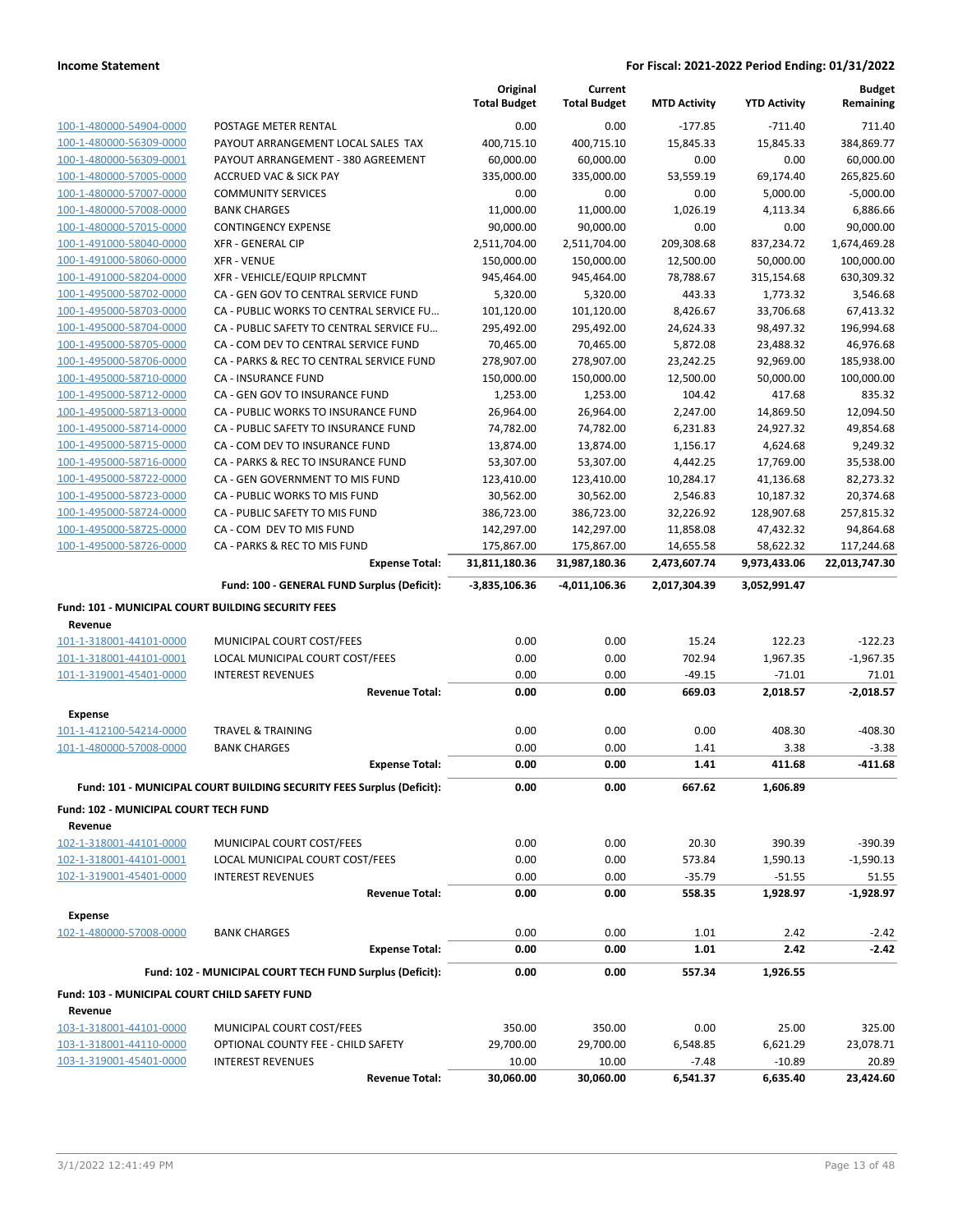|                                                    |                                                                       | Original<br><b>Total Budget</b> | Current<br><b>Total Budget</b> | <b>MTD Activity</b> | <b>YTD Activity</b> | <b>Budget</b><br>Remaining |
|----------------------------------------------------|-----------------------------------------------------------------------|---------------------------------|--------------------------------|---------------------|---------------------|----------------------------|
|                                                    | POSTAGE METER RENTAL                                                  | 0.00                            | 0.00                           | $-177.85$           | $-711.40$           | 711.40                     |
| 100-1-480000-54904-0000                            | PAYOUT ARRANGEMENT LOCAL SALES TAX                                    | 400,715.10                      | 400,715.10                     | 15,845.33           | 15,845.33           | 384,869.77                 |
| 100-1-480000-56309-0000<br>100-1-480000-56309-0001 | PAYOUT ARRANGEMENT - 380 AGREEMENT                                    | 60,000.00                       | 60,000.00                      | 0.00                | 0.00                | 60,000.00                  |
| 100-1-480000-57005-0000                            | <b>ACCRUED VAC &amp; SICK PAY</b>                                     | 335,000.00                      | 335,000.00                     | 53,559.19           | 69,174.40           | 265,825.60                 |
| 100-1-480000-57007-0000                            | <b>COMMUNITY SERVICES</b>                                             | 0.00                            | 0.00                           | 0.00                | 5,000.00            | $-5,000.00$                |
| 100-1-480000-57008-0000                            | <b>BANK CHARGES</b>                                                   | 11,000.00                       | 11,000.00                      | 1,026.19            | 4,113.34            | 6,886.66                   |
| 100-1-480000-57015-0000                            | <b>CONTINGENCY EXPENSE</b>                                            | 90,000.00                       | 90,000.00                      | 0.00                | 0.00                | 90,000.00                  |
| 100-1-491000-58040-0000                            | <b>XFR - GENERAL CIP</b>                                              | 2,511,704.00                    | 2,511,704.00                   | 209,308.68          | 837,234.72          | 1,674,469.28               |
| 100-1-491000-58060-0000                            | <b>XFR - VENUE</b>                                                    | 150,000.00                      | 150,000.00                     | 12,500.00           | 50,000.00           | 100,000.00                 |
| 100-1-491000-58204-0000                            | XFR - VEHICLE/EQUIP RPLCMNT                                           | 945,464.00                      | 945,464.00                     | 78,788.67           | 315,154.68          | 630,309.32                 |
| 100-1-495000-58702-0000                            | CA - GEN GOV TO CENTRAL SERVICE FUND                                  | 5,320.00                        | 5,320.00                       | 443.33              | 1,773.32            | 3,546.68                   |
| 100-1-495000-58703-0000                            | CA - PUBLIC WORKS TO CENTRAL SERVICE FU                               | 101,120.00                      | 101,120.00                     | 8,426.67            | 33,706.68           | 67,413.32                  |
| 100-1-495000-58704-0000                            | CA - PUBLIC SAFETY TO CENTRAL SERVICE FU                              | 295,492.00                      | 295,492.00                     | 24,624.33           | 98,497.32           | 196,994.68                 |
| 100-1-495000-58705-0000                            | CA - COM DEV TO CENTRAL SERVICE FUND                                  | 70,465.00                       | 70,465.00                      | 5,872.08            | 23,488.32           | 46,976.68                  |
| 100-1-495000-58706-0000                            | CA - PARKS & REC TO CENTRAL SERVICE FUND                              | 278,907.00                      | 278,907.00                     | 23,242.25           | 92,969.00           | 185,938.00                 |
| 100-1-495000-58710-0000                            | CA - INSURANCE FUND                                                   | 150,000.00                      | 150,000.00                     | 12,500.00           | 50,000.00           | 100,000.00                 |
| 100-1-495000-58712-0000                            | CA - GEN GOV TO INSURANCE FUND                                        | 1,253.00                        | 1,253.00                       | 104.42              | 417.68              | 835.32                     |
| 100-1-495000-58713-0000                            | CA - PUBLIC WORKS TO INSURANCE FUND                                   | 26,964.00                       | 26,964.00                      | 2,247.00            | 14,869.50           | 12,094.50                  |
| 100-1-495000-58714-0000                            | CA - PUBLIC SAFETY TO INSURANCE FUND                                  | 74,782.00                       | 74,782.00                      | 6,231.83            | 24,927.32           | 49,854.68                  |
| 100-1-495000-58715-0000                            | CA - COM DEV TO INSURANCE FUND                                        | 13,874.00                       | 13,874.00                      | 1,156.17            | 4,624.68            | 9,249.32                   |
| 100-1-495000-58716-0000                            | CA - PARKS & REC TO INSURANCE FUND                                    | 53,307.00                       | 53,307.00                      | 4,442.25            | 17,769.00           | 35,538.00                  |
| 100-1-495000-58722-0000                            | CA - GEN GOVERNMENT TO MIS FUND                                       | 123,410.00                      | 123,410.00                     | 10,284.17           | 41,136.68           | 82,273.32                  |
| 100-1-495000-58723-0000                            | CA - PUBLIC WORKS TO MIS FUND                                         | 30,562.00                       | 30,562.00                      | 2,546.83            | 10,187.32           | 20,374.68                  |
| 100-1-495000-58724-0000                            | CA - PUBLIC SAFETY TO MIS FUND                                        | 386,723.00                      | 386,723.00                     | 32,226.92           | 128,907.68          | 257,815.32                 |
| 100-1-495000-58725-0000                            | CA - COM DEV TO MIS FUND                                              | 142,297.00                      | 142,297.00                     | 11,858.08           | 47,432.32           | 94,864.68                  |
| 100-1-495000-58726-0000                            | CA - PARKS & REC TO MIS FUND                                          | 175,867.00                      | 175,867.00                     | 14,655.58           | 58,622.32           | 117,244.68                 |
|                                                    | <b>Expense Total:</b>                                                 | 31,811,180.36                   | 31,987,180.36                  | 2,473,607.74        | 9,973,433.06        | 22,013,747.30              |
|                                                    | Fund: 100 - GENERAL FUND Surplus (Deficit):                           | -3,835,106.36                   | -4,011,106.36                  | 2,017,304.39        | 3,052,991.47        |                            |
|                                                    |                                                                       |                                 |                                |                     |                     |                            |
| Fund: 101 - MUNICIPAL COURT BUILDING SECURITY FEES |                                                                       |                                 |                                |                     |                     |                            |
| Revenue                                            |                                                                       |                                 |                                |                     |                     |                            |
| 101-1-318001-44101-0000                            | MUNICIPAL COURT COST/FEES                                             | 0.00                            | 0.00                           | 15.24               | 122.23              | $-122.23$                  |
| 101-1-318001-44101-0001                            | LOCAL MUNICIPAL COURT COST/FEES                                       | 0.00                            | 0.00                           | 702.94              | 1,967.35            | $-1,967.35$                |
| 101-1-319001-45401-0000                            | <b>INTEREST REVENUES</b>                                              | 0.00                            | 0.00                           | $-49.15$            | $-71.01$            | 71.01                      |
|                                                    | <b>Revenue Total:</b>                                                 | 0.00                            | 0.00                           | 669.03              | 2,018.57            | $-2,018.57$                |
| <b>Expense</b>                                     |                                                                       |                                 |                                |                     |                     |                            |
| 101-1-412100-54214-0000                            | <b>TRAVEL &amp; TRAINING</b>                                          | 0.00                            | 0.00                           | 0.00                | 408.30              | -408.30                    |
| 101-1-480000-57008-0000                            | <b>BANK CHARGES</b>                                                   | 0.00                            | 0.00                           | 1.41                | 3.38                | $-3.38$                    |
|                                                    | <b>Expense Total:</b>                                                 | 0.00                            | 0.00                           | 1.41                | 411.68              | $-411.68$                  |
|                                                    | Fund: 101 - MUNICIPAL COURT BUILDING SECURITY FEES Surplus (Deficit): | 0.00                            | 0.00                           | 667.62              | 1,606.89            |                            |
| Fund: 102 - MUNICIPAL COURT TECH FUND              |                                                                       |                                 |                                |                     |                     |                            |
| Revenue                                            |                                                                       |                                 |                                |                     |                     |                            |
| 102-1-318001-44101-0000                            | MUNICIPAL COURT COST/FEES                                             | 0.00                            | 0.00                           | 20.30               | 390.39              | $-390.39$                  |
| 102-1-318001-44101-0001                            | LOCAL MUNICIPAL COURT COST/FEES                                       | 0.00                            | 0.00                           | 573.84              | 1,590.13            | $-1,590.13$                |
| 102-1-319001-45401-0000                            | <b>INTEREST REVENUES</b>                                              | 0.00                            | 0.00                           | $-35.79$            | $-51.55$            | 51.55                      |
|                                                    | <b>Revenue Total:</b>                                                 | 0.00                            | 0.00                           | 558.35              | 1,928.97            | $-1,928.97$                |
|                                                    |                                                                       |                                 |                                |                     |                     |                            |
| <b>Expense</b>                                     |                                                                       |                                 |                                |                     |                     |                            |
| 102-1-480000-57008-0000                            | <b>BANK CHARGES</b>                                                   | 0.00                            | 0.00                           | 1.01                | 2.42                | $-2.42$                    |
|                                                    | <b>Expense Total:</b>                                                 | 0.00                            | 0.00                           | 1.01                | 2.42                | $-2.42$                    |
|                                                    | Fund: 102 - MUNICIPAL COURT TECH FUND Surplus (Deficit):              | 0.00                            | 0.00                           | 557.34              | 1,926.55            |                            |
| Fund: 103 - MUNICIPAL COURT CHILD SAFETY FUND      |                                                                       |                                 |                                |                     |                     |                            |
| Revenue                                            |                                                                       |                                 |                                |                     |                     |                            |
| 103-1-318001-44101-0000                            | MUNICIPAL COURT COST/FEES                                             | 350.00                          | 350.00                         | 0.00                | 25.00               | 325.00                     |
| 103-1-318001-44110-0000                            | OPTIONAL COUNTY FEE - CHILD SAFETY                                    | 29,700.00                       | 29,700.00                      | 6,548.85            | 6,621.29            | 23,078.71                  |
| 103-1-319001-45401-0000                            | <b>INTEREST REVENUES</b>                                              | 10.00                           | 10.00                          | $-7.48$             | $-10.89$            | 20.89                      |
|                                                    | <b>Revenue Total:</b>                                                 | 30,060.00                       | 30,060.00                      | 6,541.37            | 6,635.40            | 23,424.60                  |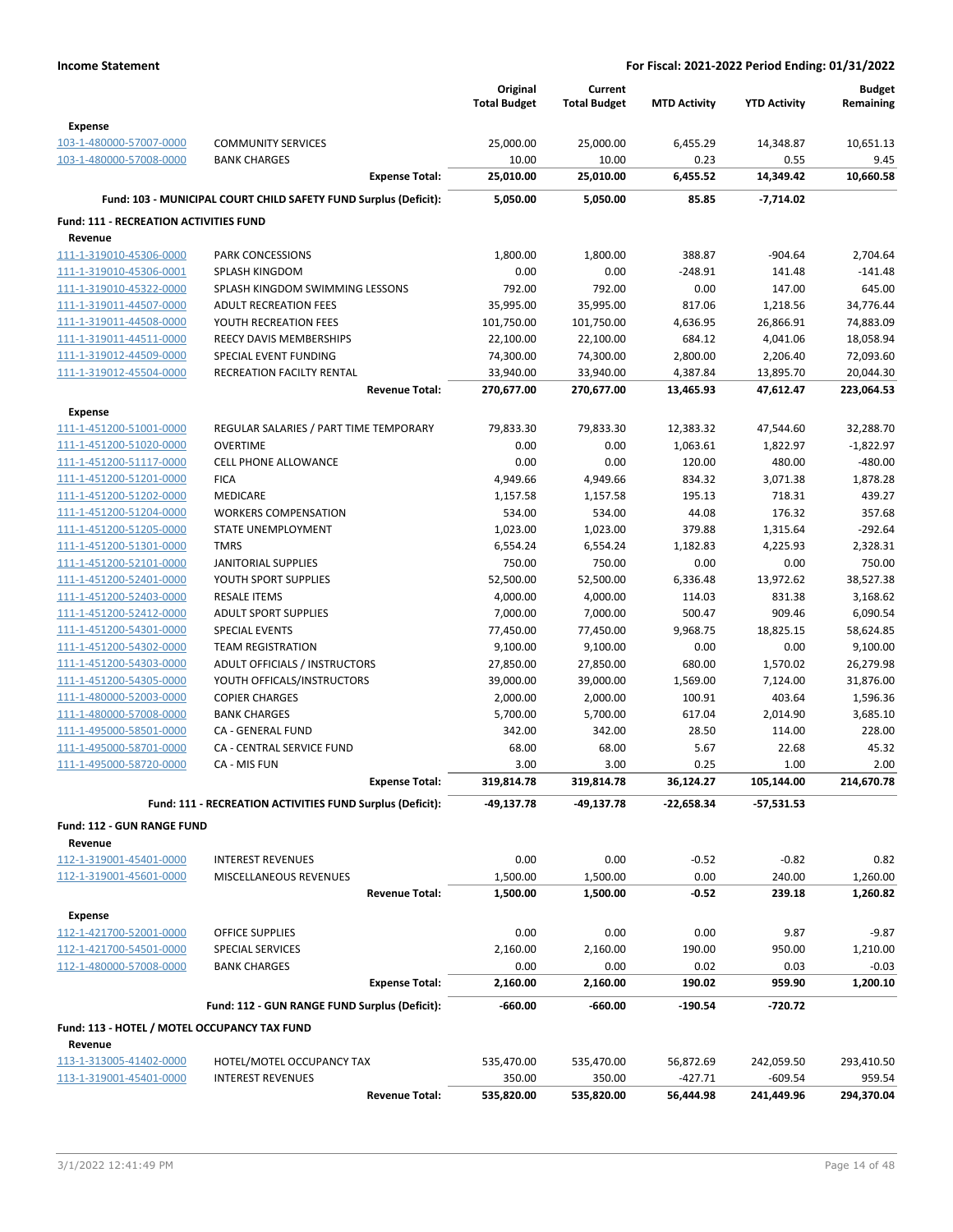|                                                    |                                                                  | Original             | Current              |                     |                     | <b>Budget</b>        |
|----------------------------------------------------|------------------------------------------------------------------|----------------------|----------------------|---------------------|---------------------|----------------------|
|                                                    |                                                                  | <b>Total Budget</b>  | <b>Total Budget</b>  | <b>MTD Activity</b> | <b>YTD Activity</b> | Remaining            |
| <b>Expense</b>                                     |                                                                  |                      |                      |                     |                     |                      |
| 103-1-480000-57007-0000                            | <b>COMMUNITY SERVICES</b>                                        | 25,000.00            | 25,000.00            | 6,455.29            | 14,348.87           | 10,651.13            |
| 103-1-480000-57008-0000                            | <b>BANK CHARGES</b>                                              | 10.00                | 10.00                | 0.23                | 0.55                | 9.45                 |
|                                                    | <b>Expense Total:</b>                                            | 25,010.00            | 25,010.00            | 6,455.52            | 14,349.42           | 10,660.58            |
|                                                    | Fund: 103 - MUNICIPAL COURT CHILD SAFETY FUND Surplus (Deficit): | 5,050.00             | 5,050.00             | 85.85               | $-7,714.02$         |                      |
| <b>Fund: 111 - RECREATION ACTIVITIES FUND</b>      |                                                                  |                      |                      |                     |                     |                      |
| Revenue                                            |                                                                  |                      |                      |                     |                     |                      |
| 111-1-319010-45306-0000                            | PARK CONCESSIONS                                                 | 1,800.00             | 1,800.00             | 388.87              | $-904.64$           | 2,704.64             |
| 111-1-319010-45306-0001                            | SPLASH KINGDOM                                                   | 0.00                 | 0.00                 | $-248.91$           | 141.48              | $-141.48$            |
| 111-1-319010-45322-0000                            | SPLASH KINGDOM SWIMMING LESSONS                                  | 792.00               | 792.00               | 0.00                | 147.00              | 645.00               |
| 111-1-319011-44507-0000                            | <b>ADULT RECREATION FEES</b>                                     | 35,995.00            | 35,995.00            | 817.06              | 1,218.56            | 34,776.44            |
| 111-1-319011-44508-0000                            | YOUTH RECREATION FEES                                            | 101,750.00           | 101,750.00           | 4,636.95            | 26,866.91           | 74,883.09            |
| 111-1-319011-44511-0000                            | REECY DAVIS MEMBERSHIPS                                          | 22,100.00            | 22,100.00            | 684.12              | 4,041.06            | 18,058.94            |
| 111-1-319012-44509-0000                            | SPECIAL EVENT FUNDING                                            | 74,300.00            | 74,300.00            | 2,800.00            | 2,206.40            | 72,093.60            |
| 111-1-319012-45504-0000                            | RECREATION FACILTY RENTAL                                        | 33,940.00            | 33,940.00            | 4,387.84            | 13,895.70           | 20,044.30            |
|                                                    | <b>Revenue Total:</b>                                            | 270,677.00           | 270,677.00           | 13,465.93           | 47,612.47           | 223,064.53           |
| <b>Expense</b>                                     |                                                                  |                      |                      |                     |                     |                      |
| 111-1-451200-51001-0000                            | REGULAR SALARIES / PART TIME TEMPORARY                           | 79,833.30            | 79,833.30            | 12,383.32           | 47,544.60           | 32,288.70            |
| 111-1-451200-51020-0000                            | <b>OVERTIME</b>                                                  | 0.00                 | 0.00                 | 1,063.61            | 1,822.97            | $-1,822.97$          |
| 111-1-451200-51117-0000                            | <b>CELL PHONE ALLOWANCE</b>                                      | 0.00                 | 0.00                 | 120.00              | 480.00              | $-480.00$            |
| 111-1-451200-51201-0000                            | <b>FICA</b>                                                      | 4,949.66             | 4,949.66             | 834.32              | 3,071.38            | 1,878.28             |
| 111-1-451200-51202-0000                            | <b>MEDICARE</b>                                                  | 1,157.58             | 1,157.58             | 195.13              | 718.31              | 439.27               |
| 111-1-451200-51204-0000                            | <b>WORKERS COMPENSATION</b>                                      | 534.00               | 534.00               | 44.08               | 176.32              | 357.68               |
| 111-1-451200-51205-0000                            | STATE UNEMPLOYMENT                                               | 1,023.00             | 1,023.00             | 379.88              | 1,315.64            | $-292.64$            |
| 111-1-451200-51301-0000                            | TMRS                                                             | 6,554.24             | 6,554.24             | 1,182.83            | 4,225.93            | 2,328.31             |
| 111-1-451200-52101-0000                            | <b>JANITORIAL SUPPLIES</b>                                       | 750.00               | 750.00               | 0.00                | 0.00                | 750.00               |
| 111-1-451200-52401-0000                            | YOUTH SPORT SUPPLIES                                             | 52,500.00            | 52,500.00            | 6,336.48            | 13,972.62           | 38,527.38            |
| 111-1-451200-52403-0000                            | <b>RESALE ITEMS</b>                                              | 4,000.00             | 4,000.00             | 114.03              | 831.38              | 3,168.62             |
| 111-1-451200-52412-0000                            | <b>ADULT SPORT SUPPLIES</b>                                      | 7,000.00             | 7,000.00             | 500.47              | 909.46              | 6,090.54             |
| 111-1-451200-54301-0000                            | <b>SPECIAL EVENTS</b>                                            | 77,450.00            | 77,450.00            | 9,968.75            | 18,825.15           | 58,624.85            |
| 111-1-451200-54302-0000                            | <b>TEAM REGISTRATION</b>                                         | 9,100.00             | 9,100.00             | 0.00                | 0.00                | 9,100.00             |
| 111-1-451200-54303-0000                            | ADULT OFFICIALS / INSTRUCTORS                                    | 27,850.00            | 27,850.00            | 680.00              | 1,570.02            | 26,279.98            |
| 111-1-451200-54305-0000                            | YOUTH OFFICALS/INSTRUCTORS                                       | 39,000.00            | 39,000.00            | 1,569.00            | 7,124.00            | 31,876.00            |
| 111-1-480000-52003-0000                            | <b>COPIER CHARGES</b>                                            | 2,000.00             | 2,000.00             | 100.91              | 403.64              | 1,596.36             |
| 111-1-480000-57008-0000                            | <b>BANK CHARGES</b>                                              | 5,700.00             | 5,700.00             | 617.04              | 2,014.90            | 3,685.10             |
| 111-1-495000-58501-0000                            | <b>CA - GENERAL FUND</b>                                         | 342.00               | 342.00               | 28.50               | 114.00              | 228.00               |
|                                                    | CA - CENTRAL SERVICE FUND                                        |                      |                      | 5.67                |                     | 45.32                |
| 111-1-495000-58701-0000<br>111-1-495000-58720-0000 | CA - MIS FUN                                                     | 68.00<br>3.00        | 68.00<br>3.00        | 0.25                | 22.68<br>1.00       | 2.00                 |
|                                                    | <b>Expense Total:</b>                                            | 319,814.78           | 319,814.78           | 36,124.27           | 105,144.00          | 214,670.78           |
|                                                    | Fund: 111 - RECREATION ACTIVITIES FUND Surplus (Deficit):        | -49,137.78           | -49,137.78           | -22,658.34          | $-57,531.53$        |                      |
|                                                    |                                                                  |                      |                      |                     |                     |                      |
| Fund: 112 - GUN RANGE FUND                         |                                                                  |                      |                      |                     |                     |                      |
| Revenue                                            |                                                                  |                      |                      |                     |                     |                      |
| 112-1-319001-45401-0000                            | <b>INTEREST REVENUES</b>                                         | 0.00                 | 0.00                 | $-0.52$             | $-0.82$             | 0.82                 |
| 112-1-319001-45601-0000                            | MISCELLANEOUS REVENUES<br><b>Revenue Total:</b>                  | 1,500.00<br>1,500.00 | 1,500.00<br>1,500.00 | 0.00<br>$-0.52$     | 240.00<br>239.18    | 1,260.00<br>1,260.82 |
|                                                    |                                                                  |                      |                      |                     |                     |                      |
| <b>Expense</b>                                     |                                                                  |                      |                      |                     |                     |                      |
| 112-1-421700-52001-0000                            | OFFICE SUPPLIES                                                  | 0.00                 | 0.00                 | 0.00                | 9.87                | $-9.87$              |
| 112-1-421700-54501-0000                            | SPECIAL SERVICES                                                 | 2,160.00             | 2,160.00             | 190.00              | 950.00              | 1,210.00             |
| 112-1-480000-57008-0000                            | <b>BANK CHARGES</b>                                              | 0.00                 | 0.00                 | 0.02                | 0.03                | $-0.03$              |
|                                                    | <b>Expense Total:</b>                                            | 2,160.00             | 2,160.00             | 190.02              | 959.90              | 1,200.10             |
|                                                    | Fund: 112 - GUN RANGE FUND Surplus (Deficit):                    | -660.00              | $-660.00$            | -190.54             | -720.72             |                      |
| Fund: 113 - HOTEL / MOTEL OCCUPANCY TAX FUND       |                                                                  |                      |                      |                     |                     |                      |
| Revenue                                            |                                                                  |                      |                      |                     |                     |                      |
| 113-1-313005-41402-0000                            | HOTEL/MOTEL OCCUPANCY TAX                                        | 535,470.00           | 535,470.00           | 56,872.69           | 242,059.50          | 293,410.50           |
| 113-1-319001-45401-0000                            | <b>INTEREST REVENUES</b>                                         | 350.00               | 350.00               | $-427.71$           | $-609.54$           | 959.54               |
|                                                    | <b>Revenue Total:</b>                                            | 535,820.00           | 535,820.00           | 56,444.98           | 241,449.96          | 294,370.04           |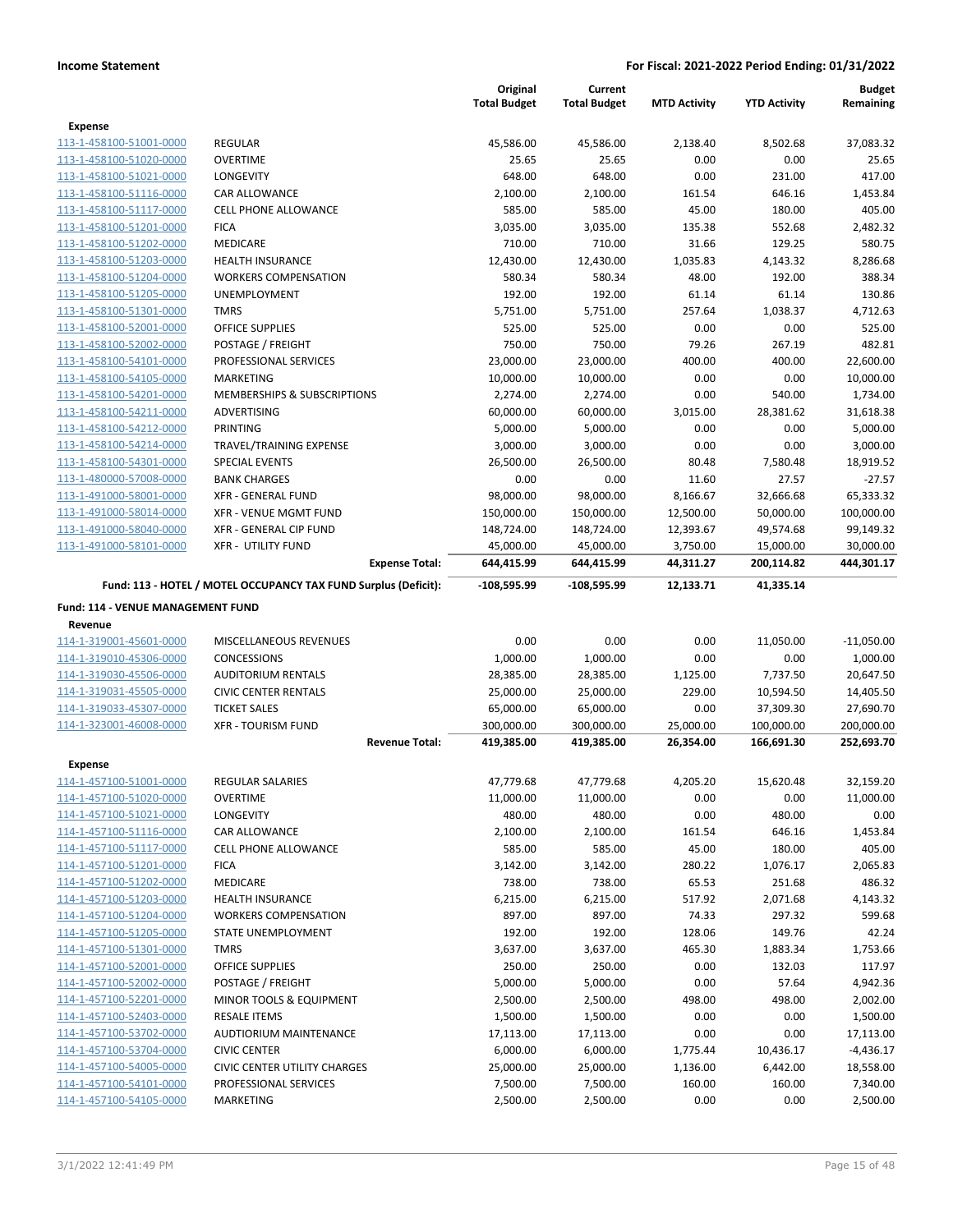|                                                    |                                                                 | Original<br><b>Total Budget</b> | Current<br><b>Total Budget</b> | <b>MTD Activity</b> | <b>YTD Activity</b> | <b>Budget</b><br>Remaining |
|----------------------------------------------------|-----------------------------------------------------------------|---------------------------------|--------------------------------|---------------------|---------------------|----------------------------|
| <b>Expense</b>                                     |                                                                 |                                 |                                |                     |                     |                            |
| 113-1-458100-51001-0000                            | <b>REGULAR</b>                                                  | 45,586.00                       | 45,586.00                      | 2,138.40            | 8,502.68            | 37,083.32                  |
| 113-1-458100-51020-0000                            | <b>OVERTIME</b>                                                 | 25.65                           | 25.65                          | 0.00                | 0.00                | 25.65                      |
| 113-1-458100-51021-0000                            | LONGEVITY                                                       | 648.00                          | 648.00                         | 0.00                | 231.00              | 417.00                     |
| 113-1-458100-51116-0000                            | CAR ALLOWANCE                                                   | 2,100.00                        | 2,100.00                       | 161.54              | 646.16              | 1,453.84                   |
| 113-1-458100-51117-0000                            | <b>CELL PHONE ALLOWANCE</b>                                     | 585.00                          | 585.00                         | 45.00               | 180.00              | 405.00                     |
| 113-1-458100-51201-0000                            | <b>FICA</b>                                                     | 3,035.00                        | 3,035.00                       | 135.38              | 552.68              | 2,482.32                   |
| 113-1-458100-51202-0000                            | MEDICARE                                                        | 710.00                          | 710.00                         | 31.66               | 129.25              | 580.75                     |
| 113-1-458100-51203-0000                            | <b>HEALTH INSURANCE</b>                                         | 12,430.00                       | 12,430.00                      | 1,035.83            | 4,143.32            | 8,286.68                   |
| 113-1-458100-51204-0000                            | <b>WORKERS COMPENSATION</b>                                     | 580.34                          | 580.34                         | 48.00               | 192.00              | 388.34                     |
| 113-1-458100-51205-0000                            | UNEMPLOYMENT                                                    | 192.00                          | 192.00                         | 61.14               | 61.14               | 130.86                     |
| 113-1-458100-51301-0000                            | <b>TMRS</b>                                                     | 5,751.00                        | 5,751.00                       | 257.64              | 1,038.37            | 4,712.63                   |
| 113-1-458100-52001-0000                            | OFFICE SUPPLIES                                                 | 525.00                          | 525.00                         | 0.00                | 0.00                | 525.00                     |
| 113-1-458100-52002-0000                            | POSTAGE / FREIGHT                                               | 750.00                          | 750.00                         | 79.26               | 267.19              | 482.81                     |
| 113-1-458100-54101-0000                            | PROFESSIONAL SERVICES                                           | 23,000.00                       | 23,000.00                      | 400.00              | 400.00              | 22,600.00                  |
| 113-1-458100-54105-0000                            | MARKETING                                                       | 10,000.00                       | 10,000.00                      | 0.00                | 0.00                | 10,000.00                  |
| 113-1-458100-54201-0000                            | MEMBERSHIPS & SUBSCRIPTIONS                                     | 2,274.00                        | 2,274.00                       | 0.00                | 540.00              | 1,734.00                   |
| 113-1-458100-54211-0000                            | ADVERTISING                                                     | 60,000.00                       | 60,000.00                      | 3,015.00            | 28,381.62           | 31,618.38                  |
| 113-1-458100-54212-0000                            | <b>PRINTING</b>                                                 | 5,000.00                        | 5,000.00                       | 0.00                | 0.00                | 5,000.00                   |
| 113-1-458100-54214-0000                            | TRAVEL/TRAINING EXPENSE                                         | 3,000.00                        | 3,000.00                       | 0.00                | 0.00                | 3,000.00                   |
| 113-1-458100-54301-0000                            | <b>SPECIAL EVENTS</b>                                           | 26,500.00                       | 26,500.00                      | 80.48               | 7,580.48            | 18,919.52                  |
| 113-1-480000-57008-0000                            | <b>BANK CHARGES</b>                                             | 0.00                            | 0.00                           | 11.60               | 27.57               | $-27.57$                   |
| 113-1-491000-58001-0000                            | <b>XFR - GENERAL FUND</b>                                       | 98,000.00                       | 98,000.00                      | 8,166.67            | 32,666.68           | 65,333.32                  |
| 113-1-491000-58014-0000                            | <b>XFR - VENUE MGMT FUND</b>                                    | 150,000.00                      | 150,000.00                     | 12,500.00           | 50,000.00           | 100,000.00                 |
| 113-1-491000-58040-0000                            | XFR - GENERAL CIP FUND                                          | 148,724.00                      | 148,724.00                     | 12,393.67           | 49,574.68           | 99,149.32                  |
| 113-1-491000-58101-0000                            | <b>XFR - UTILITY FUND</b>                                       | 45,000.00                       | 45,000.00                      | 3,750.00            | 15,000.00           | 30,000.00                  |
|                                                    | <b>Expense Total:</b>                                           | 644,415.99                      | 644,415.99                     | 44,311.27           | 200,114.82          | 444,301.17                 |
|                                                    | Fund: 113 - HOTEL / MOTEL OCCUPANCY TAX FUND Surplus (Deficit): | $-108,595.99$                   | -108,595.99                    | 12,133.71           | 41,335.14           |                            |
| Fund: 114 - VENUE MANAGEMENT FUND                  |                                                                 |                                 |                                |                     |                     |                            |
| Revenue                                            |                                                                 |                                 |                                |                     |                     |                            |
| 114-1-319001-45601-0000                            | MISCELLANEOUS REVENUES                                          | 0.00                            | 0.00                           | 0.00                | 11,050.00           | $-11,050.00$               |
| 114-1-319010-45306-0000                            | <b>CONCESSIONS</b>                                              | 1,000.00                        | 1,000.00                       | 0.00                | 0.00                | 1,000.00                   |
| 114-1-319030-45506-0000                            | <b>AUDITORIUM RENTALS</b>                                       | 28,385.00                       | 28,385.00                      | 1,125.00            | 7,737.50            | 20,647.50                  |
| 114-1-319031-45505-0000                            | <b>CIVIC CENTER RENTALS</b>                                     | 25,000.00                       | 25,000.00                      | 229.00              | 10,594.50           | 14,405.50                  |
| 114-1-319033-45307-0000                            | <b>TICKET SALES</b>                                             | 65,000.00                       | 65,000.00                      | 0.00                | 37,309.30           | 27,690.70                  |
| 114-1-323001-46008-0000                            | <b>XFR - TOURISM FUND</b>                                       | 300,000.00                      | 300,000.00                     | 25,000.00           | 100,000.00          | 200,000.00                 |
|                                                    | <b>Revenue Total:</b>                                           | 419,385.00                      | 419,385.00                     | 26,354.00           | 166,691.30          | 252,693.70                 |
| Expense                                            |                                                                 |                                 |                                |                     |                     |                            |
| 114-1-457100-51001-0000                            | <b>REGULAR SALARIES</b>                                         | 47,779.68                       | 47,779.68                      | 4,205.20            | 15,620.48           | 32,159.20                  |
| 114-1-457100-51020-0000                            | <b>OVERTIME</b>                                                 | 11,000.00                       | 11,000.00                      | 0.00                | 0.00                | 11,000.00                  |
| 114-1-457100-51021-0000                            | LONGEVITY                                                       | 480.00                          | 480.00                         | 0.00                | 480.00              | 0.00                       |
| 114-1-457100-51116-0000                            | CAR ALLOWANCE                                                   | 2,100.00                        | 2,100.00                       | 161.54              | 646.16              | 1,453.84                   |
| 114-1-457100-51117-0000                            | <b>CELL PHONE ALLOWANCE</b>                                     | 585.00                          | 585.00                         | 45.00               | 180.00              | 405.00                     |
| 114-1-457100-51201-0000                            | <b>FICA</b>                                                     | 3,142.00                        | 3,142.00                       | 280.22              | 1,076.17            | 2,065.83                   |
| 114-1-457100-51202-0000                            | MEDICARE                                                        | 738.00                          | 738.00                         | 65.53               | 251.68              | 486.32                     |
| 114-1-457100-51203-0000                            | HEALTH INSURANCE                                                | 6,215.00                        | 6,215.00                       | 517.92              | 2,071.68            | 4,143.32                   |
| 114-1-457100-51204-0000                            | <b>WORKERS COMPENSATION</b>                                     | 897.00                          | 897.00                         | 74.33               | 297.32              | 599.68                     |
| 114-1-457100-51205-0000                            | STATE UNEMPLOYMENT                                              | 192.00                          | 192.00                         | 128.06              | 149.76              | 42.24                      |
| 114-1-457100-51301-0000                            | <b>TMRS</b>                                                     | 3,637.00                        | 3,637.00                       | 465.30              | 1,883.34            | 1,753.66                   |
| 114-1-457100-52001-0000                            | OFFICE SUPPLIES                                                 | 250.00                          | 250.00                         | 0.00                | 132.03              | 117.97                     |
| 114-1-457100-52002-0000                            | POSTAGE / FREIGHT                                               | 5,000.00                        | 5,000.00                       | 0.00                | 57.64               | 4,942.36                   |
| 114-1-457100-52201-0000                            | MINOR TOOLS & EQUIPMENT                                         | 2,500.00                        | 2,500.00                       | 498.00              | 498.00              | 2,002.00                   |
| 114-1-457100-52403-0000                            | <b>RESALE ITEMS</b>                                             | 1,500.00                        | 1,500.00                       | 0.00                | 0.00                | 1,500.00                   |
| 114-1-457100-53702-0000                            | AUDTIORIUM MAINTENANCE                                          | 17,113.00                       | 17,113.00                      | 0.00                | 0.00                | 17,113.00                  |
| 114-1-457100-53704-0000                            |                                                                 |                                 |                                |                     |                     | $-4,436.17$                |
|                                                    |                                                                 |                                 |                                |                     |                     |                            |
|                                                    | <b>CIVIC CENTER</b>                                             | 6,000.00                        | 6,000.00                       | 1,775.44            | 10,436.17           |                            |
| 114-1-457100-54005-0000                            | <b>CIVIC CENTER UTILITY CHARGES</b>                             | 25,000.00                       | 25,000.00                      | 1,136.00            | 6,442.00            | 18,558.00                  |
| 114-1-457100-54101-0000<br>114-1-457100-54105-0000 | PROFESSIONAL SERVICES<br>MARKETING                              | 7,500.00<br>2,500.00            | 7,500.00<br>2,500.00           | 160.00<br>0.00      | 160.00<br>0.00      | 7,340.00<br>2,500.00       |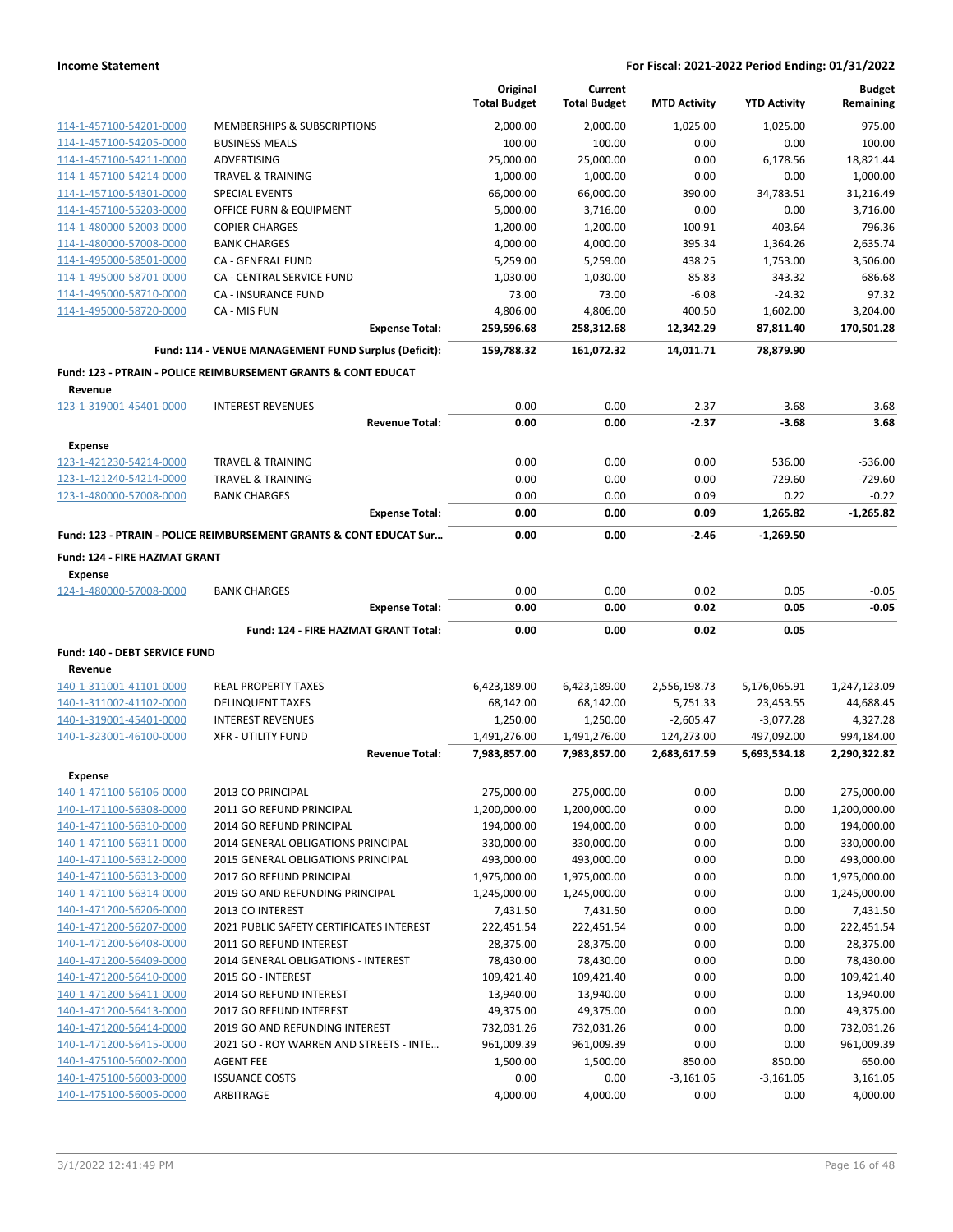|                                          |                                                                    | Original<br><b>Total Budget</b> | Current<br><b>Total Budget</b> | <b>MTD Activity</b> | <b>YTD Activity</b> | <b>Budget</b><br>Remaining |
|------------------------------------------|--------------------------------------------------------------------|---------------------------------|--------------------------------|---------------------|---------------------|----------------------------|
| 114-1-457100-54201-0000                  | MEMBERSHIPS & SUBSCRIPTIONS                                        | 2.000.00                        | 2,000.00                       | 1,025.00            | 1.025.00            | 975.00                     |
| 114-1-457100-54205-0000                  | <b>BUSINESS MEALS</b>                                              | 100.00                          | 100.00                         | 0.00                | 0.00                | 100.00                     |
| 114-1-457100-54211-0000                  | ADVERTISING                                                        | 25,000.00                       | 25,000.00                      | 0.00                | 6,178.56            | 18,821.44                  |
| 114-1-457100-54214-0000                  | <b>TRAVEL &amp; TRAINING</b>                                       | 1,000.00                        | 1,000.00                       | 0.00                | 0.00                | 1,000.00                   |
| 114-1-457100-54301-0000                  | <b>SPECIAL EVENTS</b>                                              | 66,000.00                       | 66,000.00                      | 390.00              | 34,783.51           | 31,216.49                  |
| 114-1-457100-55203-0000                  | OFFICE FURN & EQUIPMENT                                            | 5,000.00                        | 3,716.00                       | 0.00                | 0.00                | 3,716.00                   |
| 114-1-480000-52003-0000                  | <b>COPIER CHARGES</b>                                              | 1,200.00                        | 1,200.00                       | 100.91              | 403.64              | 796.36                     |
| 114-1-480000-57008-0000                  | <b>BANK CHARGES</b>                                                | 4,000.00                        | 4,000.00                       | 395.34              | 1,364.26            | 2,635.74                   |
| 114-1-495000-58501-0000                  | CA - GENERAL FUND                                                  | 5,259.00                        | 5,259.00                       | 438.25              | 1,753.00            | 3,506.00                   |
| 114-1-495000-58701-0000                  | CA - CENTRAL SERVICE FUND                                          | 1,030.00                        | 1,030.00                       | 85.83               | 343.32              | 686.68                     |
| 114-1-495000-58710-0000                  | CA - INSURANCE FUND                                                | 73.00                           | 73.00                          | $-6.08$             | $-24.32$            | 97.32                      |
| 114-1-495000-58720-0000                  | CA - MIS FUN                                                       | 4,806.00                        | 4,806.00                       | 400.50              | 1,602.00            | 3,204.00                   |
|                                          | <b>Expense Total:</b>                                              | 259,596.68                      | 258,312.68                     | 12,342.29           | 87,811.40           | 170,501.28                 |
|                                          | Fund: 114 - VENUE MANAGEMENT FUND Surplus (Deficit):               | 159,788.32                      | 161,072.32                     | 14,011.71           | 78,879.90           |                            |
|                                          | Fund: 123 - PTRAIN - POLICE REIMBURSEMENT GRANTS & CONT EDUCAT     |                                 |                                |                     |                     |                            |
| Revenue<br>123-1-319001-45401-0000       | <b>INTEREST REVENUES</b>                                           | 0.00                            | 0.00                           | $-2.37$             | $-3.68$             | 3.68                       |
|                                          | <b>Revenue Total:</b>                                              | 0.00                            | 0.00                           | $-2.37$             | $-3.68$             | 3.68                       |
|                                          |                                                                    |                                 |                                |                     |                     |                            |
| <b>Expense</b>                           |                                                                    |                                 |                                |                     |                     |                            |
| 123-1-421230-54214-0000                  | <b>TRAVEL &amp; TRAINING</b>                                       | 0.00                            | 0.00                           | 0.00                | 536.00              | $-536.00$                  |
| 123-1-421240-54214-0000                  | <b>TRAVEL &amp; TRAINING</b>                                       | 0.00                            | 0.00                           | 0.00                | 729.60              | $-729.60$                  |
| 123-1-480000-57008-0000                  | <b>BANK CHARGES</b>                                                | 0.00                            | 0.00                           | 0.09                | 0.22                | $-0.22$                    |
|                                          | <b>Expense Total:</b>                                              | 0.00                            | 0.00                           | 0.09                | 1,265.82            | $-1,265.82$                |
|                                          | Fund: 123 - PTRAIN - POLICE REIMBURSEMENT GRANTS & CONT EDUCAT Sur | 0.00                            | 0.00                           | $-2.46$             | $-1,269.50$         |                            |
| Fund: 124 - FIRE HAZMAT GRANT            |                                                                    |                                 |                                |                     |                     |                            |
| <b>Expense</b>                           |                                                                    |                                 |                                |                     |                     |                            |
| 124-1-480000-57008-0000                  | <b>BANK CHARGES</b><br><b>Expense Total:</b>                       | 0.00<br>0.00                    | 0.00<br>0.00                   | 0.02<br>0.02        | 0.05<br>0.05        | $-0.05$<br>$-0.05$         |
|                                          |                                                                    |                                 |                                |                     |                     |                            |
|                                          | Fund: 124 - FIRE HAZMAT GRANT Total:                               | 0.00                            | 0.00                           | 0.02                | 0.05                |                            |
| Fund: 140 - DEBT SERVICE FUND<br>Revenue |                                                                    |                                 |                                |                     |                     |                            |
| 140-1-311001-41101-0000                  | <b>REAL PROPERTY TAXES</b>                                         | 6,423,189.00                    | 6,423,189.00                   | 2,556,198.73        | 5,176,065.91        | 1,247,123.09               |
| 140-1-311002-41102-0000                  | <b>DELINQUENT TAXES</b>                                            | 68,142.00                       | 68,142.00                      | 5,751.33            | 23,453.55           | 44,688.45                  |
| 140-1-319001-45401-0000                  | <b>INTEREST REVENUES</b>                                           | 1,250.00                        | 1,250.00                       | $-2,605.47$         | $-3,077.28$         | 4,327.28                   |
| 140-1-323001-46100-0000                  | <b>XFR - UTILITY FUND</b>                                          | 1,491,276.00                    | 1,491,276.00                   | 124,273.00          | 497,092.00          | 994,184.00                 |
|                                          | <b>Revenue Total:</b>                                              | 7,983,857.00                    | 7,983,857.00                   | 2,683,617.59        | 5,693,534.18        | 2,290,322.82               |
| <b>Expense</b>                           |                                                                    |                                 |                                |                     |                     |                            |
| 140-1-471100-56106-0000                  | 2013 CO PRINCIPAL                                                  | 275,000.00                      | 275,000.00                     | 0.00                | 0.00                | 275,000.00                 |
| 140-1-471100-56308-0000                  | 2011 GO REFUND PRINCIPAL                                           | 1,200,000.00                    | 1,200,000.00                   | 0.00                | 0.00                | 1,200,000.00               |
| 140-1-471100-56310-0000                  | 2014 GO REFUND PRINCIPAL                                           | 194,000.00                      | 194,000.00                     | 0.00                | 0.00                | 194,000.00                 |
| 140-1-471100-56311-0000                  | 2014 GENERAL OBLIGATIONS PRINCIPAL                                 | 330,000.00                      | 330,000.00                     | 0.00                | 0.00                | 330,000.00                 |
| 140-1-471100-56312-0000                  | 2015 GENERAL OBLIGATIONS PRINCIPAL                                 | 493,000.00                      | 493,000.00                     | 0.00                | 0.00                | 493,000.00                 |
| 140-1-471100-56313-0000                  | 2017 GO REFUND PRINCIPAL                                           | 1,975,000.00                    | 1,975,000.00                   | 0.00                | 0.00                | 1,975,000.00               |
| 140-1-471100-56314-0000                  | 2019 GO AND REFUNDING PRINCIPAL                                    | 1,245,000.00                    | 1,245,000.00                   | 0.00                | 0.00                | 1,245,000.00               |
| 140-1-471200-56206-0000                  | 2013 CO INTEREST                                                   | 7,431.50                        | 7,431.50                       | 0.00                | 0.00                | 7,431.50                   |
| 140-1-471200-56207-0000                  | 2021 PUBLIC SAFETY CERTIFICATES INTEREST                           | 222,451.54                      | 222,451.54                     | 0.00                | 0.00                | 222,451.54                 |
| 140-1-471200-56408-0000                  | 2011 GO REFUND INTEREST                                            | 28,375.00                       | 28,375.00                      | 0.00                | 0.00                | 28,375.00                  |
| 140-1-471200-56409-0000                  | 2014 GENERAL OBLIGATIONS - INTEREST                                | 78,430.00                       | 78,430.00                      | 0.00                | 0.00                | 78,430.00                  |
| 140-1-471200-56410-0000                  | 2015 GO - INTEREST                                                 | 109,421.40                      | 109,421.40                     | 0.00                | 0.00                | 109,421.40                 |
| 140-1-471200-56411-0000                  | 2014 GO REFUND INTEREST                                            | 13,940.00                       | 13,940.00                      | 0.00                | 0.00                | 13,940.00                  |
| 140-1-471200-56413-0000                  | 2017 GO REFUND INTEREST                                            | 49,375.00                       | 49,375.00                      | 0.00                | 0.00                | 49,375.00                  |
| 140-1-471200-56414-0000                  | 2019 GO AND REFUNDING INTEREST                                     | 732,031.26                      | 732,031.26                     | 0.00                | 0.00                | 732,031.26                 |
| 140-1-471200-56415-0000                  | 2021 GO - ROY WARREN AND STREETS - INTE                            | 961,009.39                      | 961,009.39                     | 0.00                | 0.00                | 961,009.39                 |
| 140-1-475100-56002-0000                  | <b>AGENT FEE</b>                                                   | 1,500.00                        | 1,500.00                       | 850.00              | 850.00              | 650.00                     |
| 140-1-475100-56003-0000                  | <b>ISSUANCE COSTS</b>                                              | 0.00                            | 0.00                           | $-3,161.05$         | $-3,161.05$         | 3,161.05                   |
| 140-1-475100-56005-0000                  | ARBITRAGE                                                          | 4,000.00                        | 4,000.00                       | 0.00                | 0.00                | 4,000.00                   |
|                                          |                                                                    |                                 |                                |                     |                     |                            |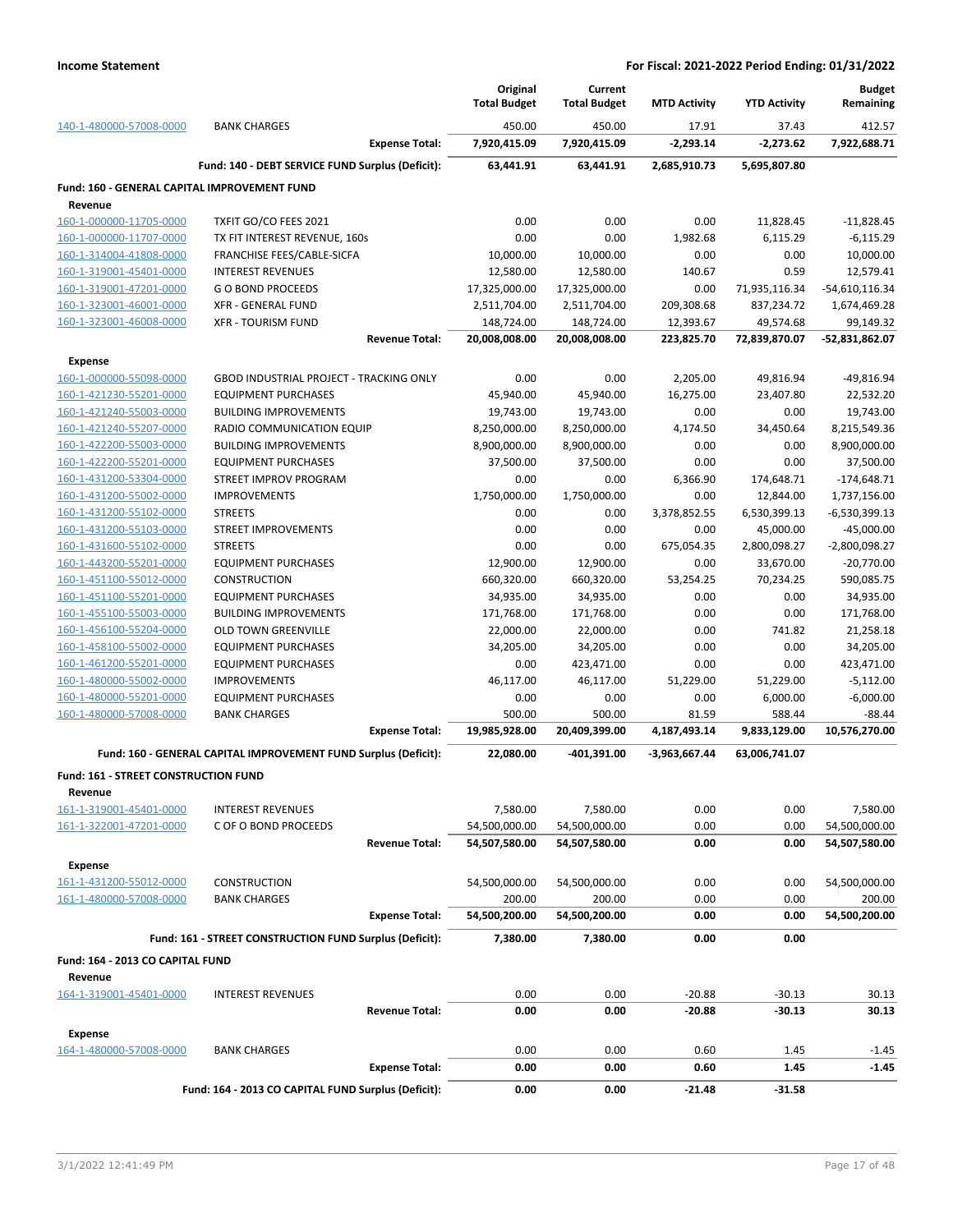| <b>BANK CHARGES</b><br>450.00<br>450.00<br>17.91<br>37.43<br>412.57<br>140-1-480000-57008-0000<br><b>Expense Total:</b><br>7,920,415.09<br>7,920,415.09<br>$-2,293.14$<br>$-2,273.62$<br>7,922,688.71<br>Fund: 140 - DEBT SERVICE FUND Surplus (Deficit):<br>63,441.91<br>63,441.91<br>2,685,910.73<br>5,695,807.80<br>Fund: 160 - GENERAL CAPITAL IMPROVEMENT FUND<br>Revenue<br>0.00<br>160-1-000000-11705-0000<br>TXFIT GO/CO FEES 2021<br>0.00<br>0.00<br>11,828.45<br>$-11,828.45$<br>0.00<br>0.00<br>$-6,115.29$<br>160-1-000000-11707-0000<br>TX FIT INTEREST REVENUE, 160s<br>1,982.68<br>6,115.29<br>10,000.00<br>0.00<br>0.00<br>10,000.00<br>160-1-314004-41808-0000<br>FRANCHISE FEES/CABLE-SICFA<br>10,000.00<br>160-1-319001-45401-0000<br><b>INTEREST REVENUES</b><br>140.67<br>0.59<br>12,579.41<br>12,580.00<br>12,580.00<br>160-1-319001-47201-0000<br>$-54,610,116.34$<br><b>GO BOND PROCEEDS</b><br>17,325,000.00<br>17,325,000.00<br>0.00<br>71,935,116.34<br>XFR - GENERAL FUND<br>2,511,704.00<br>2,511,704.00<br>209,308.68<br>837,234.72<br>1,674,469.28<br>160-1-323001-46001-0000<br>160-1-323001-46008-0000<br><b>XFR - TOURISM FUND</b><br>148,724.00<br>148,724.00<br>12,393.67<br>49,574.68<br>99,149.32<br><b>Revenue Total:</b><br>20,008,008.00<br>20,008,008.00<br>72,839,870.07<br>-52,831,862.07<br>223,825.70<br><b>Expense</b><br>160-1-000000-55098-0000<br><b>GBOD INDUSTRIAL PROJECT - TRACKING ONLY</b><br>0.00<br>0.00<br>2,205.00<br>49,816.94<br>$-49,816.94$<br>160-1-421230-55201-0000<br><b>EQUIPMENT PURCHASES</b><br>45,940.00<br>45,940.00<br>16,275.00<br>23,407.80<br>22,532.20<br>0.00<br>19,743.00<br>160-1-421240-55003-0000<br><b>BUILDING IMPROVEMENTS</b><br>19,743.00<br>19,743.00<br>0.00<br>160-1-421240-55207-0000<br>8,215,549.36<br>RADIO COMMUNICATION EQUIP<br>8,250,000.00<br>8,250,000.00<br>4,174.50<br>34,450.64<br>160-1-422200-55003-0000<br><b>BUILDING IMPROVEMENTS</b><br>8,900,000.00<br>8,900,000.00<br>0.00<br>0.00<br>8,900,000.00<br>37,500.00<br>160-1-422200-55201-0000<br><b>EQUIPMENT PURCHASES</b><br>37,500.00<br>37,500.00<br>0.00<br>0.00<br>160-1-431200-53304-0000<br>STREET IMPROV PROGRAM<br>0.00<br>0.00<br>6,366.90<br>174,648.71<br>$-174,648.71$<br>160-1-431200-55002-0000<br>1,750,000.00<br>1,750,000.00<br>1,737,156.00<br><b>IMPROVEMENTS</b><br>0.00<br>12,844.00<br>160-1-431200-55102-0000<br>$-6,530,399.13$<br><b>STREETS</b><br>0.00<br>0.00<br>3,378,852.55<br>6,530,399.13<br>STREET IMPROVEMENTS<br>0.00<br>0.00<br>0.00<br>45,000.00<br>$-45,000.00$<br>160-1-431200-55103-0000<br>160-1-431600-55102-0000<br><b>STREETS</b><br>0.00<br>0.00<br>675,054.35<br>2,800,098.27<br>$-2,800,098.27$<br>160-1-443200-55201-0000<br><b>EQUIPMENT PURCHASES</b><br>12,900.00<br>12,900.00<br>0.00<br>33,670.00<br>$-20,770.00$<br>590,085.75<br>160-1-451100-55012-0000<br><b>CONSTRUCTION</b><br>660,320.00<br>660,320.00<br>53,254.25<br>70,234.25<br>160-1-451100-55201-0000<br>34,935.00<br><b>EQUIPMENT PURCHASES</b><br>34,935.00<br>34,935.00<br>0.00<br>0.00<br>160-1-455100-55003-0000<br><b>BUILDING IMPROVEMENTS</b><br>171,768.00<br>171,768.00<br>0.00<br>0.00<br>171,768.00<br>160-1-456100-55204-0000<br>OLD TOWN GREENVILLE<br>22,000.00<br>22,000.00<br>0.00<br>741.82<br>21,258.18<br>0.00<br>0.00<br>34,205.00<br>160-1-458100-55002-0000<br><b>EQUIPMENT PURCHASES</b><br>34,205.00<br>34,205.00<br>160-1-461200-55201-0000<br>423,471.00<br>0.00<br>0.00<br>423,471.00<br><b>EQUIPMENT PURCHASES</b><br>0.00<br>160-1-480000-55002-0000<br>46,117.00<br>51,229.00<br>$-5,112.00$<br><b>IMPROVEMENTS</b><br>46,117.00<br>51,229.00<br>160-1-480000-55201-0000<br><b>EQUIPMENT PURCHASES</b><br>0.00<br>0.00<br>0.00<br>6,000.00<br>$-6,000.00$<br>$-88.44$<br>160-1-480000-57008-0000<br><b>BANK CHARGES</b><br>500.00<br>500.00<br>81.59<br>588.44<br><b>Expense Total:</b><br>19,985,928.00<br>20,409,399.00<br>4,187,493.14<br>9,833,129.00<br>10,576,270.00<br>Fund: 160 - GENERAL CAPITAL IMPROVEMENT FUND Surplus (Deficit):<br>22,080.00<br>-401,391.00<br>$-3,963,667.44$<br>63,006,741.07<br><b>Fund: 161 - STREET CONSTRUCTION FUND</b><br>Revenue<br>0.00<br>0.00<br>7,580.00<br>161-1-319001-45401-0000<br><b>INTEREST REVENUES</b><br>7,580.00<br>7,580.00<br>161-1-322001-47201-0000<br>54,500,000.00<br>54,500,000.00<br>0.00<br>0.00<br>54,500,000.00<br>C OF O BOND PROCEEDS<br>54,507,580.00<br>54,507,580.00<br>0.00<br>0.00<br><b>Revenue Total:</b><br>54,507,580.00<br><b>Expense</b><br>161-1-431200-55012-0000<br>54,500,000.00<br>54,500,000.00<br>0.00<br>0.00<br>54,500,000.00<br>CONSTRUCTION<br>161-1-480000-57008-0000<br>200.00<br>200.00<br>0.00<br>0.00<br>200.00<br><b>BANK CHARGES</b><br>54,500,200.00<br>54,500,200.00<br>0.00<br>54,500,200.00<br><b>Expense Total:</b><br>0.00<br>Fund: 161 - STREET CONSTRUCTION FUND Surplus (Deficit):<br>7,380.00<br>7,380.00<br>0.00<br>0.00<br>Fund: 164 - 2013 CO CAPITAL FUND<br>Revenue<br>0.00<br>$-20.88$<br>$-30.13$<br>164-1-319001-45401-0000<br><b>INTEREST REVENUES</b><br>0.00<br>30.13<br><b>Revenue Total:</b><br>0.00<br>0.00<br>$-20.88$<br>$-30.13$<br>30.13<br><b>Expense</b><br>164-1-480000-57008-0000<br><b>BANK CHARGES</b><br>0.00<br>0.00<br>0.60<br>1.45<br>$-1.45$<br>0.00<br>0.00<br>0.60<br>1.45<br>$-1.45$<br><b>Expense Total:</b><br>Fund: 164 - 2013 CO CAPITAL FUND Surplus (Deficit):<br>0.00<br>0.00<br>$-21.48$<br>$-31.58$ |  | Original<br><b>Total Budget</b> | Current<br><b>Total Budget</b> | <b>MTD Activity</b> | <b>YTD Activity</b> | <b>Budget</b><br>Remaining |
|-------------------------------------------------------------------------------------------------------------------------------------------------------------------------------------------------------------------------------------------------------------------------------------------------------------------------------------------------------------------------------------------------------------------------------------------------------------------------------------------------------------------------------------------------------------------------------------------------------------------------------------------------------------------------------------------------------------------------------------------------------------------------------------------------------------------------------------------------------------------------------------------------------------------------------------------------------------------------------------------------------------------------------------------------------------------------------------------------------------------------------------------------------------------------------------------------------------------------------------------------------------------------------------------------------------------------------------------------------------------------------------------------------------------------------------------------------------------------------------------------------------------------------------------------------------------------------------------------------------------------------------------------------------------------------------------------------------------------------------------------------------------------------------------------------------------------------------------------------------------------------------------------------------------------------------------------------------------------------------------------------------------------------------------------------------------------------------------------------------------------------------------------------------------------------------------------------------------------------------------------------------------------------------------------------------------------------------------------------------------------------------------------------------------------------------------------------------------------------------------------------------------------------------------------------------------------------------------------------------------------------------------------------------------------------------------------------------------------------------------------------------------------------------------------------------------------------------------------------------------------------------------------------------------------------------------------------------------------------------------------------------------------------------------------------------------------------------------------------------------------------------------------------------------------------------------------------------------------------------------------------------------------------------------------------------------------------------------------------------------------------------------------------------------------------------------------------------------------------------------------------------------------------------------------------------------------------------------------------------------------------------------------------------------------------------------------------------------------------------------------------------------------------------------------------------------------------------------------------------------------------------------------------------------------------------------------------------------------------------------------------------------------------------------------------------------------------------------------------------------------------------------------------------------------------------------------------------------------------------------------------------------------------------------------------------------------------------------------------------------------------------------------------------------------------------------------------------------------------------------------------------------------------------------------------------------------------------------------------------------------------------------------------------------------------------------------------------------------------------------------------------------------------------------------------------------------------------------------------------------------------------------------------------------------------------------------------------------------------------------------------------------------------------------------------------------------------------------------------------------------------------------------------------------------------------------------------------------------------------------------------------------------------------------------------------------------------------------------------------------------------------------------------------------------------------------------------------------------|--|---------------------------------|--------------------------------|---------------------|---------------------|----------------------------|
|                                                                                                                                                                                                                                                                                                                                                                                                                                                                                                                                                                                                                                                                                                                                                                                                                                                                                                                                                                                                                                                                                                                                                                                                                                                                                                                                                                                                                                                                                                                                                                                                                                                                                                                                                                                                                                                                                                                                                                                                                                                                                                                                                                                                                                                                                                                                                                                                                                                                                                                                                                                                                                                                                                                                                                                                                                                                                                                                                                                                                                                                                                                                                                                                                                                                                                                                                                                                                                                                                                                                                                                                                                                                                                                                                                                                                                                                                                                                                                                                                                                                                                                                                                                                                                                                                                                                                                                                                                                                                                                                                                                                                                                                                                                                                                                                                                                                                                                                                                                                                                                                                                                                                                                                                                                                                                                                                                                                                                                                         |  |                                 |                                |                     |                     |                            |
|                                                                                                                                                                                                                                                                                                                                                                                                                                                                                                                                                                                                                                                                                                                                                                                                                                                                                                                                                                                                                                                                                                                                                                                                                                                                                                                                                                                                                                                                                                                                                                                                                                                                                                                                                                                                                                                                                                                                                                                                                                                                                                                                                                                                                                                                                                                                                                                                                                                                                                                                                                                                                                                                                                                                                                                                                                                                                                                                                                                                                                                                                                                                                                                                                                                                                                                                                                                                                                                                                                                                                                                                                                                                                                                                                                                                                                                                                                                                                                                                                                                                                                                                                                                                                                                                                                                                                                                                                                                                                                                                                                                                                                                                                                                                                                                                                                                                                                                                                                                                                                                                                                                                                                                                                                                                                                                                                                                                                                                                         |  |                                 |                                |                     |                     |                            |
|                                                                                                                                                                                                                                                                                                                                                                                                                                                                                                                                                                                                                                                                                                                                                                                                                                                                                                                                                                                                                                                                                                                                                                                                                                                                                                                                                                                                                                                                                                                                                                                                                                                                                                                                                                                                                                                                                                                                                                                                                                                                                                                                                                                                                                                                                                                                                                                                                                                                                                                                                                                                                                                                                                                                                                                                                                                                                                                                                                                                                                                                                                                                                                                                                                                                                                                                                                                                                                                                                                                                                                                                                                                                                                                                                                                                                                                                                                                                                                                                                                                                                                                                                                                                                                                                                                                                                                                                                                                                                                                                                                                                                                                                                                                                                                                                                                                                                                                                                                                                                                                                                                                                                                                                                                                                                                                                                                                                                                                                         |  |                                 |                                |                     |                     |                            |
|                                                                                                                                                                                                                                                                                                                                                                                                                                                                                                                                                                                                                                                                                                                                                                                                                                                                                                                                                                                                                                                                                                                                                                                                                                                                                                                                                                                                                                                                                                                                                                                                                                                                                                                                                                                                                                                                                                                                                                                                                                                                                                                                                                                                                                                                                                                                                                                                                                                                                                                                                                                                                                                                                                                                                                                                                                                                                                                                                                                                                                                                                                                                                                                                                                                                                                                                                                                                                                                                                                                                                                                                                                                                                                                                                                                                                                                                                                                                                                                                                                                                                                                                                                                                                                                                                                                                                                                                                                                                                                                                                                                                                                                                                                                                                                                                                                                                                                                                                                                                                                                                                                                                                                                                                                                                                                                                                                                                                                                                         |  |                                 |                                |                     |                     |                            |
|                                                                                                                                                                                                                                                                                                                                                                                                                                                                                                                                                                                                                                                                                                                                                                                                                                                                                                                                                                                                                                                                                                                                                                                                                                                                                                                                                                                                                                                                                                                                                                                                                                                                                                                                                                                                                                                                                                                                                                                                                                                                                                                                                                                                                                                                                                                                                                                                                                                                                                                                                                                                                                                                                                                                                                                                                                                                                                                                                                                                                                                                                                                                                                                                                                                                                                                                                                                                                                                                                                                                                                                                                                                                                                                                                                                                                                                                                                                                                                                                                                                                                                                                                                                                                                                                                                                                                                                                                                                                                                                                                                                                                                                                                                                                                                                                                                                                                                                                                                                                                                                                                                                                                                                                                                                                                                                                                                                                                                                                         |  |                                 |                                |                     |                     |                            |
|                                                                                                                                                                                                                                                                                                                                                                                                                                                                                                                                                                                                                                                                                                                                                                                                                                                                                                                                                                                                                                                                                                                                                                                                                                                                                                                                                                                                                                                                                                                                                                                                                                                                                                                                                                                                                                                                                                                                                                                                                                                                                                                                                                                                                                                                                                                                                                                                                                                                                                                                                                                                                                                                                                                                                                                                                                                                                                                                                                                                                                                                                                                                                                                                                                                                                                                                                                                                                                                                                                                                                                                                                                                                                                                                                                                                                                                                                                                                                                                                                                                                                                                                                                                                                                                                                                                                                                                                                                                                                                                                                                                                                                                                                                                                                                                                                                                                                                                                                                                                                                                                                                                                                                                                                                                                                                                                                                                                                                                                         |  |                                 |                                |                     |                     |                            |
|                                                                                                                                                                                                                                                                                                                                                                                                                                                                                                                                                                                                                                                                                                                                                                                                                                                                                                                                                                                                                                                                                                                                                                                                                                                                                                                                                                                                                                                                                                                                                                                                                                                                                                                                                                                                                                                                                                                                                                                                                                                                                                                                                                                                                                                                                                                                                                                                                                                                                                                                                                                                                                                                                                                                                                                                                                                                                                                                                                                                                                                                                                                                                                                                                                                                                                                                                                                                                                                                                                                                                                                                                                                                                                                                                                                                                                                                                                                                                                                                                                                                                                                                                                                                                                                                                                                                                                                                                                                                                                                                                                                                                                                                                                                                                                                                                                                                                                                                                                                                                                                                                                                                                                                                                                                                                                                                                                                                                                                                         |  |                                 |                                |                     |                     |                            |
|                                                                                                                                                                                                                                                                                                                                                                                                                                                                                                                                                                                                                                                                                                                                                                                                                                                                                                                                                                                                                                                                                                                                                                                                                                                                                                                                                                                                                                                                                                                                                                                                                                                                                                                                                                                                                                                                                                                                                                                                                                                                                                                                                                                                                                                                                                                                                                                                                                                                                                                                                                                                                                                                                                                                                                                                                                                                                                                                                                                                                                                                                                                                                                                                                                                                                                                                                                                                                                                                                                                                                                                                                                                                                                                                                                                                                                                                                                                                                                                                                                                                                                                                                                                                                                                                                                                                                                                                                                                                                                                                                                                                                                                                                                                                                                                                                                                                                                                                                                                                                                                                                                                                                                                                                                                                                                                                                                                                                                                                         |  |                                 |                                |                     |                     |                            |
|                                                                                                                                                                                                                                                                                                                                                                                                                                                                                                                                                                                                                                                                                                                                                                                                                                                                                                                                                                                                                                                                                                                                                                                                                                                                                                                                                                                                                                                                                                                                                                                                                                                                                                                                                                                                                                                                                                                                                                                                                                                                                                                                                                                                                                                                                                                                                                                                                                                                                                                                                                                                                                                                                                                                                                                                                                                                                                                                                                                                                                                                                                                                                                                                                                                                                                                                                                                                                                                                                                                                                                                                                                                                                                                                                                                                                                                                                                                                                                                                                                                                                                                                                                                                                                                                                                                                                                                                                                                                                                                                                                                                                                                                                                                                                                                                                                                                                                                                                                                                                                                                                                                                                                                                                                                                                                                                                                                                                                                                         |  |                                 |                                |                     |                     |                            |
|                                                                                                                                                                                                                                                                                                                                                                                                                                                                                                                                                                                                                                                                                                                                                                                                                                                                                                                                                                                                                                                                                                                                                                                                                                                                                                                                                                                                                                                                                                                                                                                                                                                                                                                                                                                                                                                                                                                                                                                                                                                                                                                                                                                                                                                                                                                                                                                                                                                                                                                                                                                                                                                                                                                                                                                                                                                                                                                                                                                                                                                                                                                                                                                                                                                                                                                                                                                                                                                                                                                                                                                                                                                                                                                                                                                                                                                                                                                                                                                                                                                                                                                                                                                                                                                                                                                                                                                                                                                                                                                                                                                                                                                                                                                                                                                                                                                                                                                                                                                                                                                                                                                                                                                                                                                                                                                                                                                                                                                                         |  |                                 |                                |                     |                     |                            |
|                                                                                                                                                                                                                                                                                                                                                                                                                                                                                                                                                                                                                                                                                                                                                                                                                                                                                                                                                                                                                                                                                                                                                                                                                                                                                                                                                                                                                                                                                                                                                                                                                                                                                                                                                                                                                                                                                                                                                                                                                                                                                                                                                                                                                                                                                                                                                                                                                                                                                                                                                                                                                                                                                                                                                                                                                                                                                                                                                                                                                                                                                                                                                                                                                                                                                                                                                                                                                                                                                                                                                                                                                                                                                                                                                                                                                                                                                                                                                                                                                                                                                                                                                                                                                                                                                                                                                                                                                                                                                                                                                                                                                                                                                                                                                                                                                                                                                                                                                                                                                                                                                                                                                                                                                                                                                                                                                                                                                                                                         |  |                                 |                                |                     |                     |                            |
|                                                                                                                                                                                                                                                                                                                                                                                                                                                                                                                                                                                                                                                                                                                                                                                                                                                                                                                                                                                                                                                                                                                                                                                                                                                                                                                                                                                                                                                                                                                                                                                                                                                                                                                                                                                                                                                                                                                                                                                                                                                                                                                                                                                                                                                                                                                                                                                                                                                                                                                                                                                                                                                                                                                                                                                                                                                                                                                                                                                                                                                                                                                                                                                                                                                                                                                                                                                                                                                                                                                                                                                                                                                                                                                                                                                                                                                                                                                                                                                                                                                                                                                                                                                                                                                                                                                                                                                                                                                                                                                                                                                                                                                                                                                                                                                                                                                                                                                                                                                                                                                                                                                                                                                                                                                                                                                                                                                                                                                                         |  |                                 |                                |                     |                     |                            |
|                                                                                                                                                                                                                                                                                                                                                                                                                                                                                                                                                                                                                                                                                                                                                                                                                                                                                                                                                                                                                                                                                                                                                                                                                                                                                                                                                                                                                                                                                                                                                                                                                                                                                                                                                                                                                                                                                                                                                                                                                                                                                                                                                                                                                                                                                                                                                                                                                                                                                                                                                                                                                                                                                                                                                                                                                                                                                                                                                                                                                                                                                                                                                                                                                                                                                                                                                                                                                                                                                                                                                                                                                                                                                                                                                                                                                                                                                                                                                                                                                                                                                                                                                                                                                                                                                                                                                                                                                                                                                                                                                                                                                                                                                                                                                                                                                                                                                                                                                                                                                                                                                                                                                                                                                                                                                                                                                                                                                                                                         |  |                                 |                                |                     |                     |                            |
|                                                                                                                                                                                                                                                                                                                                                                                                                                                                                                                                                                                                                                                                                                                                                                                                                                                                                                                                                                                                                                                                                                                                                                                                                                                                                                                                                                                                                                                                                                                                                                                                                                                                                                                                                                                                                                                                                                                                                                                                                                                                                                                                                                                                                                                                                                                                                                                                                                                                                                                                                                                                                                                                                                                                                                                                                                                                                                                                                                                                                                                                                                                                                                                                                                                                                                                                                                                                                                                                                                                                                                                                                                                                                                                                                                                                                                                                                                                                                                                                                                                                                                                                                                                                                                                                                                                                                                                                                                                                                                                                                                                                                                                                                                                                                                                                                                                                                                                                                                                                                                                                                                                                                                                                                                                                                                                                                                                                                                                                         |  |                                 |                                |                     |                     |                            |
|                                                                                                                                                                                                                                                                                                                                                                                                                                                                                                                                                                                                                                                                                                                                                                                                                                                                                                                                                                                                                                                                                                                                                                                                                                                                                                                                                                                                                                                                                                                                                                                                                                                                                                                                                                                                                                                                                                                                                                                                                                                                                                                                                                                                                                                                                                                                                                                                                                                                                                                                                                                                                                                                                                                                                                                                                                                                                                                                                                                                                                                                                                                                                                                                                                                                                                                                                                                                                                                                                                                                                                                                                                                                                                                                                                                                                                                                                                                                                                                                                                                                                                                                                                                                                                                                                                                                                                                                                                                                                                                                                                                                                                                                                                                                                                                                                                                                                                                                                                                                                                                                                                                                                                                                                                                                                                                                                                                                                                                                         |  |                                 |                                |                     |                     |                            |
|                                                                                                                                                                                                                                                                                                                                                                                                                                                                                                                                                                                                                                                                                                                                                                                                                                                                                                                                                                                                                                                                                                                                                                                                                                                                                                                                                                                                                                                                                                                                                                                                                                                                                                                                                                                                                                                                                                                                                                                                                                                                                                                                                                                                                                                                                                                                                                                                                                                                                                                                                                                                                                                                                                                                                                                                                                                                                                                                                                                                                                                                                                                                                                                                                                                                                                                                                                                                                                                                                                                                                                                                                                                                                                                                                                                                                                                                                                                                                                                                                                                                                                                                                                                                                                                                                                                                                                                                                                                                                                                                                                                                                                                                                                                                                                                                                                                                                                                                                                                                                                                                                                                                                                                                                                                                                                                                                                                                                                                                         |  |                                 |                                |                     |                     |                            |
|                                                                                                                                                                                                                                                                                                                                                                                                                                                                                                                                                                                                                                                                                                                                                                                                                                                                                                                                                                                                                                                                                                                                                                                                                                                                                                                                                                                                                                                                                                                                                                                                                                                                                                                                                                                                                                                                                                                                                                                                                                                                                                                                                                                                                                                                                                                                                                                                                                                                                                                                                                                                                                                                                                                                                                                                                                                                                                                                                                                                                                                                                                                                                                                                                                                                                                                                                                                                                                                                                                                                                                                                                                                                                                                                                                                                                                                                                                                                                                                                                                                                                                                                                                                                                                                                                                                                                                                                                                                                                                                                                                                                                                                                                                                                                                                                                                                                                                                                                                                                                                                                                                                                                                                                                                                                                                                                                                                                                                                                         |  |                                 |                                |                     |                     |                            |
|                                                                                                                                                                                                                                                                                                                                                                                                                                                                                                                                                                                                                                                                                                                                                                                                                                                                                                                                                                                                                                                                                                                                                                                                                                                                                                                                                                                                                                                                                                                                                                                                                                                                                                                                                                                                                                                                                                                                                                                                                                                                                                                                                                                                                                                                                                                                                                                                                                                                                                                                                                                                                                                                                                                                                                                                                                                                                                                                                                                                                                                                                                                                                                                                                                                                                                                                                                                                                                                                                                                                                                                                                                                                                                                                                                                                                                                                                                                                                                                                                                                                                                                                                                                                                                                                                                                                                                                                                                                                                                                                                                                                                                                                                                                                                                                                                                                                                                                                                                                                                                                                                                                                                                                                                                                                                                                                                                                                                                                                         |  |                                 |                                |                     |                     |                            |
|                                                                                                                                                                                                                                                                                                                                                                                                                                                                                                                                                                                                                                                                                                                                                                                                                                                                                                                                                                                                                                                                                                                                                                                                                                                                                                                                                                                                                                                                                                                                                                                                                                                                                                                                                                                                                                                                                                                                                                                                                                                                                                                                                                                                                                                                                                                                                                                                                                                                                                                                                                                                                                                                                                                                                                                                                                                                                                                                                                                                                                                                                                                                                                                                                                                                                                                                                                                                                                                                                                                                                                                                                                                                                                                                                                                                                                                                                                                                                                                                                                                                                                                                                                                                                                                                                                                                                                                                                                                                                                                                                                                                                                                                                                                                                                                                                                                                                                                                                                                                                                                                                                                                                                                                                                                                                                                                                                                                                                                                         |  |                                 |                                |                     |                     |                            |
|                                                                                                                                                                                                                                                                                                                                                                                                                                                                                                                                                                                                                                                                                                                                                                                                                                                                                                                                                                                                                                                                                                                                                                                                                                                                                                                                                                                                                                                                                                                                                                                                                                                                                                                                                                                                                                                                                                                                                                                                                                                                                                                                                                                                                                                                                                                                                                                                                                                                                                                                                                                                                                                                                                                                                                                                                                                                                                                                                                                                                                                                                                                                                                                                                                                                                                                                                                                                                                                                                                                                                                                                                                                                                                                                                                                                                                                                                                                                                                                                                                                                                                                                                                                                                                                                                                                                                                                                                                                                                                                                                                                                                                                                                                                                                                                                                                                                                                                                                                                                                                                                                                                                                                                                                                                                                                                                                                                                                                                                         |  |                                 |                                |                     |                     |                            |
|                                                                                                                                                                                                                                                                                                                                                                                                                                                                                                                                                                                                                                                                                                                                                                                                                                                                                                                                                                                                                                                                                                                                                                                                                                                                                                                                                                                                                                                                                                                                                                                                                                                                                                                                                                                                                                                                                                                                                                                                                                                                                                                                                                                                                                                                                                                                                                                                                                                                                                                                                                                                                                                                                                                                                                                                                                                                                                                                                                                                                                                                                                                                                                                                                                                                                                                                                                                                                                                                                                                                                                                                                                                                                                                                                                                                                                                                                                                                                                                                                                                                                                                                                                                                                                                                                                                                                                                                                                                                                                                                                                                                                                                                                                                                                                                                                                                                                                                                                                                                                                                                                                                                                                                                                                                                                                                                                                                                                                                                         |  |                                 |                                |                     |                     |                            |
|                                                                                                                                                                                                                                                                                                                                                                                                                                                                                                                                                                                                                                                                                                                                                                                                                                                                                                                                                                                                                                                                                                                                                                                                                                                                                                                                                                                                                                                                                                                                                                                                                                                                                                                                                                                                                                                                                                                                                                                                                                                                                                                                                                                                                                                                                                                                                                                                                                                                                                                                                                                                                                                                                                                                                                                                                                                                                                                                                                                                                                                                                                                                                                                                                                                                                                                                                                                                                                                                                                                                                                                                                                                                                                                                                                                                                                                                                                                                                                                                                                                                                                                                                                                                                                                                                                                                                                                                                                                                                                                                                                                                                                                                                                                                                                                                                                                                                                                                                                                                                                                                                                                                                                                                                                                                                                                                                                                                                                                                         |  |                                 |                                |                     |                     |                            |
|                                                                                                                                                                                                                                                                                                                                                                                                                                                                                                                                                                                                                                                                                                                                                                                                                                                                                                                                                                                                                                                                                                                                                                                                                                                                                                                                                                                                                                                                                                                                                                                                                                                                                                                                                                                                                                                                                                                                                                                                                                                                                                                                                                                                                                                                                                                                                                                                                                                                                                                                                                                                                                                                                                                                                                                                                                                                                                                                                                                                                                                                                                                                                                                                                                                                                                                                                                                                                                                                                                                                                                                                                                                                                                                                                                                                                                                                                                                                                                                                                                                                                                                                                                                                                                                                                                                                                                                                                                                                                                                                                                                                                                                                                                                                                                                                                                                                                                                                                                                                                                                                                                                                                                                                                                                                                                                                                                                                                                                                         |  |                                 |                                |                     |                     |                            |
|                                                                                                                                                                                                                                                                                                                                                                                                                                                                                                                                                                                                                                                                                                                                                                                                                                                                                                                                                                                                                                                                                                                                                                                                                                                                                                                                                                                                                                                                                                                                                                                                                                                                                                                                                                                                                                                                                                                                                                                                                                                                                                                                                                                                                                                                                                                                                                                                                                                                                                                                                                                                                                                                                                                                                                                                                                                                                                                                                                                                                                                                                                                                                                                                                                                                                                                                                                                                                                                                                                                                                                                                                                                                                                                                                                                                                                                                                                                                                                                                                                                                                                                                                                                                                                                                                                                                                                                                                                                                                                                                                                                                                                                                                                                                                                                                                                                                                                                                                                                                                                                                                                                                                                                                                                                                                                                                                                                                                                                                         |  |                                 |                                |                     |                     |                            |
|                                                                                                                                                                                                                                                                                                                                                                                                                                                                                                                                                                                                                                                                                                                                                                                                                                                                                                                                                                                                                                                                                                                                                                                                                                                                                                                                                                                                                                                                                                                                                                                                                                                                                                                                                                                                                                                                                                                                                                                                                                                                                                                                                                                                                                                                                                                                                                                                                                                                                                                                                                                                                                                                                                                                                                                                                                                                                                                                                                                                                                                                                                                                                                                                                                                                                                                                                                                                                                                                                                                                                                                                                                                                                                                                                                                                                                                                                                                                                                                                                                                                                                                                                                                                                                                                                                                                                                                                                                                                                                                                                                                                                                                                                                                                                                                                                                                                                                                                                                                                                                                                                                                                                                                                                                                                                                                                                                                                                                                                         |  |                                 |                                |                     |                     |                            |
|                                                                                                                                                                                                                                                                                                                                                                                                                                                                                                                                                                                                                                                                                                                                                                                                                                                                                                                                                                                                                                                                                                                                                                                                                                                                                                                                                                                                                                                                                                                                                                                                                                                                                                                                                                                                                                                                                                                                                                                                                                                                                                                                                                                                                                                                                                                                                                                                                                                                                                                                                                                                                                                                                                                                                                                                                                                                                                                                                                                                                                                                                                                                                                                                                                                                                                                                                                                                                                                                                                                                                                                                                                                                                                                                                                                                                                                                                                                                                                                                                                                                                                                                                                                                                                                                                                                                                                                                                                                                                                                                                                                                                                                                                                                                                                                                                                                                                                                                                                                                                                                                                                                                                                                                                                                                                                                                                                                                                                                                         |  |                                 |                                |                     |                     |                            |
|                                                                                                                                                                                                                                                                                                                                                                                                                                                                                                                                                                                                                                                                                                                                                                                                                                                                                                                                                                                                                                                                                                                                                                                                                                                                                                                                                                                                                                                                                                                                                                                                                                                                                                                                                                                                                                                                                                                                                                                                                                                                                                                                                                                                                                                                                                                                                                                                                                                                                                                                                                                                                                                                                                                                                                                                                                                                                                                                                                                                                                                                                                                                                                                                                                                                                                                                                                                                                                                                                                                                                                                                                                                                                                                                                                                                                                                                                                                                                                                                                                                                                                                                                                                                                                                                                                                                                                                                                                                                                                                                                                                                                                                                                                                                                                                                                                                                                                                                                                                                                                                                                                                                                                                                                                                                                                                                                                                                                                                                         |  |                                 |                                |                     |                     |                            |
|                                                                                                                                                                                                                                                                                                                                                                                                                                                                                                                                                                                                                                                                                                                                                                                                                                                                                                                                                                                                                                                                                                                                                                                                                                                                                                                                                                                                                                                                                                                                                                                                                                                                                                                                                                                                                                                                                                                                                                                                                                                                                                                                                                                                                                                                                                                                                                                                                                                                                                                                                                                                                                                                                                                                                                                                                                                                                                                                                                                                                                                                                                                                                                                                                                                                                                                                                                                                                                                                                                                                                                                                                                                                                                                                                                                                                                                                                                                                                                                                                                                                                                                                                                                                                                                                                                                                                                                                                                                                                                                                                                                                                                                                                                                                                                                                                                                                                                                                                                                                                                                                                                                                                                                                                                                                                                                                                                                                                                                                         |  |                                 |                                |                     |                     |                            |
|                                                                                                                                                                                                                                                                                                                                                                                                                                                                                                                                                                                                                                                                                                                                                                                                                                                                                                                                                                                                                                                                                                                                                                                                                                                                                                                                                                                                                                                                                                                                                                                                                                                                                                                                                                                                                                                                                                                                                                                                                                                                                                                                                                                                                                                                                                                                                                                                                                                                                                                                                                                                                                                                                                                                                                                                                                                                                                                                                                                                                                                                                                                                                                                                                                                                                                                                                                                                                                                                                                                                                                                                                                                                                                                                                                                                                                                                                                                                                                                                                                                                                                                                                                                                                                                                                                                                                                                                                                                                                                                                                                                                                                                                                                                                                                                                                                                                                                                                                                                                                                                                                                                                                                                                                                                                                                                                                                                                                                                                         |  |                                 |                                |                     |                     |                            |
|                                                                                                                                                                                                                                                                                                                                                                                                                                                                                                                                                                                                                                                                                                                                                                                                                                                                                                                                                                                                                                                                                                                                                                                                                                                                                                                                                                                                                                                                                                                                                                                                                                                                                                                                                                                                                                                                                                                                                                                                                                                                                                                                                                                                                                                                                                                                                                                                                                                                                                                                                                                                                                                                                                                                                                                                                                                                                                                                                                                                                                                                                                                                                                                                                                                                                                                                                                                                                                                                                                                                                                                                                                                                                                                                                                                                                                                                                                                                                                                                                                                                                                                                                                                                                                                                                                                                                                                                                                                                                                                                                                                                                                                                                                                                                                                                                                                                                                                                                                                                                                                                                                                                                                                                                                                                                                                                                                                                                                                                         |  |                                 |                                |                     |                     |                            |
|                                                                                                                                                                                                                                                                                                                                                                                                                                                                                                                                                                                                                                                                                                                                                                                                                                                                                                                                                                                                                                                                                                                                                                                                                                                                                                                                                                                                                                                                                                                                                                                                                                                                                                                                                                                                                                                                                                                                                                                                                                                                                                                                                                                                                                                                                                                                                                                                                                                                                                                                                                                                                                                                                                                                                                                                                                                                                                                                                                                                                                                                                                                                                                                                                                                                                                                                                                                                                                                                                                                                                                                                                                                                                                                                                                                                                                                                                                                                                                                                                                                                                                                                                                                                                                                                                                                                                                                                                                                                                                                                                                                                                                                                                                                                                                                                                                                                                                                                                                                                                                                                                                                                                                                                                                                                                                                                                                                                                                                                         |  |                                 |                                |                     |                     |                            |
|                                                                                                                                                                                                                                                                                                                                                                                                                                                                                                                                                                                                                                                                                                                                                                                                                                                                                                                                                                                                                                                                                                                                                                                                                                                                                                                                                                                                                                                                                                                                                                                                                                                                                                                                                                                                                                                                                                                                                                                                                                                                                                                                                                                                                                                                                                                                                                                                                                                                                                                                                                                                                                                                                                                                                                                                                                                                                                                                                                                                                                                                                                                                                                                                                                                                                                                                                                                                                                                                                                                                                                                                                                                                                                                                                                                                                                                                                                                                                                                                                                                                                                                                                                                                                                                                                                                                                                                                                                                                                                                                                                                                                                                                                                                                                                                                                                                                                                                                                                                                                                                                                                                                                                                                                                                                                                                                                                                                                                                                         |  |                                 |                                |                     |                     |                            |
|                                                                                                                                                                                                                                                                                                                                                                                                                                                                                                                                                                                                                                                                                                                                                                                                                                                                                                                                                                                                                                                                                                                                                                                                                                                                                                                                                                                                                                                                                                                                                                                                                                                                                                                                                                                                                                                                                                                                                                                                                                                                                                                                                                                                                                                                                                                                                                                                                                                                                                                                                                                                                                                                                                                                                                                                                                                                                                                                                                                                                                                                                                                                                                                                                                                                                                                                                                                                                                                                                                                                                                                                                                                                                                                                                                                                                                                                                                                                                                                                                                                                                                                                                                                                                                                                                                                                                                                                                                                                                                                                                                                                                                                                                                                                                                                                                                                                                                                                                                                                                                                                                                                                                                                                                                                                                                                                                                                                                                                                         |  |                                 |                                |                     |                     |                            |
|                                                                                                                                                                                                                                                                                                                                                                                                                                                                                                                                                                                                                                                                                                                                                                                                                                                                                                                                                                                                                                                                                                                                                                                                                                                                                                                                                                                                                                                                                                                                                                                                                                                                                                                                                                                                                                                                                                                                                                                                                                                                                                                                                                                                                                                                                                                                                                                                                                                                                                                                                                                                                                                                                                                                                                                                                                                                                                                                                                                                                                                                                                                                                                                                                                                                                                                                                                                                                                                                                                                                                                                                                                                                                                                                                                                                                                                                                                                                                                                                                                                                                                                                                                                                                                                                                                                                                                                                                                                                                                                                                                                                                                                                                                                                                                                                                                                                                                                                                                                                                                                                                                                                                                                                                                                                                                                                                                                                                                                                         |  |                                 |                                |                     |                     |                            |
|                                                                                                                                                                                                                                                                                                                                                                                                                                                                                                                                                                                                                                                                                                                                                                                                                                                                                                                                                                                                                                                                                                                                                                                                                                                                                                                                                                                                                                                                                                                                                                                                                                                                                                                                                                                                                                                                                                                                                                                                                                                                                                                                                                                                                                                                                                                                                                                                                                                                                                                                                                                                                                                                                                                                                                                                                                                                                                                                                                                                                                                                                                                                                                                                                                                                                                                                                                                                                                                                                                                                                                                                                                                                                                                                                                                                                                                                                                                                                                                                                                                                                                                                                                                                                                                                                                                                                                                                                                                                                                                                                                                                                                                                                                                                                                                                                                                                                                                                                                                                                                                                                                                                                                                                                                                                                                                                                                                                                                                                         |  |                                 |                                |                     |                     |                            |
|                                                                                                                                                                                                                                                                                                                                                                                                                                                                                                                                                                                                                                                                                                                                                                                                                                                                                                                                                                                                                                                                                                                                                                                                                                                                                                                                                                                                                                                                                                                                                                                                                                                                                                                                                                                                                                                                                                                                                                                                                                                                                                                                                                                                                                                                                                                                                                                                                                                                                                                                                                                                                                                                                                                                                                                                                                                                                                                                                                                                                                                                                                                                                                                                                                                                                                                                                                                                                                                                                                                                                                                                                                                                                                                                                                                                                                                                                                                                                                                                                                                                                                                                                                                                                                                                                                                                                                                                                                                                                                                                                                                                                                                                                                                                                                                                                                                                                                                                                                                                                                                                                                                                                                                                                                                                                                                                                                                                                                                                         |  |                                 |                                |                     |                     |                            |
|                                                                                                                                                                                                                                                                                                                                                                                                                                                                                                                                                                                                                                                                                                                                                                                                                                                                                                                                                                                                                                                                                                                                                                                                                                                                                                                                                                                                                                                                                                                                                                                                                                                                                                                                                                                                                                                                                                                                                                                                                                                                                                                                                                                                                                                                                                                                                                                                                                                                                                                                                                                                                                                                                                                                                                                                                                                                                                                                                                                                                                                                                                                                                                                                                                                                                                                                                                                                                                                                                                                                                                                                                                                                                                                                                                                                                                                                                                                                                                                                                                                                                                                                                                                                                                                                                                                                                                                                                                                                                                                                                                                                                                                                                                                                                                                                                                                                                                                                                                                                                                                                                                                                                                                                                                                                                                                                                                                                                                                                         |  |                                 |                                |                     |                     |                            |
|                                                                                                                                                                                                                                                                                                                                                                                                                                                                                                                                                                                                                                                                                                                                                                                                                                                                                                                                                                                                                                                                                                                                                                                                                                                                                                                                                                                                                                                                                                                                                                                                                                                                                                                                                                                                                                                                                                                                                                                                                                                                                                                                                                                                                                                                                                                                                                                                                                                                                                                                                                                                                                                                                                                                                                                                                                                                                                                                                                                                                                                                                                                                                                                                                                                                                                                                                                                                                                                                                                                                                                                                                                                                                                                                                                                                                                                                                                                                                                                                                                                                                                                                                                                                                                                                                                                                                                                                                                                                                                                                                                                                                                                                                                                                                                                                                                                                                                                                                                                                                                                                                                                                                                                                                                                                                                                                                                                                                                                                         |  |                                 |                                |                     |                     |                            |
|                                                                                                                                                                                                                                                                                                                                                                                                                                                                                                                                                                                                                                                                                                                                                                                                                                                                                                                                                                                                                                                                                                                                                                                                                                                                                                                                                                                                                                                                                                                                                                                                                                                                                                                                                                                                                                                                                                                                                                                                                                                                                                                                                                                                                                                                                                                                                                                                                                                                                                                                                                                                                                                                                                                                                                                                                                                                                                                                                                                                                                                                                                                                                                                                                                                                                                                                                                                                                                                                                                                                                                                                                                                                                                                                                                                                                                                                                                                                                                                                                                                                                                                                                                                                                                                                                                                                                                                                                                                                                                                                                                                                                                                                                                                                                                                                                                                                                                                                                                                                                                                                                                                                                                                                                                                                                                                                                                                                                                                                         |  |                                 |                                |                     |                     |                            |
|                                                                                                                                                                                                                                                                                                                                                                                                                                                                                                                                                                                                                                                                                                                                                                                                                                                                                                                                                                                                                                                                                                                                                                                                                                                                                                                                                                                                                                                                                                                                                                                                                                                                                                                                                                                                                                                                                                                                                                                                                                                                                                                                                                                                                                                                                                                                                                                                                                                                                                                                                                                                                                                                                                                                                                                                                                                                                                                                                                                                                                                                                                                                                                                                                                                                                                                                                                                                                                                                                                                                                                                                                                                                                                                                                                                                                                                                                                                                                                                                                                                                                                                                                                                                                                                                                                                                                                                                                                                                                                                                                                                                                                                                                                                                                                                                                                                                                                                                                                                                                                                                                                                                                                                                                                                                                                                                                                                                                                                                         |  |                                 |                                |                     |                     |                            |
|                                                                                                                                                                                                                                                                                                                                                                                                                                                                                                                                                                                                                                                                                                                                                                                                                                                                                                                                                                                                                                                                                                                                                                                                                                                                                                                                                                                                                                                                                                                                                                                                                                                                                                                                                                                                                                                                                                                                                                                                                                                                                                                                                                                                                                                                                                                                                                                                                                                                                                                                                                                                                                                                                                                                                                                                                                                                                                                                                                                                                                                                                                                                                                                                                                                                                                                                                                                                                                                                                                                                                                                                                                                                                                                                                                                                                                                                                                                                                                                                                                                                                                                                                                                                                                                                                                                                                                                                                                                                                                                                                                                                                                                                                                                                                                                                                                                                                                                                                                                                                                                                                                                                                                                                                                                                                                                                                                                                                                                                         |  |                                 |                                |                     |                     |                            |
|                                                                                                                                                                                                                                                                                                                                                                                                                                                                                                                                                                                                                                                                                                                                                                                                                                                                                                                                                                                                                                                                                                                                                                                                                                                                                                                                                                                                                                                                                                                                                                                                                                                                                                                                                                                                                                                                                                                                                                                                                                                                                                                                                                                                                                                                                                                                                                                                                                                                                                                                                                                                                                                                                                                                                                                                                                                                                                                                                                                                                                                                                                                                                                                                                                                                                                                                                                                                                                                                                                                                                                                                                                                                                                                                                                                                                                                                                                                                                                                                                                                                                                                                                                                                                                                                                                                                                                                                                                                                                                                                                                                                                                                                                                                                                                                                                                                                                                                                                                                                                                                                                                                                                                                                                                                                                                                                                                                                                                                                         |  |                                 |                                |                     |                     |                            |
|                                                                                                                                                                                                                                                                                                                                                                                                                                                                                                                                                                                                                                                                                                                                                                                                                                                                                                                                                                                                                                                                                                                                                                                                                                                                                                                                                                                                                                                                                                                                                                                                                                                                                                                                                                                                                                                                                                                                                                                                                                                                                                                                                                                                                                                                                                                                                                                                                                                                                                                                                                                                                                                                                                                                                                                                                                                                                                                                                                                                                                                                                                                                                                                                                                                                                                                                                                                                                                                                                                                                                                                                                                                                                                                                                                                                                                                                                                                                                                                                                                                                                                                                                                                                                                                                                                                                                                                                                                                                                                                                                                                                                                                                                                                                                                                                                                                                                                                                                                                                                                                                                                                                                                                                                                                                                                                                                                                                                                                                         |  |                                 |                                |                     |                     |                            |
|                                                                                                                                                                                                                                                                                                                                                                                                                                                                                                                                                                                                                                                                                                                                                                                                                                                                                                                                                                                                                                                                                                                                                                                                                                                                                                                                                                                                                                                                                                                                                                                                                                                                                                                                                                                                                                                                                                                                                                                                                                                                                                                                                                                                                                                                                                                                                                                                                                                                                                                                                                                                                                                                                                                                                                                                                                                                                                                                                                                                                                                                                                                                                                                                                                                                                                                                                                                                                                                                                                                                                                                                                                                                                                                                                                                                                                                                                                                                                                                                                                                                                                                                                                                                                                                                                                                                                                                                                                                                                                                                                                                                                                                                                                                                                                                                                                                                                                                                                                                                                                                                                                                                                                                                                                                                                                                                                                                                                                                                         |  |                                 |                                |                     |                     |                            |
|                                                                                                                                                                                                                                                                                                                                                                                                                                                                                                                                                                                                                                                                                                                                                                                                                                                                                                                                                                                                                                                                                                                                                                                                                                                                                                                                                                                                                                                                                                                                                                                                                                                                                                                                                                                                                                                                                                                                                                                                                                                                                                                                                                                                                                                                                                                                                                                                                                                                                                                                                                                                                                                                                                                                                                                                                                                                                                                                                                                                                                                                                                                                                                                                                                                                                                                                                                                                                                                                                                                                                                                                                                                                                                                                                                                                                                                                                                                                                                                                                                                                                                                                                                                                                                                                                                                                                                                                                                                                                                                                                                                                                                                                                                                                                                                                                                                                                                                                                                                                                                                                                                                                                                                                                                                                                                                                                                                                                                                                         |  |                                 |                                |                     |                     |                            |
|                                                                                                                                                                                                                                                                                                                                                                                                                                                                                                                                                                                                                                                                                                                                                                                                                                                                                                                                                                                                                                                                                                                                                                                                                                                                                                                                                                                                                                                                                                                                                                                                                                                                                                                                                                                                                                                                                                                                                                                                                                                                                                                                                                                                                                                                                                                                                                                                                                                                                                                                                                                                                                                                                                                                                                                                                                                                                                                                                                                                                                                                                                                                                                                                                                                                                                                                                                                                                                                                                                                                                                                                                                                                                                                                                                                                                                                                                                                                                                                                                                                                                                                                                                                                                                                                                                                                                                                                                                                                                                                                                                                                                                                                                                                                                                                                                                                                                                                                                                                                                                                                                                                                                                                                                                                                                                                                                                                                                                                                         |  |                                 |                                |                     |                     |                            |
|                                                                                                                                                                                                                                                                                                                                                                                                                                                                                                                                                                                                                                                                                                                                                                                                                                                                                                                                                                                                                                                                                                                                                                                                                                                                                                                                                                                                                                                                                                                                                                                                                                                                                                                                                                                                                                                                                                                                                                                                                                                                                                                                                                                                                                                                                                                                                                                                                                                                                                                                                                                                                                                                                                                                                                                                                                                                                                                                                                                                                                                                                                                                                                                                                                                                                                                                                                                                                                                                                                                                                                                                                                                                                                                                                                                                                                                                                                                                                                                                                                                                                                                                                                                                                                                                                                                                                                                                                                                                                                                                                                                                                                                                                                                                                                                                                                                                                                                                                                                                                                                                                                                                                                                                                                                                                                                                                                                                                                                                         |  |                                 |                                |                     |                     |                            |
|                                                                                                                                                                                                                                                                                                                                                                                                                                                                                                                                                                                                                                                                                                                                                                                                                                                                                                                                                                                                                                                                                                                                                                                                                                                                                                                                                                                                                                                                                                                                                                                                                                                                                                                                                                                                                                                                                                                                                                                                                                                                                                                                                                                                                                                                                                                                                                                                                                                                                                                                                                                                                                                                                                                                                                                                                                                                                                                                                                                                                                                                                                                                                                                                                                                                                                                                                                                                                                                                                                                                                                                                                                                                                                                                                                                                                                                                                                                                                                                                                                                                                                                                                                                                                                                                                                                                                                                                                                                                                                                                                                                                                                                                                                                                                                                                                                                                                                                                                                                                                                                                                                                                                                                                                                                                                                                                                                                                                                                                         |  |                                 |                                |                     |                     |                            |
|                                                                                                                                                                                                                                                                                                                                                                                                                                                                                                                                                                                                                                                                                                                                                                                                                                                                                                                                                                                                                                                                                                                                                                                                                                                                                                                                                                                                                                                                                                                                                                                                                                                                                                                                                                                                                                                                                                                                                                                                                                                                                                                                                                                                                                                                                                                                                                                                                                                                                                                                                                                                                                                                                                                                                                                                                                                                                                                                                                                                                                                                                                                                                                                                                                                                                                                                                                                                                                                                                                                                                                                                                                                                                                                                                                                                                                                                                                                                                                                                                                                                                                                                                                                                                                                                                                                                                                                                                                                                                                                                                                                                                                                                                                                                                                                                                                                                                                                                                                                                                                                                                                                                                                                                                                                                                                                                                                                                                                                                         |  |                                 |                                |                     |                     |                            |
|                                                                                                                                                                                                                                                                                                                                                                                                                                                                                                                                                                                                                                                                                                                                                                                                                                                                                                                                                                                                                                                                                                                                                                                                                                                                                                                                                                                                                                                                                                                                                                                                                                                                                                                                                                                                                                                                                                                                                                                                                                                                                                                                                                                                                                                                                                                                                                                                                                                                                                                                                                                                                                                                                                                                                                                                                                                                                                                                                                                                                                                                                                                                                                                                                                                                                                                                                                                                                                                                                                                                                                                                                                                                                                                                                                                                                                                                                                                                                                                                                                                                                                                                                                                                                                                                                                                                                                                                                                                                                                                                                                                                                                                                                                                                                                                                                                                                                                                                                                                                                                                                                                                                                                                                                                                                                                                                                                                                                                                                         |  |                                 |                                |                     |                     |                            |
|                                                                                                                                                                                                                                                                                                                                                                                                                                                                                                                                                                                                                                                                                                                                                                                                                                                                                                                                                                                                                                                                                                                                                                                                                                                                                                                                                                                                                                                                                                                                                                                                                                                                                                                                                                                                                                                                                                                                                                                                                                                                                                                                                                                                                                                                                                                                                                                                                                                                                                                                                                                                                                                                                                                                                                                                                                                                                                                                                                                                                                                                                                                                                                                                                                                                                                                                                                                                                                                                                                                                                                                                                                                                                                                                                                                                                                                                                                                                                                                                                                                                                                                                                                                                                                                                                                                                                                                                                                                                                                                                                                                                                                                                                                                                                                                                                                                                                                                                                                                                                                                                                                                                                                                                                                                                                                                                                                                                                                                                         |  |                                 |                                |                     |                     |                            |
|                                                                                                                                                                                                                                                                                                                                                                                                                                                                                                                                                                                                                                                                                                                                                                                                                                                                                                                                                                                                                                                                                                                                                                                                                                                                                                                                                                                                                                                                                                                                                                                                                                                                                                                                                                                                                                                                                                                                                                                                                                                                                                                                                                                                                                                                                                                                                                                                                                                                                                                                                                                                                                                                                                                                                                                                                                                                                                                                                                                                                                                                                                                                                                                                                                                                                                                                                                                                                                                                                                                                                                                                                                                                                                                                                                                                                                                                                                                                                                                                                                                                                                                                                                                                                                                                                                                                                                                                                                                                                                                                                                                                                                                                                                                                                                                                                                                                                                                                                                                                                                                                                                                                                                                                                                                                                                                                                                                                                                                                         |  |                                 |                                |                     |                     |                            |
|                                                                                                                                                                                                                                                                                                                                                                                                                                                                                                                                                                                                                                                                                                                                                                                                                                                                                                                                                                                                                                                                                                                                                                                                                                                                                                                                                                                                                                                                                                                                                                                                                                                                                                                                                                                                                                                                                                                                                                                                                                                                                                                                                                                                                                                                                                                                                                                                                                                                                                                                                                                                                                                                                                                                                                                                                                                                                                                                                                                                                                                                                                                                                                                                                                                                                                                                                                                                                                                                                                                                                                                                                                                                                                                                                                                                                                                                                                                                                                                                                                                                                                                                                                                                                                                                                                                                                                                                                                                                                                                                                                                                                                                                                                                                                                                                                                                                                                                                                                                                                                                                                                                                                                                                                                                                                                                                                                                                                                                                         |  |                                 |                                |                     |                     |                            |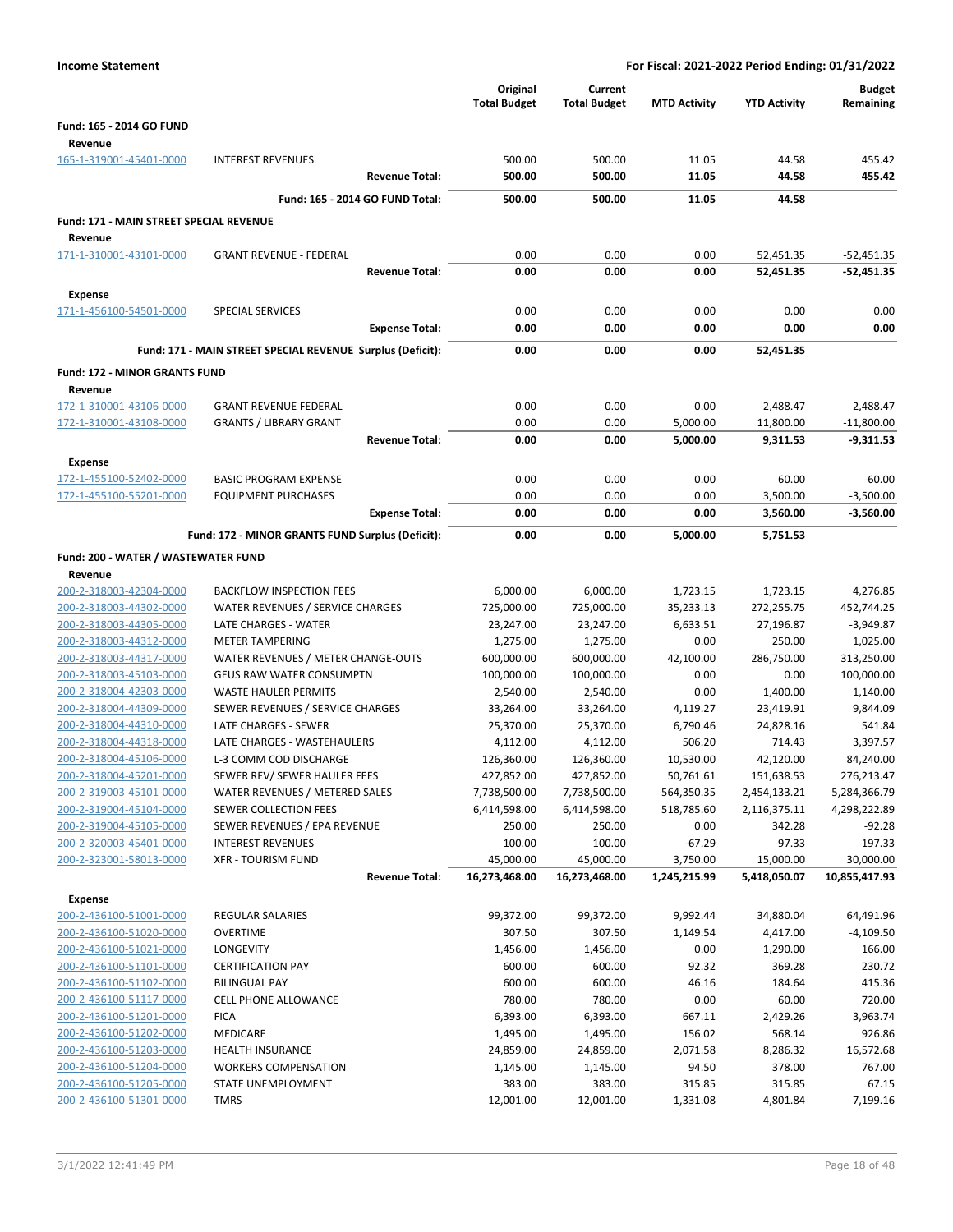| <b>Income Statement</b>                            |                                                            | For Fiscal: 2021-2022 Period Ending: 01/31/2022 |                                |                        |                         |                            |
|----------------------------------------------------|------------------------------------------------------------|-------------------------------------------------|--------------------------------|------------------------|-------------------------|----------------------------|
|                                                    |                                                            | Original<br><b>Total Budget</b>                 | Current<br><b>Total Budget</b> | <b>MTD Activity</b>    | <b>YTD Activity</b>     | <b>Budget</b><br>Remaining |
| Fund: 165 - 2014 GO FUND                           |                                                            |                                                 |                                |                        |                         |                            |
| Revenue                                            |                                                            |                                                 |                                |                        |                         |                            |
| 165-1-319001-45401-0000                            | <b>INTEREST REVENUES</b>                                   | 500.00                                          | 500.00                         | 11.05                  | 44.58                   | 455.42                     |
|                                                    | <b>Revenue Total:</b>                                      | 500.00                                          | 500.00                         | 11.05                  | 44.58                   | 455.42                     |
|                                                    | Fund: 165 - 2014 GO FUND Total:                            | 500.00                                          | 500.00                         | 11.05                  | 44.58                   |                            |
| Fund: 171 - MAIN STREET SPECIAL REVENUE<br>Revenue |                                                            |                                                 |                                |                        |                         |                            |
| 171-1-310001-43101-0000                            | <b>GRANT REVENUE - FEDERAL</b>                             | 0.00                                            | 0.00                           | 0.00                   | 52,451.35               | $-52,451.35$               |
|                                                    | <b>Revenue Total:</b>                                      | 0.00                                            | 0.00                           | 0.00                   | 52,451.35               | $-52,451.35$               |
| Expense                                            |                                                            |                                                 |                                |                        |                         |                            |
| 171-1-456100-54501-0000                            | <b>SPECIAL SERVICES</b>                                    | 0.00                                            | 0.00                           | 0.00                   | 0.00                    | 0.00                       |
|                                                    | <b>Expense Total:</b>                                      | 0.00                                            | 0.00                           | 0.00                   | 0.00                    | 0.00                       |
|                                                    | Fund: 171 - MAIN STREET SPECIAL REVENUE Surplus (Deficit): | 0.00                                            | 0.00                           | 0.00                   | 52,451.35               |                            |
| <b>Fund: 172 - MINOR GRANTS FUND</b>               |                                                            |                                                 |                                |                        |                         |                            |
| Revenue                                            |                                                            |                                                 |                                |                        |                         |                            |
| 172-1-310001-43106-0000                            | <b>GRANT REVENUE FEDERAL</b>                               | 0.00                                            | 0.00                           | 0.00                   | $-2,488.47$             | 2,488.47                   |
| 172-1-310001-43108-0000                            | <b>GRANTS / LIBRARY GRANT</b>                              | 0.00                                            | 0.00                           | 5,000.00               | 11,800.00               | $-11,800.00$               |
|                                                    | <b>Revenue Total:</b>                                      | 0.00                                            | 0.00                           | 5,000.00               | 9,311.53                | $-9,311.53$                |
| Expense                                            |                                                            |                                                 |                                |                        |                         |                            |
| 172-1-455100-52402-0000                            | <b>BASIC PROGRAM EXPENSE</b>                               | 0.00                                            | 0.00                           | 0.00                   | 60.00                   | $-60.00$                   |
| 172-1-455100-55201-0000                            | <b>EQUIPMENT PURCHASES</b>                                 | 0.00                                            | 0.00                           | 0.00                   | 3,500.00                | $-3,500.00$                |
|                                                    | <b>Expense Total:</b>                                      | 0.00                                            | 0.00                           | 0.00                   | 3,560.00                | $-3,560.00$                |
|                                                    | Fund: 172 - MINOR GRANTS FUND Surplus (Deficit):           | 0.00                                            | 0.00                           | 5,000.00               | 5,751.53                |                            |
| Fund: 200 - WATER / WASTEWATER FUND                |                                                            |                                                 |                                |                        |                         |                            |
| Revenue                                            |                                                            |                                                 |                                |                        |                         |                            |
| 200-2-318003-42304-0000                            | <b>BACKFLOW INSPECTION FEES</b>                            | 6,000.00                                        | 6,000.00                       | 1,723.15               | 1,723.15                | 4,276.85                   |
| 200-2-318003-44302-0000<br>200-2-318003-44305-0000 | WATER REVENUES / SERVICE CHARGES<br>LATE CHARGES - WATER   | 725,000.00<br>23,247.00                         | 725,000.00<br>23,247.00        | 35,233.13<br>6,633.51  | 272,255.75<br>27,196.87 | 452,744.25<br>$-3,949.87$  |
| 200-2-318003-44312-0000                            | <b>METER TAMPERING</b>                                     | 1,275.00                                        | 1,275.00                       | 0.00                   | 250.00                  | 1,025.00                   |
| 200-2-318003-44317-0000                            | WATER REVENUES / METER CHANGE-OUTS                         | 600,000.00                                      | 600,000.00                     | 42,100.00              | 286,750.00              | 313,250.00                 |
| 200-2-318003-45103-0000                            | <b>GEUS RAW WATER CONSUMPTN</b>                            | 100,000.00                                      | 100,000.00                     | 0.00                   | 0.00                    | 100,000.00                 |
| 200-2-318004-42303-0000                            | <b>WASTE HAULER PERMITS</b>                                | 2,540.00                                        | 2,540.00                       | 0.00                   | 1,400.00                | 1,140.00                   |
| 200-2-318004-44309-0000                            | SEWER REVENUES / SERVICE CHARGES                           | 33,264.00                                       | 33,264.00                      | 4,119.27               | 23,419.91               | 9,844.09                   |
| 200-2-318004-44310-0000                            | LATE CHARGES - SEWER                                       | 25,370.00                                       | 25,370.00                      | 6,790.46               | 24,828.16               | 541.84                     |
| 200-2-318004-44318-0000                            | LATE CHARGES - WASTEHAULERS                                | 4,112.00                                        | 4,112.00                       | 506.20                 | 714.43                  | 3,397.57                   |
| 200-2-318004-45106-0000<br>200-2-318004-45201-0000 | L-3 COMM COD DISCHARGE<br>SEWER REV/ SEWER HAULER FEES     | 126,360.00<br>427,852.00                        | 126,360.00<br>427,852.00       | 10,530.00<br>50,761.61 | 42,120.00<br>151,638.53 | 84,240.00<br>276,213.47    |
| 200-2-319003-45101-0000                            | WATER REVENUES / METERED SALES                             | 7,738,500.00                                    | 7,738,500.00                   | 564,350.35             | 2,454,133.21            | 5,284,366.79               |
| 200-2-319004-45104-0000                            | SEWER COLLECTION FEES                                      | 6,414,598.00                                    | 6,414,598.00                   | 518,785.60             | 2,116,375.11            | 4,298,222.89               |
| 200-2-319004-45105-0000                            | SEWER REVENUES / EPA REVENUE                               | 250.00                                          | 250.00                         | 0.00                   | 342.28                  | $-92.28$                   |
| 200-2-320003-45401-0000                            | <b>INTEREST REVENUES</b>                                   | 100.00                                          | 100.00                         | $-67.29$               | $-97.33$                | 197.33                     |
| 200-2-323001-58013-0000                            | <b>XFR - TOURISM FUND</b>                                  | 45,000.00                                       | 45,000.00                      | 3,750.00               | 15,000.00               | 30,000.00                  |
|                                                    | <b>Revenue Total:</b>                                      | 16,273,468.00                                   | 16,273,468.00                  | 1,245,215.99           | 5,418,050.07            | 10,855,417.93              |
| Expense                                            |                                                            |                                                 |                                |                        |                         |                            |
| 200-2-436100-51001-0000                            | <b>REGULAR SALARIES</b>                                    | 99,372.00                                       | 99,372.00                      | 9,992.44               | 34,880.04               | 64,491.96                  |
| 200-2-436100-51020-0000                            | <b>OVERTIME</b>                                            | 307.50                                          | 307.50                         | 1,149.54               | 4,417.00                | $-4,109.50$                |
| 200-2-436100-51021-0000                            | LONGEVITY                                                  | 1,456.00                                        | 1,456.00                       | 0.00                   | 1,290.00                | 166.00                     |
| 200-2-436100-51101-0000<br>200-2-436100-51102-0000 | <b>CERTIFICATION PAY</b><br><b>BILINGUAL PAY</b>           | 600.00<br>600.00                                | 600.00<br>600.00               | 92.32<br>46.16         | 369.28<br>184.64        | 230.72<br>415.36           |
| 200-2-436100-51117-0000                            | CELL PHONE ALLOWANCE                                       | 780.00                                          | 780.00                         | 0.00                   | 60.00                   | 720.00                     |
| 200-2-436100-51201-0000                            | <b>FICA</b>                                                | 6,393.00                                        | 6,393.00                       | 667.11                 | 2,429.26                | 3,963.74                   |
| 200-2-436100-51202-0000                            | MEDICARE                                                   | 1,495.00                                        | 1,495.00                       | 156.02                 | 568.14                  | 926.86                     |
| 200-2-436100-51203-0000                            | <b>HEALTH INSURANCE</b>                                    | 24,859.00                                       | 24,859.00                      | 2,071.58               | 8,286.32                | 16,572.68                  |
| 200-2-436100-51204-0000                            | <b>WORKERS COMPENSATION</b>                                | 1,145.00                                        | 1,145.00                       | 94.50                  | 378.00                  | 767.00                     |
| 200-2-436100-51205-0000                            | STATE UNEMPLOYMENT                                         | 383.00                                          | 383.00                         | 315.85                 | 315.85                  | 67.15                      |
| 200-2-436100-51301-0000                            | <b>TMRS</b>                                                | 12,001.00                                       | 12,001.00                      | 1,331.08               | 4,801.84                | 7,199.16                   |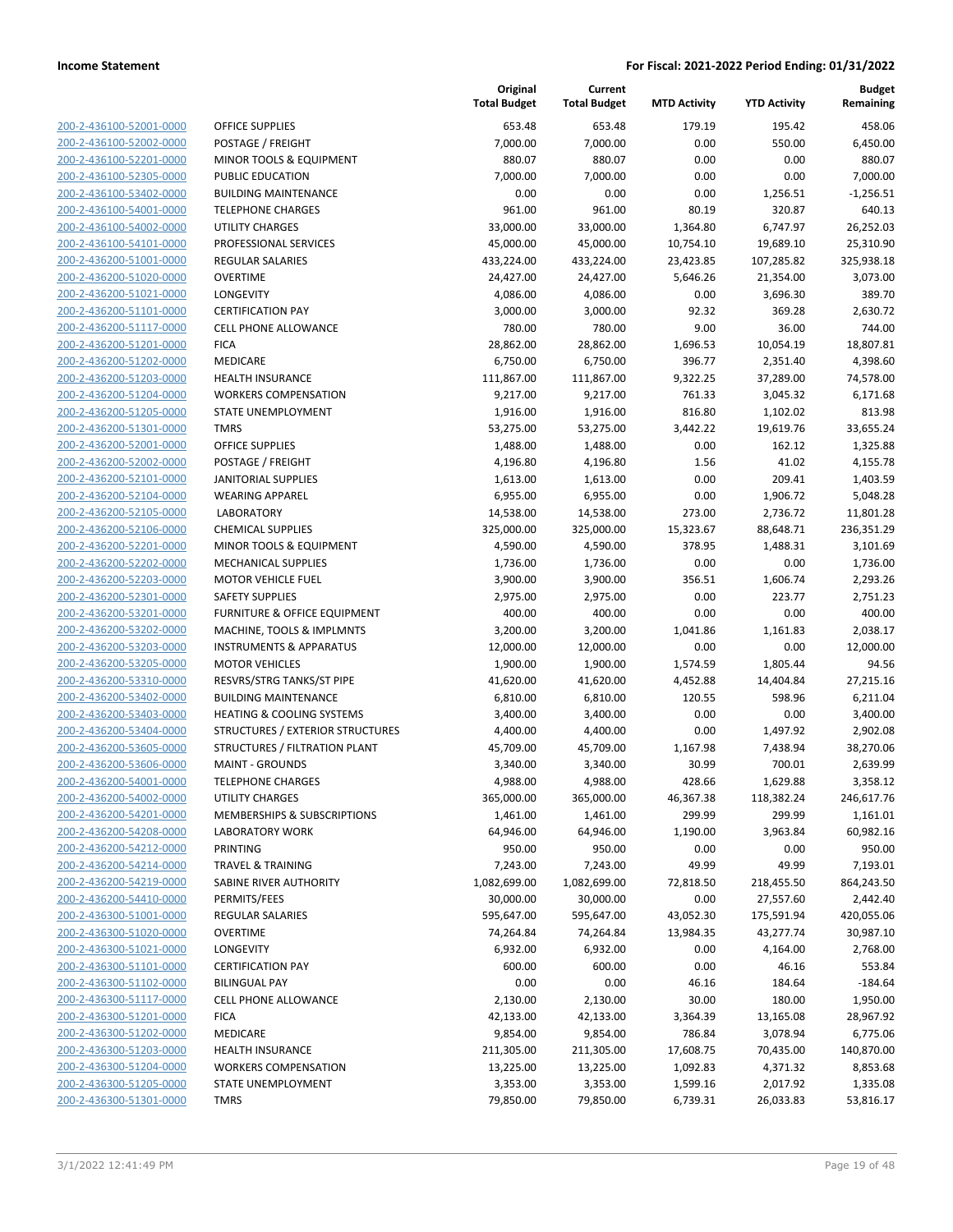| 200-2-436100-52001-0000                                   |
|-----------------------------------------------------------|
| 200-2-436100-52002-0000                                   |
| 200-2-436100-52201-0000                                   |
| <u>200-2-436100-52305-0000</u>                            |
| 200-2-436100-53402-0000                                   |
| 2-436100-54001-0000<br>200-                               |
| 200-2-436100-54002-0000                                   |
| 200-2-436100-54101-0000                                   |
| 200-2-436200-51001-0000                                   |
| 200-2-436200-51020-0000                                   |
| 2-436200-51021<br>200-<br>-0000                           |
| 200-2-436200-51101-0000                                   |
| 200-2-436200-51117-0000                                   |
| <u>200-2-436200-51201-0000</u>                            |
| 200-2-436200-51202-0000                                   |
| 2-436200-51203-0000<br>200-                               |
|                                                           |
| 200-2-436200-51204-0000                                   |
| 200-2-436200-51205-0000                                   |
| 200-2-436200-51301-0000                                   |
| 200-2-436200-52001-0000                                   |
| 2-436200-52002-0000<br>200-                               |
| 200-2-436200-52101-0000                                   |
| 200-2-436200-52104-0000                                   |
| 200-2-436200-52105-0000                                   |
| 200-2-436200-52106-0000                                   |
| 2-436200-52201-<br>200-<br>$-0000$                        |
| 200-2-436200-52202-0000                                   |
| 200-2-436200-52203-0000                                   |
| 200-2-436200-52301-0000                                   |
| 200-2-436200-53201-0000                                   |
| 2-436200-53202-0000<br>200-                               |
| 200-2-436200-53203-0000                                   |
| 200-2-436200-53205-0000                                   |
| <u>200-2-436200-53310-0000</u>                            |
| 200-2-436200-53402-0000                                   |
| 200-2-436200-53403-0000                                   |
| 200-2-436200-53404-0000                                   |
| 200-2-436200-53605-0000                                   |
| <u>200-2-436200-53606-0000</u>                            |
|                                                           |
| 200-2-436200-54001-0000                                   |
| 200-2-436200-54002-0000                                   |
| <u>200-2-436200-54201-0000</u>                            |
| 200-2-436200-54208-0000                                   |
| <u>200-2-436200-54212-0000</u>                            |
| 200-2-436200-54214-0000                                   |
| 200-2-436200-54219-0000                                   |
| 200-2-436200-54410-0000                                   |
|                                                           |
| 200-2-436300-51001-0000                                   |
| <u>200-2-436300-51020-0000</u>                            |
| <u>200-2-436300-51021-0000</u>                            |
| 200-2-436300-51101-0000                                   |
| 200-2-436300-51102-0000                                   |
| 200-2-436300-51117-0000                                   |
| <u>200-2-436300-51201-0000</u>                            |
| 200-2-436300-51202-0000                                   |
| 200-2-436300-51203-0000                                   |
| 200-2-436300-51204-0000                                   |
|                                                           |
| 200-2-436300-51205-0000<br><u>200-2-436300-51301-0000</u> |

|                                                    |                                                | Original<br><b>Total Budget</b> | Current<br><b>Total Budget</b> | <b>MTD Activity</b> | <b>YTD Activity</b>  | <b>Budget</b><br>Remaining |
|----------------------------------------------------|------------------------------------------------|---------------------------------|--------------------------------|---------------------|----------------------|----------------------------|
| 200-2-436100-52001-0000                            | <b>OFFICE SUPPLIES</b>                         | 653.48                          | 653.48                         | 179.19              | 195.42               | 458.06                     |
| 200-2-436100-52002-0000                            | POSTAGE / FREIGHT                              | 7,000.00                        | 7,000.00                       | 0.00                | 550.00               | 6,450.00                   |
| 200-2-436100-52201-0000                            | MINOR TOOLS & EQUIPMENT                        | 880.07                          | 880.07                         | 0.00                | 0.00                 | 880.07                     |
| 200-2-436100-52305-0000                            | PUBLIC EDUCATION                               | 7,000.00                        | 7,000.00                       | 0.00                | 0.00                 | 7,000.00                   |
| 200-2-436100-53402-0000                            | <b>BUILDING MAINTENANCE</b>                    | 0.00                            | 0.00                           | 0.00                | 1,256.51             | $-1,256.51$                |
| 200-2-436100-54001-0000                            | <b>TELEPHONE CHARGES</b>                       | 961.00                          | 961.00                         | 80.19               | 320.87               | 640.13                     |
| 200-2-436100-54002-0000                            | <b>UTILITY CHARGES</b>                         | 33,000.00                       | 33,000.00                      | 1,364.80            | 6,747.97             | 26,252.03                  |
| 200-2-436100-54101-0000                            | PROFESSIONAL SERVICES                          | 45,000.00                       | 45,000.00                      | 10,754.10           | 19,689.10            | 25,310.90                  |
| 200-2-436200-51001-0000                            | <b>REGULAR SALARIES</b>                        | 433,224.00                      | 433,224.00                     | 23,423.85           | 107,285.82           | 325,938.18                 |
| 200-2-436200-51020-0000                            | <b>OVERTIME</b>                                | 24,427.00                       | 24,427.00                      | 5,646.26            | 21,354.00            | 3,073.00                   |
| 200-2-436200-51021-0000                            | LONGEVITY                                      | 4,086.00                        | 4,086.00                       | 0.00                | 3,696.30             | 389.70                     |
| 200-2-436200-51101-0000                            | <b>CERTIFICATION PAY</b>                       | 3,000.00                        | 3,000.00                       | 92.32               | 369.28               | 2,630.72                   |
| 200-2-436200-51117-0000                            | <b>CELL PHONE ALLOWANCE</b>                    | 780.00                          | 780.00                         | 9.00                | 36.00                | 744.00                     |
| 200-2-436200-51201-0000                            | <b>FICA</b>                                    | 28,862.00                       | 28,862.00                      | 1,696.53            | 10,054.19            | 18,807.81                  |
| 200-2-436200-51202-0000                            | MEDICARE                                       | 6,750.00                        | 6,750.00                       | 396.77              | 2,351.40             | 4,398.60                   |
| 200-2-436200-51203-0000                            | <b>HEALTH INSURANCE</b>                        | 111,867.00                      | 111,867.00                     | 9,322.25            | 37,289.00            | 74,578.00                  |
| 200-2-436200-51204-0000                            | <b>WORKERS COMPENSATION</b>                    | 9,217.00                        | 9,217.00                       | 761.33              | 3,045.32             | 6,171.68                   |
| 200-2-436200-51205-0000                            | STATE UNEMPLOYMENT                             | 1,916.00                        | 1,916.00                       | 816.80              | 1,102.02             | 813.98                     |
| 200-2-436200-51301-0000                            | <b>TMRS</b>                                    | 53,275.00                       | 53,275.00                      | 3,442.22            | 19,619.76            | 33,655.24                  |
| 200-2-436200-52001-0000                            | <b>OFFICE SUPPLIES</b>                         | 1,488.00                        | 1,488.00                       | 0.00                | 162.12               | 1,325.88                   |
| 200-2-436200-52002-0000                            | POSTAGE / FREIGHT                              | 4,196.80                        | 4,196.80                       | 1.56                | 41.02                | 4,155.78                   |
| 200-2-436200-52101-0000                            | <b>JANITORIAL SUPPLIES</b>                     | 1,613.00                        | 1,613.00                       | 0.00                | 209.41               | 1,403.59                   |
| 200-2-436200-52104-0000                            | <b>WEARING APPAREL</b>                         | 6,955.00                        | 6,955.00                       | 0.00                | 1,906.72             | 5,048.28                   |
| 200-2-436200-52105-0000                            | <b>LABORATORY</b>                              | 14,538.00                       | 14,538.00                      | 273.00              | 2,736.72             | 11,801.28                  |
| 200-2-436200-52106-0000                            | <b>CHEMICAL SUPPLIES</b>                       | 325,000.00                      | 325,000.00                     | 15,323.67           | 88,648.71            | 236,351.29                 |
| 200-2-436200-52201-0000                            | MINOR TOOLS & EQUIPMENT                        | 4,590.00                        | 4,590.00                       | 378.95              | 1,488.31             | 3,101.69                   |
| 200-2-436200-52202-0000                            | MECHANICAL SUPPLIES                            | 1,736.00                        | 1,736.00                       | 0.00                | 0.00                 | 1,736.00                   |
| 200-2-436200-52203-0000                            | <b>MOTOR VEHICLE FUEL</b>                      | 3,900.00                        | 3,900.00                       | 356.51              | 1,606.74             | 2,293.26                   |
| 200-2-436200-52301-0000                            | <b>SAFETY SUPPLIES</b>                         | 2,975.00                        | 2,975.00                       | 0.00                | 223.77               | 2,751.23                   |
| 200-2-436200-53201-0000                            | FURNITURE & OFFICE EQUIPMENT                   | 400.00                          | 400.00                         | 0.00                | 0.00                 | 400.00                     |
| 200-2-436200-53202-0000                            | MACHINE, TOOLS & IMPLMNTS                      | 3,200.00                        | 3,200.00                       | 1,041.86            | 1,161.83             | 2,038.17                   |
| 200-2-436200-53203-0000                            | <b>INSTRUMENTS &amp; APPARATUS</b>             | 12,000.00                       | 12,000.00                      | 0.00                | 0.00                 | 12,000.00                  |
| 200-2-436200-53205-0000                            | <b>MOTOR VEHICLES</b>                          | 1,900.00                        | 1,900.00                       | 1,574.59            | 1,805.44             | 94.56                      |
| 200-2-436200-53310-0000                            | RESVRS/STRG TANKS/ST PIPE                      | 41,620.00                       | 41,620.00                      | 4,452.88            | 14,404.84            | 27,215.16                  |
| 200-2-436200-53402-0000                            | <b>BUILDING MAINTENANCE</b>                    | 6,810.00                        | 6,810.00                       | 120.55              | 598.96               | 6,211.04                   |
| 200-2-436200-53403-0000                            | <b>HEATING &amp; COOLING SYSTEMS</b>           | 3,400.00                        | 3,400.00                       | 0.00                | 0.00                 | 3,400.00                   |
| 200-2-436200-53404-0000                            | STRUCTURES / EXTERIOR STRUCTURES               | 4,400.00                        | 4,400.00                       | 0.00                | 1,497.92             | 2,902.08                   |
| 200-2-436200-53605-0000                            | STRUCTURES / FILTRATION PLANT                  | 45,709.00                       | 45,709.00                      | 1,167.98            | 7,438.94             | 38,270.06                  |
| 200-2-436200-53606-0000                            | <b>MAINT - GROUNDS</b>                         | 3,340.00                        | 3,340.00                       | 30.99               | 700.01               | 2,639.99                   |
| 200-2-436200-54001-0000                            | <b>TELEPHONE CHARGES</b>                       | 4,988.00                        | 4,988.00                       | 428.66              | 1,629.88             | 3,358.12<br>246,617.76     |
| 200-2-436200-54002-0000<br>200-2-436200-54201-0000 | UTILITY CHARGES<br>MEMBERSHIPS & SUBSCRIPTIONS | 365,000.00<br>1,461.00          | 365,000.00<br>1,461.00         | 46,367.38<br>299.99 | 118,382.24<br>299.99 | 1,161.01                   |
| 200-2-436200-54208-0000                            | <b>LABORATORY WORK</b>                         | 64,946.00                       | 64,946.00                      | 1,190.00            | 3,963.84             | 60,982.16                  |
| 200-2-436200-54212-0000                            | PRINTING                                       | 950.00                          | 950.00                         | 0.00                | 0.00                 | 950.00                     |
| 200-2-436200-54214-0000                            | <b>TRAVEL &amp; TRAINING</b>                   | 7,243.00                        | 7,243.00                       | 49.99               | 49.99                | 7,193.01                   |
| 200-2-436200-54219-0000                            | SABINE RIVER AUTHORITY                         | 1,082,699.00                    | 1,082,699.00                   | 72,818.50           | 218,455.50           | 864,243.50                 |
| 200-2-436200-54410-0000                            | PERMITS/FEES                                   | 30,000.00                       | 30,000.00                      | 0.00                | 27,557.60            | 2,442.40                   |
| 200-2-436300-51001-0000                            | <b>REGULAR SALARIES</b>                        | 595,647.00                      | 595,647.00                     | 43,052.30           | 175,591.94           | 420,055.06                 |
| 200-2-436300-51020-0000                            | <b>OVERTIME</b>                                | 74,264.84                       | 74,264.84                      | 13,984.35           | 43,277.74            | 30,987.10                  |
| 200-2-436300-51021-0000                            | LONGEVITY                                      | 6,932.00                        | 6,932.00                       | 0.00                | 4,164.00             | 2,768.00                   |
| 200-2-436300-51101-0000                            | <b>CERTIFICATION PAY</b>                       | 600.00                          | 600.00                         | 0.00                | 46.16                | 553.84                     |
| 200-2-436300-51102-0000                            | <b>BILINGUAL PAY</b>                           | 0.00                            | 0.00                           | 46.16               | 184.64               | $-184.64$                  |
| 200-2-436300-51117-0000                            | <b>CELL PHONE ALLOWANCE</b>                    | 2,130.00                        | 2,130.00                       | 30.00               | 180.00               | 1,950.00                   |
| 200-2-436300-51201-0000                            | <b>FICA</b>                                    | 42,133.00                       | 42,133.00                      | 3,364.39            | 13,165.08            | 28,967.92                  |
| 200-2-436300-51202-0000                            | MEDICARE                                       | 9,854.00                        | 9,854.00                       | 786.84              | 3,078.94             | 6,775.06                   |
| 200-2-436300-51203-0000                            | <b>HEALTH INSURANCE</b>                        | 211,305.00                      | 211,305.00                     | 17,608.75           | 70,435.00            | 140,870.00                 |
| 200-2-436300-51204-0000                            | <b>WORKERS COMPENSATION</b>                    | 13,225.00                       | 13,225.00                      | 1,092.83            | 4,371.32             | 8,853.68                   |
| 200-2-436300-51205-0000                            | STATE UNEMPLOYMENT                             | 3,353.00                        | 3,353.00                       | 1,599.16            | 2,017.92             | 1,335.08                   |
| 200-2-436300-51301-0000                            | <b>TMRS</b>                                    | 79,850.00                       | 79,850.00                      | 6,739.31            | 26,033.83            | 53,816.17                  |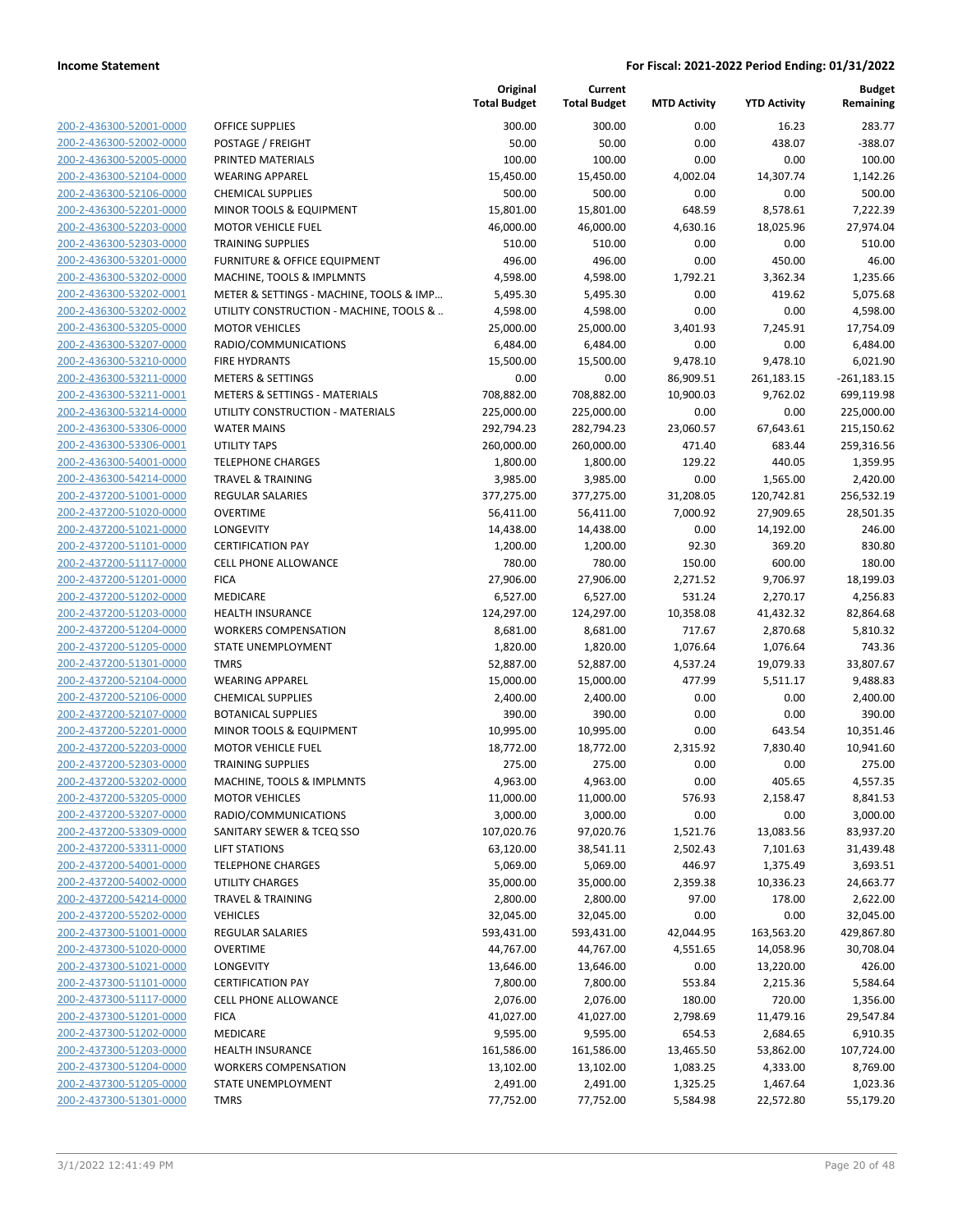|                         |                                          | Original<br><b>Total Budget</b> | Current<br><b>Total Budget</b> | <b>MTD Activity</b> | <b>YTD Activity</b> | <b>Budget</b><br>Remaining |
|-------------------------|------------------------------------------|---------------------------------|--------------------------------|---------------------|---------------------|----------------------------|
| 200-2-436300-52001-0000 | <b>OFFICE SUPPLIES</b>                   | 300.00                          | 300.00                         | 0.00                | 16.23               | 283.77                     |
| 200-2-436300-52002-0000 | POSTAGE / FREIGHT                        | 50.00                           | 50.00                          | 0.00                | 438.07              | $-388.07$                  |
| 200-2-436300-52005-0000 | PRINTED MATERIALS                        | 100.00                          | 100.00                         | 0.00                | 0.00                | 100.00                     |
| 200-2-436300-52104-0000 | <b>WEARING APPAREL</b>                   | 15,450.00                       | 15,450.00                      | 4,002.04            | 14,307.74           | 1,142.26                   |
| 200-2-436300-52106-0000 | <b>CHEMICAL SUPPLIES</b>                 | 500.00                          | 500.00                         | 0.00                | 0.00                | 500.00                     |
| 200-2-436300-52201-0000 | MINOR TOOLS & EQUIPMENT                  | 15,801.00                       | 15,801.00                      | 648.59              | 8,578.61            | 7,222.39                   |
| 200-2-436300-52203-0000 | <b>MOTOR VEHICLE FUEL</b>                | 46,000.00                       | 46,000.00                      | 4,630.16            | 18,025.96           | 27,974.04                  |
| 200-2-436300-52303-0000 | <b>TRAINING SUPPLIES</b>                 | 510.00                          | 510.00                         | 0.00                | 0.00                | 510.00                     |
| 200-2-436300-53201-0000 | <b>FURNITURE &amp; OFFICE EQUIPMENT</b>  | 496.00                          | 496.00                         | 0.00                | 450.00              | 46.00                      |
| 200-2-436300-53202-0000 | MACHINE, TOOLS & IMPLMNTS                | 4,598.00                        | 4,598.00                       | 1,792.21            | 3,362.34            | 1,235.66                   |
| 200-2-436300-53202-0001 | METER & SETTINGS - MACHINE, TOOLS & IMP  | 5,495.30                        | 5,495.30                       | 0.00                | 419.62              | 5,075.68                   |
| 200-2-436300-53202-0002 | UTILITY CONSTRUCTION - MACHINE, TOOLS &  | 4,598.00                        | 4,598.00                       | 0.00                | 0.00                | 4,598.00                   |
| 200-2-436300-53205-0000 | <b>MOTOR VEHICLES</b>                    | 25,000.00                       | 25,000.00                      | 3,401.93            | 7,245.91            | 17,754.09                  |
| 200-2-436300-53207-0000 | RADIO/COMMUNICATIONS                     | 6,484.00                        | 6,484.00                       | 0.00                | 0.00                | 6,484.00                   |
| 200-2-436300-53210-0000 | <b>FIRE HYDRANTS</b>                     | 15,500.00                       | 15,500.00                      | 9,478.10            | 9,478.10            | 6,021.90                   |
| 200-2-436300-53211-0000 | <b>METERS &amp; SETTINGS</b>             | 0.00                            | 0.00                           | 86,909.51           | 261,183.15          | $-261,183.15$              |
| 200-2-436300-53211-0001 | <b>METERS &amp; SETTINGS - MATERIALS</b> | 708,882.00                      | 708,882.00                     | 10,900.03           | 9,762.02            | 699,119.98                 |
| 200-2-436300-53214-0000 | UTILITY CONSTRUCTION - MATERIALS         | 225,000.00                      | 225,000.00                     | 0.00                | 0.00                | 225,000.00                 |
| 200-2-436300-53306-0000 | <b>WATER MAINS</b>                       | 292,794.23                      | 282,794.23                     | 23,060.57           | 67,643.61           | 215,150.62                 |
| 200-2-436300-53306-0001 | <b>UTILITY TAPS</b>                      | 260,000.00                      | 260,000.00                     | 471.40              | 683.44              | 259,316.56                 |
| 200-2-436300-54001-0000 | <b>TELEPHONE CHARGES</b>                 | 1,800.00                        | 1,800.00                       | 129.22              | 440.05              | 1,359.95                   |
| 200-2-436300-54214-0000 | <b>TRAVEL &amp; TRAINING</b>             | 3,985.00                        | 3,985.00                       | 0.00                | 1,565.00            | 2,420.00                   |
| 200-2-437200-51001-0000 | <b>REGULAR SALARIES</b>                  | 377,275.00                      | 377,275.00                     | 31,208.05           | 120,742.81          | 256,532.19                 |
| 200-2-437200-51020-0000 | <b>OVERTIME</b>                          | 56,411.00                       | 56,411.00                      | 7,000.92            | 27,909.65           | 28,501.35                  |
| 200-2-437200-51021-0000 | LONGEVITY                                | 14,438.00                       | 14,438.00                      | 0.00                | 14,192.00           | 246.00                     |
| 200-2-437200-51101-0000 | <b>CERTIFICATION PAY</b>                 | 1,200.00                        | 1,200.00                       | 92.30               | 369.20              | 830.80                     |
| 200-2-437200-51117-0000 | <b>CELL PHONE ALLOWANCE</b>              | 780.00                          | 780.00                         | 150.00              | 600.00              | 180.00                     |
| 200-2-437200-51201-0000 | <b>FICA</b>                              | 27,906.00                       | 27,906.00                      | 2,271.52            | 9,706.97            | 18,199.03                  |
| 200-2-437200-51202-0000 | MEDICARE                                 | 6,527.00                        | 6,527.00                       | 531.24              | 2,270.17            | 4,256.83                   |
| 200-2-437200-51203-0000 | <b>HEALTH INSURANCE</b>                  | 124,297.00                      | 124,297.00                     | 10,358.08           | 41,432.32           | 82,864.68                  |
| 200-2-437200-51204-0000 | <b>WORKERS COMPENSATION</b>              | 8,681.00                        | 8,681.00                       | 717.67              | 2,870.68            | 5,810.32                   |
| 200-2-437200-51205-0000 | STATE UNEMPLOYMENT                       | 1,820.00                        | 1,820.00                       | 1,076.64            | 1,076.64            | 743.36                     |
| 200-2-437200-51301-0000 | <b>TMRS</b>                              | 52,887.00                       | 52,887.00                      | 4,537.24            | 19,079.33           | 33,807.67                  |
| 200-2-437200-52104-0000 | <b>WEARING APPAREL</b>                   | 15,000.00                       | 15,000.00                      | 477.99              | 5,511.17            | 9,488.83                   |
| 200-2-437200-52106-0000 | <b>CHEMICAL SUPPLIES</b>                 | 2,400.00                        | 2,400.00                       | 0.00                | 0.00                | 2,400.00                   |
| 200-2-437200-52107-0000 | <b>BOTANICAL SUPPLIES</b>                | 390.00                          | 390.00                         | 0.00                | 0.00                | 390.00                     |
| 200-2-437200-52201-0000 | MINOR TOOLS & EQUIPMENT                  | 10,995.00                       | 10,995.00                      | 0.00                | 643.54              | 10,351.46                  |
| 200-2-437200-52203-0000 | <b>MOTOR VEHICLE FUEL</b>                | 18,772.00                       | 18,772.00                      | 2,315.92            | 7,830.40            | 10,941.60                  |
| 200-2-437200-52303-0000 | <b>TRAINING SUPPLIES</b>                 | 275.00                          | 275.00                         | 0.00                | 0.00                | 275.00                     |
| 200-2-437200-53202-0000 | MACHINE, TOOLS & IMPLMNTS                | 4,963.00                        | 4,963.00                       | 0.00                | 405.65              | 4,557.35                   |
| 200-2-437200-53205-0000 | <b>MOTOR VEHICLES</b>                    | 11,000.00                       | 11,000.00                      | 576.93              | 2,158.47            | 8,841.53                   |
| 200-2-437200-53207-0000 | RADIO/COMMUNICATIONS                     | 3,000.00                        | 3,000.00                       | 0.00                | 0.00                | 3,000.00                   |
| 200-2-437200-53309-0000 | SANITARY SEWER & TCEQ SSO                | 107,020.76                      | 97,020.76                      | 1,521.76            | 13,083.56           | 83,937.20                  |
| 200-2-437200-53311-0000 | <b>LIFT STATIONS</b>                     | 63,120.00                       | 38,541.11                      | 2,502.43            | 7,101.63            | 31,439.48                  |
| 200-2-437200-54001-0000 | <b>TELEPHONE CHARGES</b>                 | 5,069.00                        | 5,069.00                       | 446.97              | 1,375.49            | 3,693.51                   |
| 200-2-437200-54002-0000 | UTILITY CHARGES                          | 35,000.00                       | 35,000.00                      | 2,359.38            | 10,336.23           | 24,663.77                  |
| 200-2-437200-54214-0000 | <b>TRAVEL &amp; TRAINING</b>             | 2,800.00                        | 2,800.00                       | 97.00               | 178.00              | 2,622.00                   |
| 200-2-437200-55202-0000 | <b>VEHICLES</b>                          | 32,045.00                       | 32,045.00                      | 0.00                | 0.00                | 32,045.00                  |
| 200-2-437300-51001-0000 | <b>REGULAR SALARIES</b>                  | 593,431.00                      | 593,431.00                     | 42,044.95           | 163,563.20          | 429,867.80                 |
| 200-2-437300-51020-0000 | <b>OVERTIME</b>                          | 44,767.00                       | 44,767.00                      | 4,551.65            | 14,058.96           | 30,708.04                  |
| 200-2-437300-51021-0000 | LONGEVITY                                | 13,646.00                       | 13,646.00                      | 0.00                | 13,220.00           | 426.00                     |
| 200-2-437300-51101-0000 | <b>CERTIFICATION PAY</b>                 | 7,800.00                        | 7,800.00                       | 553.84              | 2,215.36            | 5,584.64                   |
| 200-2-437300-51117-0000 | <b>CELL PHONE ALLOWANCE</b>              | 2,076.00                        | 2,076.00                       | 180.00              | 720.00              | 1,356.00                   |
| 200-2-437300-51201-0000 | <b>FICA</b>                              | 41,027.00                       | 41,027.00                      | 2,798.69            | 11,479.16           | 29,547.84                  |
| 200-2-437300-51202-0000 | MEDICARE                                 | 9,595.00                        | 9,595.00                       | 654.53              | 2,684.65            | 6,910.35                   |
| 200-2-437300-51203-0000 | <b>HEALTH INSURANCE</b>                  | 161,586.00                      | 161,586.00                     | 13,465.50           | 53,862.00           | 107,724.00                 |
| 200-2-437300-51204-0000 | <b>WORKERS COMPENSATION</b>              | 13,102.00                       | 13,102.00                      | 1,083.25            | 4,333.00            | 8,769.00                   |
| 200-2-437300-51205-0000 | STATE UNEMPLOYMENT                       | 2,491.00                        | 2,491.00                       | 1,325.25            | 1,467.64            | 1,023.36                   |
| 200-2-437300-51301-0000 | <b>TMRS</b>                              | 77,752.00                       | 77,752.00                      | 5,584.98            | 22,572.80           | 55,179.20                  |
|                         |                                          |                                 |                                |                     |                     |                            |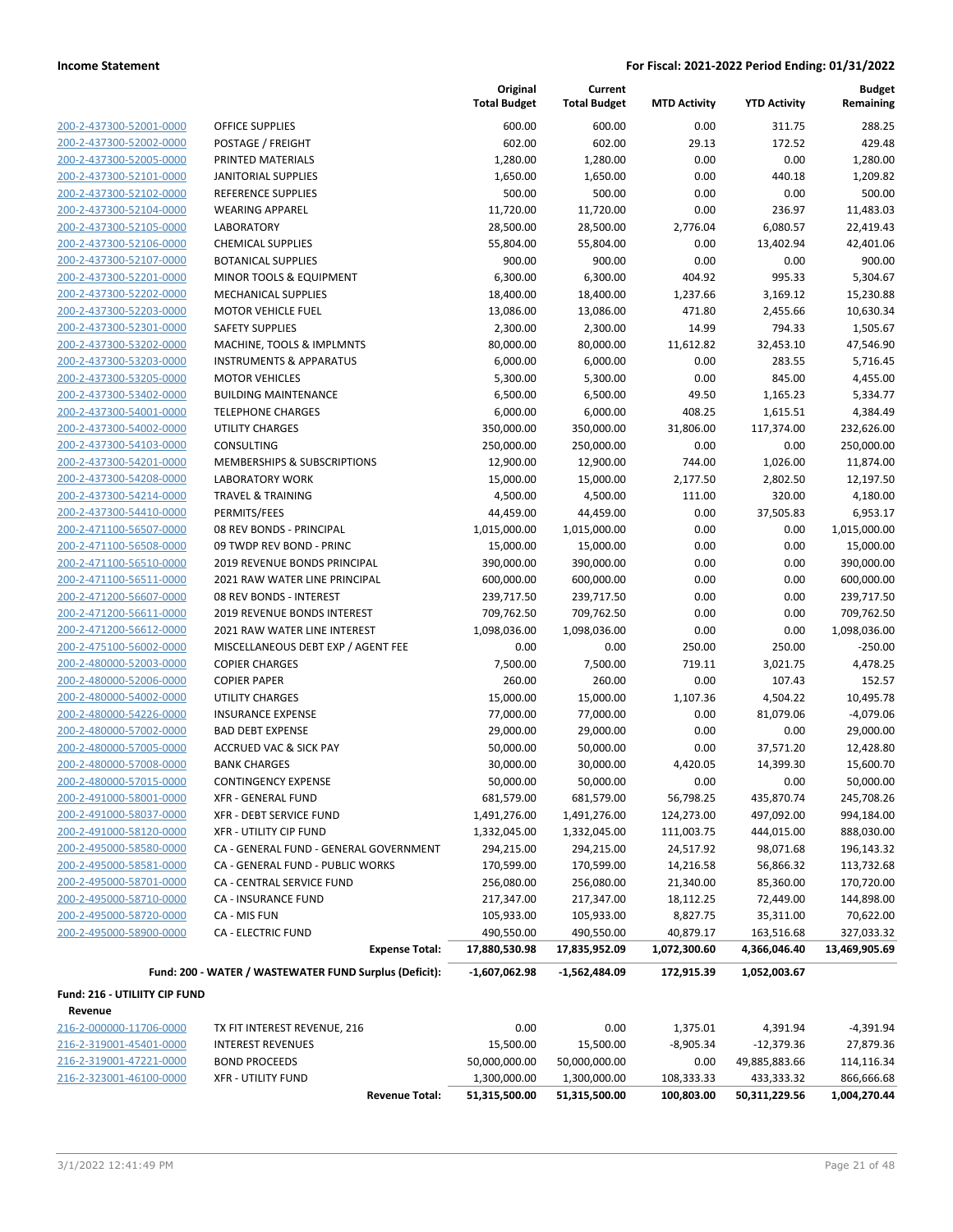| 200-2-437300-52001-0000        |
|--------------------------------|
| 200-2-437300-52002-0000        |
| 200-2-437300-52005-0000        |
| 200-2-437300-52101-0000        |
| 200-2-437300-52102-0000        |
| 200-2-437300-52104-0000        |
| 200-2-437300-52105-0000        |
| 200-2-437300-52106-0000        |
| 200-2-437300-52107-0000        |
| 200-2-437300-52201-0000        |
| 200-2-437300-52202-0000        |
| 200-2-437300-52203-0000        |
| 200-2-437300-52301-0000        |
| 200-2-437300-53202-0000        |
| 200-2-437300-53203-0000        |
| 200-2-437300-53205-0000        |
| 200-2-437300-53402-0000        |
| 200-2-437300-54001-0000        |
| 200-2-437300-54002-0000        |
| 200-2-437300-54103-0000        |
| 200-2-437300-54201-0000        |
| 200-2-437300-54208-0000        |
| 200-2-437300-54214-0000        |
| 200-2-437300-54410-0000        |
| 200-2-471100-56507-0000        |
| 200-2-471100-56508-0000        |
| 200-2-471100-56510-0000        |
| 200-2-471100-56511-0000        |
| 200-2-471200-56607-0000        |
| 200-2-471200-56611-0000        |
| 200-2-471200-56612-0000        |
| 200-2-475100-56002-0000        |
| 200-2-480000-52003-0000        |
| 200-2-480000-52006-0000        |
| 200-2-480000-54002-0000        |
| 200-2-480000-54226-0000        |
| 200-2-480000-57002-0000        |
| 200-2-480000-57005-0000        |
| 200-2-480000-57008-0000        |
| 200-2-480000-57015-0000        |
| 200-2-491000-58001-0000        |
| <u>200-2-491000-58037-0000</u> |
| 200-2-491000-58120-0000        |
| 200-2-495000-58580-0000        |
| 200-2-495000-58581-0000        |
| 200-2-495000-58701-0000        |
| 200-2-495000-58710-0000        |
| 200-2-495000-58720-0000        |
| 200-2-495000-58900-0000        |
|                                |
|                                |

|                               |                                                        | Original<br><b>Total Budget</b> | Current<br><b>Total Budget</b> | <b>MTD Activity</b> | <b>YTD Activity</b> | <b>Budget</b><br>Remaining |
|-------------------------------|--------------------------------------------------------|---------------------------------|--------------------------------|---------------------|---------------------|----------------------------|
| 200-2-437300-52001-0000       | <b>OFFICE SUPPLIES</b>                                 | 600.00                          | 600.00                         | 0.00                | 311.75              | 288.25                     |
| 200-2-437300-52002-0000       | POSTAGE / FREIGHT                                      | 602.00                          | 602.00                         | 29.13               | 172.52              | 429.48                     |
| 200-2-437300-52005-0000       | PRINTED MATERIALS                                      | 1,280.00                        | 1,280.00                       | 0.00                | 0.00                | 1,280.00                   |
| 200-2-437300-52101-0000       | <b>JANITORIAL SUPPLIES</b>                             | 1,650.00                        | 1,650.00                       | 0.00                | 440.18              | 1,209.82                   |
| 200-2-437300-52102-0000       | <b>REFERENCE SUPPLIES</b>                              | 500.00                          | 500.00                         | 0.00                | 0.00                | 500.00                     |
| 200-2-437300-52104-0000       | <b>WEARING APPAREL</b>                                 | 11,720.00                       | 11,720.00                      | 0.00                | 236.97              | 11,483.03                  |
| 200-2-437300-52105-0000       | <b>LABORATORY</b>                                      | 28,500.00                       | 28,500.00                      | 2,776.04            | 6,080.57            | 22,419.43                  |
| 200-2-437300-52106-0000       | <b>CHEMICAL SUPPLIES</b>                               | 55,804.00                       | 55,804.00                      | 0.00                | 13,402.94           | 42,401.06                  |
| 200-2-437300-52107-0000       | <b>BOTANICAL SUPPLIES</b>                              | 900.00                          | 900.00                         | 0.00                | 0.00                | 900.00                     |
| 200-2-437300-52201-0000       | <b>MINOR TOOLS &amp; EQUIPMENT</b>                     | 6,300.00                        | 6,300.00                       | 404.92              | 995.33              | 5,304.67                   |
| 200-2-437300-52202-0000       | <b>MECHANICAL SUPPLIES</b>                             | 18,400.00                       | 18,400.00                      | 1,237.66            | 3,169.12            | 15,230.88                  |
| 200-2-437300-52203-0000       | <b>MOTOR VEHICLE FUEL</b>                              | 13,086.00                       | 13,086.00                      | 471.80              | 2,455.66            | 10,630.34                  |
| 200-2-437300-52301-0000       | <b>SAFETY SUPPLIES</b>                                 | 2,300.00                        | 2,300.00                       | 14.99               | 794.33              | 1,505.67                   |
| 200-2-437300-53202-0000       | MACHINE, TOOLS & IMPLMNTS                              | 80,000.00                       | 80,000.00                      | 11,612.82           | 32,453.10           | 47,546.90                  |
| 200-2-437300-53203-0000       | <b>INSTRUMENTS &amp; APPARATUS</b>                     | 6,000.00                        | 6,000.00                       | 0.00                | 283.55              | 5,716.45                   |
| 200-2-437300-53205-0000       | <b>MOTOR VEHICLES</b>                                  | 5,300.00                        | 5,300.00                       | 0.00                | 845.00              | 4,455.00                   |
| 200-2-437300-53402-0000       | <b>BUILDING MAINTENANCE</b>                            | 6,500.00                        | 6,500.00                       | 49.50               | 1,165.23            | 5,334.77                   |
| 200-2-437300-54001-0000       | <b>TELEPHONE CHARGES</b>                               | 6,000.00                        | 6,000.00                       | 408.25              | 1,615.51            | 4,384.49                   |
| 200-2-437300-54002-0000       | <b>UTILITY CHARGES</b>                                 | 350,000.00                      | 350,000.00                     | 31,806.00           | 117,374.00          | 232,626.00                 |
| 200-2-437300-54103-0000       | <b>CONSULTING</b>                                      | 250,000.00                      | 250,000.00                     | 0.00                | 0.00                | 250,000.00                 |
| 200-2-437300-54201-0000       | MEMBERSHIPS & SUBSCRIPTIONS                            | 12,900.00                       | 12,900.00                      | 744.00              | 1,026.00            | 11,874.00                  |
| 200-2-437300-54208-0000       | <b>LABORATORY WORK</b>                                 | 15,000.00                       | 15,000.00                      | 2,177.50            | 2,802.50            | 12,197.50                  |
| 200-2-437300-54214-0000       | <b>TRAVEL &amp; TRAINING</b>                           | 4,500.00                        | 4,500.00                       | 111.00              | 320.00              | 4,180.00                   |
| 200-2-437300-54410-0000       | PERMITS/FEES                                           | 44,459.00                       | 44,459.00                      | 0.00                | 37,505.83           | 6,953.17                   |
| 200-2-471100-56507-0000       | 08 REV BONDS - PRINCIPAL                               | 1,015,000.00                    | 1,015,000.00                   | 0.00                | 0.00                | 1,015,000.00               |
| 200-2-471100-56508-0000       | 09 TWDP REV BOND - PRINC                               | 15,000.00                       | 15,000.00                      | 0.00                | 0.00                | 15,000.00                  |
| 200-2-471100-56510-0000       | 2019 REVENUE BONDS PRINCIPAL                           | 390,000.00                      | 390,000.00                     | 0.00                | 0.00                | 390,000.00                 |
| 200-2-471100-56511-0000       | 2021 RAW WATER LINE PRINCIPAL                          | 600,000.00                      | 600,000.00                     | 0.00                | 0.00                | 600,000.00                 |
| 200-2-471200-56607-0000       | 08 REV BONDS - INTEREST                                | 239,717.50                      | 239,717.50                     | 0.00                | 0.00                | 239,717.50                 |
| 200-2-471200-56611-0000       | <b>2019 REVENUE BONDS INTEREST</b>                     | 709,762.50                      | 709,762.50                     | 0.00                | 0.00                | 709,762.50                 |
| 200-2-471200-56612-0000       | 2021 RAW WATER LINE INTEREST                           | 1,098,036.00                    | 1,098,036.00                   | 0.00                | 0.00                | 1,098,036.00               |
| 200-2-475100-56002-0000       | MISCELLANEOUS DEBT EXP / AGENT FEE                     | 0.00                            | 0.00                           | 250.00              | 250.00              | $-250.00$                  |
| 200-2-480000-52003-0000       | <b>COPIER CHARGES</b>                                  | 7,500.00                        | 7,500.00                       | 719.11              | 3,021.75            | 4,478.25                   |
| 200-2-480000-52006-0000       | <b>COPIER PAPER</b>                                    | 260.00                          | 260.00                         | 0.00                | 107.43              | 152.57                     |
| 200-2-480000-54002-0000       | <b>UTILITY CHARGES</b>                                 | 15,000.00                       | 15,000.00                      | 1,107.36            | 4,504.22            | 10,495.78                  |
| 200-2-480000-54226-0000       | <b>INSURANCE EXPENSE</b>                               | 77,000.00                       | 77,000.00                      | 0.00                | 81,079.06           | $-4,079.06$                |
| 200-2-480000-57002-0000       | <b>BAD DEBT EXPENSE</b>                                | 29,000.00                       | 29,000.00                      | 0.00                | 0.00                | 29,000.00                  |
| 200-2-480000-57005-0000       | <b>ACCRUED VAC &amp; SICK PAY</b>                      | 50,000.00                       | 50,000.00                      | 0.00                | 37,571.20           | 12,428.80                  |
| 200-2-480000-57008-0000       | <b>BANK CHARGES</b>                                    | 30,000.00                       | 30,000.00                      | 4,420.05            | 14,399.30           | 15,600.70                  |
| 200-2-480000-57015-0000       | <b>CONTINGENCY EXPENSE</b>                             | 50,000.00                       | 50,000.00                      | 0.00                | 0.00                | 50,000.00                  |
| 200-2-491000-58001-0000       | XFR - GENERAL FUND                                     | 681,579.00                      | 681,579.00                     | 56,798.25           | 435,870.74          | 245,708.26                 |
| 200-2-491000-58037-0000       | XFR - DEBT SERVICE FUND                                | 1,491,276.00                    | 1,491,276.00                   | 124,273.00          | 497,092.00          | 994,184.00                 |
| 200-2-491000-58120-0000       | XFR - UTILITY CIP FUND                                 | 1,332,045.00                    | 1,332,045.00                   | 111,003.75          | 444,015.00          | 888,030.00                 |
| 200-2-495000-58580-0000       | CA - GENERAL FUND - GENERAL GOVERNMENT                 | 294,215.00                      | 294,215.00                     | 24,517.92           | 98,071.68           | 196,143.32                 |
| 200-2-495000-58581-0000       | CA - GENERAL FUND - PUBLIC WORKS                       | 170,599.00                      | 170,599.00                     | 14,216.58           | 56,866.32           | 113,732.68                 |
| 200-2-495000-58701-0000       | CA - CENTRAL SERVICE FUND                              | 256,080.00                      | 256,080.00                     | 21,340.00           | 85,360.00           | 170,720.00                 |
| 200-2-495000-58710-0000       | CA - INSURANCE FUND                                    | 217,347.00                      | 217,347.00                     | 18,112.25           | 72,449.00           | 144,898.00                 |
| 200-2-495000-58720-0000       | CA - MIS FUN                                           | 105,933.00                      | 105,933.00                     | 8,827.75            | 35,311.00           | 70,622.00                  |
| 200-2-495000-58900-0000       | CA - ELECTRIC FUND                                     | 490,550.00                      | 490,550.00                     | 40,879.17           | 163,516.68          | 327,033.32                 |
|                               | <b>Expense Total:</b>                                  | 17,880,530.98                   | 17,835,952.09                  | 1,072,300.60        | 4,366,046.40        | 13,469,905.69              |
|                               | Fund: 200 - WATER / WASTEWATER FUND Surplus (Deficit): | $-1,607,062.98$                 | -1,562,484.09                  | 172,915.39          | 1,052,003.67        |                            |
| Fund: 216 - UTILIITY CIP FUND |                                                        |                                 |                                |                     |                     |                            |
| Revenue                       |                                                        |                                 |                                |                     |                     |                            |
| 216-2-000000-11706-0000       | TX FIT INTEREST REVENUE, 216                           | 0.00                            | 0.00                           | 1,375.01            | 4,391.94            | $-4,391.94$                |
| 216-2-319001-45401-0000       | <b>INTEREST REVENUES</b>                               | 15,500.00                       | 15,500.00                      | $-8,905.34$         | $-12,379.36$        | 27,879.36                  |
| 216-2-319001-47221-0000       | <b>BOND PROCEEDS</b>                                   | 50,000,000.00                   | 50,000,000.00                  | 0.00                | 49,885,883.66       | 114,116.34                 |
| 216-2-323001-46100-0000       | <b>XFR - UTILITY FUND</b>                              | 1,300,000.00                    | 1,300,000.00                   | 108,333.33          | 433,333.32          | 866,666.68                 |

**Revenue Total: 51,315,500.00 51,315,500.00 100,803.00 50,311,229.56 1,004,270.44**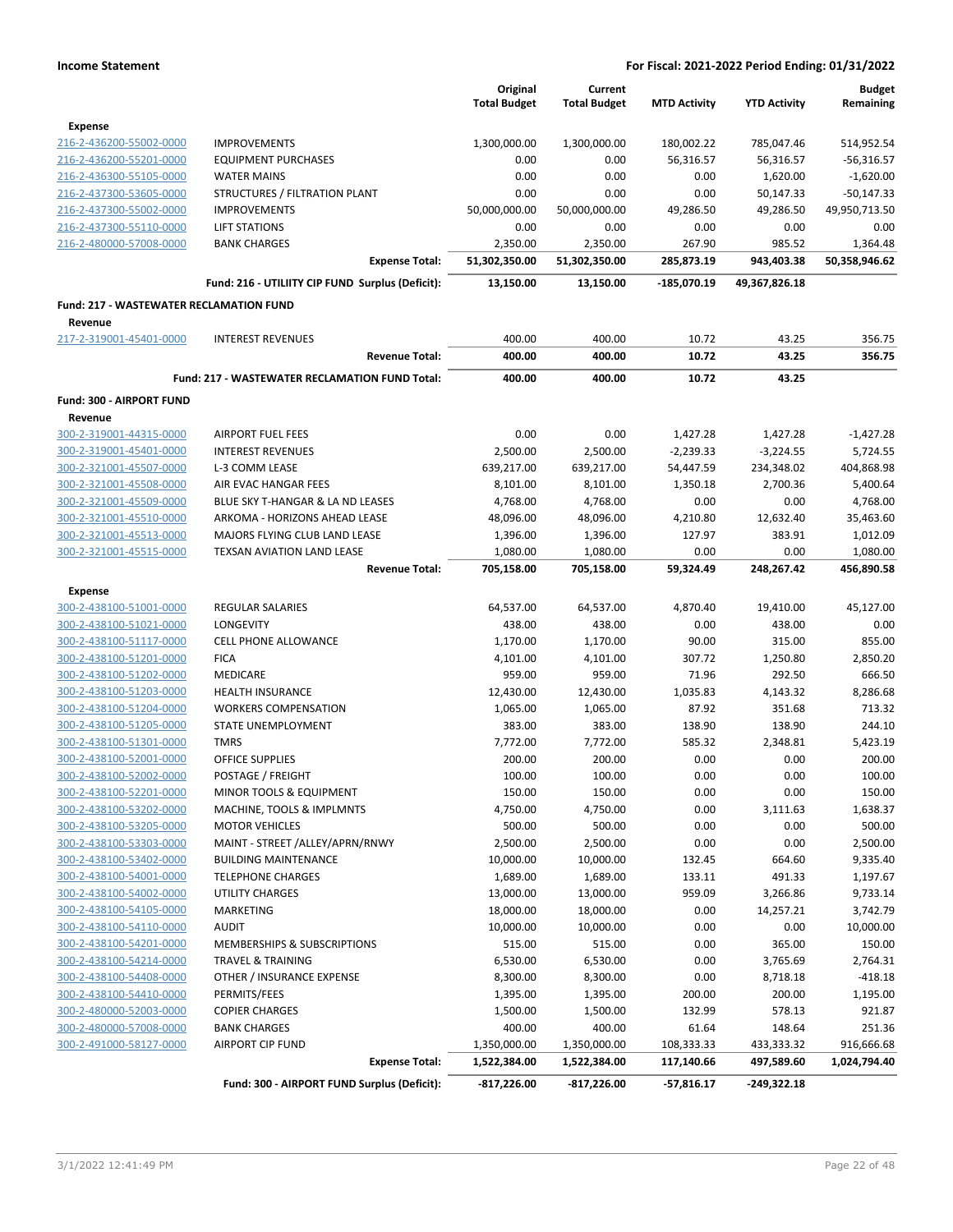|                                                    |                                                       | Original            | Current             |                     |                     |                  | Budget |
|----------------------------------------------------|-------------------------------------------------------|---------------------|---------------------|---------------------|---------------------|------------------|--------|
|                                                    |                                                       | <b>Total Budget</b> | <b>Total Budget</b> | <b>MTD Activity</b> | <b>YTD Activity</b> | Remaining        |        |
| <b>Expense</b>                                     |                                                       |                     |                     |                     |                     |                  |        |
| 216-2-436200-55002-0000                            | <b>IMPROVEMENTS</b>                                   | 1,300,000.00        | 1,300,000.00        | 180,002.22          | 785,047.46          | 514,952.54       |        |
| 216-2-436200-55201-0000                            | <b>EQUIPMENT PURCHASES</b>                            | 0.00                | 0.00                | 56,316.57           | 56,316.57           | $-56,316.57$     |        |
| 216-2-436300-55105-0000                            | <b>WATER MAINS</b>                                    | 0.00                | 0.00                | 0.00                | 1,620.00            | $-1,620.00$      |        |
| 216-2-437300-53605-0000                            | STRUCTURES / FILTRATION PLANT                         | 0.00                | 0.00                | 0.00                | 50,147.33           | $-50,147.33$     |        |
| 216-2-437300-55002-0000                            | <b>IMPROVEMENTS</b>                                   | 50,000,000.00       | 50,000,000.00       | 49,286.50           | 49,286.50           | 49,950,713.50    |        |
| 216-2-437300-55110-0000                            | <b>LIFT STATIONS</b>                                  | 0.00                | 0.00                | 0.00                | 0.00                | 0.00             |        |
| 216-2-480000-57008-0000                            | <b>BANK CHARGES</b>                                   | 2,350.00            | 2,350.00            | 267.90              | 985.52              | 1,364.48         |        |
|                                                    | <b>Expense Total:</b>                                 | 51,302,350.00       | 51,302,350.00       | 285,873.19          | 943,403.38          | 50,358,946.62    |        |
|                                                    | Fund: 216 - UTILIITY CIP FUND Surplus (Deficit):      | 13,150.00           | 13,150.00           | -185,070.19         | 49,367,826.18       |                  |        |
| <b>Fund: 217 - WASTEWATER RECLAMATION FUND</b>     |                                                       |                     |                     |                     |                     |                  |        |
| Revenue                                            |                                                       |                     |                     |                     |                     |                  |        |
| 217-2-319001-45401-0000                            | <b>INTEREST REVENUES</b>                              | 400.00              | 400.00              | 10.72               | 43.25               | 356.75           |        |
|                                                    | <b>Revenue Total:</b>                                 | 400.00              | 400.00              | 10.72               | 43.25               | 356.75           |        |
|                                                    | <b>Fund: 217 - WASTEWATER RECLAMATION FUND Total:</b> | 400.00              | 400.00              | 10.72               | 43.25               |                  |        |
| Fund: 300 - AIRPORT FUND                           |                                                       |                     |                     |                     |                     |                  |        |
| Revenue                                            |                                                       |                     |                     |                     |                     |                  |        |
| 300-2-319001-44315-0000                            | <b>AIRPORT FUEL FEES</b>                              | 0.00                | 0.00                | 1,427.28            | 1,427.28            | $-1,427.28$      |        |
| 300-2-319001-45401-0000                            | <b>INTEREST REVENUES</b>                              | 2,500.00            | 2,500.00            | $-2,239.33$         | $-3,224.55$         | 5,724.55         |        |
| 300-2-321001-45507-0000                            | L-3 COMM LEASE                                        | 639,217.00          | 639,217.00          | 54,447.59           | 234,348.02          | 404,868.98       |        |
| 300-2-321001-45508-0000                            | AIR EVAC HANGAR FEES                                  | 8,101.00            | 8,101.00            | 1,350.18            | 2,700.36            | 5,400.64         |        |
| 300-2-321001-45509-0000                            | BLUE SKY T-HANGAR & LA ND LEASES                      | 4,768.00            | 4,768.00            | 0.00                | 0.00                | 4,768.00         |        |
| 300-2-321001-45510-0000                            | ARKOMA - HORIZONS AHEAD LEASE                         | 48,096.00           | 48,096.00           | 4,210.80            | 12,632.40           | 35,463.60        |        |
| 300-2-321001-45513-0000                            | MAJORS FLYING CLUB LAND LEASE                         | 1,396.00            | 1,396.00            | 127.97              | 383.91              | 1,012.09         |        |
| 300-2-321001-45515-0000                            | TEXSAN AVIATION LAND LEASE                            | 1,080.00            | 1,080.00            | 0.00                | 0.00                | 1,080.00         |        |
|                                                    | <b>Revenue Total:</b>                                 | 705,158.00          | 705,158.00          | 59,324.49           | 248,267.42          | 456,890.58       |        |
| <b>Expense</b>                                     |                                                       |                     |                     |                     |                     |                  |        |
| 300-2-438100-51001-0000                            | <b>REGULAR SALARIES</b>                               | 64,537.00           | 64,537.00           | 4,870.40            | 19,410.00           | 45,127.00        |        |
| 300-2-438100-51021-0000                            | LONGEVITY                                             | 438.00              | 438.00              | 0.00                | 438.00              | 0.00             |        |
| 300-2-438100-51117-0000                            | <b>CELL PHONE ALLOWANCE</b>                           | 1,170.00            | 1,170.00            | 90.00               | 315.00              | 855.00           |        |
| 300-2-438100-51201-0000                            | <b>FICA</b>                                           | 4,101.00            | 4,101.00            | 307.72              | 1,250.80            | 2,850.20         |        |
| 300-2-438100-51202-0000                            | MEDICARE                                              | 959.00              | 959.00              | 71.96               | 292.50              | 666.50           |        |
| 300-2-438100-51203-0000                            | <b>HEALTH INSURANCE</b>                               | 12,430.00           | 12,430.00           | 1,035.83            | 4,143.32            | 8,286.68         |        |
| 300-2-438100-51204-0000<br>300-2-438100-51205-0000 | <b>WORKERS COMPENSATION</b><br>STATE UNEMPLOYMENT     | 1,065.00            | 1,065.00            | 87.92               | 351.68              | 713.32<br>244.10 |        |
| 300-2-438100-51301-0000                            | <b>TMRS</b>                                           | 383.00<br>7,772.00  | 383.00<br>7,772.00  | 138.90<br>585.32    | 138.90<br>2,348.81  | 5,423.19         |        |
| 300-2-438100-52001-0000                            | <b>OFFICE SUPPLIES</b>                                | 200.00              | 200.00              | 0.00                | 0.00                | 200.00           |        |
| 300-2-438100-52002-0000                            | POSTAGE / FREIGHT                                     | 100.00              | 100.00              | 0.00                | 0.00                | 100.00           |        |
| 300-2-438100-52201-0000                            | MINOR TOOLS & EQUIPMENT                               | 150.00              | 150.00              | 0.00                | 0.00                | 150.00           |        |
| 300-2-438100-53202-0000                            | MACHINE, TOOLS & IMPLMNTS                             | 4,750.00            | 4,750.00            | 0.00                | 3,111.63            | 1,638.37         |        |
| 300-2-438100-53205-0000                            | <b>MOTOR VEHICLES</b>                                 | 500.00              | 500.00              | 0.00                | 0.00                | 500.00           |        |
| 300-2-438100-53303-0000                            | MAINT - STREET /ALLEY/APRN/RNWY                       | 2,500.00            | 2,500.00            | 0.00                | 0.00                | 2,500.00         |        |
| 300-2-438100-53402-0000                            | <b>BUILDING MAINTENANCE</b>                           | 10,000.00           | 10,000.00           | 132.45              | 664.60              | 9,335.40         |        |
| 300-2-438100-54001-0000                            | <b>TELEPHONE CHARGES</b>                              | 1,689.00            | 1,689.00            | 133.11              | 491.33              | 1,197.67         |        |
| 300-2-438100-54002-0000                            | UTILITY CHARGES                                       | 13,000.00           | 13,000.00           | 959.09              | 3,266.86            | 9,733.14         |        |
| 300-2-438100-54105-0000                            | MARKETING                                             | 18,000.00           | 18,000.00           | 0.00                | 14,257.21           | 3,742.79         |        |
| 300-2-438100-54110-0000                            | <b>AUDIT</b>                                          | 10,000.00           | 10,000.00           | 0.00                | 0.00                | 10,000.00        |        |
| 300-2-438100-54201-0000                            | MEMBERSHIPS & SUBSCRIPTIONS                           | 515.00              | 515.00              | 0.00                | 365.00              | 150.00           |        |
| 300-2-438100-54214-0000                            | <b>TRAVEL &amp; TRAINING</b>                          | 6,530.00            | 6,530.00            | 0.00                | 3,765.69            | 2,764.31         |        |
| 300-2-438100-54408-0000                            | OTHER / INSURANCE EXPENSE                             | 8,300.00            | 8,300.00            | 0.00                | 8,718.18            | $-418.18$        |        |
| 300-2-438100-54410-0000                            | PERMITS/FEES                                          | 1,395.00            | 1,395.00            | 200.00              | 200.00              | 1,195.00         |        |
| 300-2-480000-52003-0000                            | <b>COPIER CHARGES</b>                                 | 1,500.00            | 1,500.00            | 132.99              | 578.13              | 921.87           |        |
| 300-2-480000-57008-0000                            | <b>BANK CHARGES</b>                                   | 400.00              | 400.00              | 61.64               | 148.64              | 251.36           |        |
| 300-2-491000-58127-0000                            | <b>AIRPORT CIP FUND</b>                               | 1,350,000.00        | 1,350,000.00        | 108,333.33          | 433,333.32          | 916,666.68       |        |
|                                                    | <b>Expense Total:</b>                                 | 1,522,384.00        | 1,522,384.00        | 117,140.66          | 497,589.60          | 1,024,794.40     |        |
|                                                    | Fund: 300 - AIRPORT FUND Surplus (Deficit):           | $-817,226.00$       | $-817,226.00$       | $-57,816.17$        | $-249,322.18$       |                  |        |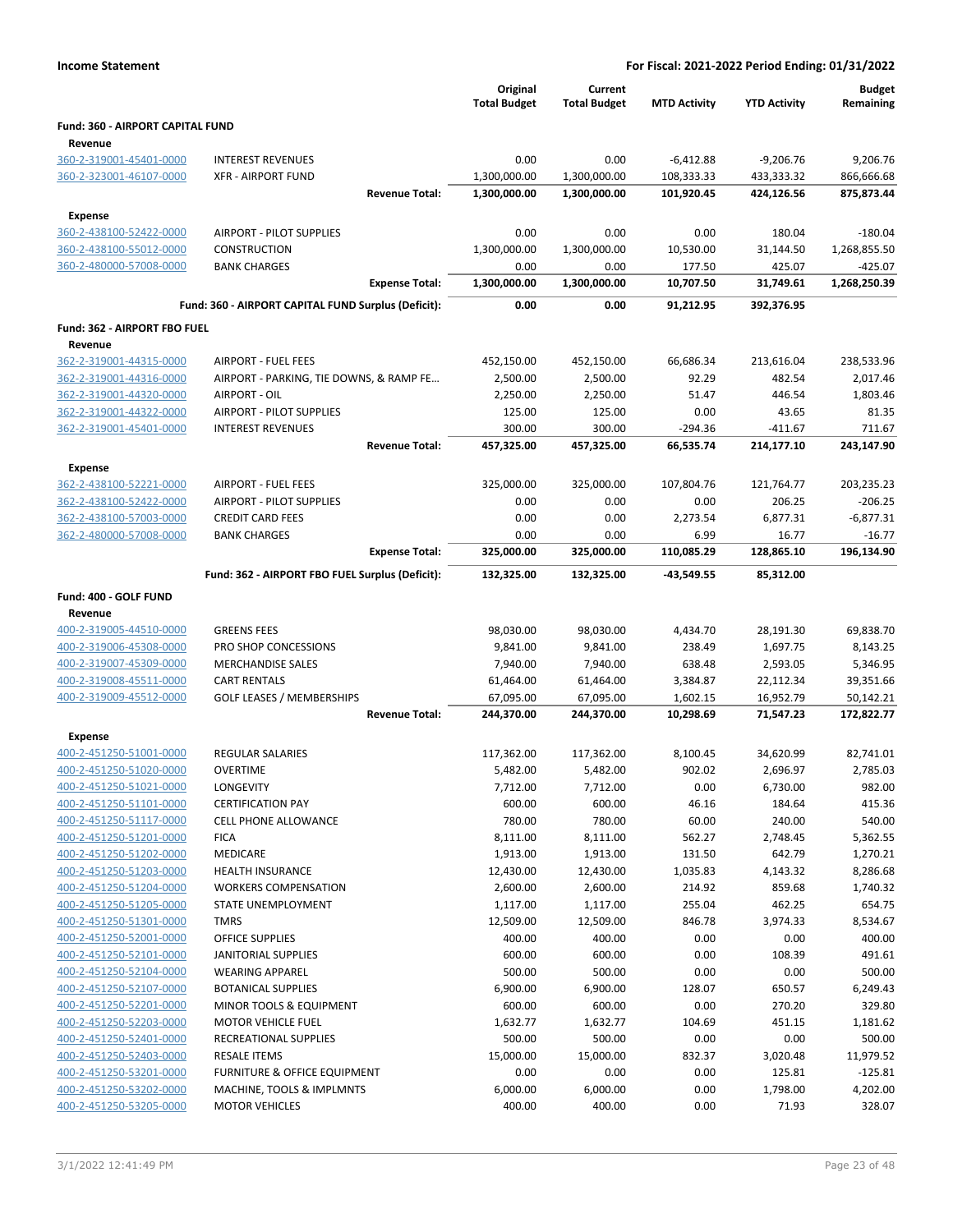| <b>Income Statement</b>                            |                                                     |                                 |                                | For Fiscal: 2021-2022 Period Ending: 01/31/2022 |                     |                            |
|----------------------------------------------------|-----------------------------------------------------|---------------------------------|--------------------------------|-------------------------------------------------|---------------------|----------------------------|
|                                                    |                                                     | Original<br><b>Total Budget</b> | Current<br><b>Total Budget</b> | <b>MTD Activity</b>                             | <b>YTD Activity</b> | <b>Budget</b><br>Remaining |
| Fund: 360 - AIRPORT CAPITAL FUND                   |                                                     |                                 |                                |                                                 |                     |                            |
| Revenue                                            |                                                     |                                 |                                |                                                 |                     |                            |
| 360-2-319001-45401-0000                            | <b>INTEREST REVENUES</b>                            | 0.00                            | 0.00                           | $-6,412.88$                                     | $-9,206.76$         | 9,206.76                   |
| 360-2-323001-46107-0000                            | <b>XFR - AIRPORT FUND</b>                           | 1,300,000.00                    | 1,300,000.00                   | 108,333.33                                      | 433,333.32          | 866,666.68                 |
|                                                    | <b>Revenue Total:</b>                               | 1,300,000.00                    | 1,300,000.00                   | 101,920.45                                      | 424,126.56          | 875,873.44                 |
| <b>Expense</b>                                     |                                                     |                                 |                                |                                                 |                     |                            |
| 360-2-438100-52422-0000                            | AIRPORT - PILOT SUPPLIES                            | 0.00                            | 0.00                           | 0.00                                            | 180.04              | $-180.04$                  |
| 360-2-438100-55012-0000                            | CONSTRUCTION                                        | 1,300,000.00                    | 1,300,000.00                   | 10,530.00                                       | 31,144.50           | 1,268,855.50               |
| 360-2-480000-57008-0000                            | <b>BANK CHARGES</b>                                 | 0.00                            | 0.00                           | 177.50                                          | 425.07              | $-425.07$                  |
|                                                    | <b>Expense Total:</b>                               | 1,300,000.00                    | 1,300,000.00                   | 10,707.50                                       | 31,749.61           | 1,268,250.39               |
|                                                    | Fund: 360 - AIRPORT CAPITAL FUND Surplus (Deficit): | 0.00                            | 0.00                           | 91,212.95                                       | 392,376.95          |                            |
| Fund: 362 - AIRPORT FBO FUEL                       |                                                     |                                 |                                |                                                 |                     |                            |
| Revenue                                            |                                                     |                                 |                                |                                                 |                     |                            |
| 362-2-319001-44315-0000                            | <b>AIRPORT - FUEL FEES</b>                          | 452,150.00                      | 452,150.00                     | 66,686.34                                       | 213,616.04          | 238,533.96                 |
| 362-2-319001-44316-0000                            | AIRPORT - PARKING, TIE DOWNS, & RAMP FE             | 2,500.00                        | 2,500.00                       | 92.29                                           | 482.54              | 2,017.46                   |
| 362-2-319001-44320-0000                            | AIRPORT - OIL                                       | 2,250.00                        | 2,250.00                       | 51.47                                           | 446.54              | 1,803.46                   |
| 362-2-319001-44322-0000                            | AIRPORT - PILOT SUPPLIES                            | 125.00                          | 125.00                         | 0.00                                            | 43.65               | 81.35                      |
| 362-2-319001-45401-0000                            | <b>INTEREST REVENUES</b>                            | 300.00                          | 300.00                         | $-294.36$                                       | $-411.67$           | 711.67                     |
|                                                    | <b>Revenue Total:</b>                               | 457,325.00                      | 457,325.00                     | 66,535.74                                       | 214,177.10          | 243,147.90                 |
| <b>Expense</b>                                     |                                                     |                                 |                                |                                                 |                     |                            |
| 362-2-438100-52221-0000                            | AIRPORT - FUEL FEES                                 | 325,000.00                      | 325,000.00                     | 107,804.76                                      | 121,764.77          | 203,235.23                 |
| 362-2-438100-52422-0000                            | AIRPORT - PILOT SUPPLIES                            | 0.00                            | 0.00                           | 0.00                                            | 206.25              | $-206.25$                  |
| 362-2-438100-57003-0000                            | <b>CREDIT CARD FEES</b>                             | 0.00                            | 0.00                           | 2,273.54                                        | 6,877.31            | $-6,877.31$                |
| 362-2-480000-57008-0000                            | <b>BANK CHARGES</b>                                 | 0.00                            | 0.00                           | 6.99                                            | 16.77               | -16.77                     |
|                                                    | <b>Expense Total:</b>                               | 325,000.00                      | 325,000.00                     | 110,085.29                                      | 128,865.10          | 196,134.90                 |
|                                                    | Fund: 362 - AIRPORT FBO FUEL Surplus (Deficit):     | 132,325.00                      | 132,325.00                     | $-43,549.55$                                    | 85,312.00           |                            |
|                                                    |                                                     |                                 |                                |                                                 |                     |                            |
| Fund: 400 - GOLF FUND                              |                                                     |                                 |                                |                                                 |                     |                            |
| Revenue                                            |                                                     |                                 |                                |                                                 | 28,191.30           | 69,838.70                  |
| 400-2-319005-44510-0000                            | <b>GREENS FEES</b>                                  | 98,030.00                       | 98,030.00                      | 4,434.70                                        | 1,697.75            | 8,143.25                   |
| 400-2-319006-45308-0000<br>400-2-319007-45309-0000 | PRO SHOP CONCESSIONS                                | 9,841.00                        | 9,841.00<br>7,940.00           | 238.49                                          | 2,593.05            | 5,346.95                   |
| 400-2-319008-45511-0000                            | <b>MERCHANDISE SALES</b><br><b>CART RENTALS</b>     | 7,940.00<br>61,464.00           | 61,464.00                      | 638.48<br>3,384.87                              | 22,112.34           | 39,351.66                  |
| 400-2-319009-45512-0000                            | <b>GOLF LEASES / MEMBERSHIPS</b>                    | 67,095.00                       | 67,095.00                      | 1,602.15                                        | 16,952.79           | 50,142.21                  |
|                                                    | <b>Revenue Total:</b>                               | 244,370.00                      | 244,370.00                     | 10,298.69                                       | 71,547.23           | 172,822.77                 |
|                                                    |                                                     |                                 |                                |                                                 |                     |                            |
| Expense<br>400-2-451250-51001-0000                 | REGULAR SALARIES                                    | 117,362.00                      | 117,362.00                     | 8,100.45                                        | 34,620.99           | 82,741.01                  |
|                                                    |                                                     |                                 |                                |                                                 |                     |                            |
| 400-2-451250-51020-0000<br>400-2-451250-51021-0000 | OVERTIME<br>LONGEVITY                               | 5,482.00                        | 5,482.00                       | 902.02<br>0.00                                  | 2,696.97            | 2,785.03<br>982.00         |
| 400-2-451250-51101-0000                            | <b>CERTIFICATION PAY</b>                            | 7,712.00<br>600.00              | 7,712.00<br>600.00             | 46.16                                           | 6,730.00<br>184.64  | 415.36                     |
| 400-2-451250-51117-0000                            | CELL PHONE ALLOWANCE                                | 780.00                          | 780.00                         | 60.00                                           | 240.00              | 540.00                     |
| 400-2-451250-51201-0000                            | <b>FICA</b>                                         | 8,111.00                        | 8,111.00                       | 562.27                                          | 2,748.45            | 5,362.55                   |
| 400-2-451250-51202-0000                            | MEDICARE                                            | 1,913.00                        | 1,913.00                       | 131.50                                          | 642.79              | 1,270.21                   |
| 400-2-451250-51203-0000                            | HEALTH INSURANCE                                    | 12,430.00                       | 12,430.00                      | 1,035.83                                        | 4,143.32            | 8,286.68                   |
| 400-2-451250-51204-0000                            | <b>WORKERS COMPENSATION</b>                         | 2,600.00                        | 2,600.00                       | 214.92                                          | 859.68              | 1,740.32                   |
| 400-2-451250-51205-0000                            | STATE UNEMPLOYMENT                                  | 1,117.00                        | 1,117.00                       | 255.04                                          | 462.25              | 654.75                     |
| 400-2-451250-51301-0000                            | <b>TMRS</b>                                         | 12,509.00                       | 12,509.00                      | 846.78                                          | 3,974.33            | 8,534.67                   |
| 400-2-451250-52001-0000                            | <b>OFFICE SUPPLIES</b>                              | 400.00                          | 400.00                         | 0.00                                            | 0.00                | 400.00                     |
| 400-2-451250-52101-0000                            | <b>JANITORIAL SUPPLIES</b>                          | 600.00                          | 600.00                         | 0.00                                            | 108.39              | 491.61                     |
| 400-2-451250-52104-0000                            | <b>WEARING APPAREL</b>                              | 500.00                          | 500.00                         | 0.00                                            | 0.00                | 500.00                     |
| 400-2-451250-52107-0000                            | <b>BOTANICAL SUPPLIES</b>                           | 6,900.00                        | 6,900.00                       | 128.07                                          | 650.57              | 6,249.43                   |
| 400-2-451250-52201-0000                            | MINOR TOOLS & EQUIPMENT                             | 600.00                          | 600.00                         | 0.00                                            | 270.20              | 329.80                     |
| 400-2-451250-52203-0000                            | <b>MOTOR VEHICLE FUEL</b>                           | 1,632.77                        | 1,632.77                       | 104.69                                          | 451.15              | 1,181.62                   |
| 400-2-451250-52401-0000                            | RECREATIONAL SUPPLIES                               | 500.00                          | 500.00                         | 0.00                                            | 0.00                | 500.00                     |
| 400-2-451250-52403-0000                            | <b>RESALE ITEMS</b>                                 | 15,000.00                       | 15,000.00                      | 832.37                                          | 3,020.48            | 11,979.52                  |
| 400-2-451250-53201-0000                            | FURNITURE & OFFICE EQUIPMENT                        | 0.00                            | 0.00                           | 0.00                                            | 125.81              | $-125.81$                  |
| 400-2-451250-53202-0000                            | MACHINE, TOOLS & IMPLMNTS                           | 6,000.00                        | 6,000.00                       | 0.00                                            | 1,798.00            | 4,202.00                   |
| 400-2-451250-53205-0000                            | <b>MOTOR VEHICLES</b>                               | 400.00                          | 400.00                         | 0.00                                            | 71.93               | 328.07                     |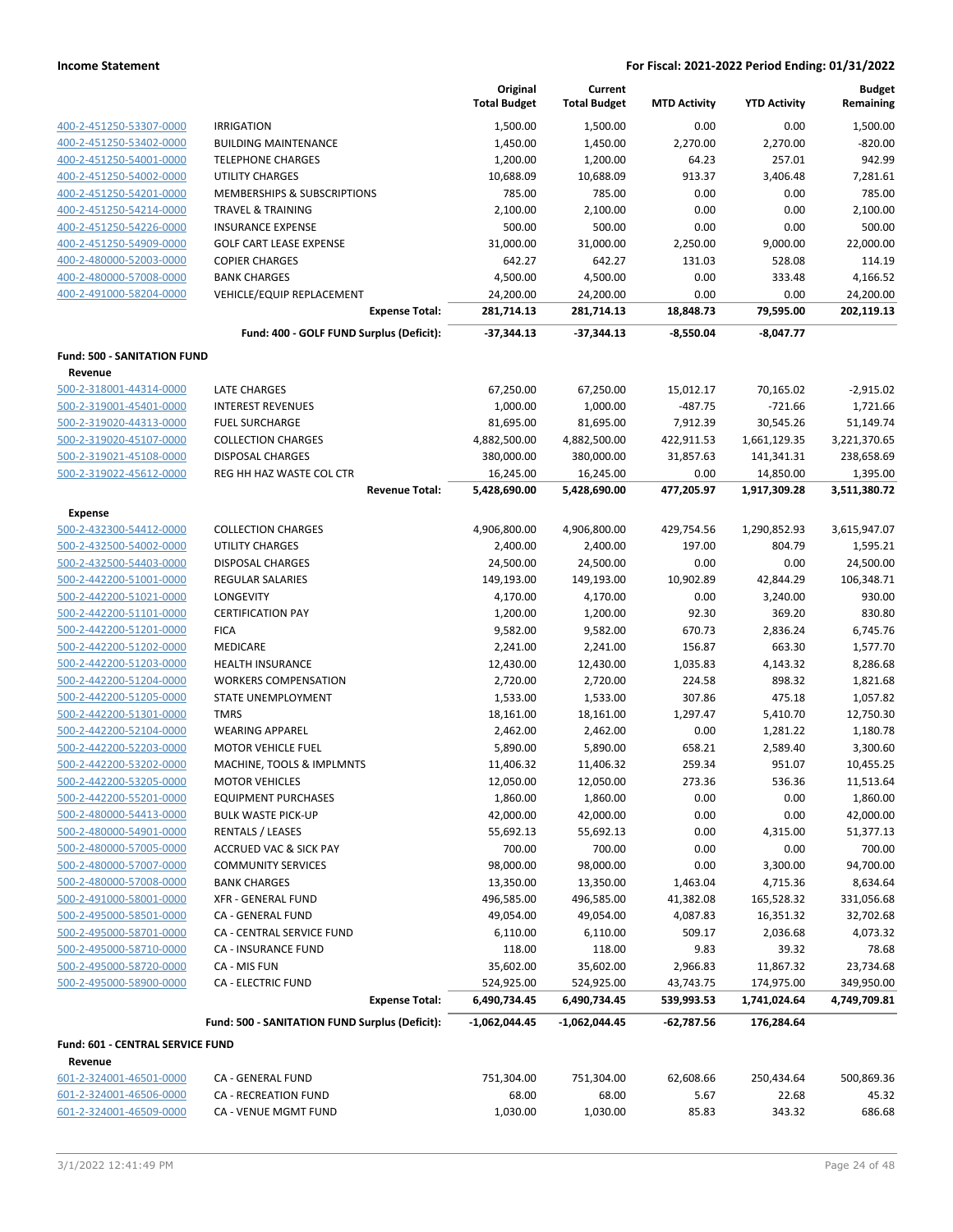|                                    |                                                | Original            | Current             |                     |                     | <b>Budget</b> |
|------------------------------------|------------------------------------------------|---------------------|---------------------|---------------------|---------------------|---------------|
|                                    |                                                | <b>Total Budget</b> | <b>Total Budget</b> | <b>MTD Activity</b> | <b>YTD Activity</b> | Remaining     |
| 400-2-451250-53307-0000            | <b>IRRIGATION</b>                              | 1,500.00            | 1,500.00            | 0.00                | 0.00                | 1,500.00      |
| 400-2-451250-53402-0000            | <b>BUILDING MAINTENANCE</b>                    | 1,450.00            | 1,450.00            | 2,270.00            | 2,270.00            | $-820.00$     |
| 400-2-451250-54001-0000            | <b>TELEPHONE CHARGES</b>                       | 1,200.00            | 1,200.00            | 64.23               | 257.01              | 942.99        |
| 400-2-451250-54002-0000            | <b>UTILITY CHARGES</b>                         | 10,688.09           | 10,688.09           | 913.37              | 3,406.48            | 7,281.61      |
| 400-2-451250-54201-0000            | MEMBERSHIPS & SUBSCRIPTIONS                    | 785.00              | 785.00              | 0.00                | 0.00                | 785.00        |
| 400-2-451250-54214-0000            | <b>TRAVEL &amp; TRAINING</b>                   | 2,100.00            | 2,100.00            | 0.00                | 0.00                | 2,100.00      |
| 400-2-451250-54226-0000            | <b>INSURANCE EXPENSE</b>                       | 500.00              | 500.00              | 0.00                | 0.00                | 500.00        |
| 400-2-451250-54909-0000            | <b>GOLF CART LEASE EXPENSE</b>                 | 31,000.00           | 31,000.00           | 2,250.00            | 9,000.00            | 22,000.00     |
| 400-2-480000-52003-0000            | <b>COPIER CHARGES</b>                          | 642.27              | 642.27              | 131.03              | 528.08              | 114.19        |
| 400-2-480000-57008-0000            | <b>BANK CHARGES</b>                            | 4,500.00            | 4,500.00            | 0.00                | 333.48              | 4,166.52      |
| 400-2-491000-58204-0000            | VEHICLE/EQUIP REPLACEMENT                      | 24,200.00           | 24,200.00           | 0.00                | 0.00                | 24,200.00     |
|                                    | <b>Expense Total:</b>                          | 281,714.13          | 281,714.13          | 18,848.73           | 79,595.00           | 202,119.13    |
|                                    | Fund: 400 - GOLF FUND Surplus (Deficit):       | -37,344.13          | $-37,344.13$        | $-8,550.04$         | $-8,047.77$         |               |
|                                    |                                                |                     |                     |                     |                     |               |
| <b>Fund: 500 - SANITATION FUND</b> |                                                |                     |                     |                     |                     |               |
| Revenue                            |                                                |                     |                     |                     |                     |               |
| 500-2-318001-44314-0000            | LATE CHARGES                                   | 67,250.00           | 67,250.00           | 15,012.17           | 70,165.02           | $-2,915.02$   |
| 500-2-319001-45401-0000            | <b>INTEREST REVENUES</b>                       | 1,000.00            | 1,000.00            | $-487.75$           | $-721.66$           | 1,721.66      |
| 500-2-319020-44313-0000            | <b>FUEL SURCHARGE</b>                          | 81,695.00           | 81,695.00           | 7,912.39            | 30,545.26           | 51,149.74     |
| 500-2-319020-45107-0000            | <b>COLLECTION CHARGES</b>                      | 4,882,500.00        | 4,882,500.00        | 422,911.53          | 1,661,129.35        | 3,221,370.65  |
| 500-2-319021-45108-0000            | <b>DISPOSAL CHARGES</b>                        | 380,000.00          | 380,000.00          | 31,857.63           | 141,341.31          | 238,658.69    |
| 500-2-319022-45612-0000            | REG HH HAZ WASTE COL CTR                       | 16,245.00           | 16,245.00           | 0.00                | 14,850.00           | 1,395.00      |
|                                    | <b>Revenue Total:</b>                          | 5,428,690.00        | 5,428,690.00        | 477,205.97          | 1,917,309.28        | 3,511,380.72  |
| Expense                            |                                                |                     |                     |                     |                     |               |
| 500-2-432300-54412-0000            | <b>COLLECTION CHARGES</b>                      | 4,906,800.00        | 4,906,800.00        | 429,754.56          | 1,290,852.93        | 3,615,947.07  |
| 500-2-432500-54002-0000            | <b>UTILITY CHARGES</b>                         | 2,400.00            | 2,400.00            | 197.00              | 804.79              | 1,595.21      |
| 500-2-432500-54403-0000            | <b>DISPOSAL CHARGES</b>                        | 24,500.00           | 24,500.00           | 0.00                | 0.00                | 24,500.00     |
| 500-2-442200-51001-0000            | REGULAR SALARIES                               | 149,193.00          | 149,193.00          | 10,902.89           | 42,844.29           | 106,348.71    |
| 500-2-442200-51021-0000            | LONGEVITY                                      | 4,170.00            | 4,170.00            | 0.00                | 3,240.00            | 930.00        |
| 500-2-442200-51101-0000            | <b>CERTIFICATION PAY</b>                       | 1,200.00            | 1,200.00            | 92.30               | 369.20              | 830.80        |
| 500-2-442200-51201-0000            | <b>FICA</b>                                    | 9,582.00            | 9,582.00            | 670.73              | 2,836.24            | 6,745.76      |
| 500-2-442200-51202-0000            | MEDICARE                                       | 2,241.00            | 2,241.00            | 156.87              | 663.30              | 1,577.70      |
| 500-2-442200-51203-0000            | HEALTH INSURANCE                               | 12,430.00           | 12,430.00           | 1,035.83            | 4,143.32            | 8,286.68      |
| 500-2-442200-51204-0000            | <b>WORKERS COMPENSATION</b>                    | 2,720.00            | 2,720.00            | 224.58              | 898.32              | 1,821.68      |
| 500-2-442200-51205-0000            | STATE UNEMPLOYMENT                             | 1,533.00            | 1,533.00            | 307.86              | 475.18              | 1,057.82      |
| 500-2-442200-51301-0000            | <b>TMRS</b>                                    | 18,161.00           | 18,161.00           | 1,297.47            | 5,410.70            | 12,750.30     |
| 500-2-442200-52104-0000            | <b>WEARING APPAREL</b>                         | 2,462.00            | 2,462.00            | 0.00                | 1,281.22            | 1,180.78      |
| 500-2-442200-52203-0000            | <b>MOTOR VEHICLE FUEL</b>                      | 5,890.00            | 5,890.00            | 658.21              | 2,589.40            | 3,300.60      |
| 500-2-442200-53202-0000            | MACHINE, TOOLS & IMPLMNTS                      | 11,406.32           | 11,406.32           | 259.34              | 951.07              | 10,455.25     |
| 500-2-442200-53205-0000            | <b>MOTOR VEHICLES</b>                          | 12,050.00           | 12,050.00           | 273.36              | 536.36              | 11,513.64     |
| 500-2-442200-55201-0000            | <b>EQUIPMENT PURCHASES</b>                     | 1,860.00            | 1,860.00            | 0.00                | 0.00                | 1,860.00      |
| 500-2-480000-54413-0000            | <b>BULK WASTE PICK-UP</b>                      | 42,000.00           | 42,000.00           | 0.00                | 0.00                | 42,000.00     |
| 500-2-480000-54901-0000            | <b>RENTALS / LEASES</b>                        | 55,692.13           | 55,692.13           | 0.00                | 4,315.00            | 51,377.13     |
| 500-2-480000-57005-0000            | <b>ACCRUED VAC &amp; SICK PAY</b>              | 700.00              | 700.00              | 0.00                | 0.00                | 700.00        |
| 500-2-480000-57007-0000            | <b>COMMUNITY SERVICES</b>                      | 98,000.00           | 98,000.00           | 0.00                | 3,300.00            | 94,700.00     |
| 500-2-480000-57008-0000            | <b>BANK CHARGES</b>                            | 13,350.00           | 13,350.00           | 1,463.04            | 4,715.36            | 8,634.64      |
| 500-2-491000-58001-0000            |                                                | 496,585.00          | 496,585.00          |                     |                     | 331,056.68    |
|                                    | <b>XFR - GENERAL FUND</b>                      |                     |                     | 41,382.08           | 165,528.32          |               |
| 500-2-495000-58501-0000            | CA - GENERAL FUND                              | 49,054.00           | 49,054.00           | 4,087.83            | 16,351.32           | 32,702.68     |
| 500-2-495000-58701-0000            | CA - CENTRAL SERVICE FUND                      | 6,110.00            | 6,110.00            | 509.17              | 2,036.68            | 4,073.32      |
| 500-2-495000-58710-0000            | CA - INSURANCE FUND                            | 118.00              | 118.00              | 9.83                | 39.32               | 78.68         |
| 500-2-495000-58720-0000            | CA - MIS FUN                                   | 35,602.00           | 35,602.00           | 2,966.83            | 11,867.32           | 23,734.68     |
| 500-2-495000-58900-0000            | CA - ELECTRIC FUND                             | 524,925.00          | 524,925.00          | 43,743.75           | 174,975.00          | 349,950.00    |
|                                    | <b>Expense Total:</b>                          | 6,490,734.45        | 6,490,734.45        | 539,993.53          | 1,741,024.64        | 4,749,709.81  |
|                                    | Fund: 500 - SANITATION FUND Surplus (Deficit): | -1,062,044.45       | -1,062,044.45       | $-62,787.56$        | 176,284.64          |               |
| Fund: 601 - CENTRAL SERVICE FUND   |                                                |                     |                     |                     |                     |               |
| Revenue                            |                                                |                     |                     |                     |                     |               |
| 601-2-324001-46501-0000            | CA - GENERAL FUND                              | 751,304.00          | 751,304.00          | 62,608.66           | 250,434.64          | 500,869.36    |
| 601-2-324001-46506-0000            | CA - RECREATION FUND                           | 68.00               | 68.00               | 5.67                | 22.68               | 45.32         |
| 601-2-324001-46509-0000            | CA - VENUE MGMT FUND                           | 1,030.00            | 1,030.00            | 85.83               | 343.32              | 686.68        |
|                                    |                                                |                     |                     |                     |                     |               |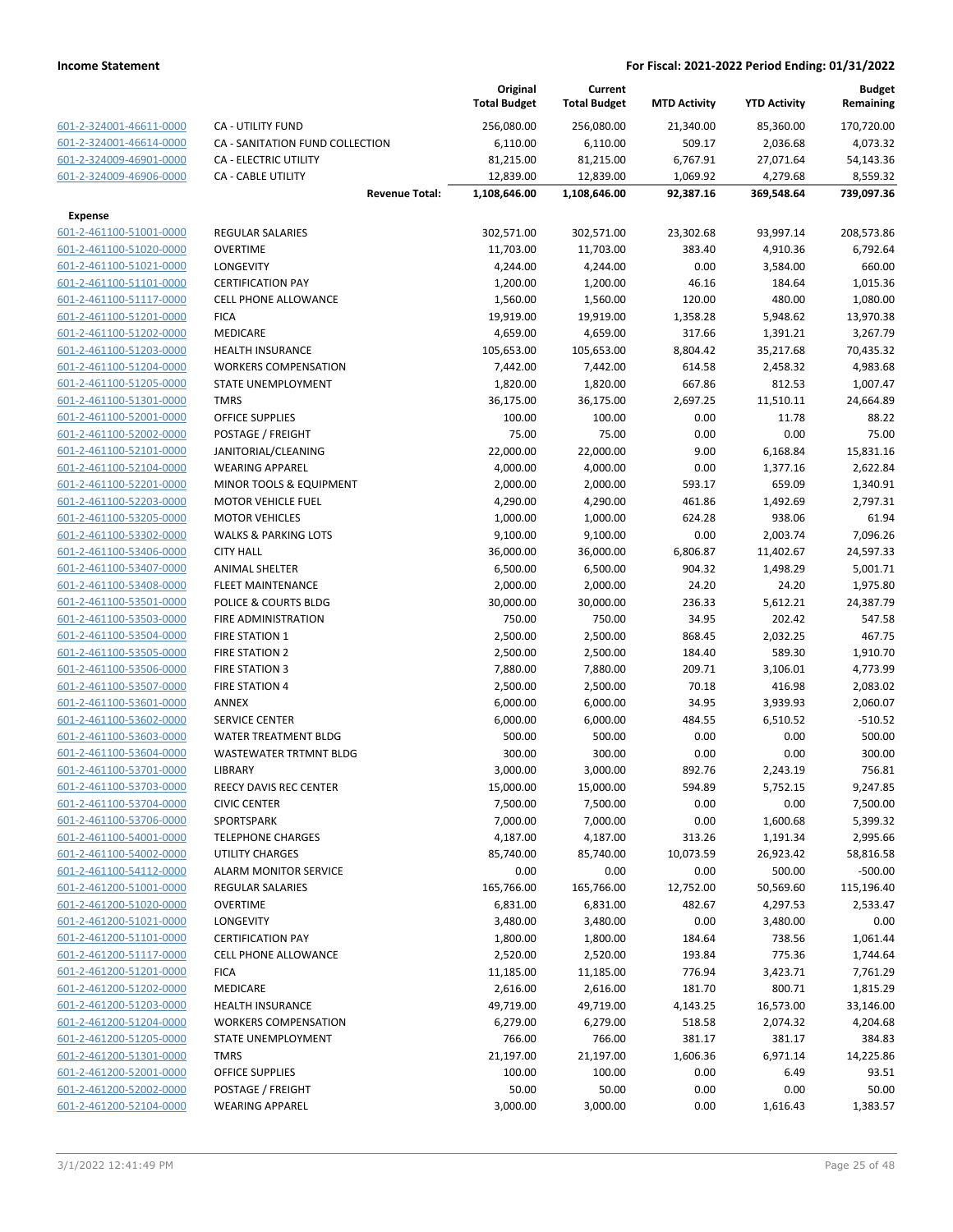|                                                    |                                        |                       | Original<br><b>Total Budget</b> | Current<br><b>Total Budget</b> | <b>MTD Activity</b> | <b>YTD Activity</b>  | Budget<br>Remaining  |
|----------------------------------------------------|----------------------------------------|-----------------------|---------------------------------|--------------------------------|---------------------|----------------------|----------------------|
| 601-2-324001-46611-0000                            | <b>CA - UTILITY FUND</b>               |                       | 256,080.00                      | 256,080.00                     | 21,340.00           | 85,360.00            | 170,720.00           |
| 601-2-324001-46614-0000                            | CA - SANITATION FUND COLLECTION        |                       | 6,110.00                        | 6,110.00                       | 509.17              | 2,036.68             | 4,073.32             |
| 601-2-324009-46901-0000                            | CA - ELECTRIC UTILITY                  |                       | 81,215.00                       | 81,215.00                      | 6,767.91            | 27,071.64            | 54,143.36            |
| 601-2-324009-46906-0000                            | <b>CA - CABLE UTILITY</b>              |                       | 12,839.00                       | 12,839.00                      | 1,069.92            | 4,279.68             | 8,559.32             |
|                                                    |                                        | <b>Revenue Total:</b> | 1,108,646.00                    | 1,108,646.00                   | 92,387.16           | 369,548.64           | 739,097.36           |
| <b>Expense</b>                                     |                                        |                       |                                 |                                |                     |                      |                      |
| 601-2-461100-51001-0000                            | <b>REGULAR SALARIES</b>                |                       | 302,571.00                      | 302,571.00                     | 23,302.68           | 93,997.14            | 208,573.86           |
| 601-2-461100-51020-0000                            | <b>OVERTIME</b>                        |                       | 11,703.00                       | 11,703.00                      | 383.40              | 4,910.36             | 6,792.64             |
| 601-2-461100-51021-0000                            | <b>LONGEVITY</b>                       |                       | 4,244.00                        | 4,244.00                       | 0.00                | 3,584.00             | 660.00               |
| 601-2-461100-51101-0000                            | <b>CERTIFICATION PAY</b>               |                       | 1,200.00                        | 1,200.00                       | 46.16               | 184.64               | 1,015.36             |
| 601-2-461100-51117-0000                            | <b>CELL PHONE ALLOWANCE</b>            |                       | 1,560.00                        | 1,560.00                       | 120.00              | 480.00               | 1,080.00             |
| 601-2-461100-51201-0000                            | <b>FICA</b>                            |                       | 19,919.00                       | 19,919.00                      | 1,358.28            | 5,948.62             | 13,970.38            |
| 601-2-461100-51202-0000                            | <b>MEDICARE</b>                        |                       | 4,659.00                        | 4,659.00                       | 317.66              | 1,391.21             | 3,267.79             |
| 601-2-461100-51203-0000                            | <b>HEALTH INSURANCE</b>                |                       | 105,653.00                      | 105,653.00                     | 8,804.42            | 35,217.68            | 70,435.32            |
| 601-2-461100-51204-0000                            | <b>WORKERS COMPENSATION</b>            |                       | 7,442.00                        | 7,442.00                       | 614.58              | 2,458.32             | 4,983.68             |
| 601-2-461100-51205-0000                            | STATE UNEMPLOYMENT                     |                       | 1,820.00                        | 1,820.00                       | 667.86              | 812.53               | 1,007.47             |
| 601-2-461100-51301-0000                            | <b>TMRS</b>                            |                       | 36,175.00                       | 36,175.00                      | 2,697.25            | 11,510.11            | 24,664.89            |
| 601-2-461100-52001-0000                            | <b>OFFICE SUPPLIES</b>                 |                       | 100.00                          | 100.00                         | 0.00                | 11.78                | 88.22                |
| 601-2-461100-52002-0000                            | POSTAGE / FREIGHT                      |                       | 75.00                           | 75.00                          | 0.00                | 0.00                 | 75.00                |
| 601-2-461100-52101-0000                            | JANITORIAL/CLEANING                    |                       | 22,000.00                       | 22,000.00                      | 9.00                | 6,168.84             | 15,831.16            |
| 601-2-461100-52104-0000                            | <b>WEARING APPAREL</b>                 |                       | 4,000.00                        | 4,000.00                       | 0.00                | 1,377.16             | 2,622.84             |
| 601-2-461100-52201-0000                            | MINOR TOOLS & EQUIPMENT                |                       | 2,000.00                        | 2,000.00                       | 593.17              | 659.09               | 1,340.91             |
| 601-2-461100-52203-0000                            | <b>MOTOR VEHICLE FUEL</b>              |                       | 4,290.00                        | 4,290.00                       | 461.86              | 1,492.69             | 2,797.31             |
| 601-2-461100-53205-0000                            | <b>MOTOR VEHICLES</b>                  |                       | 1,000.00                        | 1,000.00                       | 624.28              | 938.06               | 61.94                |
| 601-2-461100-53302-0000                            | <b>WALKS &amp; PARKING LOTS</b>        |                       | 9,100.00                        | 9,100.00                       | 0.00                | 2,003.74             | 7,096.26             |
| 601-2-461100-53406-0000                            | <b>CITY HALL</b>                       |                       | 36,000.00                       | 36,000.00                      | 6,806.87            | 11,402.67            | 24,597.33            |
| 601-2-461100-53407-0000                            | <b>ANIMAL SHELTER</b>                  |                       | 6,500.00                        | 6,500.00                       | 904.32              | 1,498.29             | 5,001.71             |
| 601-2-461100-53408-0000                            | <b>FLEET MAINTENANCE</b>               |                       | 2,000.00                        | 2,000.00                       | 24.20               | 24.20                | 1,975.80             |
| 601-2-461100-53501-0000                            | POLICE & COURTS BLDG                   |                       | 30,000.00                       | 30,000.00                      | 236.33              | 5,612.21             | 24,387.79            |
| 601-2-461100-53503-0000                            | FIRE ADMINISTRATION                    |                       | 750.00                          | 750.00                         | 34.95               | 202.42               | 547.58               |
| 601-2-461100-53504-0000                            | <b>FIRE STATION 1</b>                  |                       | 2,500.00                        | 2,500.00                       | 868.45              | 2,032.25             | 467.75               |
| 601-2-461100-53505-0000                            | <b>FIRE STATION 2</b>                  |                       | 2,500.00                        | 2,500.00                       | 184.40              | 589.30               | 1,910.70             |
| 601-2-461100-53506-0000                            | <b>FIRE STATION 3</b>                  |                       | 7,880.00                        | 7,880.00                       | 209.71              | 3,106.01             | 4,773.99             |
| 601-2-461100-53507-0000                            | <b>FIRE STATION 4</b>                  |                       | 2,500.00                        | 2,500.00                       | 70.18               | 416.98               | 2,083.02             |
| 601-2-461100-53601-0000                            | <b>ANNEX</b>                           |                       | 6,000.00                        | 6,000.00                       | 34.95               | 3,939.93             | 2,060.07             |
| 601-2-461100-53602-0000                            | <b>SERVICE CENTER</b>                  |                       | 6,000.00                        | 6,000.00                       | 484.55              | 6,510.52             | $-510.52$            |
| 601-2-461100-53603-0000                            | WATER TREATMENT BLDG                   |                       | 500.00                          | 500.00                         | 0.00                | 0.00                 | 500.00               |
| 601-2-461100-53604-0000                            | <b>WASTEWATER TRTMNT BLDG</b>          |                       | 300.00                          | 300.00                         | 0.00                | 0.00                 | 300.00               |
| 601-2-461100-53701-0000                            | LIBRARY                                |                       | 3,000.00                        | 3,000.00                       | 892.76              | 2,243.19             | 756.81               |
| 601-2-461100-53703-0000                            | REECY DAVIS REC CENTER                 |                       | 15,000.00                       | 15,000.00                      | 594.89              | 5,752.15             | 9,247.85             |
| 601-2-461100-53704-0000<br>601-2-461100-53706-0000 | <b>CIVIC CENTER</b>                    |                       | 7,500.00                        | 7,500.00                       | 0.00                | 0.00                 | 7,500.00             |
| 601-2-461100-54001-0000                            | SPORTSPARK<br><b>TELEPHONE CHARGES</b> |                       | 7,000.00<br>4,187.00            | 7,000.00<br>4,187.00           | 0.00<br>313.26      | 1,600.68<br>1,191.34 | 5,399.32<br>2,995.66 |
| 601-2-461100-54002-0000                            | <b>UTILITY CHARGES</b>                 |                       | 85,740.00                       | 85,740.00                      | 10,073.59           | 26,923.42            | 58,816.58            |
| 601-2-461100-54112-0000                            | <b>ALARM MONITOR SERVICE</b>           |                       | 0.00                            | 0.00                           | 0.00                | 500.00               | $-500.00$            |
| 601-2-461200-51001-0000                            | <b>REGULAR SALARIES</b>                |                       | 165,766.00                      | 165,766.00                     | 12,752.00           | 50,569.60            | 115,196.40           |
| 601-2-461200-51020-0000                            | <b>OVERTIME</b>                        |                       | 6,831.00                        | 6,831.00                       | 482.67              | 4,297.53             | 2,533.47             |
| 601-2-461200-51021-0000                            | LONGEVITY                              |                       | 3,480.00                        | 3,480.00                       | 0.00                | 3,480.00             | 0.00                 |
| 601-2-461200-51101-0000                            | <b>CERTIFICATION PAY</b>               |                       | 1,800.00                        | 1,800.00                       | 184.64              | 738.56               | 1,061.44             |
| 601-2-461200-51117-0000                            | <b>CELL PHONE ALLOWANCE</b>            |                       | 2,520.00                        | 2,520.00                       | 193.84              | 775.36               | 1,744.64             |
| 601-2-461200-51201-0000                            | <b>FICA</b>                            |                       | 11,185.00                       | 11,185.00                      | 776.94              | 3,423.71             | 7,761.29             |
| 601-2-461200-51202-0000                            | MEDICARE                               |                       | 2,616.00                        | 2,616.00                       | 181.70              | 800.71               | 1,815.29             |
| 601-2-461200-51203-0000                            | <b>HEALTH INSURANCE</b>                |                       | 49,719.00                       | 49,719.00                      | 4,143.25            | 16,573.00            | 33,146.00            |
| 601-2-461200-51204-0000                            | <b>WORKERS COMPENSATION</b>            |                       | 6,279.00                        | 6,279.00                       | 518.58              | 2,074.32             | 4,204.68             |
| 601-2-461200-51205-0000                            | STATE UNEMPLOYMENT                     |                       | 766.00                          | 766.00                         | 381.17              | 381.17               | 384.83               |
| 601-2-461200-51301-0000                            | <b>TMRS</b>                            |                       | 21,197.00                       | 21,197.00                      | 1,606.36            | 6,971.14             | 14,225.86            |
| 601-2-461200-52001-0000                            | OFFICE SUPPLIES                        |                       | 100.00                          | 100.00                         | 0.00                | 6.49                 | 93.51                |
| 601-2-461200-52002-0000                            | POSTAGE / FREIGHT                      |                       | 50.00                           | 50.00                          | 0.00                | 0.00                 | 50.00                |
| 601-2-461200-52104-0000                            | <b>WEARING APPAREL</b>                 |                       | 3,000.00                        | 3,000.00                       | 0.00                | 1,616.43             | 1,383.57             |
|                                                    |                                        |                       |                                 |                                |                     |                      |                      |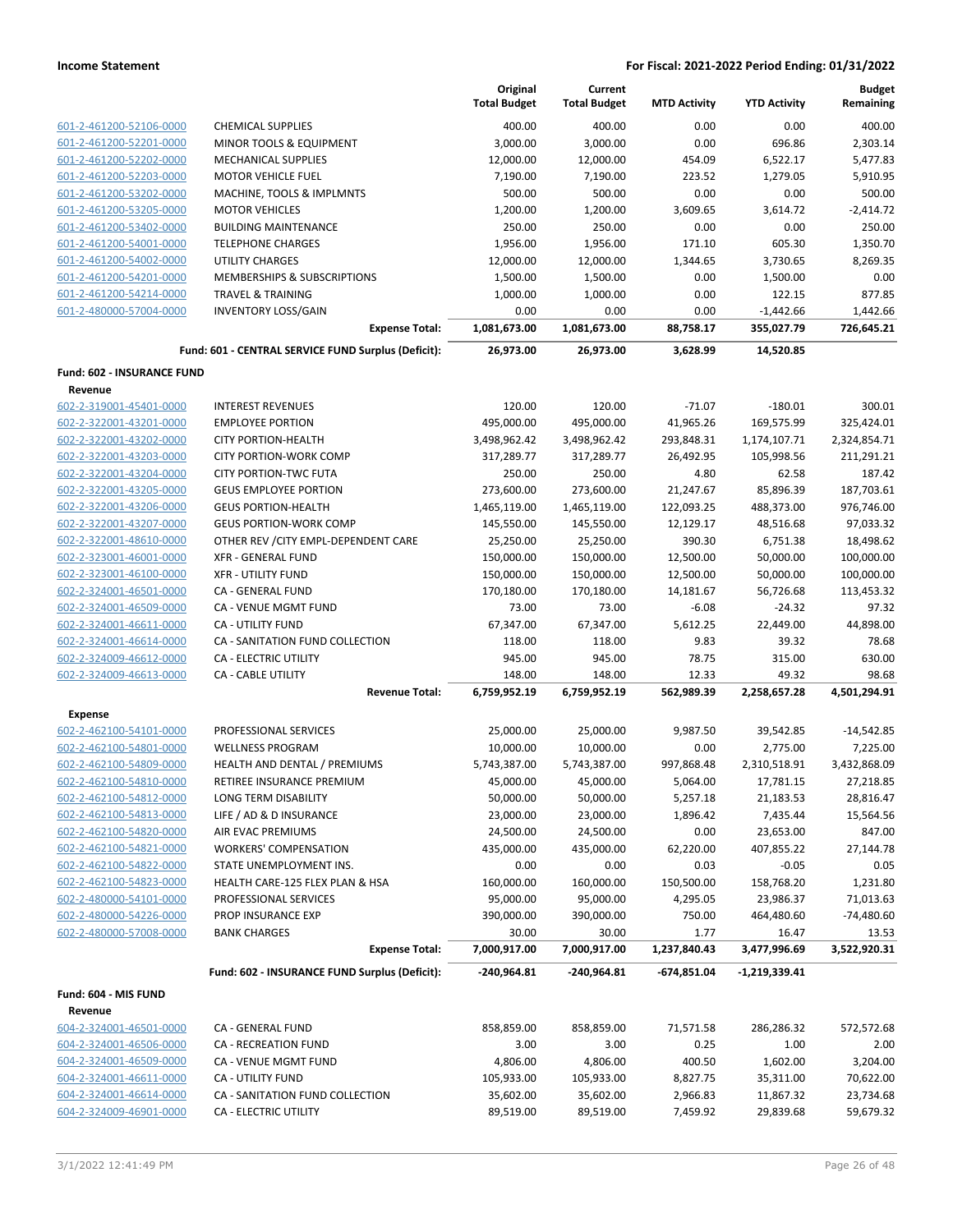|                                                    |                                                               | Original<br><b>Total Budget</b> | Current<br><b>Total Budget</b> | <b>MTD Activity</b> | <b>YTD Activity</b>     | <b>Budget</b><br>Remaining |
|----------------------------------------------------|---------------------------------------------------------------|---------------------------------|--------------------------------|---------------------|-------------------------|----------------------------|
| 601-2-461200-52106-0000                            | <b>CHEMICAL SUPPLIES</b>                                      | 400.00                          | 400.00                         | 0.00                | 0.00                    | 400.00                     |
| 601-2-461200-52201-0000                            | MINOR TOOLS & EQUIPMENT                                       | 3,000.00                        | 3,000.00                       | 0.00                | 696.86                  | 2,303.14                   |
| 601-2-461200-52202-0000                            | <b>MECHANICAL SUPPLIES</b>                                    | 12,000.00                       | 12,000.00                      | 454.09              | 6,522.17                | 5,477.83                   |
| 601-2-461200-52203-0000                            | <b>MOTOR VEHICLE FUEL</b>                                     | 7,190.00                        | 7,190.00                       | 223.52              | 1,279.05                | 5,910.95                   |
| 601-2-461200-53202-0000                            | MACHINE, TOOLS & IMPLMNTS                                     | 500.00                          | 500.00                         | 0.00                | 0.00                    | 500.00                     |
| 601-2-461200-53205-0000                            | <b>MOTOR VEHICLES</b>                                         | 1,200.00                        | 1,200.00                       | 3,609.65            | 3,614.72                | $-2,414.72$                |
| 601-2-461200-53402-0000                            | <b>BUILDING MAINTENANCE</b>                                   | 250.00                          | 250.00                         | 0.00                | 0.00                    | 250.00                     |
| 601-2-461200-54001-0000                            | <b>TELEPHONE CHARGES</b>                                      | 1,956.00                        | 1,956.00                       | 171.10              | 605.30                  | 1,350.70                   |
| 601-2-461200-54002-0000                            | <b>UTILITY CHARGES</b>                                        | 12,000.00                       | 12,000.00                      | 1,344.65            | 3,730.65                | 8,269.35                   |
| 601-2-461200-54201-0000                            | MEMBERSHIPS & SUBSCRIPTIONS                                   | 1,500.00                        | 1,500.00                       | 0.00                | 1,500.00                | 0.00                       |
| 601-2-461200-54214-0000                            | <b>TRAVEL &amp; TRAINING</b>                                  | 1,000.00                        | 1,000.00                       | 0.00                | 122.15                  | 877.85                     |
| 601-2-480000-57004-0000                            | <b>INVENTORY LOSS/GAIN</b>                                    | 0.00                            | 0.00                           | 0.00                | $-1,442.66$             | 1,442.66                   |
|                                                    | <b>Expense Total:</b>                                         | 1,081,673.00                    | 1,081,673.00                   | 88,758.17           | 355,027.79              | 726,645.21                 |
|                                                    | Fund: 601 - CENTRAL SERVICE FUND Surplus (Deficit):           | 26,973.00                       | 26,973.00                      | 3,628.99            | 14,520.85               |                            |
| Fund: 602 - INSURANCE FUND                         |                                                               |                                 |                                |                     |                         |                            |
| Revenue                                            |                                                               |                                 |                                |                     |                         |                            |
| 602-2-319001-45401-0000                            | <b>INTEREST REVENUES</b>                                      | 120.00                          | 120.00                         | $-71.07$            | $-180.01$               | 300.01                     |
| 602-2-322001-43201-0000<br>602-2-322001-43202-0000 | <b>EMPLOYEE PORTION</b>                                       | 495,000.00                      | 495,000.00                     | 41,965.26           | 169,575.99              | 325,424.01                 |
| 602-2-322001-43203-0000                            | <b>CITY PORTION-HEALTH</b>                                    | 3,498,962.42                    | 3,498,962.42                   | 293,848.31          | 1,174,107.71            | 2,324,854.71               |
| 602-2-322001-43204-0000                            | <b>CITY PORTION-WORK COMP</b><br><b>CITY PORTION-TWC FUTA</b> | 317,289.77<br>250.00            | 317,289.77<br>250.00           | 26,492.95<br>4.80   | 105,998.56<br>62.58     | 211,291.21<br>187.42       |
| 602-2-322001-43205-0000                            | <b>GEUS EMPLOYEE PORTION</b>                                  | 273,600.00                      | 273,600.00                     | 21,247.67           | 85,896.39               | 187,703.61                 |
| 602-2-322001-43206-0000                            | <b>GEUS PORTION-HEALTH</b>                                    | 1,465,119.00                    | 1,465,119.00                   | 122,093.25          | 488,373.00              | 976,746.00                 |
| 602-2-322001-43207-0000                            | <b>GEUS PORTION-WORK COMP</b>                                 | 145,550.00                      | 145,550.00                     | 12,129.17           | 48,516.68               | 97,033.32                  |
| 602-2-322001-48610-0000                            | OTHER REV / CITY EMPL-DEPENDENT CARE                          | 25,250.00                       | 25,250.00                      | 390.30              | 6,751.38                | 18,498.62                  |
| 602-2-323001-46001-0000                            | XFR - GENERAL FUND                                            | 150,000.00                      | 150,000.00                     | 12,500.00           | 50,000.00               | 100,000.00                 |
| 602-2-323001-46100-0000                            | <b>XFR - UTILITY FUND</b>                                     | 150,000.00                      | 150,000.00                     | 12,500.00           | 50,000.00               | 100,000.00                 |
| 602-2-324001-46501-0000                            | CA - GENERAL FUND                                             | 170,180.00                      | 170,180.00                     | 14,181.67           | 56,726.68               | 113,453.32                 |
| 602-2-324001-46509-0000                            | CA - VENUE MGMT FUND                                          | 73.00                           | 73.00                          | $-6.08$             | $-24.32$                | 97.32                      |
| 602-2-324001-46611-0000                            | <b>CA - UTILITY FUND</b>                                      | 67,347.00                       | 67,347.00                      | 5,612.25            | 22,449.00               | 44,898.00                  |
| 602-2-324001-46614-0000                            | CA - SANITATION FUND COLLECTION                               | 118.00                          | 118.00                         | 9.83                | 39.32                   | 78.68                      |
| 602-2-324009-46612-0000                            | CA - ELECTRIC UTILITY                                         | 945.00                          | 945.00                         | 78.75               | 315.00                  | 630.00                     |
| 602-2-324009-46613-0000                            | CA - CABLE UTILITY                                            | 148.00                          | 148.00                         | 12.33               | 49.32                   | 98.68                      |
|                                                    | <b>Revenue Total:</b>                                         | 6,759,952.19                    | 6,759,952.19                   | 562,989.39          | 2,258,657.28            | 4,501,294.91               |
| <b>Expense</b>                                     |                                                               |                                 |                                |                     |                         |                            |
| 602-2-462100-54101-0000                            | PROFESSIONAL SERVICES                                         | 25,000.00                       | 25,000.00                      | 9,987.50            | 39,542.85               | $-14,542.85$               |
| 602-2-462100-54801-0000                            | <b>WELLNESS PROGRAM</b>                                       | 10,000.00                       | 10,000.00                      | 0.00                | 2,775.00                | 7,225.00                   |
| 602-2-462100-54809-0000                            | HEALTH AND DENTAL / PREMIUMS                                  | 5,743,387.00                    | 5,743,387.00                   | 997,868.48          | 2,310,518.91            | 3,432,868.09               |
| 602-2-462100-54810-0000                            | RETIREE INSURANCE PREMIUM                                     | 45,000.00                       | 45,000.00                      | 5,064.00            | 17,781.15               | 27,218.85                  |
| 602-2-462100-54812-0000                            | LONG TERM DISABILITY                                          | 50,000.00                       | 50,000.00                      | 5,257.18            | 21,183.53               | 28,816.47                  |
| 602-2-462100-54813-0000                            | LIFE / AD & D INSURANCE                                       | 23,000.00                       | 23,000.00                      | 1,896.42            | 7,435.44                | 15,564.56                  |
| 602-2-462100-54820-0000<br>602-2-462100-54821-0000 | AIR EVAC PREMIUMS                                             | 24,500.00<br>435,000.00         | 24,500.00<br>435,000.00        | 0.00<br>62,220.00   | 23,653.00<br>407,855.22 | 847.00                     |
|                                                    | <b>WORKERS' COMPENSATION</b><br>STATE UNEMPLOYMENT INS.       | 0.00                            | 0.00                           | 0.03                | $-0.05$                 | 27,144.78<br>0.05          |
| 602-2-462100-54822-0000<br>602-2-462100-54823-0000 | HEALTH CARE-125 FLEX PLAN & HSA                               | 160,000.00                      | 160,000.00                     | 150,500.00          | 158,768.20              | 1,231.80                   |
| 602-2-480000-54101-0000                            | PROFESSIONAL SERVICES                                         | 95,000.00                       | 95,000.00                      | 4,295.05            | 23,986.37               | 71,013.63                  |
| 602-2-480000-54226-0000                            | PROP INSURANCE EXP                                            | 390,000.00                      | 390,000.00                     | 750.00              | 464,480.60              | $-74,480.60$               |
| 602-2-480000-57008-0000                            | <b>BANK CHARGES</b>                                           | 30.00                           | 30.00                          | 1.77                | 16.47                   | 13.53                      |
|                                                    | <b>Expense Total:</b>                                         | 7,000,917.00                    | 7,000,917.00                   | 1,237,840.43        | 3,477,996.69            | 3,522,920.31               |
|                                                    | Fund: 602 - INSURANCE FUND Surplus (Deficit):                 | $-240,964.81$                   | -240,964.81                    | $-674,851.04$       | $-1,219,339.41$         |                            |
| Fund: 604 - MIS FUND                               |                                                               |                                 |                                |                     |                         |                            |
| Revenue                                            |                                                               |                                 |                                |                     |                         |                            |
| 604-2-324001-46501-0000                            | CA - GENERAL FUND                                             | 858,859.00                      | 858,859.00                     | 71,571.58           | 286,286.32              | 572,572.68                 |
| 604-2-324001-46506-0000                            | CA - RECREATION FUND                                          | 3.00                            | 3.00                           | 0.25                | 1.00                    | 2.00                       |
| 604-2-324001-46509-0000                            | CA - VENUE MGMT FUND                                          | 4,806.00                        | 4,806.00                       | 400.50              | 1,602.00                | 3,204.00                   |
| 604-2-324001-46611-0000                            | CA - UTILITY FUND                                             | 105,933.00                      | 105,933.00                     | 8,827.75            | 35,311.00               | 70,622.00                  |
| 604-2-324001-46614-0000                            | CA - SANITATION FUND COLLECTION                               | 35,602.00                       | 35,602.00                      | 2,966.83            | 11,867.32               | 23,734.68                  |
| 604-2-324009-46901-0000                            | CA - ELECTRIC UTILITY                                         | 89,519.00                       | 89,519.00                      | 7,459.92            | 29,839.68               | 59,679.32                  |
|                                                    |                                                               |                                 |                                |                     |                         |                            |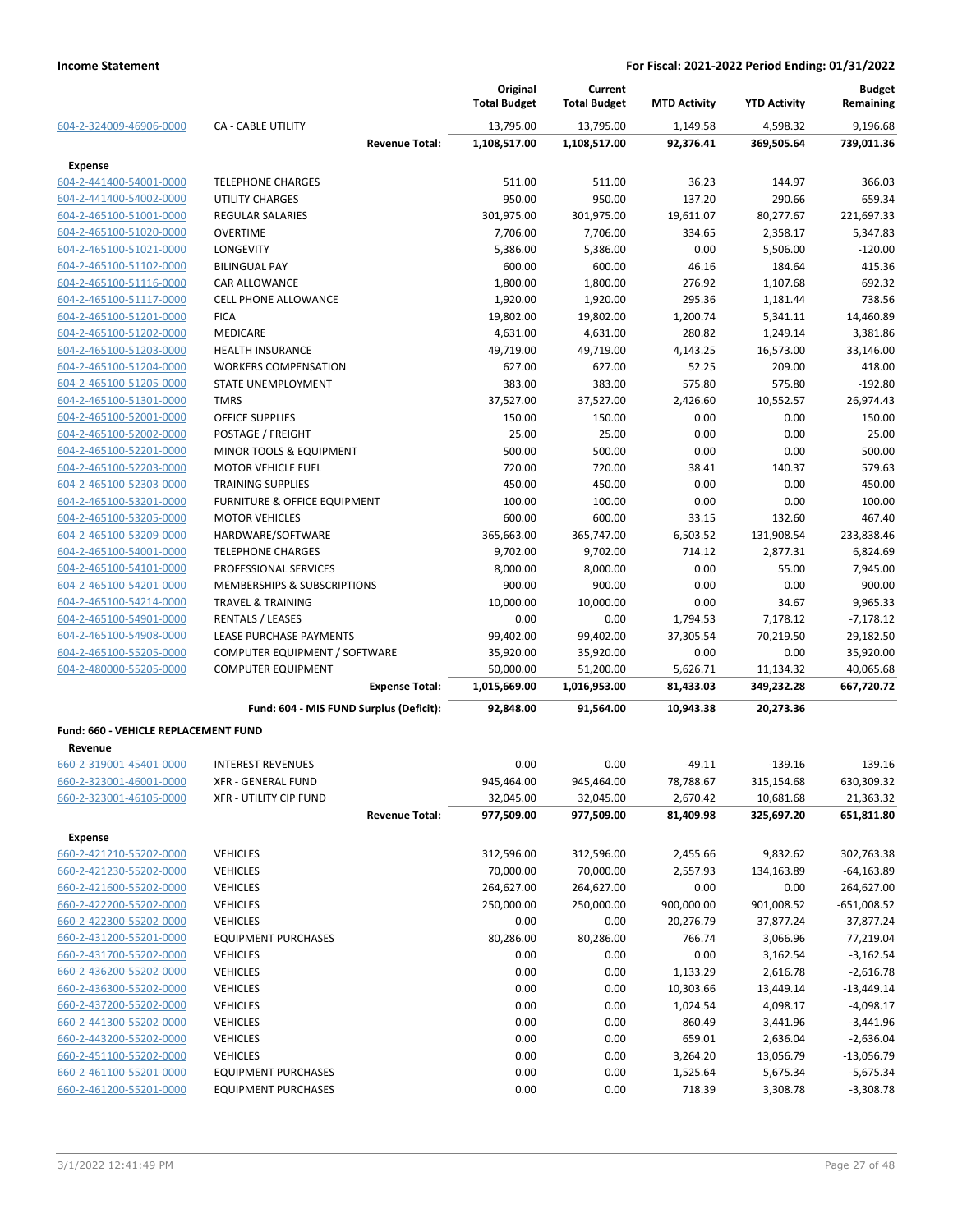|                                                 |                                         | Original<br><b>Total Budget</b> | Current<br><b>Total Budget</b> | <b>MTD Activity</b>   | <b>YTD Activity</b>     | <b>Budget</b><br>Remaining |
|-------------------------------------------------|-----------------------------------------|---------------------------------|--------------------------------|-----------------------|-------------------------|----------------------------|
| 604-2-324009-46906-0000                         | <b>CA - CABLE UTILITY</b>               | 13,795.00                       | 13,795.00                      | 1,149.58              | 4,598.32                | 9,196.68                   |
|                                                 | <b>Revenue Total:</b>                   | 1,108,517.00                    | 1,108,517.00                   | 92,376.41             | 369,505.64              | 739,011.36                 |
| <b>Expense</b>                                  |                                         |                                 |                                |                       |                         |                            |
| 604-2-441400-54001-0000                         | <b>TELEPHONE CHARGES</b>                | 511.00                          | 511.00                         | 36.23                 | 144.97                  | 366.03                     |
| 604-2-441400-54002-0000                         | <b>UTILITY CHARGES</b>                  | 950.00                          | 950.00                         | 137.20                | 290.66                  | 659.34                     |
| 604-2-465100-51001-0000                         | <b>REGULAR SALARIES</b>                 | 301,975.00                      | 301,975.00                     | 19,611.07             | 80,277.67               | 221,697.33                 |
| 604-2-465100-51020-0000                         | <b>OVERTIME</b>                         | 7,706.00                        | 7,706.00                       | 334.65                | 2,358.17                | 5,347.83                   |
| 604-2-465100-51021-0000                         | LONGEVITY                               | 5,386.00                        | 5,386.00                       | 0.00                  | 5,506.00                | $-120.00$                  |
| 604-2-465100-51102-0000                         | <b>BILINGUAL PAY</b>                    | 600.00                          | 600.00                         | 46.16                 | 184.64                  | 415.36                     |
| 604-2-465100-51116-0000                         | <b>CAR ALLOWANCE</b>                    | 1,800.00                        | 1,800.00                       | 276.92                | 1,107.68                | 692.32                     |
| 604-2-465100-51117-0000                         | <b>CELL PHONE ALLOWANCE</b>             | 1,920.00                        | 1,920.00                       | 295.36                | 1,181.44                | 738.56                     |
| 604-2-465100-51201-0000                         | <b>FICA</b>                             | 19,802.00                       | 19,802.00                      | 1,200.74              | 5,341.11                | 14,460.89                  |
| 604-2-465100-51202-0000                         | <b>MEDICARE</b>                         | 4,631.00                        | 4,631.00                       | 280.82                | 1,249.14                | 3,381.86                   |
| 604-2-465100-51203-0000                         | HEALTH INSURANCE                        | 49,719.00                       | 49,719.00                      | 4,143.25              | 16,573.00               | 33,146.00                  |
| 604-2-465100-51204-0000                         | <b>WORKERS COMPENSATION</b>             | 627.00                          | 627.00                         | 52.25                 | 209.00                  | 418.00                     |
| 604-2-465100-51205-0000                         | STATE UNEMPLOYMENT                      | 383.00                          | 383.00                         | 575.80                | 575.80                  | $-192.80$                  |
| 604-2-465100-51301-0000                         | <b>TMRS</b>                             | 37,527.00                       | 37,527.00                      | 2,426.60              | 10,552.57               | 26,974.43                  |
| 604-2-465100-52001-0000                         | OFFICE SUPPLIES                         | 150.00                          | 150.00                         | 0.00                  | 0.00                    | 150.00                     |
| 604-2-465100-52002-0000                         | POSTAGE / FREIGHT                       | 25.00                           | 25.00                          | 0.00                  | 0.00                    | 25.00                      |
| 604-2-465100-52201-0000                         | MINOR TOOLS & EQUIPMENT                 | 500.00                          | 500.00                         | 0.00                  | 0.00                    | 500.00                     |
| 604-2-465100-52203-0000                         | <b>MOTOR VEHICLE FUEL</b>               | 720.00                          | 720.00                         | 38.41                 | 140.37                  | 579.63                     |
| 604-2-465100-52303-0000                         | <b>TRAINING SUPPLIES</b>                | 450.00                          | 450.00                         | 0.00                  | 0.00                    | 450.00                     |
| 604-2-465100-53201-0000                         | FURNITURE & OFFICE EQUIPMENT            | 100.00                          | 100.00                         | 0.00                  | 0.00                    | 100.00                     |
| 604-2-465100-53205-0000                         | <b>MOTOR VEHICLES</b>                   | 600.00                          | 600.00                         | 33.15                 | 132.60                  | 467.40                     |
| 604-2-465100-53209-0000                         | HARDWARE/SOFTWARE                       | 365,663.00                      | 365,747.00                     | 6,503.52              | 131,908.54              | 233,838.46                 |
| 604-2-465100-54001-0000                         | <b>TELEPHONE CHARGES</b>                | 9,702.00                        | 9,702.00                       | 714.12                | 2,877.31                | 6,824.69                   |
| 604-2-465100-54101-0000                         | PROFESSIONAL SERVICES                   | 8,000.00                        | 8,000.00                       | 0.00                  | 55.00                   | 7,945.00                   |
| 604-2-465100-54201-0000                         | MEMBERSHIPS & SUBSCRIPTIONS             | 900.00                          | 900.00                         | 0.00                  | 0.00                    | 900.00                     |
| 604-2-465100-54214-0000                         | <b>TRAVEL &amp; TRAINING</b>            | 10,000.00                       | 10,000.00                      | 0.00                  | 34.67                   | 9,965.33                   |
| 604-2-465100-54901-0000                         | <b>RENTALS / LEASES</b>                 | 0.00                            | 0.00                           | 1,794.53              | 7,178.12                | $-7,178.12$                |
| 604-2-465100-54908-0000                         | LEASE PURCHASE PAYMENTS                 | 99,402.00                       | 99,402.00                      | 37,305.54             | 70,219.50               | 29,182.50                  |
| 604-2-465100-55205-0000                         | COMPUTER EQUIPMENT / SOFTWARE           | 35,920.00                       | 35,920.00                      | 0.00                  | 0.00                    | 35,920.00                  |
| 604-2-480000-55205-0000                         | <b>COMPUTER EQUIPMENT</b>               | 50,000.00                       |                                |                       |                         | 40,065.68                  |
|                                                 | <b>Expense Total:</b>                   | 1,015,669.00                    | 51,200.00<br>1,016,953.00      | 5,626.71<br>81,433.03 | 11,134.32<br>349,232.28 | 667,720.72                 |
|                                                 | Fund: 604 - MIS FUND Surplus (Deficit): | 92,848.00                       | 91,564.00                      | 10,943.38             | 20,273.36               |                            |
|                                                 |                                         |                                 |                                |                       |                         |                            |
| Fund: 660 - VEHICLE REPLACEMENT FUND<br>Revenue |                                         |                                 |                                |                       |                         |                            |
| 660-2-319001-45401-0000                         | <b>INTEREST REVENUES</b>                | 0.00                            | 0.00                           | $-49.11$              | $-139.16$               | 139.16                     |
| <u>660-2-323001-46001-0000</u>                  | XFR - GENERAL FUND                      | 945,464.00                      | 945,464.00                     | 78,788.67             | 315,154.68              | 630,309.32                 |
| 660-2-323001-46105-0000                         | XFR - UTILITY CIP FUND                  | 32,045.00                       | 32,045.00                      | 2,670.42              | 10,681.68               | 21,363.32                  |
|                                                 | <b>Revenue Total:</b>                   | 977,509.00                      | 977,509.00                     | 81,409.98             | 325,697.20              | 651,811.80                 |
|                                                 |                                         |                                 |                                |                       |                         |                            |
| <b>Expense</b>                                  |                                         |                                 |                                |                       |                         |                            |
| 660-2-421210-55202-0000                         | <b>VEHICLES</b>                         | 312,596.00                      | 312,596.00                     | 2,455.66              | 9,832.62                | 302,763.38                 |
| 660-2-421230-55202-0000                         | <b>VEHICLES</b>                         | 70,000.00                       | 70,000.00                      | 2,557.93              | 134,163.89              | $-64, 163.89$              |
| 660-2-421600-55202-0000                         | <b>VEHICLES</b>                         | 264,627.00                      | 264,627.00                     | 0.00                  | 0.00                    | 264,627.00                 |
| 660-2-422200-55202-0000                         | <b>VEHICLES</b>                         | 250,000.00                      | 250,000.00                     | 900,000.00            | 901,008.52              | $-651,008.52$              |
| 660-2-422300-55202-0000                         | <b>VEHICLES</b>                         | 0.00                            | 0.00                           | 20,276.79             | 37,877.24               | $-37,877.24$               |
| 660-2-431200-55201-0000                         | <b>EQUIPMENT PURCHASES</b>              | 80,286.00                       | 80,286.00                      | 766.74                | 3,066.96                | 77,219.04                  |
| 660-2-431700-55202-0000                         | <b>VEHICLES</b>                         | 0.00                            | 0.00                           | 0.00                  | 3,162.54                | $-3,162.54$                |
| 660-2-436200-55202-0000                         | <b>VEHICLES</b>                         | 0.00                            | 0.00                           | 1,133.29              | 2,616.78                | $-2,616.78$                |
| 660-2-436300-55202-0000                         | <b>VEHICLES</b>                         | 0.00                            | 0.00                           | 10,303.66             | 13,449.14               | $-13,449.14$               |
| 660-2-437200-55202-0000                         | <b>VEHICLES</b>                         | 0.00                            | 0.00                           | 1,024.54              | 4,098.17                | $-4,098.17$                |
| 660-2-441300-55202-0000                         | <b>VEHICLES</b>                         | 0.00                            | 0.00                           | 860.49                | 3,441.96                | $-3,441.96$                |
| 660-2-443200-55202-0000                         | <b>VEHICLES</b>                         | 0.00                            | 0.00                           | 659.01                | 2,636.04                | $-2,636.04$                |
| 660-2-451100-55202-0000                         | <b>VEHICLES</b>                         | 0.00                            | 0.00                           | 3,264.20              | 13,056.79               | $-13,056.79$               |
| 660-2-461100-55201-0000                         | <b>EQUIPMENT PURCHASES</b>              | 0.00                            | 0.00                           | 1,525.64              | 5,675.34                | $-5,675.34$                |
| 660-2-461200-55201-0000                         | <b>EQUIPMENT PURCHASES</b>              | 0.00                            | 0.00                           | 718.39                | 3,308.78                | $-3,308.78$                |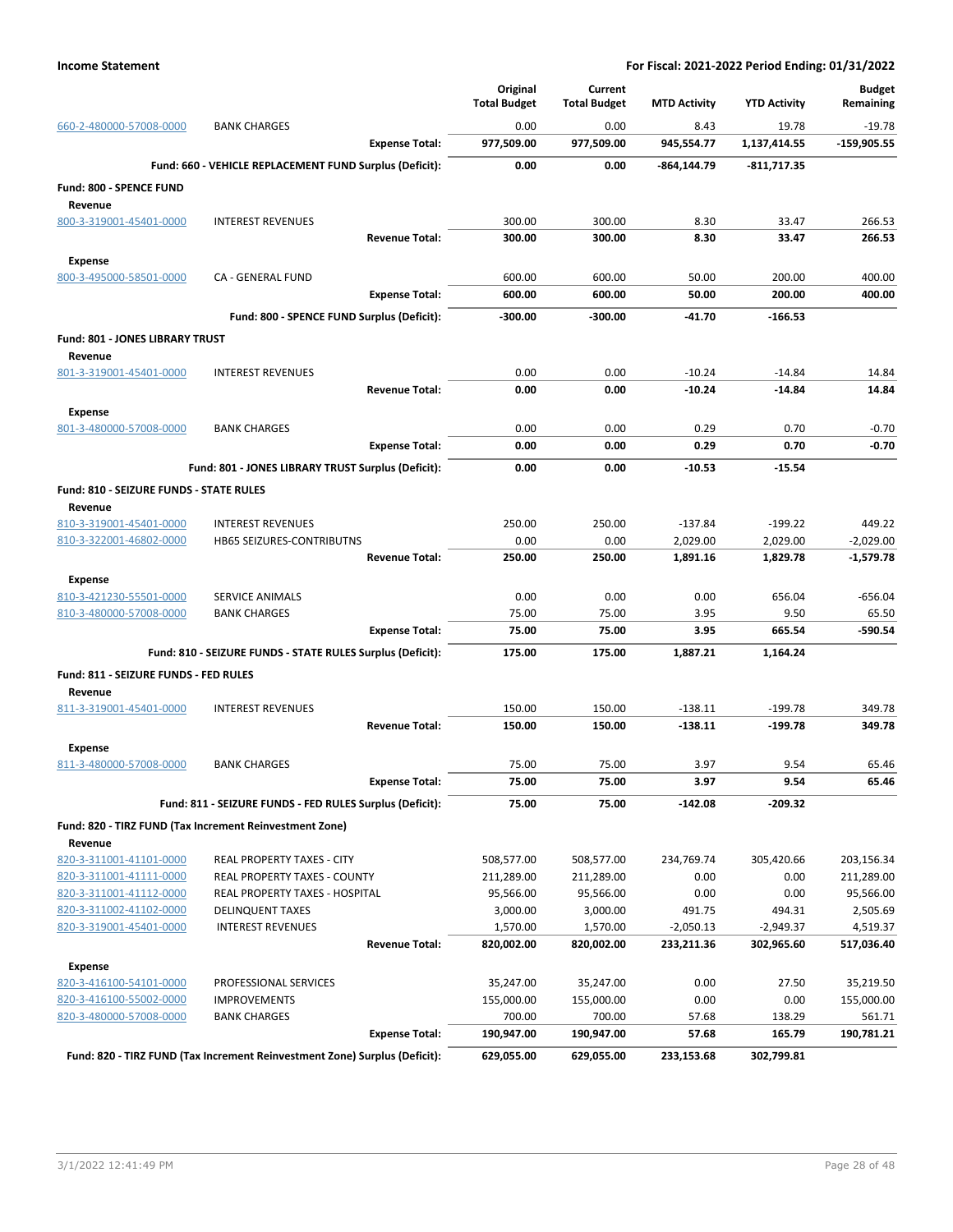|                                                |                                                                            | Original            | Current             |                     |                     | <b>Budget</b> |
|------------------------------------------------|----------------------------------------------------------------------------|---------------------|---------------------|---------------------|---------------------|---------------|
|                                                |                                                                            | <b>Total Budget</b> | <b>Total Budget</b> | <b>MTD Activity</b> | <b>YTD Activity</b> | Remaining     |
| 660-2-480000-57008-0000                        | <b>BANK CHARGES</b>                                                        | 0.00                | 0.00                | 8.43                | 19.78               | $-19.78$      |
|                                                | <b>Expense Total:</b>                                                      | 977,509.00          | 977,509.00          | 945,554.77          | 1,137,414.55        | $-159,905.55$ |
|                                                | Fund: 660 - VEHICLE REPLACEMENT FUND Surplus (Deficit):                    | 0.00                | 0.00                | $-864, 144.79$      | -811,717.35         |               |
| Fund: 800 - SPENCE FUND                        |                                                                            |                     |                     |                     |                     |               |
| Revenue                                        |                                                                            |                     |                     |                     |                     |               |
| 800-3-319001-45401-0000                        | <b>INTEREST REVENUES</b>                                                   | 300.00              | 300.00              | 8.30                | 33.47               | 266.53        |
|                                                | <b>Revenue Total:</b>                                                      | 300.00              | 300.00              | 8.30                | 33.47               | 266.53        |
| <b>Expense</b>                                 |                                                                            |                     |                     |                     |                     |               |
| 800-3-495000-58501-0000                        | CA - GENERAL FUND                                                          | 600.00              | 600.00              | 50.00               | 200.00              | 400.00        |
|                                                | <b>Expense Total:</b>                                                      | 600.00              | 600.00              | 50.00               | 200.00              | 400.00        |
|                                                | Fund: 800 - SPENCE FUND Surplus (Deficit):                                 | $-300.00$           | -300.00             | $-41.70$            | $-166.53$           |               |
| Fund: 801 - JONES LIBRARY TRUST                |                                                                            |                     |                     |                     |                     |               |
| Revenue                                        |                                                                            |                     |                     |                     |                     |               |
| 801-3-319001-45401-0000                        | <b>INTEREST REVENUES</b>                                                   | 0.00                | 0.00                | $-10.24$            | $-14.84$            | 14.84         |
|                                                | <b>Revenue Total:</b>                                                      | 0.00                | 0.00                | $-10.24$            | $-14.84$            | 14.84         |
| <b>Expense</b>                                 |                                                                            |                     |                     |                     |                     |               |
| 801-3-480000-57008-0000                        | <b>BANK CHARGES</b>                                                        | 0.00                | 0.00                | 0.29                | 0.70                | $-0.70$       |
|                                                | <b>Expense Total:</b>                                                      | 0.00                | 0.00                | 0.29                | 0.70                | $-0.70$       |
|                                                | Fund: 801 - JONES LIBRARY TRUST Surplus (Deficit):                         | 0.00                | 0.00                | $-10.53$            | $-15.54$            |               |
| <b>Fund: 810 - SEIZURE FUNDS - STATE RULES</b> |                                                                            |                     |                     |                     |                     |               |
| Revenue                                        |                                                                            |                     |                     |                     |                     |               |
| 810-3-319001-45401-0000                        | <b>INTEREST REVENUES</b>                                                   | 250.00              | 250.00              | $-137.84$           | $-199.22$           | 449.22        |
| 810-3-322001-46802-0000                        | <b>HB65 SEIZURES-CONTRIBUTNS</b>                                           | 0.00                | 0.00                | 2,029.00            | 2,029.00            | $-2,029.00$   |
|                                                | <b>Revenue Total:</b>                                                      | 250.00              | 250.00              | 1,891.16            | 1,829.78            | $-1,579.78$   |
| <b>Expense</b>                                 |                                                                            |                     |                     |                     |                     |               |
| 810-3-421230-55501-0000                        | SERVICE ANIMALS                                                            | 0.00                | 0.00                | 0.00                | 656.04              | $-656.04$     |
| 810-3-480000-57008-0000                        | <b>BANK CHARGES</b>                                                        | 75.00               | 75.00               | 3.95                | 9.50                | 65.50         |
|                                                | <b>Expense Total:</b>                                                      | 75.00               | 75.00               | 3.95                | 665.54              | $-590.54$     |
|                                                | Fund: 810 - SEIZURE FUNDS - STATE RULES Surplus (Deficit):                 | 175.00              | 175.00              | 1,887.21            | 1,164.24            |               |
| Fund: 811 - SEIZURE FUNDS - FED RULES          |                                                                            |                     |                     |                     |                     |               |
| Revenue                                        |                                                                            |                     |                     |                     |                     |               |
| 811-3-319001-45401-0000                        | <b>INTEREST REVENUES</b>                                                   | 150.00              | 150.00              | $-138.11$           | $-199.78$           | 349.78        |
|                                                | <b>Revenue Total:</b>                                                      | 150.00              | 150.00              | $-138.11$           | $-199.78$           | 349.78        |
| <b>Expense</b>                                 |                                                                            |                     |                     |                     |                     |               |
| 811-3-480000-57008-0000                        | BANK CHARGES                                                               | 75.00               | 75.00               | 3.97                | 9.54                | 65.46         |
|                                                | <b>Expense Total:</b>                                                      | 75.00               | 75.00               | 3.97                | 9.54                | 65.46         |
|                                                | Fund: 811 - SEIZURE FUNDS - FED RULES Surplus (Deficit):                   | 75.00               | 75.00               | $-142.08$           | $-209.32$           |               |
|                                                | Fund: 820 - TIRZ FUND (Tax Increment Reinvestment Zone)                    |                     |                     |                     |                     |               |
| Revenue                                        |                                                                            |                     |                     |                     |                     |               |
| 820-3-311001-41101-0000                        | REAL PROPERTY TAXES - CITY                                                 | 508,577.00          | 508,577.00          | 234,769.74          | 305,420.66          | 203,156.34    |
| 820-3-311001-41111-0000                        | REAL PROPERTY TAXES - COUNTY                                               | 211,289.00          | 211,289.00          | 0.00                | 0.00                | 211,289.00    |
| 820-3-311001-41112-0000                        | REAL PROPERTY TAXES - HOSPITAL                                             | 95,566.00           | 95,566.00           | 0.00                | 0.00                | 95,566.00     |
| 820-3-311002-41102-0000                        | <b>DELINQUENT TAXES</b>                                                    | 3,000.00            | 3,000.00            | 491.75              | 494.31              | 2,505.69      |
| 820-3-319001-45401-0000                        | <b>INTEREST REVENUES</b>                                                   | 1,570.00            | 1,570.00            | $-2,050.13$         | -2,949.37           | 4,519.37      |
|                                                | <b>Revenue Total:</b>                                                      | 820,002.00          | 820,002.00          | 233,211.36          | 302,965.60          | 517,036.40    |
| <b>Expense</b>                                 |                                                                            |                     |                     |                     |                     |               |
| 820-3-416100-54101-0000                        | PROFESSIONAL SERVICES                                                      | 35,247.00           | 35,247.00           | 0.00                | 27.50               | 35,219.50     |
| 820-3-416100-55002-0000                        | <b>IMPROVEMENTS</b>                                                        | 155,000.00          | 155,000.00          | 0.00                | 0.00                | 155,000.00    |
| 820-3-480000-57008-0000                        | <b>BANK CHARGES</b>                                                        | 700.00              | 700.00              | 57.68               | 138.29              | 561.71        |
|                                                | <b>Expense Total:</b>                                                      | 190,947.00          | 190,947.00          | 57.68               | 165.79              | 190,781.21    |
|                                                | Fund: 820 - TIRZ FUND (Tax Increment Reinvestment Zone) Surplus (Deficit): | 629,055.00          | 629,055.00          | 233,153.68          | 302,799.81          |               |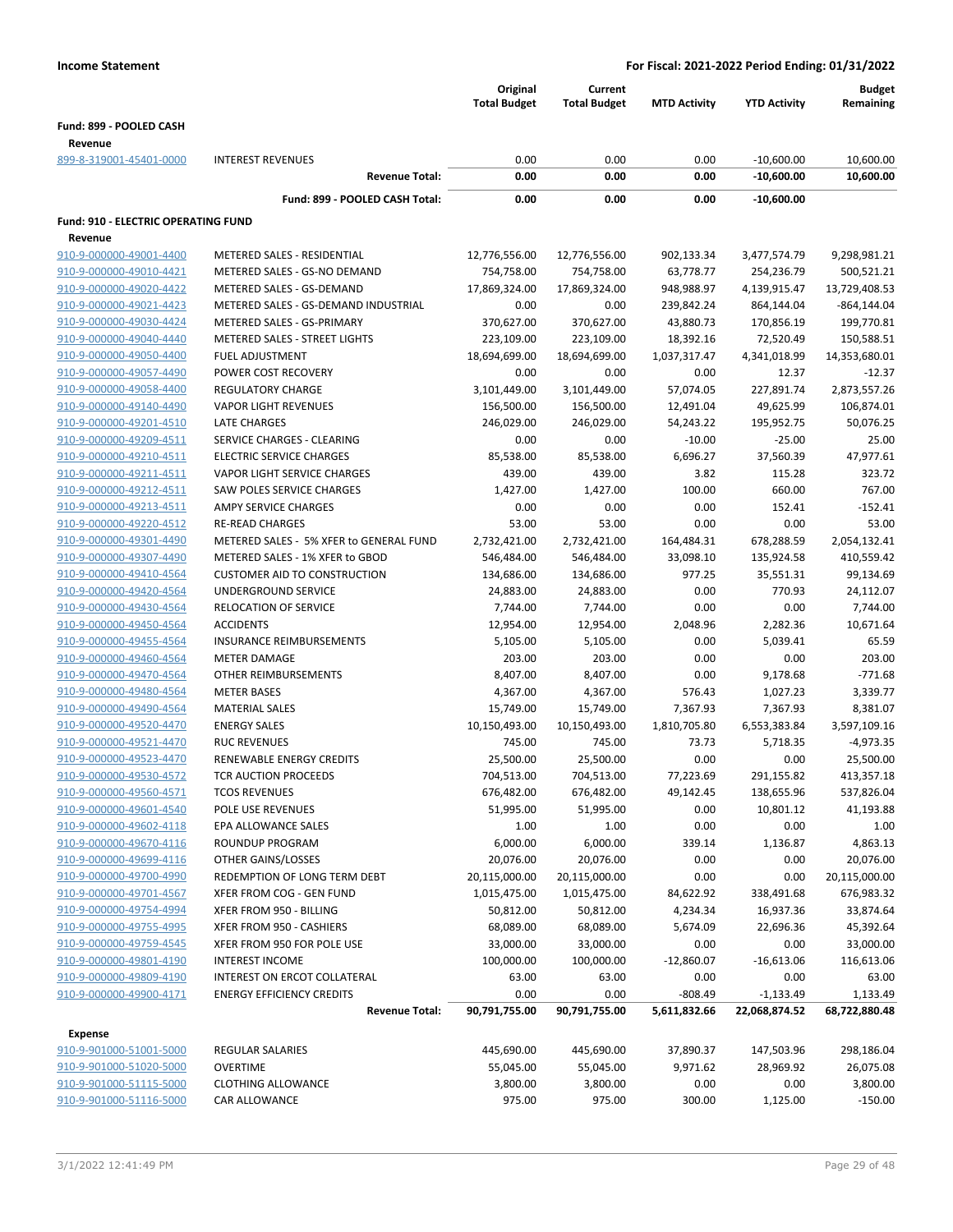|                                     |                                         | Original<br><b>Total Budget</b> | Current<br><b>Total Budget</b> | <b>MTD Activity</b> | <b>YTD Activity</b> | <b>Budget</b><br>Remaining |
|-------------------------------------|-----------------------------------------|---------------------------------|--------------------------------|---------------------|---------------------|----------------------------|
| Fund: 899 - POOLED CASH             |                                         |                                 |                                |                     |                     |                            |
| Revenue                             |                                         |                                 |                                |                     |                     |                            |
| 899-8-319001-45401-0000             | <b>INTEREST REVENUES</b>                | 0.00                            | 0.00                           | 0.00                | $-10,600.00$        | 10,600.00                  |
|                                     | <b>Revenue Total:</b>                   | 0.00                            | 0.00                           | 0.00                | $-10,600.00$        | 10,600.00                  |
|                                     | Fund: 899 - POOLED CASH Total:          | 0.00                            | 0.00                           | 0.00                | $-10,600.00$        |                            |
| Fund: 910 - ELECTRIC OPERATING FUND |                                         |                                 |                                |                     |                     |                            |
| Revenue                             |                                         |                                 |                                |                     |                     |                            |
| 910-9-000000-49001-4400             | METERED SALES - RESIDENTIAL             | 12,776,556.00                   | 12,776,556.00                  | 902,133.34          | 3,477,574.79        | 9,298,981.21               |
| 910-9-000000-49010-4421             | METERED SALES - GS-NO DEMAND            | 754,758.00                      | 754,758.00                     | 63,778.77           | 254,236.79          | 500,521.21                 |
| 910-9-000000-49020-4422             | METERED SALES - GS-DEMAND               | 17,869,324.00                   | 17,869,324.00                  | 948,988.97          | 4,139,915.47        | 13,729,408.53              |
| 910-9-000000-49021-4423             | METERED SALES - GS-DEMAND INDUSTRIAL    | 0.00                            | 0.00                           | 239,842.24          | 864,144.04          | $-864, 144.04$             |
| 910-9-000000-49030-4424             | METERED SALES - GS-PRIMARY              | 370,627.00                      | 370,627.00                     | 43,880.73           | 170,856.19          | 199,770.81                 |
| 910-9-000000-49040-4440             | METERED SALES - STREET LIGHTS           | 223,109.00                      | 223,109.00                     | 18,392.16           | 72,520.49           | 150,588.51                 |
| 910-9-000000-49050-4400             | <b>FUEL ADJUSTMENT</b>                  | 18,694,699.00                   | 18,694,699.00                  | 1,037,317.47        | 4,341,018.99        | 14,353,680.01              |
| 910-9-000000-49057-4490             | POWER COST RECOVERY                     | 0.00                            | 0.00                           | 0.00                | 12.37               | $-12.37$                   |
| 910-9-000000-49058-4400             | <b>REGULATORY CHARGE</b>                | 3,101,449.00                    | 3,101,449.00                   | 57,074.05           | 227,891.74          | 2,873,557.26               |
| 910-9-000000-49140-4490             | <b>VAPOR LIGHT REVENUES</b>             | 156,500.00                      | 156,500.00                     | 12,491.04           | 49,625.99           | 106,874.01                 |
| 910-9-000000-49201-4510             | LATE CHARGES                            | 246,029.00                      | 246,029.00                     | 54,243.22           | 195,952.75          | 50,076.25                  |
| 910-9-000000-49209-4511             | SERVICE CHARGES - CLEARING              | 0.00                            | 0.00                           | $-10.00$            | $-25.00$            | 25.00                      |
| 910-9-000000-49210-4511             | <b>ELECTRIC SERVICE CHARGES</b>         | 85,538.00                       | 85,538.00                      | 6,696.27            | 37,560.39           | 47,977.61                  |
| 910-9-000000-49211-4511             | VAPOR LIGHT SERVICE CHARGES             | 439.00                          | 439.00                         | 3.82                | 115.28              | 323.72                     |
| 910-9-000000-49212-4511             | SAW POLES SERVICE CHARGES               | 1,427.00                        | 1,427.00                       | 100.00              | 660.00              | 767.00                     |
| 910-9-000000-49213-4511             | <b>AMPY SERVICE CHARGES</b>             | 0.00                            | 0.00                           | 0.00                | 152.41              | $-152.41$                  |
| 910-9-000000-49220-4512             | <b>RE-READ CHARGES</b>                  | 53.00                           | 53.00                          | 0.00                | 0.00                | 53.00                      |
| 910-9-000000-49301-4490             | METERED SALES - 5% XFER to GENERAL FUND | 2,732,421.00                    | 2,732,421.00                   | 164,484.31          | 678,288.59          | 2,054,132.41               |
| 910-9-000000-49307-4490             | METERED SALES - 1% XFER to GBOD         | 546,484.00                      | 546,484.00                     | 33,098.10           | 135,924.58          | 410,559.42                 |
| 910-9-000000-49410-4564             | <b>CUSTOMER AID TO CONSTRUCTION</b>     | 134,686.00                      | 134,686.00                     | 977.25              | 35,551.31           | 99,134.69                  |
| 910-9-000000-49420-4564             | UNDERGROUND SERVICE                     | 24,883.00                       | 24,883.00                      | 0.00                | 770.93              | 24,112.07                  |
| 910-9-000000-49430-4564             | <b>RELOCATION OF SERVICE</b>            | 7,744.00                        | 7,744.00                       | 0.00                | 0.00                | 7,744.00                   |
| 910-9-000000-49450-4564             | <b>ACCIDENTS</b>                        | 12,954.00                       | 12,954.00                      | 2,048.96            | 2,282.36            | 10,671.64                  |
| 910-9-000000-49455-4564             | <b>INSURANCE REIMBURSEMENTS</b>         | 5,105.00                        | 5,105.00                       | 0.00                | 5,039.41            | 65.59                      |
| 910-9-000000-49460-4564             | <b>METER DAMAGE</b>                     | 203.00                          | 203.00                         | 0.00                | 0.00                | 203.00                     |
| 910-9-000000-49470-4564             | OTHER REIMBURSEMENTS                    | 8,407.00                        | 8,407.00                       | 0.00                | 9,178.68            | $-771.68$                  |
| 910-9-000000-49480-4564             | <b>METER BASES</b>                      | 4,367.00                        | 4,367.00                       | 576.43              | 1,027.23            | 3,339.77                   |
| 910-9-000000-49490-4564             | <b>MATERIAL SALES</b>                   | 15,749.00                       | 15,749.00                      | 7,367.93            | 7,367.93            | 8,381.07                   |
| 910-9-000000-49520-4470             | <b>ENERGY SALES</b>                     | 10,150,493.00                   | 10,150,493.00                  | 1,810,705.80        | 6,553,383.84        | 3,597,109.16               |
| 910-9-000000-49521-4470             | <b>RUC REVENUES</b>                     | 745.00                          | 745.00                         | 73.73               | 5,718.35            | $-4,973.35$                |
| 910-9-000000-49523-4470             | RENEWABLE ENERGY CREDITS                | 25,500.00                       | 25,500.00                      | 0.00                | 0.00                | 25,500.00                  |
| 910-9-000000-49530-4572             | <b>TCR AUCTION PROCEEDS</b>             | 704,513.00                      | 704,513.00                     | 77,223.69           | 291,155.82          | 413,357.18                 |
| 910-9-000000-49560-4571             | <b>TCOS REVENUES</b>                    | 676,482.00                      | 676,482.00                     | 49,142.45           | 138,655.96          | 537,826.04                 |
| 910-9-000000-49601-4540             | POLE USE REVENUES                       | 51,995.00                       | 51,995.00                      | 0.00                | 10,801.12           | 41,193.88                  |
| 910-9-000000-49602-4118             | EPA ALLOWANCE SALES                     | 1.00                            | 1.00                           | 0.00                | 0.00                | 1.00                       |
| 910-9-000000-49670-4116             | ROUNDUP PROGRAM                         | 6,000.00                        | 6,000.00                       | 339.14              | 1,136.87            | 4,863.13                   |
| 910-9-000000-49699-4116             | OTHER GAINS/LOSSES                      | 20,076.00                       | 20,076.00                      | 0.00                | 0.00                | 20,076.00                  |
| 910-9-000000-49700-4990             | REDEMPTION OF LONG TERM DEBT            | 20,115,000.00                   | 20,115,000.00                  | 0.00                | 0.00                | 20,115,000.00              |
| 910-9-000000-49701-4567             | XFER FROM COG - GEN FUND                | 1,015,475.00                    | 1,015,475.00                   | 84,622.92           | 338,491.68          | 676,983.32                 |
| 910-9-000000-49754-4994             | XFER FROM 950 - BILLING                 | 50,812.00                       | 50,812.00                      | 4,234.34            | 16,937.36           | 33,874.64                  |
| 910-9-000000-49755-4995             | XFER FROM 950 - CASHIERS                | 68,089.00                       | 68,089.00                      | 5,674.09            | 22,696.36           | 45,392.64                  |
| 910-9-000000-49759-4545             | XFER FROM 950 FOR POLE USE              | 33,000.00                       | 33,000.00                      | 0.00                | 0.00                | 33,000.00                  |
| 910-9-000000-49801-4190             | <b>INTEREST INCOME</b>                  | 100,000.00                      | 100,000.00                     | $-12,860.07$        | $-16,613.06$        | 116,613.06                 |
| 910-9-000000-49809-4190             | INTEREST ON ERCOT COLLATERAL            | 63.00                           | 63.00                          | 0.00                | 0.00                | 63.00                      |
| 910-9-000000-49900-4171             | <b>ENERGY EFFICIENCY CREDITS</b>        | 0.00                            | 0.00                           | $-808.49$           | $-1,133.49$         | 1,133.49                   |
|                                     | <b>Revenue Total:</b>                   | 90,791,755.00                   | 90,791,755.00                  | 5,611,832.66        | 22,068,874.52       | 68,722,880.48              |
| Expense                             |                                         |                                 |                                |                     |                     |                            |
| 910-9-901000-51001-5000             | REGULAR SALARIES                        | 445,690.00                      | 445,690.00                     | 37,890.37           | 147,503.96          | 298,186.04                 |
| 910-9-901000-51020-5000             | <b>OVERTIME</b>                         | 55,045.00                       | 55,045.00                      | 9,971.62            | 28,969.92           | 26,075.08                  |
| 910-9-901000-51115-5000             | <b>CLOTHING ALLOWANCE</b>               | 3,800.00                        | 3,800.00                       | 0.00                | 0.00                | 3,800.00                   |
| 910-9-901000-51116-5000             | CAR ALLOWANCE                           | 975.00                          | 975.00                         | 300.00              | 1,125.00            | $-150.00$                  |
|                                     |                                         |                                 |                                |                     |                     |                            |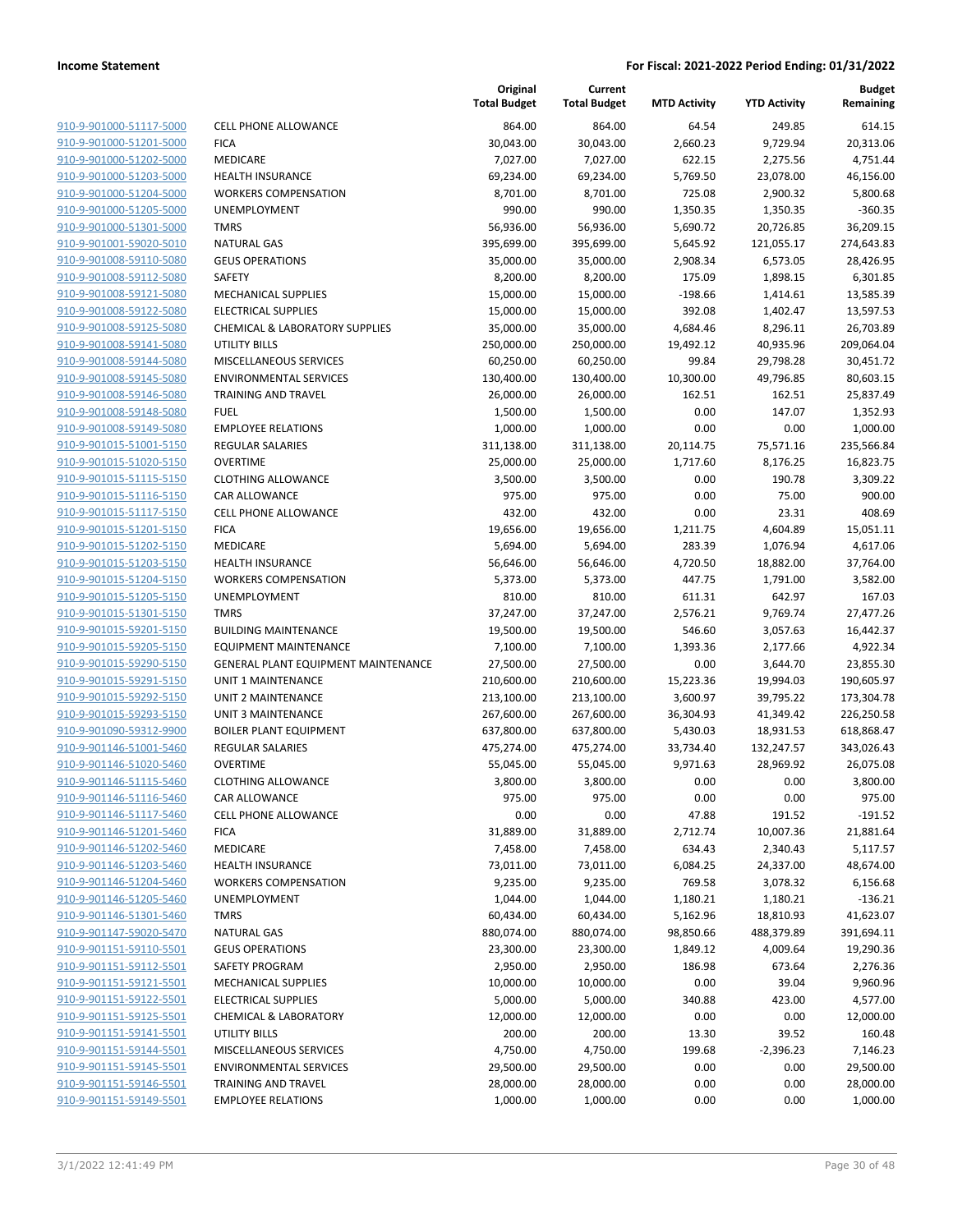| 910-9-901000-51117-5000                                   |
|-----------------------------------------------------------|
| 910-9-901000-51201-5000                                   |
| 910-9-901000-51202-5000                                   |
| 910-9-901000-51203-5000                                   |
| <u>910-9-901000-51204-5000</u>                            |
| 910-9-901000-51205-5000                                   |
| 910-9-901000-51301-5000                                   |
| 910-9-901001-59020-5010                                   |
| 910-9-901008-59110-5080                                   |
| <u>910-9-901008-59112-5080</u><br>910-9-901008-59121-5080 |
| 910-9-901008-59122-5080                                   |
| 910-9-901008-59125-5080                                   |
| 910-9-901008-59141-5080                                   |
| <u>910-9-901008-59144-5080</u>                            |
| 910-9-901008-59145-5080                                   |
| 910-9-901008-59146-5080                                   |
| 910-9-901008-59148-5080                                   |
| <u>910-9-901008-59149-5080</u>                            |
| <u>910-9-901015-51001-5150</u>                            |
| 910-9-901015-51020-5150                                   |
| 910-9-901015-51115-5150                                   |
| 910-9-901015-51116-5150                                   |
| 910-9-901015-51117-5150                                   |
| <u>910-9-901015-51201-5150</u>                            |
| 910-9-901015-51202-5150                                   |
| 910-9-901015-51203-5150                                   |
| 910-9-901015-51204-5150                                   |
| <u>910-9-901015-51205-5150</u>                            |
| <u>910-9-901015-51301-5150</u>                            |
| 910-9-901015-59201-5150                                   |
| 910-9-901015-59205-5150                                   |
| 910-9-901015-59290-5150                                   |
| 910-9-901015-59291-5150                                   |
| <u>910-9-901015-59292-5150</u>                            |
| 910-9-901015-59293-5150                                   |
| 910-9-901090-59312-9900                                   |
| 910-9-901146-51001-5460                                   |
| 910-9-901146-51020-5460                                   |
| <u>910-9-901146-51115-5460</u>                            |
| 910-9-901146-51116-5460                                   |
| 910-9-901146-51117-5460                                   |
| 910-9-901146-51201-5460                                   |
| <u>910-9-901146-51202-5460</u>                            |
| <u>910-9-901146-51203-5460</u>                            |
| 910-9-901146-51204-5460                                   |
| 910-9-901146-51205-5460                                   |
| <u>910-9-901146-51301-5460</u>                            |
| <u>910-9-901147-59020-5470</u>                            |
| <u>910-9-901151-59110-5501</u>                            |
| <u>910-9-901151-59112-5501</u><br>910-9-901151-59121-5501 |
| 910-9-901151-59122-5501                                   |
| <u>910-9-901151-59125-5501</u>                            |
| <u>910-9-901151-59141-5501</u>                            |
| <u>910-9-901151-59144-5501</u>                            |
| 910-9-901151-59145-5501                                   |
| <u>910-9-901151-59146-5501</u>                            |
| <u>910-9-901151-59149-5501</u>                            |
|                                                           |

|                         |                                     | Original<br><b>Total Budget</b> | Current<br><b>Total Budget</b> | <b>MTD Activity</b> | <b>YTD Activity</b> | Budget<br>Remaining |
|-------------------------|-------------------------------------|---------------------------------|--------------------------------|---------------------|---------------------|---------------------|
| 910-9-901000-51117-5000 | <b>CELL PHONE ALLOWANCE</b>         | 864.00                          | 864.00                         | 64.54               | 249.85              | 614.15              |
| 910-9-901000-51201-5000 | <b>FICA</b>                         | 30,043.00                       | 30,043.00                      | 2,660.23            | 9,729.94            | 20,313.06           |
| 910-9-901000-51202-5000 | MEDICARE                            | 7,027.00                        | 7,027.00                       | 622.15              | 2,275.56            | 4,751.44            |
| 910-9-901000-51203-5000 | <b>HEALTH INSURANCE</b>             | 69,234.00                       | 69,234.00                      | 5,769.50            | 23,078.00           | 46,156.00           |
| 910-9-901000-51204-5000 | <b>WORKERS COMPENSATION</b>         | 8,701.00                        | 8,701.00                       | 725.08              | 2,900.32            | 5,800.68            |
| 910-9-901000-51205-5000 | UNEMPLOYMENT                        | 990.00                          | 990.00                         | 1,350.35            | 1,350.35            | $-360.35$           |
| 910-9-901000-51301-5000 | <b>TMRS</b>                         | 56,936.00                       | 56,936.00                      | 5,690.72            | 20,726.85           | 36,209.15           |
| 910-9-901001-59020-5010 | <b>NATURAL GAS</b>                  | 395,699.00                      | 395,699.00                     | 5,645.92            | 121,055.17          | 274,643.83          |
| 910-9-901008-59110-5080 | <b>GEUS OPERATIONS</b>              | 35,000.00                       | 35,000.00                      | 2,908.34            | 6,573.05            | 28,426.95           |
| 910-9-901008-59112-5080 | <b>SAFETY</b>                       | 8,200.00                        | 8,200.00                       | 175.09              | 1,898.15            | 6,301.85            |
| 910-9-901008-59121-5080 | MECHANICAL SUPPLIES                 | 15,000.00                       | 15,000.00                      | $-198.66$           | 1,414.61            | 13,585.39           |
| 910-9-901008-59122-5080 | <b>ELECTRICAL SUPPLIES</b>          | 15,000.00                       | 15,000.00                      | 392.08              | 1,402.47            | 13,597.53           |
| 910-9-901008-59125-5080 | CHEMICAL & LABORATORY SUPPLIES      | 35,000.00                       | 35,000.00                      | 4,684.46            | 8,296.11            | 26,703.89           |
| 910-9-901008-59141-5080 | UTILITY BILLS                       | 250,000.00                      | 250,000.00                     | 19,492.12           | 40,935.96           | 209,064.04          |
| 910-9-901008-59144-5080 | MISCELLANEOUS SERVICES              | 60,250.00                       | 60,250.00                      | 99.84               | 29,798.28           | 30,451.72           |
| 910-9-901008-59145-5080 | <b>ENVIRONMENTAL SERVICES</b>       | 130,400.00                      | 130,400.00                     | 10,300.00           | 49,796.85           | 80,603.15           |
| 910-9-901008-59146-5080 | TRAINING AND TRAVEL                 | 26,000.00                       | 26,000.00                      | 162.51              | 162.51              | 25,837.49           |
| 910-9-901008-59148-5080 | <b>FUEL</b>                         | 1,500.00                        | 1,500.00                       | 0.00                | 147.07              | 1,352.93            |
| 910-9-901008-59149-5080 | <b>EMPLOYEE RELATIONS</b>           | 1,000.00                        | 1,000.00                       | 0.00                | 0.00                | 1,000.00            |
| 910-9-901015-51001-5150 | <b>REGULAR SALARIES</b>             | 311,138.00                      | 311,138.00                     | 20,114.75           | 75,571.16           | 235,566.84          |
| 910-9-901015-51020-5150 | <b>OVERTIME</b>                     | 25,000.00                       | 25,000.00                      | 1,717.60            | 8,176.25            | 16,823.75           |
| 910-9-901015-51115-5150 | <b>CLOTHING ALLOWANCE</b>           | 3,500.00                        | 3,500.00                       | 0.00                | 190.78              | 3,309.22            |
| 910-9-901015-51116-5150 | CAR ALLOWANCE                       | 975.00                          | 975.00                         | 0.00                | 75.00               | 900.00              |
| 910-9-901015-51117-5150 | <b>CELL PHONE ALLOWANCE</b>         | 432.00                          | 432.00                         | 0.00                | 23.31               | 408.69              |
| 910-9-901015-51201-5150 | <b>FICA</b>                         | 19,656.00                       | 19,656.00                      | 1,211.75            | 4,604.89            | 15,051.11           |
| 910-9-901015-51202-5150 | MEDICARE                            | 5,694.00                        | 5,694.00                       | 283.39              | 1,076.94            | 4,617.06            |
| 910-9-901015-51203-5150 | <b>HEALTH INSURANCE</b>             | 56,646.00                       | 56,646.00                      | 4,720.50            | 18,882.00           | 37,764.00           |
| 910-9-901015-51204-5150 | <b>WORKERS COMPENSATION</b>         | 5,373.00                        | 5,373.00                       | 447.75              | 1,791.00            | 3,582.00            |
| 910-9-901015-51205-5150 | UNEMPLOYMENT                        | 810.00                          | 810.00                         | 611.31              | 642.97              | 167.03              |
| 910-9-901015-51301-5150 | <b>TMRS</b>                         | 37,247.00                       | 37,247.00                      | 2,576.21            | 9,769.74            | 27,477.26           |
| 910-9-901015-59201-5150 | <b>BUILDING MAINTENANCE</b>         | 19,500.00                       | 19,500.00                      | 546.60              | 3,057.63            | 16,442.37           |
| 910-9-901015-59205-5150 | <b>EQUIPMENT MAINTENANCE</b>        | 7,100.00                        | 7,100.00                       | 1,393.36            | 2,177.66            | 4,922.34            |
| 910-9-901015-59290-5150 | GENERAL PLANT EQUIPMENT MAINTENANCE | 27,500.00                       | 27,500.00                      | 0.00                | 3,644.70            | 23,855.30           |
| 910-9-901015-59291-5150 | UNIT 1 MAINTENANCE                  | 210,600.00                      | 210,600.00                     | 15,223.36           | 19,994.03           | 190,605.97          |
| 910-9-901015-59292-5150 | <b>UNIT 2 MAINTENANCE</b>           | 213,100.00                      | 213,100.00                     | 3,600.97            | 39,795.22           | 173,304.78          |
| 910-9-901015-59293-5150 | UNIT 3 MAINTENANCE                  | 267,600.00                      | 267,600.00                     | 36,304.93           | 41,349.42           | 226,250.58          |
| 910-9-901090-59312-9900 | <b>BOILER PLANT EQUIPMENT</b>       | 637,800.00                      | 637,800.00                     | 5,430.03            | 18,931.53           | 618,868.47          |
| 910-9-901146-51001-5460 | REGULAR SALARIES                    | 475,274.00                      | 475,274.00                     | 33,734.40           | 132,247.57          | 343,026.43          |
| 910-9-901146-51020-5460 | <b>OVERTIME</b>                     | 55,045.00                       | 55,045.00                      | 9,971.63            | 28,969.92           | 26,075.08           |
| 910-9-901146-51115-5460 | <b>CLOTHING ALLOWANCE</b>           | 3,800.00                        | 3,800.00                       | 0.00                | 0.00                | 3,800.00            |
| 910-9-901146-51116-5460 | <b>CAR ALLOWANCE</b>                | 975.00                          | 975.00                         | 0.00                | 0.00                | 975.00              |
| 910-9-901146-51117-5460 | CELL PHONE ALLOWANCE                | 0.00                            | 0.00                           | 47.88               | 191.52              | $-191.52$           |
| 910-9-901146-51201-5460 | <b>FICA</b>                         | 31,889.00                       | 31,889.00                      | 2,712.74            | 10,007.36           | 21,881.64           |
| 910-9-901146-51202-5460 | MEDICARE                            | 7,458.00                        | 7,458.00                       | 634.43              | 2,340.43            | 5,117.57            |
| 910-9-901146-51203-5460 | <b>HEALTH INSURANCE</b>             | 73,011.00                       | 73,011.00                      | 6,084.25            | 24,337.00           | 48,674.00           |
| 910-9-901146-51204-5460 | <b>WORKERS COMPENSATION</b>         | 9,235.00                        | 9,235.00                       | 769.58              | 3,078.32            | 6,156.68            |
| 910-9-901146-51205-5460 | <b>UNEMPLOYMENT</b>                 | 1,044.00                        | 1,044.00                       | 1,180.21            | 1,180.21            | $-136.21$           |
| 910-9-901146-51301-5460 | <b>TMRS</b>                         | 60,434.00                       | 60,434.00                      | 5,162.96            | 18,810.93           | 41,623.07           |
| 910-9-901147-59020-5470 | <b>NATURAL GAS</b>                  | 880,074.00                      | 880,074.00                     | 98,850.66           | 488,379.89          | 391,694.11          |
| 910-9-901151-59110-5501 | <b>GEUS OPERATIONS</b>              | 23,300.00                       | 23,300.00                      | 1,849.12            | 4,009.64            | 19,290.36           |
| 910-9-901151-59112-5501 | SAFETY PROGRAM                      | 2,950.00                        | 2,950.00                       | 186.98              | 673.64              | 2,276.36            |
| 910-9-901151-59121-5501 | MECHANICAL SUPPLIES                 | 10,000.00                       | 10,000.00                      | 0.00                | 39.04               | 9,960.96            |
| 910-9-901151-59122-5501 | <b>ELECTRICAL SUPPLIES</b>          | 5,000.00                        | 5,000.00                       | 340.88              | 423.00              | 4,577.00            |
| 910-9-901151-59125-5501 | <b>CHEMICAL &amp; LABORATORY</b>    | 12,000.00                       | 12,000.00                      | 0.00                | 0.00                | 12,000.00           |
| 910-9-901151-59141-5501 | <b>UTILITY BILLS</b>                | 200.00                          | 200.00                         | 13.30               | 39.52               | 160.48              |
| 910-9-901151-59144-5501 | MISCELLANEOUS SERVICES              | 4,750.00                        | 4,750.00                       | 199.68              | $-2,396.23$         | 7,146.23            |
| 910-9-901151-59145-5501 | <b>ENVIRONMENTAL SERVICES</b>       | 29,500.00                       | 29,500.00                      | 0.00                | 0.00                | 29,500.00           |
| 910-9-901151-59146-5501 | TRAINING AND TRAVEL                 | 28,000.00                       | 28,000.00                      | 0.00                | 0.00                | 28,000.00           |
| 910-9-901151-59149-5501 | <b>EMPLOYEE RELATIONS</b>           | 1,000.00                        | 1,000.00                       | 0.00                | 0.00                | 1,000.00            |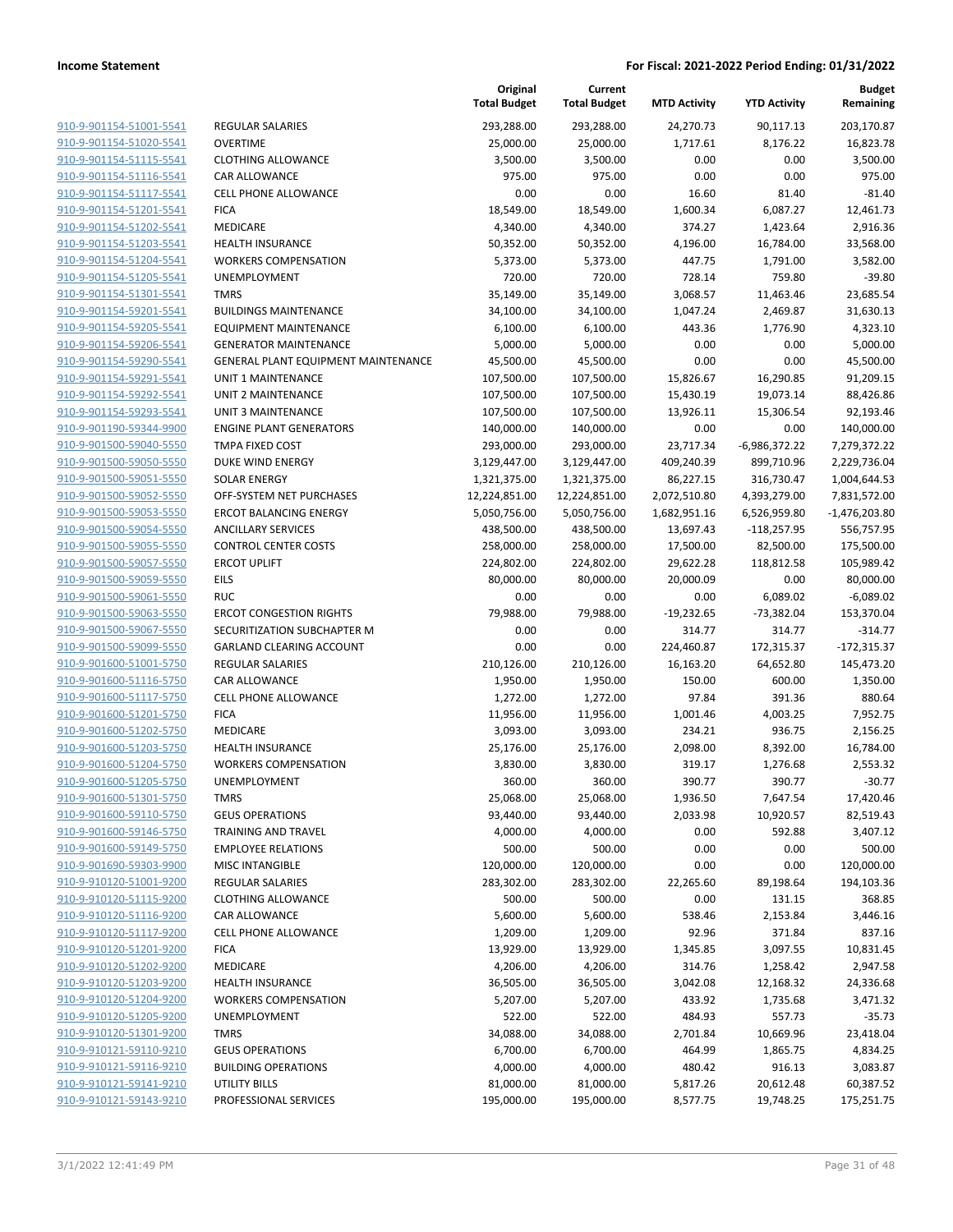|                                                    |                                                     | Original<br><b>Total Budget</b> | Current<br><b>Total Budget</b> | <b>MTD Activity</b> | <b>YTD Activity</b> | <b>Budget</b><br>Remaining |
|----------------------------------------------------|-----------------------------------------------------|---------------------------------|--------------------------------|---------------------|---------------------|----------------------------|
| 910-9-901154-51001-5541                            | REGULAR SALARIES                                    | 293,288.00                      | 293,288.00                     | 24,270.73           | 90,117.13           | 203,170.87                 |
| 910-9-901154-51020-5541                            | <b>OVERTIME</b>                                     | 25,000.00                       | 25,000.00                      | 1,717.61            | 8,176.22            | 16,823.78                  |
| 910-9-901154-51115-5541                            | <b>CLOTHING ALLOWANCE</b>                           | 3,500.00                        | 3,500.00                       | 0.00                | 0.00                | 3,500.00                   |
| 910-9-901154-51116-5541                            | CAR ALLOWANCE                                       | 975.00                          | 975.00                         | 0.00                | 0.00                | 975.00                     |
| 910-9-901154-51117-5541                            | <b>CELL PHONE ALLOWANCE</b>                         | 0.00                            | 0.00                           | 16.60               | 81.40               | $-81.40$                   |
| 910-9-901154-51201-5541                            | <b>FICA</b>                                         | 18,549.00                       | 18,549.00                      | 1,600.34            | 6,087.27            | 12,461.73                  |
| 910-9-901154-51202-5541                            | MEDICARE                                            | 4,340.00                        | 4,340.00                       | 374.27              | 1,423.64            | 2,916.36                   |
| 910-9-901154-51203-5541                            | <b>HEALTH INSURANCE</b>                             | 50,352.00                       | 50,352.00                      | 4,196.00            | 16,784.00           | 33,568.00                  |
| 910-9-901154-51204-5541                            | <b>WORKERS COMPENSATION</b>                         | 5,373.00                        | 5,373.00                       | 447.75              | 1,791.00            | 3,582.00                   |
| 910-9-901154-51205-5541                            | UNEMPLOYMENT                                        | 720.00                          | 720.00                         | 728.14              | 759.80              | $-39.80$                   |
| 910-9-901154-51301-5541                            | <b>TMRS</b>                                         | 35,149.00                       | 35,149.00                      | 3,068.57            | 11,463.46           | 23,685.54                  |
| 910-9-901154-59201-5541                            | <b>BUILDINGS MAINTENANCE</b>                        | 34,100.00                       | 34,100.00                      | 1,047.24            | 2,469.87            | 31,630.13                  |
| 910-9-901154-59205-5541                            | <b>EQUIPMENT MAINTENANCE</b>                        | 6,100.00                        | 6,100.00                       | 443.36              | 1,776.90            | 4,323.10                   |
| 910-9-901154-59206-5541                            | <b>GENERATOR MAINTENANCE</b>                        | 5,000.00                        | 5,000.00                       | 0.00                | 0.00                | 5,000.00                   |
| 910-9-901154-59290-5541                            | GENERAL PLANT EQUIPMENT MAINTENANCE                 | 45,500.00                       | 45,500.00                      | 0.00                | 0.00                | 45,500.00                  |
| 910-9-901154-59291-5541                            | UNIT 1 MAINTENANCE                                  | 107,500.00                      | 107,500.00                     | 15,826.67           | 16,290.85           | 91,209.15                  |
| 910-9-901154-59292-5541                            | UNIT 2 MAINTENANCE                                  | 107,500.00                      | 107,500.00                     | 15,430.19           | 19,073.14           | 88,426.86                  |
| 910-9-901154-59293-5541                            | <b>UNIT 3 MAINTENANCE</b>                           | 107,500.00                      | 107,500.00                     | 13,926.11           | 15,306.54           | 92,193.46                  |
| 910-9-901190-59344-9900                            | <b>ENGINE PLANT GENERATORS</b>                      | 140,000.00                      | 140,000.00                     | 0.00                | 0.00                | 140,000.00                 |
| 910-9-901500-59040-5550                            | <b>TMPA FIXED COST</b>                              | 293,000.00                      | 293,000.00                     | 23,717.34           | $-6,986,372.22$     | 7,279,372.22               |
| 910-9-901500-59050-5550                            | DUKE WIND ENERGY                                    | 3,129,447.00                    | 3,129,447.00                   | 409,240.39          | 899,710.96          | 2,229,736.04               |
| 910-9-901500-59051-5550                            | <b>SOLAR ENERGY</b>                                 | 1,321,375.00                    | 1,321,375.00                   | 86,227.15           | 316,730.47          | 1,004,644.53               |
| 910-9-901500-59052-5550                            | OFF-SYSTEM NET PURCHASES                            | 12,224,851.00                   | 12,224,851.00                  | 2,072,510.80        | 4,393,279.00        | 7,831,572.00               |
| 910-9-901500-59053-5550                            | <b>ERCOT BALANCING ENERGY</b>                       | 5,050,756.00                    | 5,050,756.00                   | 1,682,951.16        | 6,526,959.80        | $-1,476,203.80$            |
| 910-9-901500-59054-5550                            | <b>ANCILLARY SERVICES</b>                           | 438,500.00                      | 438,500.00                     | 13,697.43           | $-118,257.95$       | 556,757.95                 |
| 910-9-901500-59055-5550                            | <b>CONTROL CENTER COSTS</b>                         | 258,000.00                      | 258,000.00                     | 17,500.00           | 82,500.00           | 175,500.00                 |
| 910-9-901500-59057-5550                            | <b>ERCOT UPLIFT</b>                                 | 224,802.00                      | 224,802.00                     | 29,622.28           | 118,812.58          | 105,989.42                 |
| 910-9-901500-59059-5550                            | EILS                                                | 80,000.00                       | 80,000.00                      | 20,000.09           | 0.00                | 80,000.00                  |
| 910-9-901500-59061-5550                            | <b>RUC</b>                                          | 0.00                            | 0.00                           | 0.00                | 6,089.02            | $-6,089.02$                |
| 910-9-901500-59063-5550                            | <b>ERCOT CONGESTION RIGHTS</b>                      | 79,988.00                       | 79,988.00                      | $-19,232.65$        | -73,382.04          | 153,370.04                 |
| 910-9-901500-59067-5550                            | SECURITIZATION SUBCHAPTER M                         | 0.00                            | 0.00                           | 314.77              | 314.77              | $-314.77$                  |
| 910-9-901500-59099-5550                            | GARLAND CLEARING ACCOUNT                            | 0.00                            | 0.00                           | 224,460.87          | 172,315.37          | $-172,315.37$              |
| 910-9-901600-51001-5750                            | REGULAR SALARIES                                    | 210,126.00                      | 210,126.00                     | 16,163.20           | 64,652.80           | 145,473.20                 |
| 910-9-901600-51116-5750                            | CAR ALLOWANCE                                       | 1,950.00                        | 1,950.00                       | 150.00              | 600.00              | 1,350.00                   |
| 910-9-901600-51117-5750                            | <b>CELL PHONE ALLOWANCE</b>                         | 1,272.00                        | 1,272.00                       | 97.84               | 391.36              | 880.64                     |
| 910-9-901600-51201-5750                            | <b>FICA</b>                                         | 11,956.00                       | 11,956.00                      | 1,001.46            | 4,003.25            | 7,952.75                   |
| 910-9-901600-51202-5750                            | MEDICARE                                            | 3,093.00                        | 3,093.00                       | 234.21              | 936.75              | 2,156.25                   |
| 910-9-901600-51203-5750                            | <b>HEALTH INSURANCE</b>                             | 25,176.00                       | 25,176.00                      | 2,098.00            | 8,392.00            | 16,784.00                  |
| 910-9-901600-51204-5750                            | <b>WORKERS COMPENSATION</b>                         | 3,830.00                        | 3,830.00                       | 319.17              | 1,276.68            | 2,553.32                   |
| 910-9-901600-51205-5750                            | UNEMPLOYMENT                                        | 360.00                          | 360.00                         | 390.77              | 390.77              | $-30.77$                   |
| 910-9-901600-51301-5750                            | TMRS                                                | 25,068.00                       | 25,068.00                      | 1,936.50            | 7,647.54            | 17,420.46                  |
| 910-9-901600-59110-5750                            | <b>GEUS OPERATIONS</b>                              | 93,440.00                       | 93,440.00                      | 2,033.98            | 10,920.57           | 82,519.43                  |
| 910-9-901600-59146-5750                            | TRAINING AND TRAVEL                                 | 4,000.00                        | 4,000.00                       | 0.00                | 592.88              | 3,407.12                   |
| 910-9-901600-59149-5750<br>910-9-901690-59303-9900 | <b>EMPLOYEE RELATIONS</b><br><b>MISC INTANGIBLE</b> | 500.00                          | 500.00                         | 0.00                | 0.00                | 500.00                     |
|                                                    |                                                     | 120,000.00                      | 120,000.00<br>283,302.00       | 0.00                | 0.00                | 120,000.00                 |
| 910-9-910120-51001-9200<br>910-9-910120-51115-9200 | REGULAR SALARIES<br><b>CLOTHING ALLOWANCE</b>       | 283,302.00                      |                                | 22,265.60           | 89,198.64           | 194,103.36                 |
|                                                    |                                                     | 500.00                          | 500.00                         | 0.00                | 131.15              | 368.85                     |
| 910-9-910120-51116-9200                            | CAR ALLOWANCE                                       | 5,600.00                        | 5,600.00                       | 538.46              | 2,153.84            | 3,446.16                   |
| 910-9-910120-51117-9200                            | <b>CELL PHONE ALLOWANCE</b><br><b>FICA</b>          | 1,209.00                        | 1,209.00                       | 92.96               | 371.84              | 837.16                     |
| 910-9-910120-51201-9200                            | MEDICARE                                            | 13,929.00                       | 13,929.00                      | 1,345.85            | 3,097.55            | 10,831.45                  |
| 910-9-910120-51202-9200                            | <b>HEALTH INSURANCE</b>                             | 4,206.00                        | 4,206.00                       | 314.76              | 1,258.42            | 2,947.58                   |
| 910-9-910120-51203-9200<br>910-9-910120-51204-9200 |                                                     | 36,505.00                       | 36,505.00                      | 3,042.08            | 12,168.32           | 24,336.68                  |
| 910-9-910120-51205-9200                            | <b>WORKERS COMPENSATION</b>                         | 5,207.00                        | 5,207.00                       | 433.92              | 1,735.68            | 3,471.32                   |
| 910-9-910120-51301-9200                            | UNEMPLOYMENT<br><b>TMRS</b>                         | 522.00                          | 522.00                         | 484.93              | 557.73              | $-35.73$                   |
|                                                    |                                                     | 34,088.00                       | 34,088.00                      | 2,701.84            | 10,669.96           | 23,418.04                  |
| 910-9-910121-59110-9210                            | <b>GEUS OPERATIONS</b>                              | 6,700.00                        | 6,700.00                       | 464.99              | 1,865.75            | 4,834.25                   |
| 910-9-910121-59116-9210<br>910-9-910121-59141-9210 | <b>BUILDING OPERATIONS</b>                          | 4,000.00                        | 4,000.00                       | 480.42              | 916.13              | 3,083.87                   |
| 910-9-910121-59143-9210                            | UTILITY BILLS                                       | 81,000.00                       | 81,000.00                      | 5,817.26            | 20,612.48           | 60,387.52                  |
|                                                    | PROFESSIONAL SERVICES                               | 195,000.00                      | 195,000.00                     | 8,577.75            | 19,748.25           | 175,251.75                 |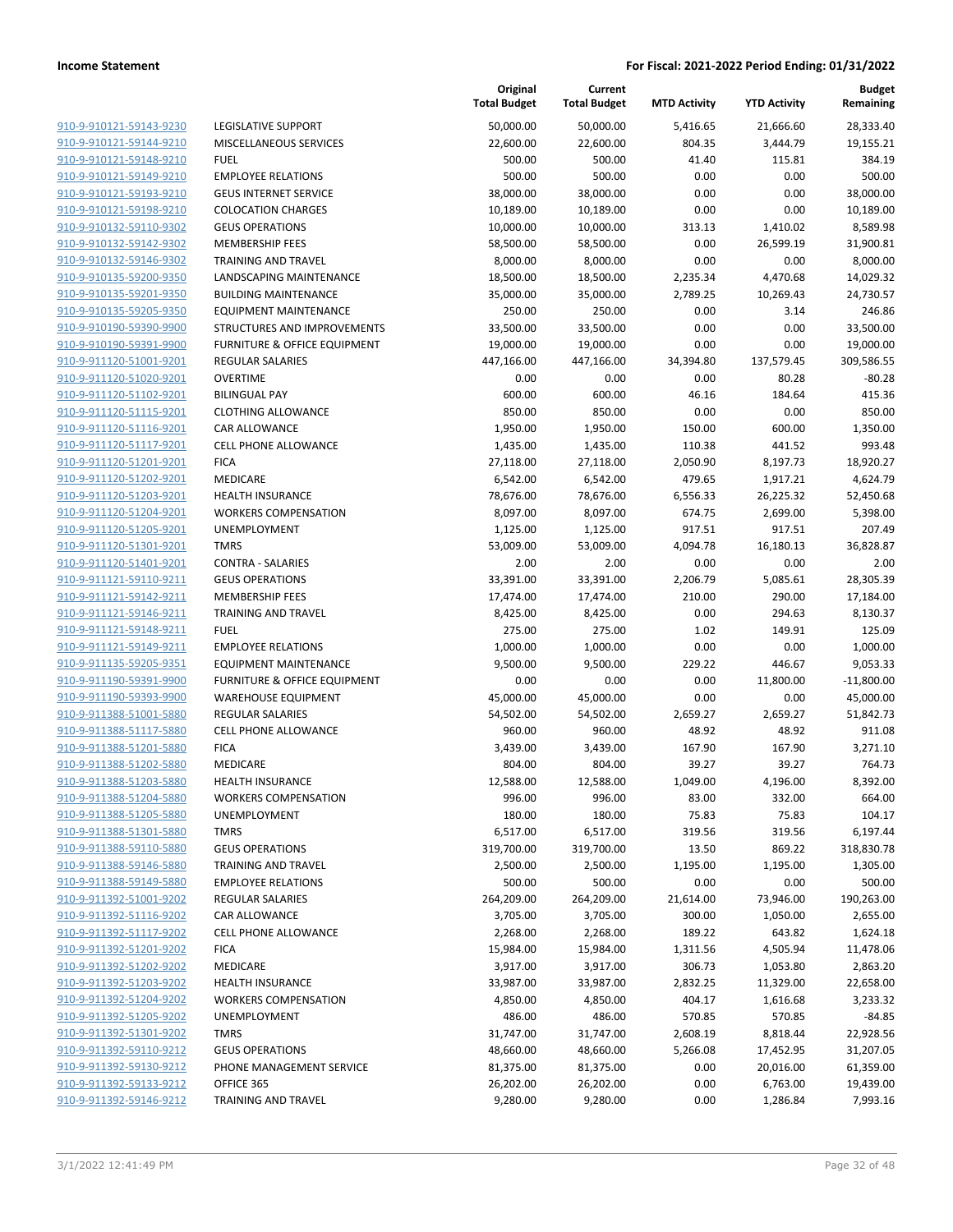| 910-9-910121-59143-9230                            |
|----------------------------------------------------|
| 910-9-910121-59144-9210                            |
| 910-9-910121-59148-9210                            |
| <u>910-9-910121-59149-9210</u>                     |
| 910-9-910121-59193-9210                            |
| 910-9-910121-59198-9210                            |
| 910-9-910132-59110-9302                            |
| 910-9-910132-59142-9302                            |
| <u>910-9-910132-59146-9302</u>                     |
| 910-9-910135-59200-9350                            |
| 910-9-910135-59201-9350                            |
| 910-9-910135-59205-9350                            |
| <u>910-9-910190-59390-9900</u>                     |
| <u>910-9-910190-59391-9900</u>                     |
| 910-9-911120-51001-9201                            |
| 910-9-911120-51020-9201                            |
| 910-9-911120-51102-9201                            |
| 910-9-911120-51115-9201                            |
| 910-9-911120-51116-9201                            |
| 910-9-911120-51117-9201                            |
| 910-9-911120-51201-9201                            |
| 910-9-911120-51202-9201                            |
| 910-9-911120-51203-9201                            |
| 910-9-911120-51204-9201                            |
| 910-9-911120-51205-9201                            |
| 910-9-911120-51301-9201                            |
| 910-9-911120-51401-9201                            |
| 910-9-911121-59110-9211                            |
| 910-9-911121-59142-9211                            |
| 910-9-911121-59146-9211                            |
| 910-9-911121-59148-921<br>1                        |
| 910-9-911121-59149-9211                            |
| <u>910-9-911135-59205-9351</u>                     |
| <u>910-9-911190-59391-9900</u>                     |
| 910-9-911190-59393-9900                            |
| 910-9-911388-51001-5880                            |
| 910-9-911388-51117-5880                            |
| 910-9-911388-51201-5880                            |
| 910-9-911388-51202-5880                            |
| 910-9-911388-51203-5880                            |
| 910-9-911388-51204-5880                            |
| 910-9-911388-51205-5880                            |
| 910-9-911388-51301-5880                            |
| 910-9-911388-59110-5880                            |
| 910-9-911388-59146-5880                            |
| 910-9-911388-59149-5880                            |
| 910-9-911392-51001-9202                            |
| <u>910-9-911392-51116-9202</u>                     |
| 910-9-911392-51117-9202                            |
| 910-9-911392-51201-9202<br>910-9-911392-51202-9202 |
| 910-9-911392-51203-9202                            |
| <u>910-9-911392-51204-9202</u>                     |
| 910-9-911392-51205-9202                            |
| 910-9-911392-51301-9202                            |
| 910-9-911392-59110-9212                            |
| 910-9-911392-59130-9212                            |
| <u>910-9-911392-59133-9212</u>                     |
| 910-9-911392-59146-9212                            |
|                                                    |
|                                                    |

|                         |                                         | Original<br><b>Total Budget</b> | Current<br><b>Total Budget</b> | <b>MTD Activity</b> | <b>YTD Activity</b> | <b>Budget</b><br>Remaining |
|-------------------------|-----------------------------------------|---------------------------------|--------------------------------|---------------------|---------------------|----------------------------|
| 910-9-910121-59143-9230 | <b>LEGISLATIVE SUPPORT</b>              | 50,000.00                       | 50,000.00                      | 5,416.65            | 21,666.60           | 28,333.40                  |
| 910-9-910121-59144-9210 | MISCELLANEOUS SERVICES                  | 22,600.00                       | 22,600.00                      | 804.35              | 3,444.79            | 19,155.21                  |
| 910-9-910121-59148-9210 | <b>FUEL</b>                             | 500.00                          | 500.00                         | 41.40               | 115.81              | 384.19                     |
| 910-9-910121-59149-9210 | <b>EMPLOYEE RELATIONS</b>               | 500.00                          | 500.00                         | 0.00                | 0.00                | 500.00                     |
| 910-9-910121-59193-9210 | <b>GEUS INTERNET SERVICE</b>            | 38,000.00                       | 38,000.00                      | 0.00                | 0.00                | 38,000.00                  |
| 910-9-910121-59198-9210 | <b>COLOCATION CHARGES</b>               | 10,189.00                       | 10,189.00                      | 0.00                | 0.00                | 10,189.00                  |
| 910-9-910132-59110-9302 | <b>GEUS OPERATIONS</b>                  | 10,000.00                       | 10,000.00                      | 313.13              | 1,410.02            | 8,589.98                   |
| 910-9-910132-59142-9302 | <b>MEMBERSHIP FEES</b>                  | 58,500.00                       | 58,500.00                      | 0.00                | 26,599.19           | 31,900.81                  |
| 910-9-910132-59146-9302 | <b>TRAINING AND TRAVEL</b>              | 8,000.00                        | 8,000.00                       | 0.00                | 0.00                | 8,000.00                   |
| 910-9-910135-59200-9350 | <b>LANDSCAPING MAINTENANCE</b>          | 18,500.00                       | 18,500.00                      | 2,235.34            | 4,470.68            | 14,029.32                  |
| 910-9-910135-59201-9350 | <b>BUILDING MAINTENANCE</b>             | 35,000.00                       | 35,000.00                      | 2,789.25            | 10,269.43           | 24,730.57                  |
| 910-9-910135-59205-9350 | <b>EQUIPMENT MAINTENANCE</b>            | 250.00                          | 250.00                         | 0.00                | 3.14                | 246.86                     |
| 910-9-910190-59390-9900 | STRUCTURES AND IMPROVEMENTS             | 33,500.00                       | 33,500.00                      | 0.00                | 0.00                | 33,500.00                  |
| 910-9-910190-59391-9900 | <b>FURNITURE &amp; OFFICE EQUIPMENT</b> | 19,000.00                       | 19,000.00                      | 0.00                | 0.00                | 19,000.00                  |
| 910-9-911120-51001-9201 | REGULAR SALARIES                        | 447,166.00                      | 447,166.00                     | 34,394.80           | 137,579.45          | 309,586.55                 |
| 910-9-911120-51020-9201 | <b>OVERTIME</b>                         | 0.00                            | 0.00                           | 0.00                | 80.28               | $-80.28$                   |
| 910-9-911120-51102-9201 | <b>BILINGUAL PAY</b>                    | 600.00                          | 600.00                         | 46.16               | 184.64              | 415.36                     |
| 910-9-911120-51115-9201 | <b>CLOTHING ALLOWANCE</b>               | 850.00                          | 850.00                         | 0.00                | 0.00                | 850.00                     |
| 910-9-911120-51116-9201 | CAR ALLOWANCE                           | 1,950.00                        | 1,950.00                       | 150.00              | 600.00              | 1,350.00                   |
| 910-9-911120-51117-9201 | CELL PHONE ALLOWANCE                    | 1,435.00                        | 1,435.00                       | 110.38              | 441.52              | 993.48                     |
| 910-9-911120-51201-9201 | <b>FICA</b>                             | 27,118.00                       | 27,118.00                      | 2,050.90            | 8,197.73            | 18,920.27                  |
| 910-9-911120-51202-9201 | MEDICARE                                | 6,542.00                        | 6,542.00                       | 479.65              | 1,917.21            | 4,624.79                   |
| 910-9-911120-51203-9201 | <b>HEALTH INSURANCE</b>                 | 78,676.00                       | 78,676.00                      | 6,556.33            | 26,225.32           | 52,450.68                  |
| 910-9-911120-51204-9201 | <b>WORKERS COMPENSATION</b>             | 8,097.00                        | 8,097.00                       | 674.75              | 2,699.00            | 5,398.00                   |
| 910-9-911120-51205-9201 | <b>UNEMPLOYMENT</b>                     | 1,125.00                        | 1,125.00                       | 917.51              | 917.51              | 207.49                     |
| 910-9-911120-51301-9201 | <b>TMRS</b>                             | 53,009.00                       | 53,009.00                      | 4,094.78            | 16,180.13           | 36,828.87                  |
| 910-9-911120-51401-9201 | <b>CONTRA - SALARIES</b>                | 2.00                            | 2.00                           | 0.00                | 0.00                | 2.00                       |
| 910-9-911121-59110-9211 | <b>GEUS OPERATIONS</b>                  | 33,391.00                       | 33,391.00                      | 2,206.79            | 5,085.61            | 28,305.39                  |
| 910-9-911121-59142-9211 | <b>MEMBERSHIP FEES</b>                  | 17,474.00                       | 17,474.00                      | 210.00              | 290.00              | 17,184.00                  |
| 910-9-911121-59146-9211 | <b>TRAINING AND TRAVEL</b>              | 8,425.00                        | 8,425.00                       | 0.00                | 294.63              | 8,130.37                   |
| 910-9-911121-59148-9211 | <b>FUEL</b>                             | 275.00                          | 275.00                         | 1.02                | 149.91              | 125.09                     |
| 910-9-911121-59149-9211 | <b>EMPLOYEE RELATIONS</b>               | 1,000.00                        | 1,000.00                       | 0.00                | 0.00                | 1,000.00                   |
| 910-9-911135-59205-9351 | <b>EQUIPMENT MAINTENANCE</b>            | 9,500.00                        | 9,500.00                       | 229.22              | 446.67              | 9,053.33                   |
| 910-9-911190-59391-9900 | <b>FURNITURE &amp; OFFICE EQUIPMENT</b> | 0.00                            | 0.00                           | 0.00                | 11,800.00           | $-11,800.00$               |
| 910-9-911190-59393-9900 | <b>WAREHOUSE EQUIPMENT</b>              | 45,000.00                       | 45,000.00                      | 0.00                | 0.00                | 45,000.00                  |
| 910-9-911388-51001-5880 | <b>REGULAR SALARIES</b>                 | 54,502.00                       | 54,502.00                      | 2,659.27            | 2,659.27            | 51,842.73                  |
| 910-9-911388-51117-5880 | <b>CELL PHONE ALLOWANCE</b>             | 960.00                          | 960.00                         | 48.92               | 48.92               | 911.08                     |
| 910-9-911388-51201-5880 | <b>FICA</b>                             | 3,439.00                        | 3,439.00                       | 167.90              | 167.90              | 3,271.10                   |
| 910-9-911388-51202-5880 | MEDICARE                                | 804.00                          | 804.00                         | 39.27               | 39.27               | 764.73                     |
| 910-9-911388-51203-5880 | <b>HEALTH INSURANCE</b>                 | 12,588.00                       | 12,588.00                      | 1,049.00            | 4,196.00            | 8,392.00                   |
| 910-9-911388-51204-5880 | <b>WORKERS COMPENSATION</b>             | 996.00                          | 996.00                         | 83.00               | 332.00              | 664.00                     |
| 910-9-911388-51205-5880 | <b>UNEMPLOYMENT</b>                     | 180.00                          | 180.00                         | 75.83               | 75.83               | 104.17                     |
| 910-9-911388-51301-5880 | <b>TMRS</b>                             | 6,517.00                        | 6,517.00                       | 319.56              | 319.56              | 6,197.44                   |
| 910-9-911388-59110-5880 | <b>GEUS OPERATIONS</b>                  | 319,700.00                      | 319,700.00                     | 13.50               | 869.22              | 318,830.78                 |
| 910-9-911388-59146-5880 | TRAINING AND TRAVEL                     | 2,500.00                        | 2,500.00                       | 1,195.00            | 1,195.00            | 1,305.00                   |
| 910-9-911388-59149-5880 | <b>EMPLOYEE RELATIONS</b>               | 500.00                          | 500.00                         | 0.00                | 0.00                | 500.00                     |
| 910-9-911392-51001-9202 | REGULAR SALARIES                        | 264,209.00                      | 264,209.00                     | 21,614.00           | 73,946.00           | 190,263.00                 |
| 910-9-911392-51116-9202 | CAR ALLOWANCE                           | 3,705.00                        | 3,705.00                       | 300.00              | 1,050.00            | 2,655.00                   |
| 910-9-911392-51117-9202 | <b>CELL PHONE ALLOWANCE</b>             | 2,268.00                        | 2,268.00                       | 189.22              | 643.82              | 1,624.18                   |
| 910-9-911392-51201-9202 | <b>FICA</b>                             | 15,984.00                       | 15,984.00                      | 1,311.56            | 4,505.94            | 11,478.06                  |
| 910-9-911392-51202-9202 | MEDICARE                                | 3,917.00                        | 3,917.00                       | 306.73              | 1,053.80            | 2,863.20                   |
| 910-9-911392-51203-9202 | <b>HEALTH INSURANCE</b>                 | 33,987.00                       | 33,987.00                      | 2,832.25            | 11,329.00           | 22,658.00                  |
| 910-9-911392-51204-9202 | <b>WORKERS COMPENSATION</b>             | 4,850.00                        | 4,850.00                       | 404.17              | 1,616.68            | 3,233.32                   |
| 910-9-911392-51205-9202 | UNEMPLOYMENT                            | 486.00                          | 486.00                         | 570.85              | 570.85              | $-84.85$                   |
| 910-9-911392-51301-9202 | <b>TMRS</b>                             | 31,747.00                       | 31,747.00                      | 2,608.19            | 8,818.44            | 22,928.56                  |
| 910-9-911392-59110-9212 | <b>GEUS OPERATIONS</b>                  | 48,660.00                       | 48,660.00                      | 5,266.08            | 17,452.95           | 31,207.05                  |
| 910-9-911392-59130-9212 | PHONE MANAGEMENT SERVICE                | 81,375.00                       | 81,375.00                      | 0.00                | 20,016.00           | 61,359.00                  |
| 910-9-911392-59133-9212 | OFFICE 365                              | 26,202.00                       | 26,202.00                      | 0.00                | 6,763.00            | 19,439.00                  |
| 910-9-911392-59146-9212 | <b>TRAINING AND TRAVEL</b>              | 9,280.00                        | 9,280.00                       | 0.00                | 1,286.84            | 7,993.16                   |
|                         |                                         |                                 |                                |                     |                     |                            |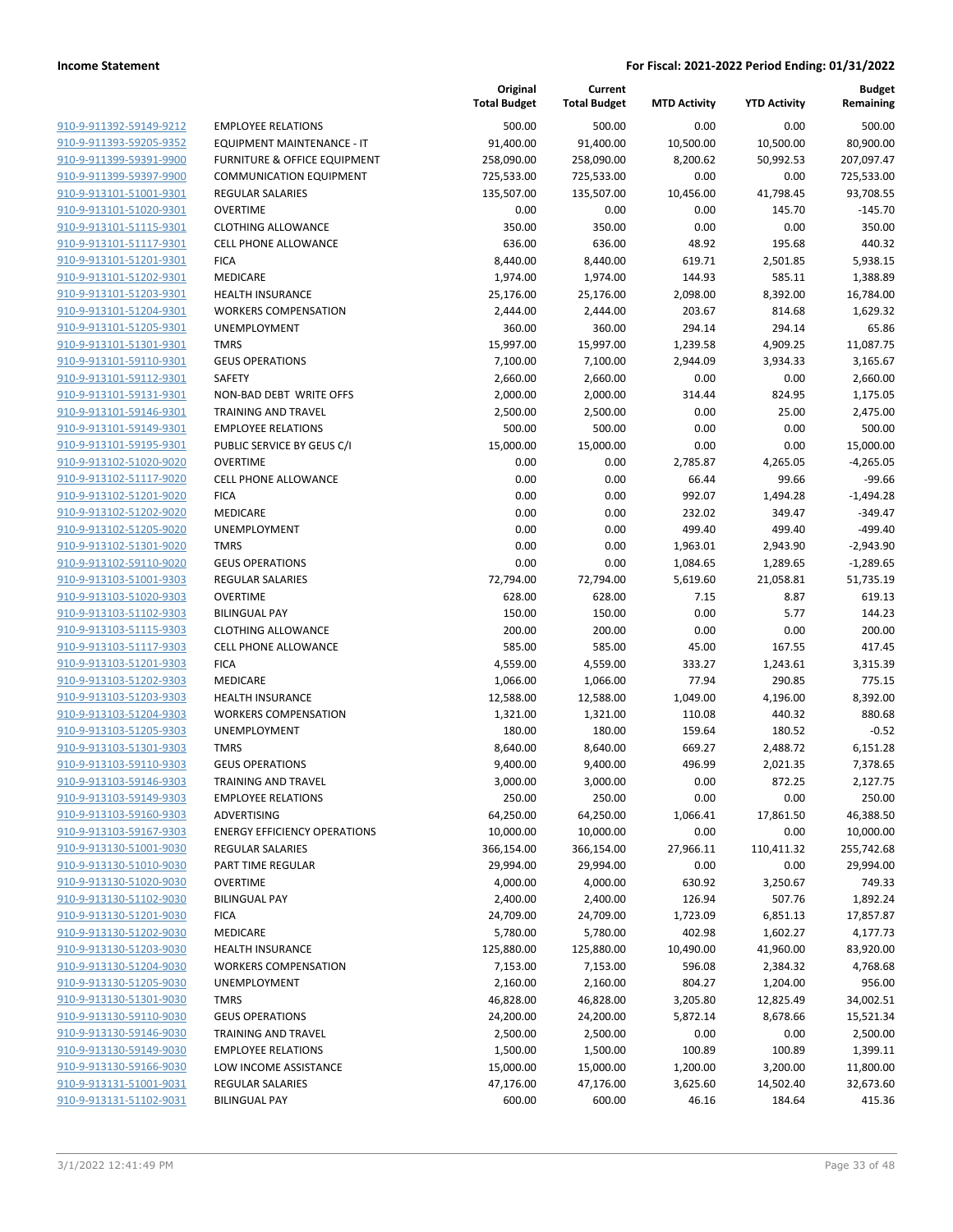|                                                    |                                                        | Original<br><b>Total Budget</b> | Current<br><b>Total Budget</b> | <b>MTD Activity</b>  | <b>YTD Activity</b>   | <b>Budget</b><br>Remaining |
|----------------------------------------------------|--------------------------------------------------------|---------------------------------|--------------------------------|----------------------|-----------------------|----------------------------|
| 910-9-911392-59149-9212                            | <b>EMPLOYEE RELATIONS</b>                              | 500.00                          | 500.00                         | 0.00                 | 0.00                  | 500.00                     |
| 910-9-911393-59205-9352                            | EQUIPMENT MAINTENANCE - IT                             | 91,400.00                       | 91,400.00                      | 10,500.00            | 10,500.00             | 80,900.00                  |
| 910-9-911399-59391-9900                            | <b>FURNITURE &amp; OFFICE EQUIPMENT</b>                | 258,090.00                      | 258,090.00                     | 8,200.62             | 50,992.53             | 207,097.47                 |
| 910-9-911399-59397-9900                            | <b>COMMUNICATION EQUIPMENT</b>                         | 725,533.00                      | 725,533.00                     | 0.00                 | 0.00                  | 725,533.00                 |
| 910-9-913101-51001-9301                            | REGULAR SALARIES                                       | 135,507.00                      | 135,507.00                     | 10,456.00            | 41,798.45             | 93,708.55                  |
| 910-9-913101-51020-9301                            | <b>OVERTIME</b>                                        | 0.00                            | 0.00                           | 0.00                 | 145.70                | $-145.70$                  |
| 910-9-913101-51115-9301                            | <b>CLOTHING ALLOWANCE</b>                              | 350.00                          | 350.00                         | 0.00                 | 0.00                  | 350.00                     |
| 910-9-913101-51117-9301                            | <b>CELL PHONE ALLOWANCE</b>                            | 636.00                          | 636.00                         | 48.92                | 195.68                | 440.32                     |
| 910-9-913101-51201-9301                            | <b>FICA</b>                                            | 8,440.00                        | 8,440.00                       | 619.71               | 2,501.85              | 5,938.15                   |
| 910-9-913101-51202-9301                            | MEDICARE                                               | 1,974.00                        | 1,974.00                       | 144.93               | 585.11                | 1,388.89                   |
| 910-9-913101-51203-9301                            | <b>HEALTH INSURANCE</b>                                | 25,176.00                       | 25,176.00                      | 2,098.00             | 8,392.00              | 16,784.00                  |
| 910-9-913101-51204-9301                            | <b>WORKERS COMPENSATION</b>                            | 2,444.00                        | 2,444.00                       | 203.67               | 814.68                | 1,629.32                   |
| 910-9-913101-51205-9301                            | UNEMPLOYMENT                                           | 360.00                          | 360.00                         | 294.14               | 294.14                | 65.86                      |
| 910-9-913101-51301-9301                            | <b>TMRS</b>                                            | 15,997.00                       | 15,997.00                      | 1,239.58             | 4,909.25              | 11,087.75                  |
| 910-9-913101-59110-9301                            | <b>GEUS OPERATIONS</b><br>SAFETY                       | 7,100.00                        | 7,100.00                       | 2,944.09<br>0.00     | 3,934.33<br>0.00      | 3,165.67                   |
| 910-9-913101-59112-9301<br>910-9-913101-59131-9301 | NON-BAD DEBT WRITE OFFS                                | 2,660.00<br>2,000.00            | 2,660.00<br>2,000.00           | 314.44               | 824.95                | 2,660.00<br>1,175.05       |
| 910-9-913101-59146-9301                            | <b>TRAINING AND TRAVEL</b>                             | 2,500.00                        | 2,500.00                       | 0.00                 | 25.00                 | 2,475.00                   |
| 910-9-913101-59149-9301                            | <b>EMPLOYEE RELATIONS</b>                              | 500.00                          | 500.00                         | 0.00                 | 0.00                  | 500.00                     |
| 910-9-913101-59195-9301                            | PUBLIC SERVICE BY GEUS C/I                             | 15,000.00                       | 15,000.00                      | 0.00                 | 0.00                  | 15,000.00                  |
| 910-9-913102-51020-9020                            | <b>OVERTIME</b>                                        | 0.00                            | 0.00                           | 2,785.87             | 4,265.05              | $-4,265.05$                |
| 910-9-913102-51117-9020                            | <b>CELL PHONE ALLOWANCE</b>                            | 0.00                            | 0.00                           | 66.44                | 99.66                 | $-99.66$                   |
| 910-9-913102-51201-9020                            | <b>FICA</b>                                            | 0.00                            | 0.00                           | 992.07               | 1,494.28              | $-1,494.28$                |
| 910-9-913102-51202-9020                            | MEDICARE                                               | 0.00                            | 0.00                           | 232.02               | 349.47                | -349.47                    |
| 910-9-913102-51205-9020                            | UNEMPLOYMENT                                           | 0.00                            | 0.00                           | 499.40               | 499.40                | $-499.40$                  |
| 910-9-913102-51301-9020                            | <b>TMRS</b>                                            | 0.00                            | 0.00                           | 1,963.01             | 2,943.90              | $-2,943.90$                |
| 910-9-913102-59110-9020                            | <b>GEUS OPERATIONS</b>                                 | 0.00                            | 0.00                           | 1,084.65             | 1,289.65              | $-1,289.65$                |
| 910-9-913103-51001-9303                            | <b>REGULAR SALARIES</b>                                | 72,794.00                       | 72,794.00                      | 5,619.60             | 21,058.81             | 51,735.19                  |
| 910-9-913103-51020-9303                            | <b>OVERTIME</b>                                        | 628.00                          | 628.00                         | 7.15                 | 8.87                  | 619.13                     |
| 910-9-913103-51102-9303                            | <b>BILINGUAL PAY</b>                                   | 150.00                          | 150.00                         | 0.00                 | 5.77                  | 144.23                     |
| 910-9-913103-51115-9303                            | <b>CLOTHING ALLOWANCE</b>                              | 200.00                          | 200.00                         | 0.00                 | 0.00                  | 200.00                     |
| 910-9-913103-51117-9303                            | <b>CELL PHONE ALLOWANCE</b>                            | 585.00                          | 585.00                         | 45.00                | 167.55                | 417.45                     |
| 910-9-913103-51201-9303                            | <b>FICA</b>                                            | 4,559.00                        | 4,559.00                       | 333.27               | 1,243.61              | 3,315.39                   |
| 910-9-913103-51202-9303                            | <b>MEDICARE</b>                                        | 1,066.00                        | 1,066.00                       | 77.94                | 290.85                | 775.15                     |
| 910-9-913103-51203-9303                            | <b>HEALTH INSURANCE</b>                                | 12,588.00                       | 12,588.00                      | 1,049.00             | 4,196.00              | 8,392.00                   |
| 910-9-913103-51204-9303                            | <b>WORKERS COMPENSATION</b>                            | 1,321.00                        | 1,321.00                       | 110.08               | 440.32                | 880.68                     |
| 910-9-913103-51205-9303                            | UNEMPLOYMENT                                           | 180.00                          | 180.00                         | 159.64               | 180.52                | $-0.52$                    |
| 910-9-913103-51301-9303                            | <b>TMRS</b>                                            | 8,640.00                        | 8,640.00                       | 669.27               | 2,488.72              | 6,151.28                   |
| 910-9-913103-59110-9303                            | <b>GEUS OPERATIONS</b>                                 | 9,400.00                        | 9,400.00                       | 496.99               | 2,021.35              | 7,378.65                   |
| 910-9-913103-59146-9303                            | TRAINING AND TRAVEL                                    | 3,000.00                        | 3,000.00                       | 0.00                 | 872.25                | 2,127.75                   |
| 910-9-913103-59149-9303                            | <b>EMPLOYEE RELATIONS</b>                              | 250.00                          | 250.00                         | 0.00                 | 0.00                  | 250.00                     |
| 910-9-913103-59160-9303                            | ADVERTISING                                            | 64,250.00                       | 64,250.00                      | 1,066.41             | 17,861.50             | 46,388.50                  |
| 910-9-913103-59167-9303                            | <b>ENERGY EFFICIENCY OPERATIONS</b>                    | 10,000.00                       | 10,000.00                      | 0.00                 | 0.00                  | 10,000.00                  |
| 910-9-913130-51001-9030                            | <b>REGULAR SALARIES</b>                                | 366,154.00                      | 366,154.00                     | 27,966.11            | 110,411.32            | 255,742.68                 |
| 910-9-913130-51010-9030                            | PART TIME REGULAR                                      | 29,994.00                       | 29,994.00                      | 0.00                 | 0.00                  | 29,994.00                  |
| 910-9-913130-51020-9030                            | <b>OVERTIME</b>                                        | 4,000.00                        | 4,000.00                       | 630.92               | 3,250.67              | 749.33                     |
| 910-9-913130-51102-9030                            | <b>BILINGUAL PAY</b>                                   | 2,400.00                        | 2,400.00                       | 126.94               | 507.76                | 1,892.24                   |
| 910-9-913130-51201-9030                            | <b>FICA</b>                                            | 24,709.00                       | 24,709.00                      | 1,723.09             | 6,851.13              | 17,857.87                  |
| 910-9-913130-51202-9030                            | MEDICARE                                               | 5,780.00                        | 5,780.00                       | 402.98               | 1,602.27              | 4,177.73                   |
| 910-9-913130-51203-9030<br>910-9-913130-51204-9030 | <b>HEALTH INSURANCE</b><br><b>WORKERS COMPENSATION</b> | 125,880.00                      | 125,880.00<br>7,153.00         | 10,490.00<br>596.08  | 41,960.00<br>2,384.32 | 83,920.00                  |
| 910-9-913130-51205-9030                            | UNEMPLOYMENT                                           | 7,153.00                        |                                | 804.27               |                       | 4,768.68<br>956.00         |
| 910-9-913130-51301-9030                            | <b>TMRS</b>                                            | 2,160.00                        | 2,160.00                       |                      | 1,204.00              |                            |
| 910-9-913130-59110-9030                            | <b>GEUS OPERATIONS</b>                                 | 46,828.00<br>24,200.00          | 46,828.00<br>24,200.00         | 3,205.80<br>5,872.14 | 12,825.49<br>8,678.66 | 34,002.51<br>15,521.34     |
| 910-9-913130-59146-9030                            | TRAINING AND TRAVEL                                    | 2,500.00                        | 2,500.00                       | 0.00                 | 0.00                  | 2,500.00                   |
| 910-9-913130-59149-9030                            | <b>EMPLOYEE RELATIONS</b>                              | 1,500.00                        | 1,500.00                       | 100.89               | 100.89                | 1,399.11                   |
| 910-9-913130-59166-9030                            | LOW INCOME ASSISTANCE                                  | 15,000.00                       | 15,000.00                      | 1,200.00             | 3,200.00              | 11,800.00                  |
| 910-9-913131-51001-9031                            | <b>REGULAR SALARIES</b>                                | 47,176.00                       | 47,176.00                      | 3,625.60             | 14,502.40             | 32,673.60                  |
| 910-9-913131-51102-9031                            | <b>BILINGUAL PAY</b>                                   | 600.00                          | 600.00                         | 46.16                | 184.64                | 415.36                     |
|                                                    |                                                        |                                 |                                |                      |                       |                            |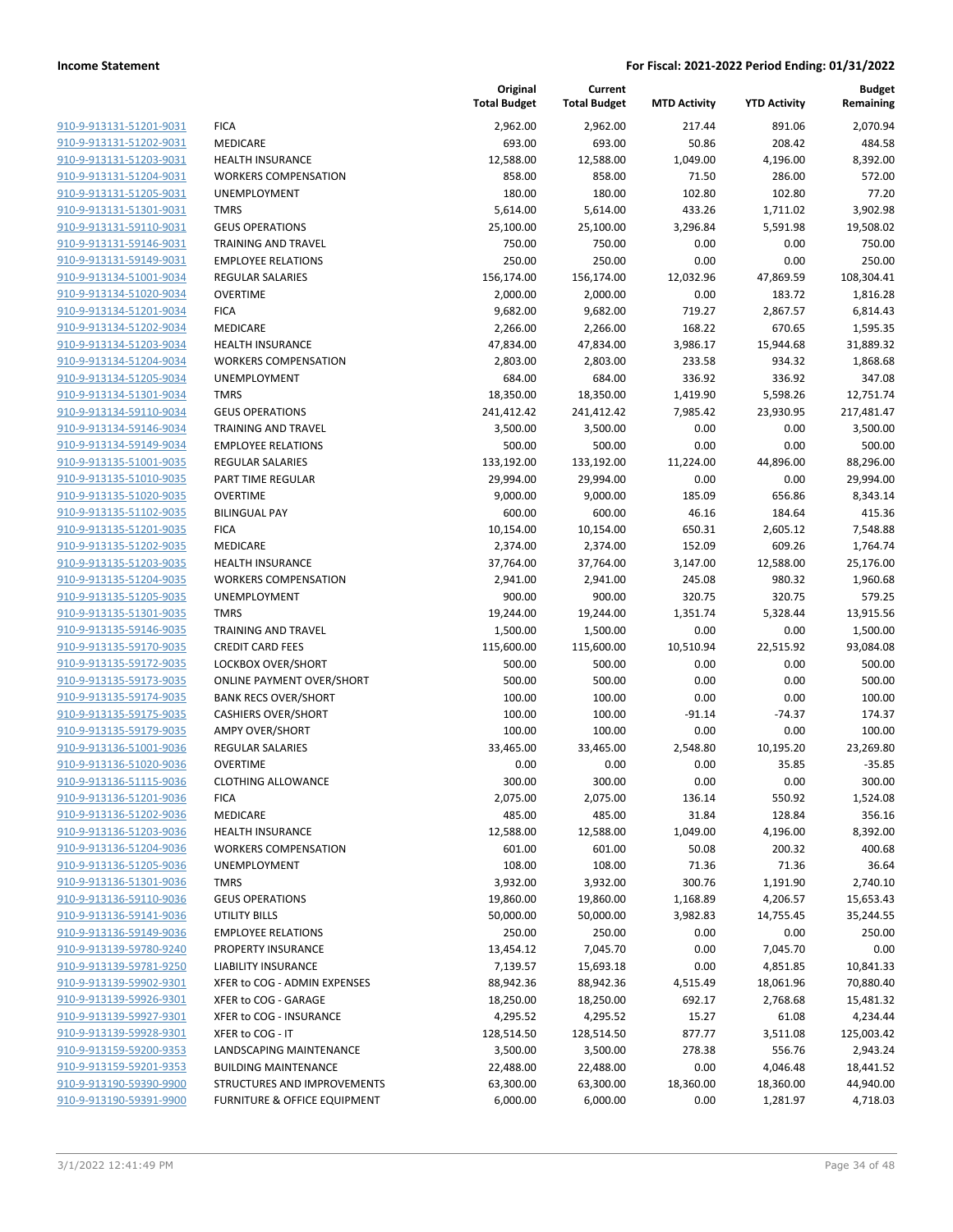| 910-9-913131-51201-9031        |
|--------------------------------|
| <u>910-9-913131-51202-9031</u> |
| 910-9-913131-51203-9031        |
| 910-9-913131-51204-9031        |
| 910-9-913131-51205-9031        |
| <u>910-9-913131-51301-9031</u> |
| <u>910-9-913131-59110-9031</u> |
| 910-9-913131-59146-9031        |
| 910-9-913131-59149-9031        |
| 910-9-913134-51001-9034        |
| 910-9-913134-51020-9034        |
| 910-9-913134-51201-9034        |
| 910-9-913134-51202-9034        |
| 910-9-913134-51203-9034        |
| 910-9-913134-51204-9034        |
| 910-9-913134-51205-9034        |
| <u>910-9-913134-51301-9034</u> |
| 910-9-913134-59110-9034        |
| 910-9-913134-59146-9034        |
| 910-9-913134-59149-9034        |
| 910-9-913135-51001-9035        |
| 910-9-913135-51010-9035        |
| 910-9-913135-51020-9035        |
| 910-9-913135-51102-9035        |
| 910-9-913135-51201-9035        |
|                                |
| 910-9-913135-51202-9035        |
| 910-9-913135-51203-9035        |
| 910-9-913135-51204-9035        |
| 910-9-913135-51205-9035        |
| 910-9-913135-51301-9035        |
| 910-9-913135-59146-9035        |
| 910-9-913135-59170-9035        |
| 910-9-913135-59172-9035        |
| 910-9-913135-59173-9035        |
| 910-9-913135-59174-9035        |
| <u>910-9-913135-59175-9035</u> |
| 910-9-913135-59179-9035        |
| 910-9-913136-51001-9036        |
| 910-9-913136-51020-9036        |
| 910-9-913136-51115-9036        |
| 910-9-913136-51201-9036        |
| 910-9-913136-51202-9036        |
| <u>910-9-913136-51203-9036</u> |
| 910-9-913136-51204-9036        |
| 910-9-913136-51205-9036        |
| <u>910-9-913136-51301-9036</u> |
| 910-9-913136-59110-9036        |
| <u>910-9-913136-59141-9036</u> |
| <u>910-9-913136-59149-9036</u> |
| 910-9-913139-59780-9240        |
| <u>910-9-913139-59781-9250</u> |
| <u>910-9-913139-59902-9301</u> |
| <u>910-9-913139-59926-9301</u> |
| 910-9-913139-59927-9301        |
| 910-9-913139-59928-9301        |
| <u>910-9-913159-59200-9353</u> |
| <u>910-9-913159-59201-9353</u> |
| 910-9-913190-59390-9900        |
| <u>910-9-913190-59391-9900</u> |
|                                |

|                         |                                  | Original<br><b>Total Budget</b> | Current<br><b>Total Budget</b> | <b>MTD Activity</b> | <b>YTD Activity</b> | <b>Budget</b><br>Remaining |
|-------------------------|----------------------------------|---------------------------------|--------------------------------|---------------------|---------------------|----------------------------|
| 910-9-913131-51201-9031 | <b>FICA</b>                      | 2,962.00                        | 2,962.00                       | 217.44              | 891.06              | 2,070.94                   |
| 910-9-913131-51202-9031 | MEDICARE                         | 693.00                          | 693.00                         | 50.86               | 208.42              | 484.58                     |
| 910-9-913131-51203-9031 | HEALTH INSURANCE                 | 12,588.00                       | 12,588.00                      | 1,049.00            | 4,196.00            | 8,392.00                   |
| 910-9-913131-51204-9031 | <b>WORKERS COMPENSATION</b>      | 858.00                          | 858.00                         | 71.50               | 286.00              | 572.00                     |
| 910-9-913131-51205-9031 | UNEMPLOYMENT                     | 180.00                          | 180.00                         | 102.80              | 102.80              | 77.20                      |
| 910-9-913131-51301-9031 | <b>TMRS</b>                      | 5,614.00                        | 5,614.00                       | 433.26              | 1,711.02            | 3,902.98                   |
| 910-9-913131-59110-9031 | <b>GEUS OPERATIONS</b>           | 25,100.00                       | 25,100.00                      | 3,296.84            | 5,591.98            | 19,508.02                  |
| 910-9-913131-59146-9031 | TRAINING AND TRAVEL              | 750.00                          | 750.00                         | 0.00                | 0.00                | 750.00                     |
| 910-9-913131-59149-9031 | <b>EMPLOYEE RELATIONS</b>        | 250.00                          | 250.00                         | 0.00                | 0.00                | 250.00                     |
| 910-9-913134-51001-9034 | <b>REGULAR SALARIES</b>          | 156,174.00                      | 156,174.00                     | 12,032.96           | 47,869.59           | 108,304.41                 |
| 910-9-913134-51020-9034 | <b>OVERTIME</b>                  | 2,000.00                        | 2,000.00                       | 0.00                | 183.72              | 1,816.28                   |
| 910-9-913134-51201-9034 | <b>FICA</b>                      | 9,682.00                        | 9,682.00                       | 719.27              | 2,867.57            | 6,814.43                   |
| 910-9-913134-51202-9034 | MEDICARE                         | 2,266.00                        | 2,266.00                       | 168.22              | 670.65              | 1,595.35                   |
| 910-9-913134-51203-9034 | <b>HEALTH INSURANCE</b>          | 47,834.00                       | 47,834.00                      | 3,986.17            | 15,944.68           | 31,889.32                  |
| 910-9-913134-51204-9034 | <b>WORKERS COMPENSATION</b>      | 2,803.00                        | 2,803.00                       | 233.58              | 934.32              | 1,868.68                   |
| 910-9-913134-51205-9034 | UNEMPLOYMENT                     | 684.00                          | 684.00                         | 336.92              | 336.92              | 347.08                     |
| 910-9-913134-51301-9034 | <b>TMRS</b>                      | 18,350.00                       | 18,350.00                      | 1,419.90            | 5,598.26            | 12,751.74                  |
| 910-9-913134-59110-9034 | <b>GEUS OPERATIONS</b>           | 241,412.42                      | 241,412.42                     | 7,985.42            | 23,930.95           | 217,481.47                 |
| 910-9-913134-59146-9034 | <b>TRAINING AND TRAVEL</b>       | 3,500.00                        | 3,500.00                       | 0.00                | 0.00                | 3,500.00                   |
| 910-9-913134-59149-9034 | <b>EMPLOYEE RELATIONS</b>        | 500.00                          | 500.00                         | 0.00                | 0.00                | 500.00                     |
| 910-9-913135-51001-9035 | <b>REGULAR SALARIES</b>          | 133,192.00                      | 133,192.00                     | 11,224.00           | 44,896.00           | 88,296.00                  |
| 910-9-913135-51010-9035 | PART TIME REGULAR                | 29,994.00                       | 29,994.00                      | 0.00                | 0.00                | 29,994.00                  |
| 910-9-913135-51020-9035 | <b>OVERTIME</b>                  | 9,000.00                        | 9,000.00                       | 185.09              | 656.86              | 8,343.14                   |
| 910-9-913135-51102-9035 | <b>BILINGUAL PAY</b>             | 600.00                          | 600.00                         | 46.16               | 184.64              | 415.36                     |
| 910-9-913135-51201-9035 | <b>FICA</b>                      | 10,154.00                       | 10,154.00                      | 650.31              | 2,605.12            | 7,548.88                   |
| 910-9-913135-51202-9035 | MEDICARE                         | 2,374.00                        | 2,374.00                       | 152.09              | 609.26              | 1,764.74                   |
| 910-9-913135-51203-9035 | HEALTH INSURANCE                 | 37,764.00                       | 37,764.00                      | 3,147.00            | 12,588.00           | 25,176.00                  |
| 910-9-913135-51204-9035 | <b>WORKERS COMPENSATION</b>      | 2,941.00                        | 2,941.00                       | 245.08              | 980.32              | 1,960.68                   |
| 910-9-913135-51205-9035 | UNEMPLOYMENT                     | 900.00                          | 900.00                         | 320.75              | 320.75              | 579.25                     |
| 910-9-913135-51301-9035 | <b>TMRS</b>                      | 19,244.00                       | 19,244.00                      | 1,351.74            | 5,328.44            | 13,915.56                  |
| 910-9-913135-59146-9035 | <b>TRAINING AND TRAVEL</b>       | 1,500.00                        | 1,500.00                       | 0.00                | 0.00                | 1,500.00                   |
| 910-9-913135-59170-9035 | <b>CREDIT CARD FEES</b>          | 115,600.00                      | 115,600.00                     | 10,510.94           | 22,515.92           | 93,084.08                  |
| 910-9-913135-59172-9035 | LOCKBOX OVER/SHORT               | 500.00                          | 500.00                         | 0.00                | 0.00                | 500.00                     |
| 910-9-913135-59173-9035 | <b>ONLINE PAYMENT OVER/SHORT</b> | 500.00                          | 500.00                         | 0.00                | 0.00                | 500.00                     |
| 910-9-913135-59174-9035 | <b>BANK RECS OVER/SHORT</b>      | 100.00                          | 100.00                         | 0.00                | 0.00                | 100.00                     |
| 910-9-913135-59175-9035 | <b>CASHIERS OVER/SHORT</b>       | 100.00                          | 100.00                         | $-91.14$            | $-74.37$            | 174.37                     |
| 910-9-913135-59179-9035 | <b>AMPY OVER/SHORT</b>           | 100.00                          | 100.00                         | 0.00                | 0.00                | 100.00                     |
| 910-9-913136-51001-9036 | <b>REGULAR SALARIES</b>          | 33,465.00                       | 33,465.00                      | 2,548.80            | 10,195.20           | 23,269.80                  |
| 910-9-913136-51020-9036 | <b>OVERTIME</b>                  | 0.00                            | 0.00                           | 0.00                | 35.85               | $-35.85$                   |
| 910-9-913136-51115-9036 | <b>CLOTHING ALLOWANCE</b>        | 300.00                          | 300.00                         | 0.00                | 0.00                | 300.00                     |
| 910-9-913136-51201-9036 | <b>FICA</b>                      | 2,075.00                        | 2,075.00                       | 136.14              | 550.92              | 1,524.08                   |
| 910-9-913136-51202-9036 | MEDICARE                         | 485.00                          | 485.00                         | 31.84               | 128.84              | 356.16                     |
| 910-9-913136-51203-9036 | HEALTH INSURANCE                 | 12,588.00                       | 12,588.00                      | 1,049.00            | 4,196.00            | 8,392.00                   |
| 910-9-913136-51204-9036 | <b>WORKERS COMPENSATION</b>      | 601.00                          | 601.00                         | 50.08               | 200.32              | 400.68                     |
| 910-9-913136-51205-9036 | UNEMPLOYMENT                     | 108.00                          | 108.00                         | 71.36               | 71.36               | 36.64                      |
| 910-9-913136-51301-9036 | <b>TMRS</b>                      | 3,932.00                        | 3,932.00                       | 300.76              | 1,191.90            | 2,740.10                   |
| 910-9-913136-59110-9036 | <b>GEUS OPERATIONS</b>           | 19,860.00                       | 19,860.00                      | 1,168.89            | 4,206.57            | 15,653.43                  |
| 910-9-913136-59141-9036 | <b>UTILITY BILLS</b>             | 50,000.00                       | 50,000.00                      | 3,982.83            | 14,755.45           | 35,244.55                  |
| 910-9-913136-59149-9036 | <b>EMPLOYEE RELATIONS</b>        | 250.00                          | 250.00                         | 0.00                | 0.00                | 250.00                     |
| 910-9-913139-59780-9240 | PROPERTY INSURANCE               | 13,454.12                       | 7,045.70                       | 0.00                | 7,045.70            | 0.00                       |
| 910-9-913139-59781-9250 | <b>LIABILITY INSURANCE</b>       | 7,139.57                        | 15,693.18                      | 0.00                | 4,851.85            | 10,841.33                  |
| 910-9-913139-59902-9301 | XFER to COG - ADMIN EXPENSES     | 88,942.36                       | 88,942.36                      | 4,515.49            | 18,061.96           | 70,880.40                  |
| 910-9-913139-59926-9301 | XFER to COG - GARAGE             | 18,250.00                       | 18,250.00                      | 692.17              | 2,768.68            | 15,481.32                  |
| 910-9-913139-59927-9301 | XFER to COG - INSURANCE          | 4,295.52                        | 4,295.52                       | 15.27               | 61.08               | 4,234.44                   |
| 910-9-913139-59928-9301 | XFER to COG - IT                 | 128,514.50                      | 128,514.50                     | 877.77              | 3,511.08            | 125,003.42                 |
| 910-9-913159-59200-9353 | LANDSCAPING MAINTENANCE          | 3,500.00                        | 3,500.00                       | 278.38              | 556.76              | 2,943.24                   |
| 910-9-913159-59201-9353 | <b>BUILDING MAINTENANCE</b>      | 22,488.00                       | 22,488.00                      | 0.00                | 4,046.48            | 18,441.52                  |
| 910-9-913190-59390-9900 | STRUCTURES AND IMPROVEMENTS      | 63,300.00                       | 63,300.00                      | 18,360.00           | 18,360.00           | 44,940.00                  |
| 910-9-913190-59391-9900 | FURNITURE & OFFICE EQUIPMENT     | 6,000.00                        | 6,000.00                       | 0.00                | 1,281.97            | 4,718.03                   |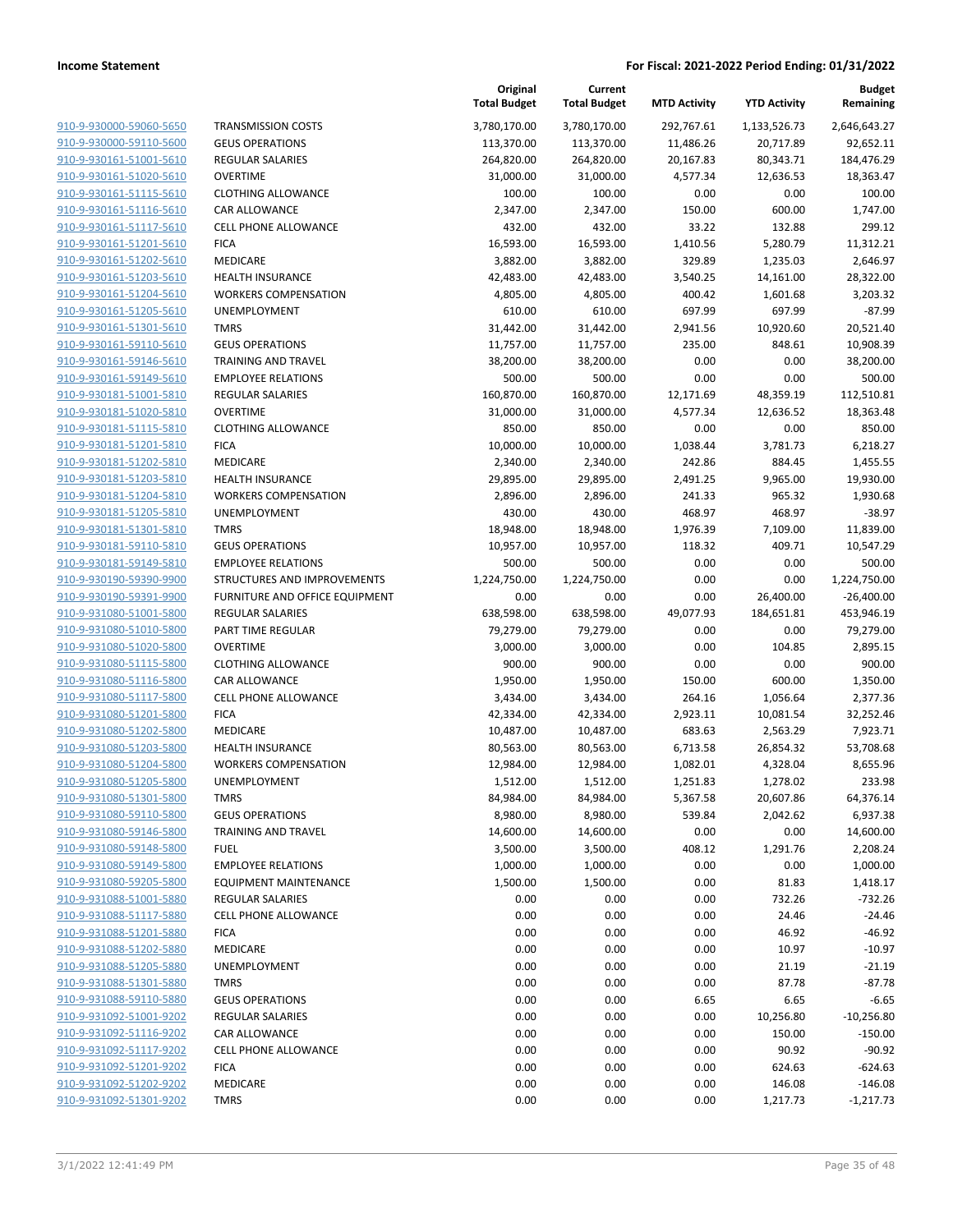| 910-9-930000-59060-5650        |  |
|--------------------------------|--|
| <u>910-9-930000-59110-5600</u> |  |
| 910-9-930161-51001-5610        |  |
| 910-9-930161-51020-5610        |  |
| <u>910-9-930161-51115-5610</u> |  |
|                                |  |
| <u>910-9-930161-51116-5610</u> |  |
| 910-9-930161-51117-5610        |  |
| 910-9-930161-51201-5610        |  |
| 910-9-930161-51202-5610        |  |
| 910-9-930161-51203-5610        |  |
| <u>910-9-930161-51204-5610</u> |  |
| <u>910-9-930161-51205-5610</u> |  |
| 910-9-930161-51301-5610        |  |
| 910-9-930161-59110-5610        |  |
| <u>910-9-930161-59146-5610</u> |  |
| <u>910-9-930161-59149-5610</u> |  |
| <u>910-9-930181-51001-5810</u> |  |
|                                |  |
| 910-9-930181-51020-5810        |  |
| 910-9-930181-51115-5810        |  |
| <u>910-9-930181-51201-5810</u> |  |
| <u>910-9-930181-51202-5810</u> |  |
| <u>910-9-930181-51203-5810</u> |  |
| 910-9-930181-51204-5810        |  |
| 910-9-930181-51205-5810        |  |
| <u>910-9-930181-51301-5810</u> |  |
| <u>910-9-930181-59110-5810</u> |  |
| <u>910-9-930181-59149-5810</u> |  |
| 910-9-930190-59390-9900        |  |
| 910-9-930190-59391-9900        |  |
|                                |  |
| 910-9-931080-51001-5800        |  |
| <u>910-9-931080-51010-5800</u> |  |
| <u>910-9-931080-51020-5800</u> |  |
| 910-9-931080-51115-5800        |  |
| 910-9-931080-51116-5800        |  |
| 910-9-931080-51117-5800        |  |
| <u>910-9-931080-51201-5800</u> |  |
| <u>910-9-931080-51202-5800</u> |  |
| 910-9-931080-51203-5800        |  |
| 910-9-931080-51204-5800        |  |
| 910-9-931080-51205-5800        |  |
| <u>910-9-931080-51301-5800</u> |  |
| <u>910-9-931080-59110-5800</u> |  |
|                                |  |
| 910-9-931080-59146-5800        |  |
| 910-9-931080-59148-5800        |  |
| <u>910-9-931080-59149-5800</u> |  |
| <u>910-9-931080-59205-5800</u> |  |
| <u>910-9-931088-51001-5880</u> |  |
| <u>910-9-931088-51117-5880</u> |  |
| 910-9-931088-51201-5880        |  |
| <u>910-9-931088-51202-5880</u> |  |
| <u>910-9-931088-51205-5880</u> |  |
| <u>910-9-931088-51301-5880</u> |  |
| 910-9-931088-59110-5880        |  |
| 910-9-931092-51001-9202        |  |
|                                |  |
| <u>910-9-931092-51116-9202</u> |  |
| <u>910-9-931092-51117-9202</u> |  |
| <u>910-9-931092-51201-9202</u> |  |
| <u>910-9-931092-51202-9202</u> |  |
| 910-9-931092-51301-9202        |  |
|                                |  |

|                                                    |                                                      | Original<br><b>Total Budget</b> | Current<br><b>Total Budget</b> | <b>MTD Activity</b> | <b>YTD Activity</b> | <b>Budget</b><br>Remaining |
|----------------------------------------------------|------------------------------------------------------|---------------------------------|--------------------------------|---------------------|---------------------|----------------------------|
| 910-9-930000-59060-5650                            | <b>TRANSMISSION COSTS</b>                            | 3,780,170.00                    | 3,780,170.00                   | 292,767.61          | 1,133,526.73        | 2,646,643.27               |
| 910-9-930000-59110-5600                            | <b>GEUS OPERATIONS</b>                               | 113,370.00                      | 113,370.00                     | 11,486.26           | 20,717.89           | 92,652.11                  |
| 910-9-930161-51001-5610                            | <b>REGULAR SALARIES</b>                              | 264,820.00                      | 264,820.00                     | 20,167.83           | 80,343.71           | 184,476.29                 |
| 910-9-930161-51020-5610                            | <b>OVERTIME</b>                                      | 31,000.00                       | 31,000.00                      | 4,577.34            | 12,636.53           | 18,363.47                  |
| 910-9-930161-51115-5610                            | <b>CLOTHING ALLOWANCE</b>                            | 100.00                          | 100.00                         | 0.00                | 0.00                | 100.00                     |
| 910-9-930161-51116-5610                            | <b>CAR ALLOWANCE</b>                                 | 2,347.00                        | 2,347.00                       | 150.00              | 600.00              | 1,747.00                   |
| 910-9-930161-51117-5610                            | <b>CELL PHONE ALLOWANCE</b>                          | 432.00                          | 432.00                         | 33.22               | 132.88              | 299.12                     |
| 910-9-930161-51201-5610                            | <b>FICA</b>                                          | 16,593.00                       | 16,593.00                      | 1,410.56            | 5,280.79            | 11,312.21                  |
| 910-9-930161-51202-5610                            | MEDICARE                                             | 3,882.00                        | 3,882.00                       | 329.89              | 1,235.03            | 2,646.97                   |
| 910-9-930161-51203-5610                            | HEALTH INSURANCE                                     | 42,483.00                       | 42,483.00                      | 3,540.25            | 14,161.00           | 28,322.00                  |
| 910-9-930161-51204-5610                            | <b>WORKERS COMPENSATION</b>                          | 4,805.00                        | 4,805.00                       | 400.42              | 1,601.68            | 3,203.32                   |
| 910-9-930161-51205-5610                            | <b>UNEMPLOYMENT</b>                                  | 610.00                          | 610.00                         | 697.99              | 697.99              | $-87.99$                   |
| 910-9-930161-51301-5610                            | <b>TMRS</b>                                          | 31,442.00                       | 31,442.00                      | 2,941.56            | 10,920.60           | 20,521.40                  |
| 910-9-930161-59110-5610<br>910-9-930161-59146-5610 | <b>GEUS OPERATIONS</b><br><b>TRAINING AND TRAVEL</b> | 11,757.00<br>38,200.00          | 11,757.00<br>38,200.00         | 235.00<br>0.00      | 848.61<br>0.00      | 10,908.39<br>38,200.00     |
| 910-9-930161-59149-5610                            | <b>EMPLOYEE RELATIONS</b>                            | 500.00                          | 500.00                         | 0.00                | 0.00                | 500.00                     |
| 910-9-930181-51001-5810                            | <b>REGULAR SALARIES</b>                              | 160,870.00                      | 160,870.00                     | 12,171.69           | 48,359.19           | 112,510.81                 |
| 910-9-930181-51020-5810                            | <b>OVERTIME</b>                                      | 31,000.00                       | 31,000.00                      | 4,577.34            | 12,636.52           | 18,363.48                  |
| 910-9-930181-51115-5810                            | <b>CLOTHING ALLOWANCE</b>                            | 850.00                          | 850.00                         | 0.00                | 0.00                | 850.00                     |
| 910-9-930181-51201-5810                            | <b>FICA</b>                                          | 10,000.00                       | 10,000.00                      | 1,038.44            | 3,781.73            | 6,218.27                   |
| 910-9-930181-51202-5810                            | <b>MEDICARE</b>                                      | 2,340.00                        | 2,340.00                       | 242.86              | 884.45              | 1,455.55                   |
| 910-9-930181-51203-5810                            | <b>HEALTH INSURANCE</b>                              | 29,895.00                       | 29,895.00                      | 2,491.25            | 9,965.00            | 19,930.00                  |
| 910-9-930181-51204-5810                            | <b>WORKERS COMPENSATION</b>                          | 2,896.00                        | 2,896.00                       | 241.33              | 965.32              | 1,930.68                   |
| 910-9-930181-51205-5810                            | <b>UNEMPLOYMENT</b>                                  | 430.00                          | 430.00                         | 468.97              | 468.97              | $-38.97$                   |
| 910-9-930181-51301-5810                            | <b>TMRS</b>                                          | 18,948.00                       | 18,948.00                      | 1,976.39            | 7,109.00            | 11,839.00                  |
| 910-9-930181-59110-5810                            | <b>GEUS OPERATIONS</b>                               | 10,957.00                       | 10,957.00                      | 118.32              | 409.71              | 10,547.29                  |
| 910-9-930181-59149-5810                            | <b>EMPLOYEE RELATIONS</b>                            | 500.00                          | 500.00                         | 0.00                | 0.00                | 500.00                     |
| 910-9-930190-59390-9900                            | STRUCTURES AND IMPROVEMENTS                          | 1,224,750.00                    | 1,224,750.00                   | 0.00                | 0.00                | 1,224,750.00               |
| 910-9-930190-59391-9900                            | FURNITURE AND OFFICE EQUIPMENT                       | 0.00                            | 0.00                           | 0.00                | 26,400.00           | $-26,400.00$               |
| 910-9-931080-51001-5800                            | REGULAR SALARIES                                     | 638,598.00                      | 638,598.00                     | 49,077.93           | 184,651.81          | 453,946.19                 |
| 910-9-931080-51010-5800                            | PART TIME REGULAR                                    | 79,279.00                       | 79,279.00                      | 0.00                | 0.00                | 79,279.00                  |
| 910-9-931080-51020-5800                            | <b>OVERTIME</b>                                      | 3,000.00                        | 3,000.00                       | 0.00                | 104.85              | 2,895.15                   |
| 910-9-931080-51115-5800<br>910-9-931080-51116-5800 | <b>CLOTHING ALLOWANCE</b>                            | 900.00                          | 900.00                         | 0.00                | 0.00                | 900.00                     |
| 910-9-931080-51117-5800                            | <b>CAR ALLOWANCE</b><br>CELL PHONE ALLOWANCE         | 1,950.00<br>3,434.00            | 1,950.00<br>3,434.00           | 150.00<br>264.16    | 600.00<br>1,056.64  | 1,350.00<br>2,377.36       |
| 910-9-931080-51201-5800                            | <b>FICA</b>                                          | 42,334.00                       | 42,334.00                      | 2,923.11            | 10,081.54           | 32,252.46                  |
| 910-9-931080-51202-5800                            | <b>MEDICARE</b>                                      | 10,487.00                       | 10,487.00                      | 683.63              | 2,563.29            | 7,923.71                   |
| 910-9-931080-51203-5800                            | <b>HEALTH INSURANCE</b>                              | 80,563.00                       | 80,563.00                      | 6,713.58            | 26,854.32           | 53,708.68                  |
| 910-9-931080-51204-5800                            | <b>WORKERS COMPENSATION</b>                          | 12,984.00                       | 12,984.00                      | 1,082.01            | 4,328.04            | 8,655.96                   |
| 910-9-931080-51205-5800                            | <b>UNEMPLOYMENT</b>                                  | 1,512.00                        | 1,512.00                       | 1,251.83            | 1,278.02            | 233.98                     |
| 910-9-931080-51301-5800                            | <b>TMRS</b>                                          | 84,984.00                       | 84,984.00                      | 5,367.58            | 20,607.86           | 64,376.14                  |
| 910-9-931080-59110-5800                            | <b>GEUS OPERATIONS</b>                               | 8,980.00                        | 8,980.00                       | 539.84              | 2,042.62            | 6,937.38                   |
| 910-9-931080-59146-5800                            | <b>TRAINING AND TRAVEL</b>                           | 14,600.00                       | 14,600.00                      | 0.00                | 0.00                | 14,600.00                  |
| 910-9-931080-59148-5800                            | <b>FUEL</b>                                          | 3,500.00                        | 3,500.00                       | 408.12              | 1,291.76            | 2,208.24                   |
| 910-9-931080-59149-5800                            | <b>EMPLOYEE RELATIONS</b>                            | 1,000.00                        | 1,000.00                       | 0.00                | 0.00                | 1,000.00                   |
| 910-9-931080-59205-5800                            | EQUIPMENT MAINTENANCE                                | 1,500.00                        | 1,500.00                       | 0.00                | 81.83               | 1,418.17                   |
| 910-9-931088-51001-5880                            | <b>REGULAR SALARIES</b>                              | 0.00                            | 0.00                           | 0.00                | 732.26              | $-732.26$                  |
| 910-9-931088-51117-5880                            | <b>CELL PHONE ALLOWANCE</b>                          | 0.00                            | 0.00                           | 0.00                | 24.46               | $-24.46$                   |
| 910-9-931088-51201-5880                            | <b>FICA</b>                                          | 0.00                            | 0.00                           | 0.00                | 46.92               | $-46.92$                   |
| 910-9-931088-51202-5880                            | MEDICARE                                             | 0.00                            | 0.00                           | 0.00                | 10.97               | $-10.97$                   |
| 910-9-931088-51205-5880                            | UNEMPLOYMENT                                         | 0.00                            | 0.00                           | 0.00                | 21.19               | $-21.19$                   |
| 910-9-931088-51301-5880                            | <b>TMRS</b>                                          | 0.00                            | 0.00                           | 0.00                | 87.78               | $-87.78$                   |
| 910-9-931088-59110-5880<br>910-9-931092-51001-9202 | <b>GEUS OPERATIONS</b>                               | 0.00                            | 0.00                           | 6.65                | 6.65                | $-6.65$                    |
| 910-9-931092-51116-9202                            | <b>REGULAR SALARIES</b><br>CAR ALLOWANCE             | 0.00<br>0.00                    | 0.00<br>0.00                   | 0.00<br>0.00        | 10,256.80<br>150.00 | $-10,256.80$<br>$-150.00$  |
| 910-9-931092-51117-9202                            | CELL PHONE ALLOWANCE                                 | 0.00                            | 0.00                           | 0.00                | 90.92               | $-90.92$                   |
| 910-9-931092-51201-9202                            | <b>FICA</b>                                          | 0.00                            | 0.00                           | 0.00                | 624.63              | $-624.63$                  |
| 910-9-931092-51202-9202                            | MEDICARE                                             | 0.00                            | 0.00                           | 0.00                | 146.08              | $-146.08$                  |
| 910-9-931092-51301-9202                            | <b>TMRS</b>                                          | 0.00                            | 0.00                           | 0.00                | 1,217.73            | $-1,217.73$                |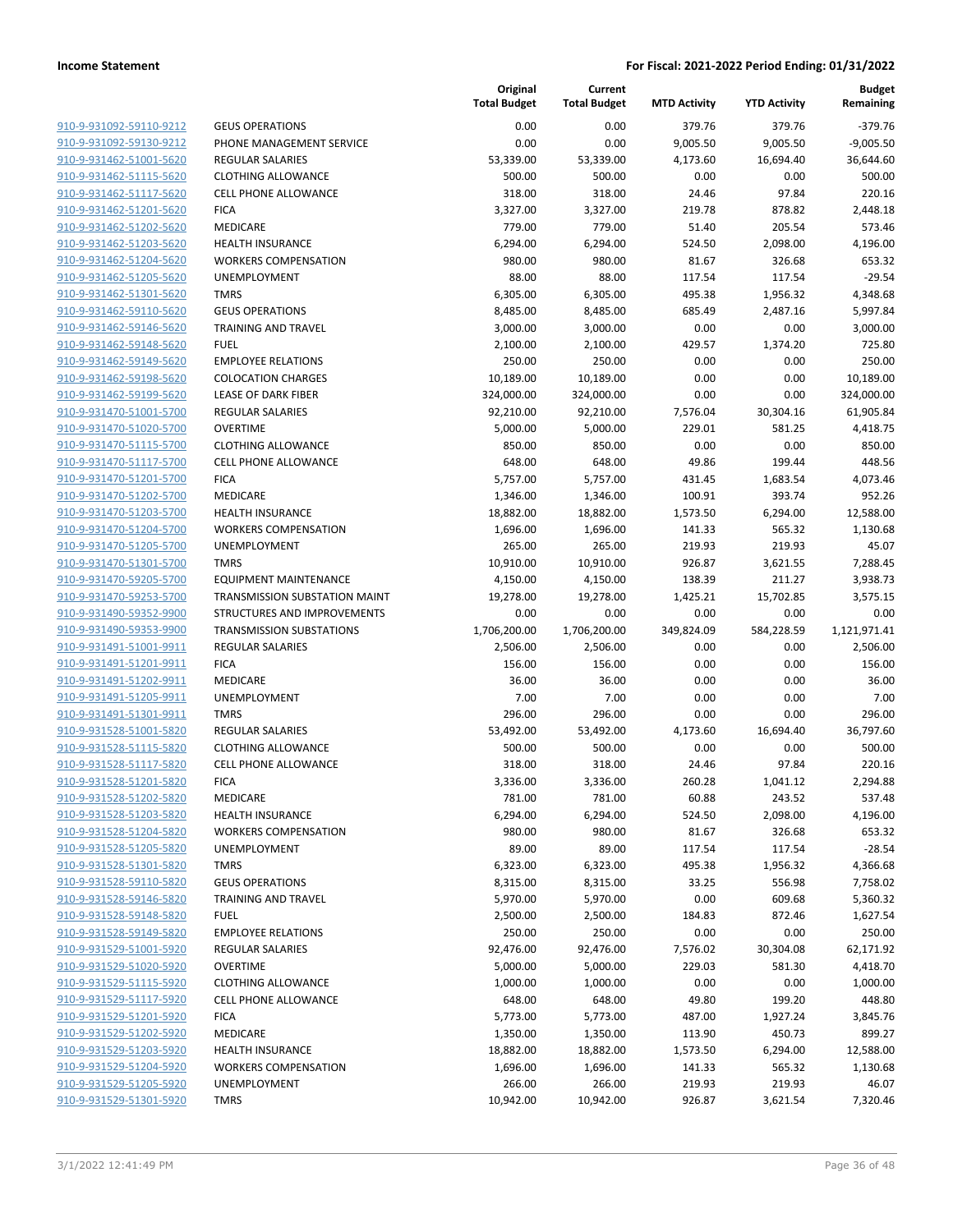| 910-9-931092-59110-9212        |
|--------------------------------|
| 910-9-931092-59130-9212        |
| 910-9-931462-51001-5620        |
| 910-9-931462-51115-5620        |
| 910-9-931462-51117-5620        |
| 910-9-931462-51201-5620        |
| 910-9-931462-51202-5620        |
| 910-9-931462-51203-5620        |
|                                |
| 910-9-931462-51204-5620        |
| <u>910-9-931462-51205-5620</u> |
| 910-9-931462-51301-5620        |
| 910-9-931462-59110-5620        |
| 910-9-931462-59146-5620        |
| 910-9-931462-59148-5620        |
| <u>910-9-931462-59149-5620</u> |
| 910-9-931462-59198-5620        |
| 910-9-931462-59199-5620        |
| 910-9-931470-51001-5700        |
| 910-9-931470-51020-5700        |
| <u>910-9-931470-51115-5700</u> |
| 910-9-931470-51117-5700        |
| 910-9-931470-51201-5700        |
|                                |
| 910-9-931470-51202-5700        |
| 910-9-931470-51203-5700        |
| <u>910-9-931470-51204-5700</u> |
| 910-9-931470-51205-5700        |
| 910-9-931470-51301-5700        |
| 910-9-931470-59205-5700        |
| 910-9-931470-59253-5700        |
| 910-9-931490-59352-9900        |
| 910-9-931490-59353-9900        |
| 910-9-931491-51001-9911        |
| 910-9-931491-51201-9911        |
| 910-9-931491-51202-9911        |
| 910-9-931491-51205-9911        |
| 910-9-931491-51301-9911        |
| 910-9-931528-51001-5820        |
| 910-9-931528-51115-5820        |
| 910-9-931528-51117-5820        |
|                                |
| 910-9-931528-51201-5820        |
| 910-9-931528-51202-5820        |
| <u>910-9-931528-51203-5820</u> |
| 910-9-931528-51204-5820        |
| 910-9-931528-51205-5820        |
| <u>910-9-931528-51301-5820</u> |
| <u>910-9-931528-59110-5820</u> |
| 910-9-931528-59146-5820        |
| 910-9-931528-59148-5820        |
| 910-9-931528-59149-5820        |
| <u>910-9-931529-51001-5920</u> |
| <u>910-9-931529-51020-5920</u> |
| 910-9-931529-51115-5920        |
| 910-9-931529-51117-5920        |
| <u>910-9-931529-51201-5920</u> |
| <u>910-9-931529-51202-5920</u> |
| <u>910-9-931529-51203-5920</u> |
|                                |
| <u>910-9-931529-51204-5920</u> |
| <u>910-9-931529-51205-5920</u> |
| <u>910-9-931529-51301-5920</u> |
|                                |

|                         |                                 | Original<br><b>Total Budget</b> | Current<br><b>Total Budget</b> | <b>MTD Activity</b> | <b>YTD Activity</b> | <b>Budget</b><br>Remaining |
|-------------------------|---------------------------------|---------------------------------|--------------------------------|---------------------|---------------------|----------------------------|
| 910-9-931092-59110-9212 | <b>GEUS OPERATIONS</b>          | 0.00                            | 0.00                           | 379.76              | 379.76              | $-379.76$                  |
| 910-9-931092-59130-9212 | PHONE MANAGEMENT SERVICE        | 0.00                            | 0.00                           | 9,005.50            | 9,005.50            | $-9,005.50$                |
| 910-9-931462-51001-5620 | <b>REGULAR SALARIES</b>         | 53,339.00                       | 53,339.00                      | 4,173.60            | 16,694.40           | 36,644.60                  |
| 910-9-931462-51115-5620 | <b>CLOTHING ALLOWANCE</b>       | 500.00                          | 500.00                         | 0.00                | 0.00                | 500.00                     |
| 910-9-931462-51117-5620 | <b>CELL PHONE ALLOWANCE</b>     | 318.00                          | 318.00                         | 24.46               | 97.84               | 220.16                     |
| 910-9-931462-51201-5620 | <b>FICA</b>                     | 3,327.00                        | 3,327.00                       | 219.78              | 878.82              | 2,448.18                   |
| 910-9-931462-51202-5620 | MEDICARE                        | 779.00                          | 779.00                         | 51.40               | 205.54              | 573.46                     |
| 910-9-931462-51203-5620 | <b>HEALTH INSURANCE</b>         | 6,294.00                        | 6,294.00                       | 524.50              | 2,098.00            | 4,196.00                   |
| 910-9-931462-51204-5620 | <b>WORKERS COMPENSATION</b>     | 980.00                          | 980.00                         | 81.67               | 326.68              | 653.32                     |
| 910-9-931462-51205-5620 | UNEMPLOYMENT                    | 88.00                           | 88.00                          | 117.54              | 117.54              | $-29.54$                   |
| 910-9-931462-51301-5620 | <b>TMRS</b>                     | 6,305.00                        | 6,305.00                       | 495.38              | 1,956.32            | 4,348.68                   |
| 910-9-931462-59110-5620 | <b>GEUS OPERATIONS</b>          | 8,485.00                        | 8,485.00                       | 685.49              | 2,487.16            | 5,997.84                   |
| 910-9-931462-59146-5620 | <b>TRAINING AND TRAVEL</b>      | 3,000.00                        | 3,000.00                       | 0.00                | 0.00                | 3,000.00                   |
| 910-9-931462-59148-5620 | <b>FUEL</b>                     | 2,100.00                        | 2,100.00                       | 429.57              | 1,374.20            | 725.80                     |
| 910-9-931462-59149-5620 | <b>EMPLOYEE RELATIONS</b>       | 250.00                          | 250.00                         | 0.00                | 0.00                | 250.00                     |
| 910-9-931462-59198-5620 | <b>COLOCATION CHARGES</b>       | 10,189.00                       | 10,189.00                      | 0.00                | 0.00                | 10,189.00                  |
| 910-9-931462-59199-5620 | <b>LEASE OF DARK FIBER</b>      | 324,000.00                      | 324,000.00                     | 0.00                | 0.00                | 324,000.00                 |
| 910-9-931470-51001-5700 | REGULAR SALARIES                | 92,210.00                       | 92,210.00                      | 7,576.04            | 30,304.16           | 61,905.84                  |
| 910-9-931470-51020-5700 | <b>OVERTIME</b>                 | 5,000.00                        | 5,000.00                       | 229.01              | 581.25              | 4,418.75                   |
| 910-9-931470-51115-5700 | <b>CLOTHING ALLOWANCE</b>       | 850.00                          | 850.00                         | 0.00                | 0.00                | 850.00                     |
| 910-9-931470-51117-5700 | <b>CELL PHONE ALLOWANCE</b>     | 648.00                          | 648.00                         | 49.86               | 199.44              | 448.56                     |
| 910-9-931470-51201-5700 | <b>FICA</b>                     | 5,757.00                        | 5,757.00                       | 431.45              | 1,683.54            | 4,073.46                   |
| 910-9-931470-51202-5700 | MEDICARE                        | 1,346.00                        | 1,346.00                       | 100.91              | 393.74              | 952.26                     |
| 910-9-931470-51203-5700 | <b>HEALTH INSURANCE</b>         | 18,882.00                       | 18,882.00                      | 1,573.50            | 6,294.00            | 12,588.00                  |
| 910-9-931470-51204-5700 | <b>WORKERS COMPENSATION</b>     | 1,696.00                        | 1,696.00                       | 141.33              | 565.32              | 1,130.68                   |
| 910-9-931470-51205-5700 | UNEMPLOYMENT                    | 265.00                          | 265.00                         | 219.93              | 219.93              | 45.07                      |
| 910-9-931470-51301-5700 | <b>TMRS</b>                     | 10,910.00                       | 10,910.00                      | 926.87              | 3,621.55            | 7,288.45                   |
| 910-9-931470-59205-5700 | <b>EQUIPMENT MAINTENANCE</b>    | 4,150.00                        | 4,150.00                       | 138.39              | 211.27              | 3,938.73                   |
| 910-9-931470-59253-5700 | TRANSMISSION SUBSTATION MAINT   | 19,278.00                       | 19,278.00                      | 1,425.21            | 15,702.85           | 3,575.15                   |
| 910-9-931490-59352-9900 | STRUCTURES AND IMPROVEMENTS     | 0.00                            | 0.00                           | 0.00                | 0.00                | 0.00                       |
| 910-9-931490-59353-9900 | <b>TRANSMISSION SUBSTATIONS</b> | 1,706,200.00                    | 1,706,200.00                   | 349,824.09          | 584,228.59          | 1,121,971.41               |
| 910-9-931491-51001-9911 | <b>REGULAR SALARIES</b>         | 2,506.00                        | 2,506.00                       | 0.00                | 0.00                | 2,506.00                   |
| 910-9-931491-51201-9911 | <b>FICA</b>                     | 156.00                          | 156.00                         | 0.00                | 0.00                | 156.00                     |
| 910-9-931491-51202-9911 | MEDICARE                        | 36.00                           | 36.00                          | 0.00                | 0.00                | 36.00                      |
| 910-9-931491-51205-9911 | <b>UNEMPLOYMENT</b>             | 7.00                            | 7.00                           | 0.00                | 0.00                | 7.00                       |
| 910-9-931491-51301-9911 | <b>TMRS</b>                     | 296.00                          | 296.00                         | 0.00                | 0.00                | 296.00                     |
| 910-9-931528-51001-5820 | <b>REGULAR SALARIES</b>         | 53,492.00                       | 53,492.00                      | 4,173.60            | 16,694.40           | 36,797.60                  |
| 910-9-931528-51115-5820 | <b>CLOTHING ALLOWANCE</b>       | 500.00                          | 500.00                         | 0.00                | 0.00                | 500.00                     |
| 910-9-931528-51117-5820 | <b>CELL PHONE ALLOWANCE</b>     | 318.00                          | 318.00                         | 24.46               | 97.84               | 220.16                     |
| 910-9-931528-51201-5820 | <b>FICA</b>                     | 3,336.00                        | 3,336.00                       | 260.28              | 1,041.12            | 2,294.88                   |
| 910-9-931528-51202-5820 | MEDICARE                        | 781.00                          | 781.00                         | 60.88               | 243.52              | 537.48                     |
| 910-9-931528-51203-5820 | <b>HEALTH INSURANCE</b>         | 6,294.00                        | 6,294.00                       | 524.50              | 2,098.00            | 4,196.00                   |
| 910-9-931528-51204-5820 | <b>WORKERS COMPENSATION</b>     | 980.00                          | 980.00                         | 81.67               | 326.68              | 653.32                     |
| 910-9-931528-51205-5820 | UNEMPLOYMENT                    | 89.00                           | 89.00                          | 117.54              | 117.54              | $-28.54$                   |
| 910-9-931528-51301-5820 | <b>TMRS</b>                     | 6,323.00                        | 6,323.00                       | 495.38              | 1,956.32            | 4,366.68                   |
| 910-9-931528-59110-5820 | <b>GEUS OPERATIONS</b>          | 8,315.00                        | 8,315.00                       | 33.25               | 556.98              | 7,758.02                   |
| 910-9-931528-59146-5820 | <b>TRAINING AND TRAVEL</b>      | 5,970.00                        | 5,970.00                       | 0.00                | 609.68              | 5,360.32                   |
| 910-9-931528-59148-5820 | <b>FUEL</b>                     | 2,500.00                        | 2,500.00                       | 184.83              | 872.46              | 1,627.54                   |
| 910-9-931528-59149-5820 | <b>EMPLOYEE RELATIONS</b>       | 250.00                          | 250.00                         | 0.00                | 0.00                | 250.00                     |
| 910-9-931529-51001-5920 | REGULAR SALARIES                | 92,476.00                       | 92,476.00                      | 7,576.02            | 30,304.08           | 62,171.92                  |
| 910-9-931529-51020-5920 | <b>OVERTIME</b>                 | 5,000.00                        | 5,000.00                       | 229.03              | 581.30              | 4,418.70                   |
| 910-9-931529-51115-5920 | <b>CLOTHING ALLOWANCE</b>       | 1,000.00                        | 1,000.00                       | 0.00                | 0.00                | 1,000.00                   |
| 910-9-931529-51117-5920 | <b>CELL PHONE ALLOWANCE</b>     | 648.00                          | 648.00                         | 49.80               | 199.20              | 448.80                     |
| 910-9-931529-51201-5920 | <b>FICA</b>                     | 5,773.00                        | 5,773.00                       | 487.00              | 1,927.24            | 3,845.76                   |
| 910-9-931529-51202-5920 | MEDICARE                        | 1,350.00                        | 1,350.00                       | 113.90              | 450.73              | 899.27                     |
| 910-9-931529-51203-5920 | <b>HEALTH INSURANCE</b>         | 18,882.00                       | 18,882.00                      | 1,573.50            | 6,294.00            | 12,588.00                  |
| 910-9-931529-51204-5920 | <b>WORKERS COMPENSATION</b>     | 1,696.00                        | 1,696.00                       | 141.33              | 565.32              | 1,130.68                   |
| 910-9-931529-51205-5920 | UNEMPLOYMENT                    | 266.00                          | 266.00                         | 219.93              | 219.93              | 46.07                      |
| 910-9-931529-51301-5920 | <b>TMRS</b>                     | 10,942.00                       | 10,942.00                      | 926.87              | 3,621.54            | 7,320.46                   |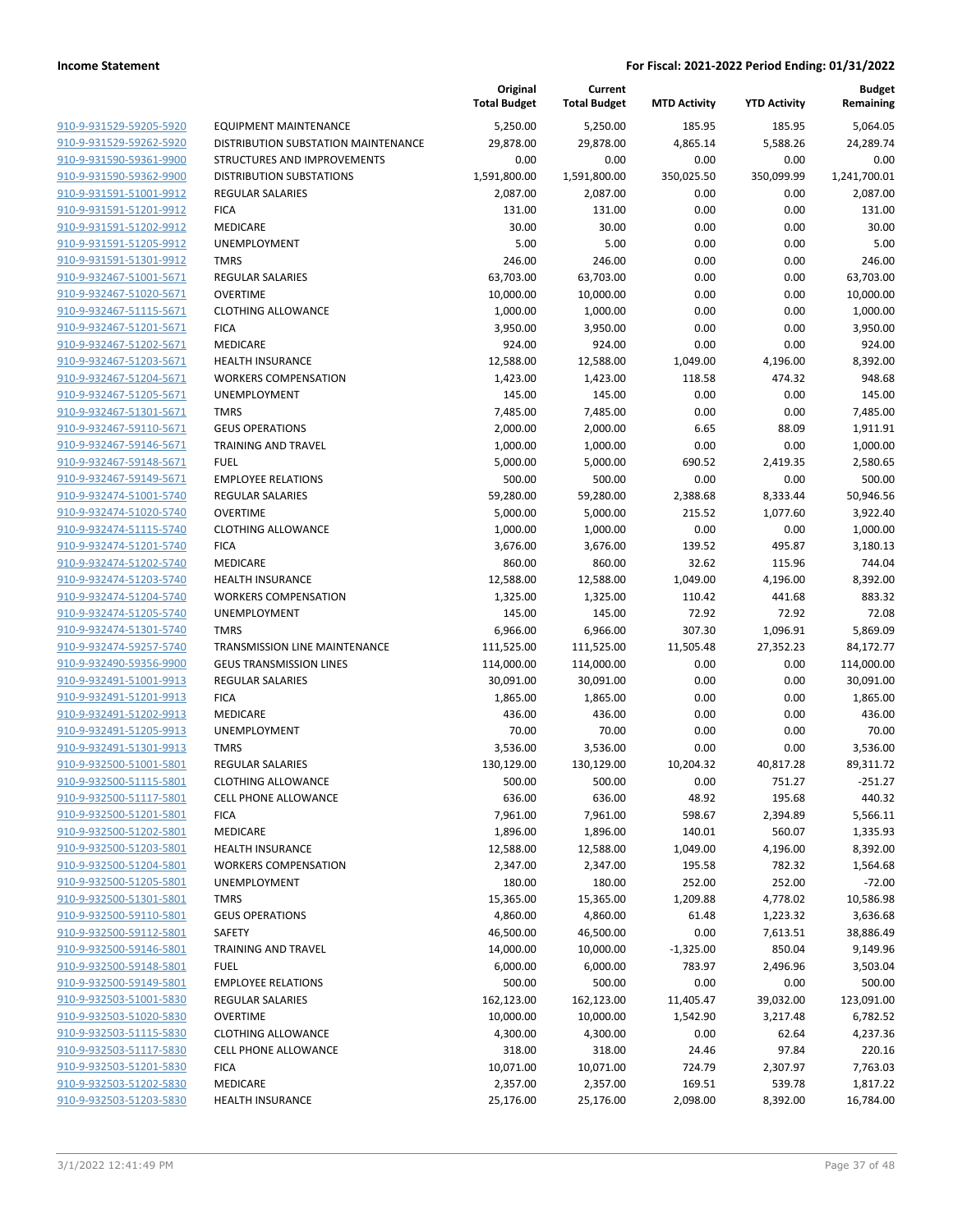|                         |                                     | Original<br><b>Total Budget</b> | Current<br><b>Total Budget</b> | <b>MTD Activity</b> | <b>YTD Activity</b> | <b>Budget</b><br>Remaining |
|-------------------------|-------------------------------------|---------------------------------|--------------------------------|---------------------|---------------------|----------------------------|
| 910-9-931529-59205-5920 | EQUIPMENT MAINTENANCE               | 5,250.00                        | 5,250.00                       | 185.95              | 185.95              | 5,064.05                   |
| 910-9-931529-59262-5920 | DISTRIBUTION SUBSTATION MAINTENANCE | 29,878.00                       | 29,878.00                      | 4,865.14            | 5,588.26            | 24,289.74                  |
| 910-9-931590-59361-9900 | STRUCTURES AND IMPROVEMENTS         | 0.00                            | 0.00                           | 0.00                | 0.00                | 0.00                       |
| 910-9-931590-59362-9900 | <b>DISTRIBUTION SUBSTATIONS</b>     | 1,591,800.00                    | 1,591,800.00                   | 350,025.50          | 350,099.99          | 1,241,700.01               |
| 910-9-931591-51001-9912 | <b>REGULAR SALARIES</b>             | 2,087.00                        | 2,087.00                       | 0.00                | 0.00                | 2,087.00                   |
| 910-9-931591-51201-9912 | <b>FICA</b>                         | 131.00                          | 131.00                         | 0.00                | 0.00                | 131.00                     |
| 910-9-931591-51202-9912 | MEDICARE                            | 30.00                           | 30.00                          | 0.00                | 0.00                | 30.00                      |
| 910-9-931591-51205-9912 | <b>UNEMPLOYMENT</b>                 | 5.00                            | 5.00                           | 0.00                | 0.00                | 5.00                       |
| 910-9-931591-51301-9912 | <b>TMRS</b>                         | 246.00                          | 246.00                         | 0.00                | 0.00                | 246.00                     |
| 910-9-932467-51001-5671 | <b>REGULAR SALARIES</b>             | 63,703.00                       | 63,703.00                      | 0.00                | 0.00                | 63,703.00                  |
| 910-9-932467-51020-5671 | <b>OVERTIME</b>                     | 10,000.00                       | 10,000.00                      | 0.00                | 0.00                | 10,000.00                  |
| 910-9-932467-51115-5671 | <b>CLOTHING ALLOWANCE</b>           | 1,000.00                        | 1,000.00                       | 0.00                | 0.00                | 1,000.00                   |
| 910-9-932467-51201-5671 | <b>FICA</b>                         | 3,950.00                        | 3,950.00                       | 0.00                | 0.00                | 3,950.00                   |
| 910-9-932467-51202-5671 | MEDICARE                            | 924.00                          | 924.00                         | 0.00                | 0.00                | 924.00                     |
| 910-9-932467-51203-5671 | <b>HEALTH INSURANCE</b>             | 12,588.00                       | 12,588.00                      | 1,049.00            | 4,196.00            | 8,392.00                   |
| 910-9-932467-51204-5671 | <b>WORKERS COMPENSATION</b>         | 1,423.00                        | 1,423.00                       | 118.58              | 474.32              | 948.68                     |
| 910-9-932467-51205-5671 | UNEMPLOYMENT                        | 145.00                          | 145.00                         | 0.00                | 0.00                | 145.00                     |
| 910-9-932467-51301-5671 | <b>TMRS</b>                         | 7,485.00                        | 7,485.00                       | 0.00                | 0.00                | 7,485.00                   |
| 910-9-932467-59110-5671 | <b>GEUS OPERATIONS</b>              | 2,000.00                        | 2,000.00                       | 6.65                | 88.09               | 1,911.91                   |
| 910-9-932467-59146-5671 | TRAINING AND TRAVEL                 | 1,000.00                        | 1,000.00                       | 0.00                | 0.00                | 1,000.00                   |
| 910-9-932467-59148-5671 | <b>FUEL</b>                         | 5,000.00                        | 5,000.00                       | 690.52              | 2,419.35            | 2,580.65                   |
| 910-9-932467-59149-5671 | <b>EMPLOYEE RELATIONS</b>           | 500.00                          | 500.00                         | 0.00                | 0.00                | 500.00                     |
| 910-9-932474-51001-5740 | REGULAR SALARIES                    | 59,280.00                       | 59,280.00                      | 2,388.68            | 8,333.44            | 50,946.56                  |
| 910-9-932474-51020-5740 | <b>OVERTIME</b>                     | 5,000.00                        | 5,000.00                       | 215.52              | 1,077.60            | 3,922.40                   |
| 910-9-932474-51115-5740 | <b>CLOTHING ALLOWANCE</b>           | 1,000.00                        | 1,000.00                       | 0.00                | 0.00                | 1,000.00                   |
| 910-9-932474-51201-5740 | <b>FICA</b>                         | 3,676.00                        | 3,676.00                       | 139.52              | 495.87              | 3,180.13                   |
| 910-9-932474-51202-5740 | MEDICARE                            | 860.00                          | 860.00                         | 32.62               | 115.96              | 744.04                     |
| 910-9-932474-51203-5740 | <b>HEALTH INSURANCE</b>             | 12,588.00                       | 12,588.00                      | 1,049.00            | 4,196.00            | 8,392.00                   |
| 910-9-932474-51204-5740 | <b>WORKERS COMPENSATION</b>         | 1,325.00                        | 1,325.00                       | 110.42              | 441.68              | 883.32                     |
| 910-9-932474-51205-5740 | <b>UNEMPLOYMENT</b>                 | 145.00                          | 145.00                         | 72.92               | 72.92               | 72.08                      |
| 910-9-932474-51301-5740 | <b>TMRS</b>                         | 6,966.00                        | 6,966.00                       | 307.30              | 1,096.91            | 5,869.09                   |
| 910-9-932474-59257-5740 | TRANSMISSION LINE MAINTENANCE       | 111,525.00                      | 111,525.00                     | 11,505.48           | 27,352.23           | 84,172.77                  |
| 910-9-932490-59356-9900 | <b>GEUS TRANSMISSION LINES</b>      | 114,000.00                      | 114,000.00                     | 0.00                | 0.00                | 114,000.00                 |
| 910-9-932491-51001-9913 | <b>REGULAR SALARIES</b>             | 30,091.00                       | 30,091.00                      | 0.00                | 0.00                | 30,091.00                  |
| 910-9-932491-51201-9913 | <b>FICA</b>                         | 1,865.00                        | 1,865.00                       | 0.00                | 0.00                | 1,865.00                   |
| 910-9-932491-51202-9913 | MEDICARE                            | 436.00                          | 436.00                         | 0.00                | 0.00                | 436.00                     |
| 910-9-932491-51205-9913 | UNEMPLOYMENT                        | 70.00                           | 70.00                          | 0.00                | 0.00                | 70.00                      |
| 910-9-932491-51301-9913 | <b>TMRS</b>                         | 3,536.00                        | 3,536.00                       | 0.00                | 0.00                | 3,536.00                   |
| 910-9-932500-51001-5801 | <b>REGULAR SALARIES</b>             | 130,129.00                      | 130,129.00                     | 10,204.32           | 40,817.28           | 89,311.72                  |
| 910-9-932500-51115-5801 | <b>CLOTHING ALLOWANCE</b>           | 500.00                          | 500.00                         | 0.00                | 751.27              | $-251.27$                  |
| 910-9-932500-51117-5801 | <b>CELL PHONE ALLOWANCE</b>         | 636.00                          | 636.00                         | 48.92               | 195.68              | 440.32                     |
| 910-9-932500-51201-5801 | <b>FICA</b>                         | 7,961.00                        | 7,961.00                       | 598.67              | 2,394.89            | 5,566.11                   |
| 910-9-932500-51202-5801 | MEDICARE                            | 1,896.00                        | 1,896.00                       | 140.01              | 560.07              | 1,335.93                   |
| 910-9-932500-51203-5801 | <b>HEALTH INSURANCE</b>             | 12,588.00                       | 12,588.00                      | 1,049.00            | 4,196.00            | 8,392.00                   |
| 910-9-932500-51204-5801 | <b>WORKERS COMPENSATION</b>         | 2,347.00                        | 2,347.00                       | 195.58              | 782.32              | 1,564.68                   |
| 910-9-932500-51205-5801 | <b>UNEMPLOYMENT</b>                 | 180.00                          | 180.00                         | 252.00              | 252.00              | $-72.00$                   |
| 910-9-932500-51301-5801 | <b>TMRS</b>                         | 15,365.00                       | 15,365.00                      | 1,209.88            | 4,778.02            | 10,586.98                  |
| 910-9-932500-59110-5801 | <b>GEUS OPERATIONS</b>              | 4,860.00                        | 4,860.00                       | 61.48               | 1,223.32            | 3,636.68                   |
| 910-9-932500-59112-5801 | SAFETY                              | 46,500.00                       | 46,500.00                      | 0.00                | 7,613.51            | 38,886.49                  |
| 910-9-932500-59146-5801 | <b>TRAINING AND TRAVEL</b>          | 14,000.00                       | 10,000.00                      | $-1,325.00$         | 850.04              | 9,149.96                   |
| 910-9-932500-59148-5801 | <b>FUEL</b>                         | 6,000.00                        | 6,000.00                       | 783.97              | 2,496.96            | 3,503.04                   |
| 910-9-932500-59149-5801 | <b>EMPLOYEE RELATIONS</b>           | 500.00                          | 500.00                         | 0.00                | 0.00                | 500.00                     |
| 910-9-932503-51001-5830 | REGULAR SALARIES                    | 162,123.00                      | 162,123.00                     | 11,405.47           | 39,032.00           | 123,091.00                 |
| 910-9-932503-51020-5830 | <b>OVERTIME</b>                     | 10,000.00                       | 10,000.00                      | 1,542.90            | 3,217.48            | 6,782.52                   |
| 910-9-932503-51115-5830 | <b>CLOTHING ALLOWANCE</b>           | 4,300.00                        | 4,300.00                       | 0.00                | 62.64               | 4,237.36                   |
| 910-9-932503-51117-5830 | CELL PHONE ALLOWANCE                | 318.00                          | 318.00                         | 24.46               | 97.84               | 220.16                     |
| 910-9-932503-51201-5830 | <b>FICA</b>                         | 10,071.00                       | 10,071.00                      | 724.79              | 2,307.97            | 7,763.03                   |
| 910-9-932503-51202-5830 | MEDICARE                            | 2,357.00                        | 2,357.00                       | 169.51              | 539.78              | 1,817.22                   |
| 910-9-932503-51203-5830 | <b>HEALTH INSURANCE</b>             | 25,176.00                       | 25,176.00                      | 2,098.00            | 8,392.00            | 16,784.00                  |
|                         |                                     |                                 |                                |                     |                     |                            |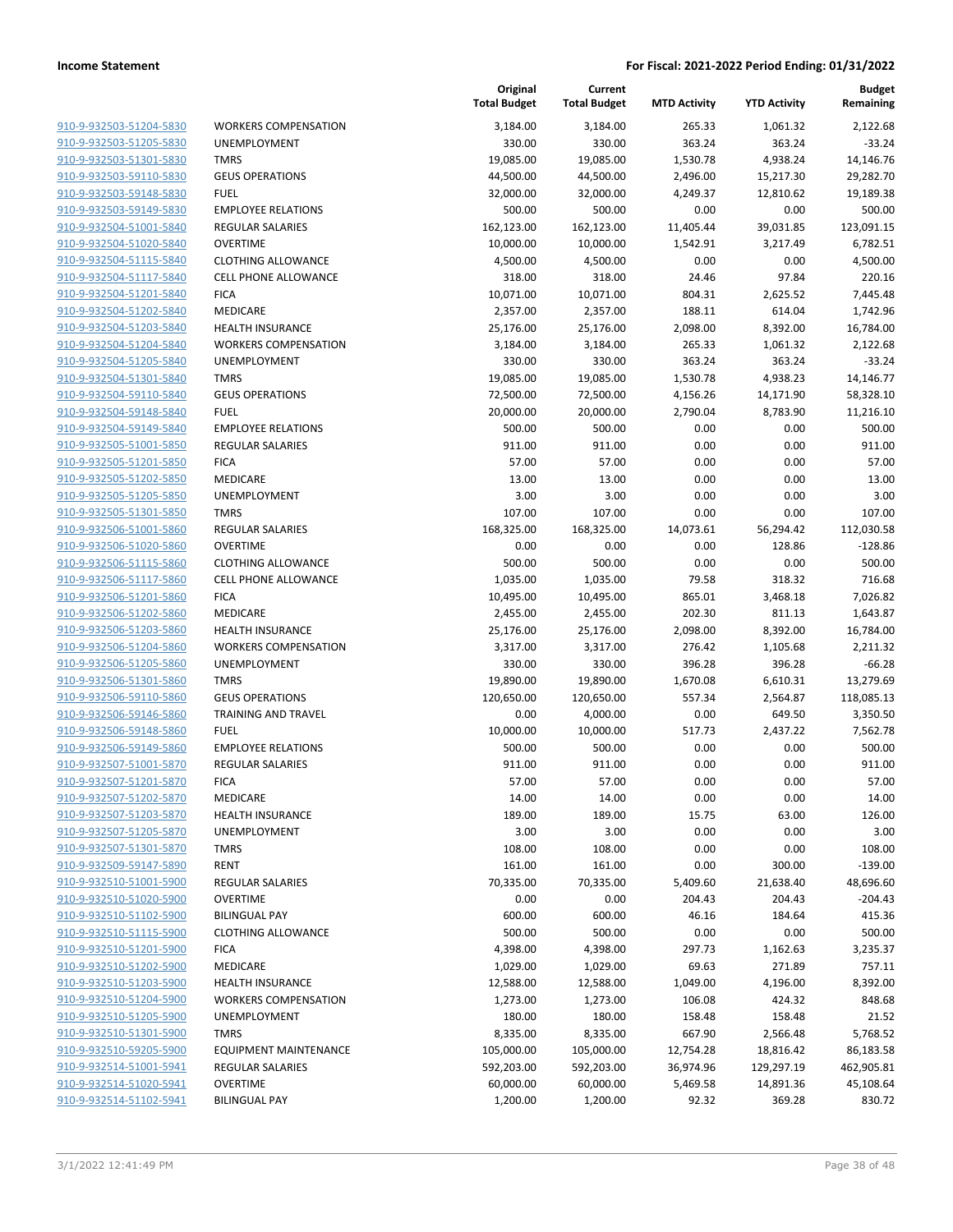| 910-9-932503-51204-5830        |
|--------------------------------|
| 910-9-932503-51205-5830        |
| 910-9-932503-51301-5830        |
| 910-9-932503-59110-5830        |
| 910-9-932503-59148-5830        |
| 910-9-932503-59149-5830        |
| 910-9-932504-51001-5840        |
| 910-9-932504-51020-5840        |
| 910-9-932504-51115-5840        |
| 910-9-932504-51117-5840        |
|                                |
| 910-9-932504-51201-5840        |
| 910-9-932504-51202-5840        |
| 910-9-932504-51203-5840        |
| 910-9-932504-51204-5840        |
| 910-9-932504-51205-5840        |
| 910-9-932504-51301-5840        |
| 910-9-932504-59110-5840        |
| 910-9-932504-59148-5840        |
| 910-9-932504-59149-5840        |
| 910-9-932505-51001-5850        |
| 910-9-932505-51201-5850        |
| 910-9-932505-51202-5850        |
| 910-9-932505-51205-5850        |
| 910-9-932505-51301-5850        |
| 910-9-932506-51001-5860        |
| 910-9-932506-51020-5860        |
|                                |
| 910-9-932506-51115-5860        |
| 910-9-932506-51117-5860        |
| 910-9-932506-51201-5860        |
| 910-9-932506-51202-5860        |
| 910-9-932506-51203-5860        |
| 910-9-932506-51204-5860        |
| 910-9-932506-51205-5860        |
| 910-9-932506-51301-5860        |
| 910-9-932506-59110-5860        |
| 910-9-932506-59146-5860        |
| 910-9-932506-59148-5860        |
| 910-9-932506-59149-5860        |
| 910-9-932507-51001-5870        |
| 910-9-932507-51201-5870        |
| <u>910-9-932507-51202-5870</u> |
| 910-9-932507-51203-5870        |
| 910-9-932507-51205-5870        |
| 910-9-932507-51301-5870        |
| 910-9-932509-59147-5890        |
| 910-9-932510-51001-5900        |
|                                |
| 910-9-932510-51020-5900        |
| 910-9-932510-51102-5900        |
| 910-9-932510-51115-5900        |
| 910-9-932510-51201-5900        |
| 910-9-932510-51202-5900        |
| 910-9-932510-51203-5900        |
| 910-9-932510-51204-5900        |
| 910-9-932510-51205-5900        |
| 910-9-932510-51301-5900        |
| 910-9-932510-59205-5900        |
| 910-9-932514-51001-5941        |
| 910-9-932514-51020-5941        |
| 910-9-932514-51102-5941        |
|                                |

|                         |                              | Original<br><b>Total Budget</b> | Current<br><b>Total Budget</b> | <b>MTD Activity</b> | <b>YTD Activity</b> | <b>Budget</b><br>Remaining |
|-------------------------|------------------------------|---------------------------------|--------------------------------|---------------------|---------------------|----------------------------|
| 910-9-932503-51204-5830 | <b>WORKERS COMPENSATION</b>  | 3,184.00                        | 3,184.00                       | 265.33              | 1,061.32            | 2,122.68                   |
| 910-9-932503-51205-5830 | UNEMPLOYMENT                 | 330.00                          | 330.00                         | 363.24              | 363.24              | $-33.24$                   |
| 910-9-932503-51301-5830 | <b>TMRS</b>                  | 19,085.00                       | 19,085.00                      | 1,530.78            | 4,938.24            | 14,146.76                  |
| 910-9-932503-59110-5830 | <b>GEUS OPERATIONS</b>       | 44,500.00                       | 44,500.00                      | 2,496.00            | 15,217.30           | 29,282.70                  |
| 910-9-932503-59148-5830 | <b>FUEL</b>                  | 32,000.00                       | 32,000.00                      | 4,249.37            | 12,810.62           | 19,189.38                  |
| 910-9-932503-59149-5830 | <b>EMPLOYEE RELATIONS</b>    | 500.00                          | 500.00                         | 0.00                | 0.00                | 500.00                     |
| 910-9-932504-51001-5840 | <b>REGULAR SALARIES</b>      | 162,123.00                      | 162,123.00                     | 11,405.44           | 39,031.85           | 123,091.15                 |
| 910-9-932504-51020-5840 | <b>OVERTIME</b>              | 10,000.00                       | 10,000.00                      | 1,542.91            | 3,217.49            | 6,782.51                   |
| 910-9-932504-51115-5840 | <b>CLOTHING ALLOWANCE</b>    | 4,500.00                        | 4,500.00                       | 0.00                | 0.00                | 4,500.00                   |
| 910-9-932504-51117-5840 | <b>CELL PHONE ALLOWANCE</b>  | 318.00                          | 318.00                         | 24.46               | 97.84               | 220.16                     |
| 910-9-932504-51201-5840 | <b>FICA</b>                  | 10,071.00                       | 10,071.00                      | 804.31              | 2,625.52            | 7,445.48                   |
| 910-9-932504-51202-5840 | MEDICARE                     | 2,357.00                        | 2,357.00                       | 188.11              | 614.04              | 1,742.96                   |
| 910-9-932504-51203-5840 | <b>HEALTH INSURANCE</b>      | 25,176.00                       | 25,176.00                      | 2,098.00            | 8,392.00            | 16,784.00                  |
| 910-9-932504-51204-5840 | <b>WORKERS COMPENSATION</b>  | 3,184.00                        | 3,184.00                       | 265.33              | 1,061.32            | 2,122.68                   |
| 910-9-932504-51205-5840 | UNEMPLOYMENT                 | 330.00                          | 330.00                         | 363.24              | 363.24              | $-33.24$                   |
| 910-9-932504-51301-5840 | <b>TMRS</b>                  | 19,085.00                       | 19,085.00                      | 1,530.78            | 4,938.23            | 14,146.77                  |
| 910-9-932504-59110-5840 | <b>GEUS OPERATIONS</b>       | 72,500.00                       | 72,500.00                      | 4,156.26            | 14,171.90           | 58,328.10                  |
| 910-9-932504-59148-5840 | <b>FUEL</b>                  | 20,000.00                       | 20,000.00                      | 2,790.04            | 8,783.90            | 11,216.10                  |
| 910-9-932504-59149-5840 | <b>EMPLOYEE RELATIONS</b>    | 500.00                          | 500.00                         | 0.00                | 0.00                | 500.00                     |
| 910-9-932505-51001-5850 | <b>REGULAR SALARIES</b>      | 911.00                          | 911.00                         | 0.00                | 0.00                | 911.00                     |
| 910-9-932505-51201-5850 | <b>FICA</b>                  | 57.00                           | 57.00                          | 0.00                | 0.00                | 57.00                      |
| 910-9-932505-51202-5850 | MEDICARE                     | 13.00                           | 13.00                          | 0.00                | 0.00                | 13.00                      |
| 910-9-932505-51205-5850 | UNEMPLOYMENT                 | 3.00                            | 3.00                           | 0.00                | 0.00                | 3.00                       |
| 910-9-932505-51301-5850 | <b>TMRS</b>                  | 107.00                          | 107.00                         | 0.00                | 0.00                | 107.00                     |
| 910-9-932506-51001-5860 | <b>REGULAR SALARIES</b>      | 168,325.00                      | 168,325.00                     | 14,073.61           | 56,294.42           | 112,030.58                 |
| 910-9-932506-51020-5860 | <b>OVERTIME</b>              | 0.00                            | 0.00                           | 0.00                | 128.86              | $-128.86$                  |
| 910-9-932506-51115-5860 | <b>CLOTHING ALLOWANCE</b>    | 500.00                          | 500.00                         | 0.00                | 0.00                | 500.00                     |
| 910-9-932506-51117-5860 | <b>CELL PHONE ALLOWANCE</b>  | 1,035.00                        | 1,035.00                       | 79.58               | 318.32              | 716.68                     |
| 910-9-932506-51201-5860 | <b>FICA</b>                  | 10,495.00                       | 10,495.00                      | 865.01              | 3,468.18            | 7,026.82                   |
| 910-9-932506-51202-5860 | MEDICARE                     | 2,455.00                        | 2,455.00                       | 202.30              | 811.13              | 1,643.87                   |
| 910-9-932506-51203-5860 | <b>HEALTH INSURANCE</b>      | 25,176.00                       | 25,176.00                      | 2,098.00            | 8,392.00            | 16,784.00                  |
| 910-9-932506-51204-5860 | <b>WORKERS COMPENSATION</b>  | 3,317.00                        | 3,317.00                       | 276.42              | 1,105.68            | 2,211.32                   |
| 910-9-932506-51205-5860 | UNEMPLOYMENT                 | 330.00                          | 330.00                         | 396.28              | 396.28              | $-66.28$                   |
| 910-9-932506-51301-5860 | <b>TMRS</b>                  | 19,890.00                       | 19,890.00                      | 1,670.08            | 6,610.31            | 13,279.69                  |
| 910-9-932506-59110-5860 | <b>GEUS OPERATIONS</b>       | 120,650.00                      | 120,650.00                     | 557.34              | 2,564.87            | 118,085.13                 |
| 910-9-932506-59146-5860 | TRAINING AND TRAVEL          | 0.00                            | 4,000.00                       | 0.00                | 649.50              | 3,350.50                   |
| 910-9-932506-59148-5860 | <b>FUEL</b>                  | 10,000.00                       | 10,000.00                      | 517.73              | 2,437.22            | 7,562.78                   |
| 910-9-932506-59149-5860 | <b>EMPLOYEE RELATIONS</b>    | 500.00                          | 500.00                         | 0.00                | 0.00                | 500.00                     |
| 910-9-932507-51001-5870 | <b>REGULAR SALARIES</b>      | 911.00                          | 911.00                         | 0.00                | 0.00                | 911.00                     |
| 910-9-932507-51201-5870 | <b>FICA</b>                  | 57.00                           | 57.00                          | 0.00                | 0.00                | 57.00                      |
| 910-9-932507-51202-5870 | MEDICARE                     | 14.00                           | 14.00                          | 0.00                | 0.00                | 14.00                      |
| 910-9-932507-51203-5870 | HEALTH INSURANCE             | 189.00                          | 189.00                         | 15.75               | 63.00               | 126.00                     |
| 910-9-932507-51205-5870 | <b>UNEMPLOYMENT</b>          | 3.00                            | 3.00                           | 0.00                | 0.00                | 3.00                       |
| 910-9-932507-51301-5870 | <b>TMRS</b>                  | 108.00                          | 108.00                         | 0.00                | 0.00                | 108.00                     |
| 910-9-932509-59147-5890 | <b>RENT</b>                  | 161.00                          | 161.00                         | 0.00                | 300.00              | $-139.00$                  |
| 910-9-932510-51001-5900 | <b>REGULAR SALARIES</b>      | 70,335.00                       | 70,335.00                      | 5,409.60            | 21,638.40           | 48,696.60                  |
| 910-9-932510-51020-5900 | <b>OVERTIME</b>              | 0.00                            | 0.00                           | 204.43              | 204.43              | $-204.43$                  |
| 910-9-932510-51102-5900 | <b>BILINGUAL PAY</b>         | 600.00                          | 600.00                         | 46.16               | 184.64              | 415.36                     |
| 910-9-932510-51115-5900 | <b>CLOTHING ALLOWANCE</b>    | 500.00                          | 500.00                         | 0.00                | 0.00                | 500.00                     |
| 910-9-932510-51201-5900 | <b>FICA</b>                  | 4,398.00                        | 4,398.00                       | 297.73              | 1,162.63            | 3,235.37                   |
| 910-9-932510-51202-5900 | MEDICARE                     | 1,029.00                        | 1,029.00                       | 69.63               | 271.89              | 757.11                     |
| 910-9-932510-51203-5900 | HEALTH INSURANCE             | 12,588.00                       | 12,588.00                      | 1,049.00            | 4,196.00            | 8,392.00                   |
| 910-9-932510-51204-5900 | WORKERS COMPENSATION         | 1,273.00                        | 1,273.00                       | 106.08              | 424.32              | 848.68                     |
| 910-9-932510-51205-5900 | UNEMPLOYMENT                 | 180.00                          | 180.00                         | 158.48              | 158.48              | 21.52                      |
| 910-9-932510-51301-5900 | <b>TMRS</b>                  | 8,335.00                        | 8,335.00                       | 667.90              | 2,566.48            | 5,768.52                   |
| 910-9-932510-59205-5900 | <b>EQUIPMENT MAINTENANCE</b> | 105,000.00                      | 105,000.00                     | 12,754.28           | 18,816.42           | 86,183.58                  |
| 910-9-932514-51001-5941 | REGULAR SALARIES             | 592,203.00                      | 592,203.00                     | 36,974.96           | 129,297.19          | 462,905.81                 |
| 910-9-932514-51020-5941 | <b>OVERTIME</b>              | 60,000.00                       | 60,000.00                      | 5,469.58            | 14,891.36           | 45,108.64                  |
| 910-9-932514-51102-5941 | <b>BILINGUAL PAY</b>         | 1,200.00                        | 1,200.00                       | 92.32               | 369.28              | 830.72                     |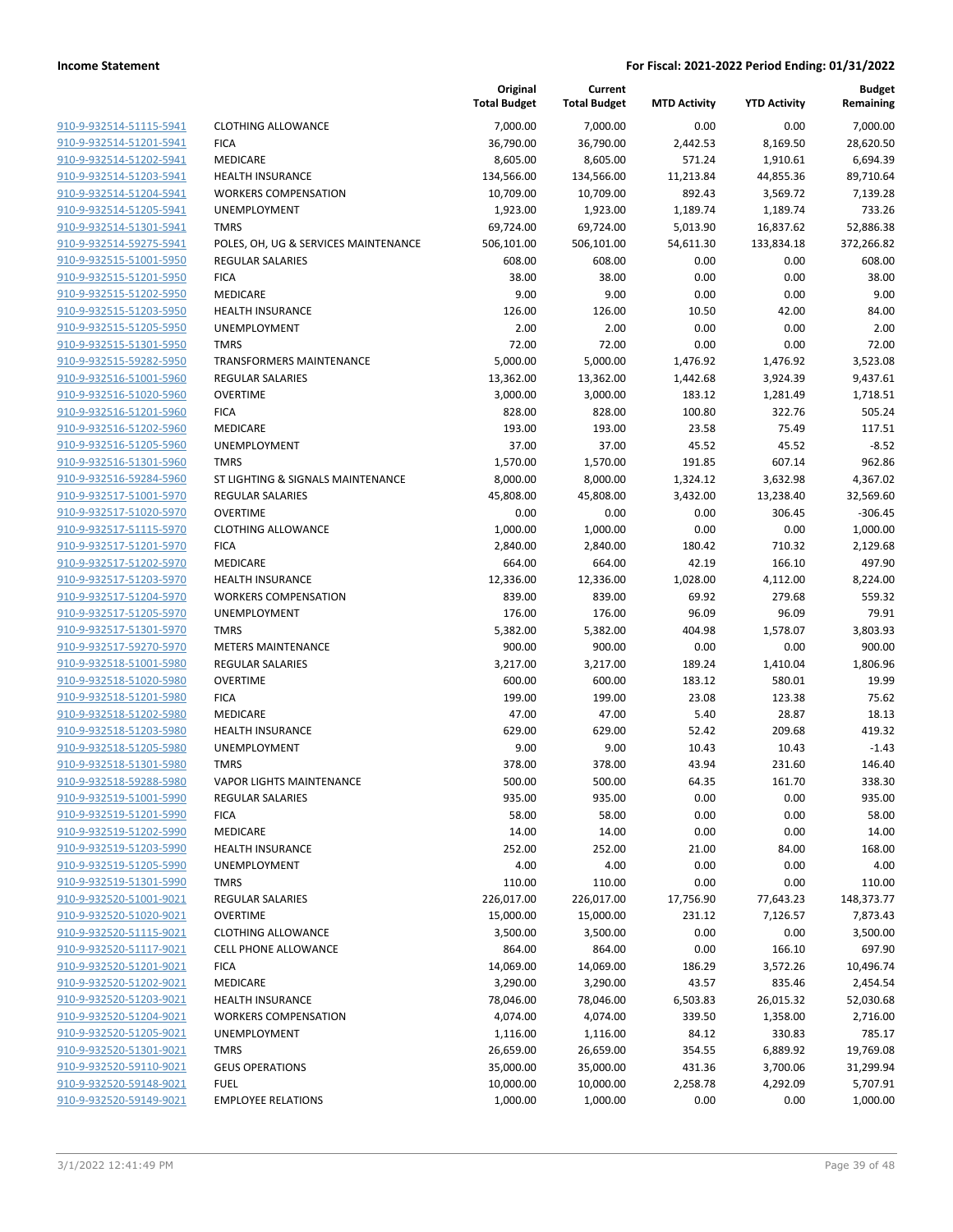|                         |                                      | Original<br><b>Total Budget</b> | Current<br><b>Total Budget</b> | <b>MTD Activity</b> | <b>YTD Activity</b> | <b>Budget</b><br>Remaining |
|-------------------------|--------------------------------------|---------------------------------|--------------------------------|---------------------|---------------------|----------------------------|
| 910-9-932514-51115-5941 | <b>CLOTHING ALLOWANCE</b>            | 7,000.00                        | 7,000.00                       | 0.00                | 0.00                | 7.000.00                   |
| 910-9-932514-51201-5941 | <b>FICA</b>                          | 36,790.00                       | 36,790.00                      | 2,442.53            | 8,169.50            | 28,620.50                  |
| 910-9-932514-51202-5941 | MEDICARE                             | 8,605.00                        | 8,605.00                       | 571.24              | 1,910.61            | 6,694.39                   |
| 910-9-932514-51203-5941 | <b>HEALTH INSURANCE</b>              | 134,566.00                      | 134,566.00                     | 11,213.84           | 44,855.36           | 89,710.64                  |
| 910-9-932514-51204-5941 | <b>WORKERS COMPENSATION</b>          | 10,709.00                       | 10,709.00                      | 892.43              | 3,569.72            | 7,139.28                   |
| 910-9-932514-51205-5941 | UNEMPLOYMENT                         | 1,923.00                        | 1,923.00                       | 1,189.74            | 1,189.74            | 733.26                     |
| 910-9-932514-51301-5941 | <b>TMRS</b>                          | 69,724.00                       | 69,724.00                      | 5,013.90            | 16,837.62           | 52,886.38                  |
| 910-9-932514-59275-5941 | POLES, OH, UG & SERVICES MAINTENANCE | 506,101.00                      | 506,101.00                     | 54,611.30           | 133,834.18          | 372,266.82                 |
| 910-9-932515-51001-5950 | <b>REGULAR SALARIES</b>              | 608.00                          | 608.00                         | 0.00                | 0.00                | 608.00                     |
| 910-9-932515-51201-5950 | <b>FICA</b>                          | 38.00                           | 38.00                          | 0.00                | 0.00                | 38.00                      |
| 910-9-932515-51202-5950 | MEDICARE                             | 9.00                            | 9.00                           | 0.00                | 0.00                | 9.00                       |
| 910-9-932515-51203-5950 | <b>HEALTH INSURANCE</b>              | 126.00                          | 126.00                         | 10.50               | 42.00               | 84.00                      |
| 910-9-932515-51205-5950 | <b>UNEMPLOYMENT</b>                  | 2.00                            | 2.00                           | 0.00                | 0.00                | 2.00                       |
| 910-9-932515-51301-5950 | <b>TMRS</b>                          | 72.00                           | 72.00                          | 0.00                | 0.00                | 72.00                      |
| 910-9-932515-59282-5950 | TRANSFORMERS MAINTENANCE             | 5,000.00                        | 5,000.00                       | 1,476.92            | 1,476.92            | 3,523.08                   |
| 910-9-932516-51001-5960 | <b>REGULAR SALARIES</b>              | 13,362.00                       | 13,362.00                      | 1,442.68            | 3,924.39            | 9,437.61                   |
| 910-9-932516-51020-5960 | <b>OVERTIME</b>                      | 3,000.00                        | 3,000.00                       | 183.12              | 1,281.49            | 1,718.51                   |
| 910-9-932516-51201-5960 | <b>FICA</b>                          | 828.00                          | 828.00                         | 100.80              | 322.76              | 505.24                     |
| 910-9-932516-51202-5960 | MEDICARE                             | 193.00                          | 193.00                         | 23.58               | 75.49               | 117.51                     |
| 910-9-932516-51205-5960 | <b>UNEMPLOYMENT</b>                  | 37.00                           | 37.00                          | 45.52               | 45.52               | $-8.52$                    |
| 910-9-932516-51301-5960 | <b>TMRS</b>                          | 1,570.00                        | 1,570.00                       | 191.85              | 607.14              | 962.86                     |
| 910-9-932516-59284-5960 | ST LIGHTING & SIGNALS MAINTENANCE    | 8,000.00                        | 8,000.00                       | 1,324.12            | 3,632.98            | 4,367.02                   |
| 910-9-932517-51001-5970 | <b>REGULAR SALARIES</b>              | 45,808.00                       | 45,808.00                      | 3,432.00            | 13,238.40           | 32,569.60                  |
| 910-9-932517-51020-5970 | <b>OVERTIME</b>                      | 0.00                            | 0.00                           | 0.00                | 306.45              | $-306.45$                  |
| 910-9-932517-51115-5970 | <b>CLOTHING ALLOWANCE</b>            | 1,000.00                        | 1,000.00                       | 0.00                | 0.00                | 1,000.00                   |
| 910-9-932517-51201-5970 | <b>FICA</b>                          | 2,840.00                        | 2,840.00                       | 180.42              | 710.32              | 2,129.68                   |
| 910-9-932517-51202-5970 | MEDICARE                             | 664.00                          | 664.00                         | 42.19               | 166.10              | 497.90                     |
| 910-9-932517-51203-5970 | <b>HEALTH INSURANCE</b>              | 12,336.00                       | 12,336.00                      | 1,028.00            | 4,112.00            | 8,224.00                   |
| 910-9-932517-51204-5970 | <b>WORKERS COMPENSATION</b>          | 839.00                          | 839.00                         | 69.92               | 279.68              | 559.32                     |
| 910-9-932517-51205-5970 | UNEMPLOYMENT                         | 176.00                          | 176.00                         | 96.09               | 96.09               | 79.91                      |
| 910-9-932517-51301-5970 | <b>TMRS</b>                          | 5,382.00                        | 5,382.00                       | 404.98              | 1,578.07            | 3,803.93                   |
| 910-9-932517-59270-5970 | <b>METERS MAINTENANCE</b>            | 900.00                          | 900.00                         | 0.00                | 0.00                | 900.00                     |
| 910-9-932518-51001-5980 | <b>REGULAR SALARIES</b>              | 3,217.00                        | 3,217.00                       | 189.24              | 1,410.04            | 1,806.96                   |
| 910-9-932518-51020-5980 | <b>OVERTIME</b>                      | 600.00                          | 600.00                         | 183.12              | 580.01              | 19.99                      |
| 910-9-932518-51201-5980 | <b>FICA</b>                          | 199.00                          | 199.00                         | 23.08               | 123.38              | 75.62                      |
| 910-9-932518-51202-5980 | MEDICARE                             | 47.00                           | 47.00                          | 5.40                | 28.87               | 18.13                      |
| 910-9-932518-51203-5980 | <b>HEALTH INSURANCE</b>              | 629.00                          | 629.00                         | 52.42               | 209.68              | 419.32                     |
| 910-9-932518-51205-5980 | UNEMPLOYMENT                         | 9.00                            | 9.00                           | 10.43               | 10.43               | $-1.43$                    |
| 910-9-932518-51301-5980 | <b>TMRS</b>                          | 378.00                          | 378.00                         | 43.94               | 231.60              | 146.40                     |
| 910-9-932518-59288-5980 | <b>VAPOR LIGHTS MAINTENANCE</b>      | 500.00                          | 500.00                         | 64.35               | 161.70              | 338.30                     |
| 910-9-932519-51001-5990 | <b>REGULAR SALARIES</b>              | 935.00                          | 935.00                         | 0.00                | 0.00                | 935.00                     |
| 910-9-932519-51201-5990 | <b>FICA</b>                          | 58.00                           | 58.00                          | 0.00                | 0.00                | 58.00                      |
| 910-9-932519-51202-5990 | MEDICARE                             | 14.00                           | 14.00                          | 0.00                | 0.00                | 14.00                      |
| 910-9-932519-51203-5990 | <b>HEALTH INSURANCE</b>              | 252.00                          | 252.00                         | 21.00               | 84.00               | 168.00                     |
| 910-9-932519-51205-5990 | UNEMPLOYMENT                         | 4.00                            | 4.00                           | 0.00                | 0.00                | 4.00                       |
| 910-9-932519-51301-5990 | <b>TMRS</b>                          | 110.00                          | 110.00                         | 0.00                | 0.00                | 110.00                     |
| 910-9-932520-51001-9021 | <b>REGULAR SALARIES</b>              | 226,017.00                      | 226,017.00                     | 17,756.90           | 77,643.23           | 148,373.77                 |
| 910-9-932520-51020-9021 | <b>OVERTIME</b>                      | 15,000.00                       | 15,000.00                      | 231.12              | 7,126.57            | 7,873.43                   |
| 910-9-932520-51115-9021 | <b>CLOTHING ALLOWANCE</b>            | 3,500.00                        | 3,500.00                       | 0.00                | 0.00                | 3,500.00                   |
| 910-9-932520-51117-9021 | CELL PHONE ALLOWANCE                 | 864.00                          | 864.00                         | 0.00                | 166.10              | 697.90                     |
| 910-9-932520-51201-9021 | <b>FICA</b>                          | 14,069.00                       | 14,069.00                      | 186.29              | 3,572.26            | 10,496.74                  |
| 910-9-932520-51202-9021 | MEDICARE                             | 3,290.00                        | 3,290.00                       | 43.57               | 835.46              | 2,454.54                   |
| 910-9-932520-51203-9021 | <b>HEALTH INSURANCE</b>              | 78,046.00                       | 78,046.00                      | 6,503.83            | 26,015.32           | 52,030.68                  |
| 910-9-932520-51204-9021 | <b>WORKERS COMPENSATION</b>          | 4,074.00                        | 4,074.00                       | 339.50              | 1,358.00            | 2,716.00                   |
| 910-9-932520-51205-9021 | UNEMPLOYMENT                         | 1,116.00                        | 1,116.00                       | 84.12               | 330.83              | 785.17                     |
| 910-9-932520-51301-9021 | <b>TMRS</b>                          | 26,659.00                       | 26,659.00                      | 354.55              | 6,889.92            | 19,769.08                  |
| 910-9-932520-59110-9021 | <b>GEUS OPERATIONS</b>               | 35,000.00                       | 35,000.00                      | 431.36              | 3,700.06            | 31,299.94                  |
| 910-9-932520-59148-9021 | <b>FUEL</b>                          | 10,000.00                       | 10,000.00                      | 2,258.78            | 4,292.09            | 5,707.91                   |
| 910-9-932520-59149-9021 | <b>EMPLOYEE RELATIONS</b>            | 1,000.00                        | 1,000.00                       | 0.00                | 0.00                | 1,000.00                   |
|                         |                                      |                                 |                                |                     |                     |                            |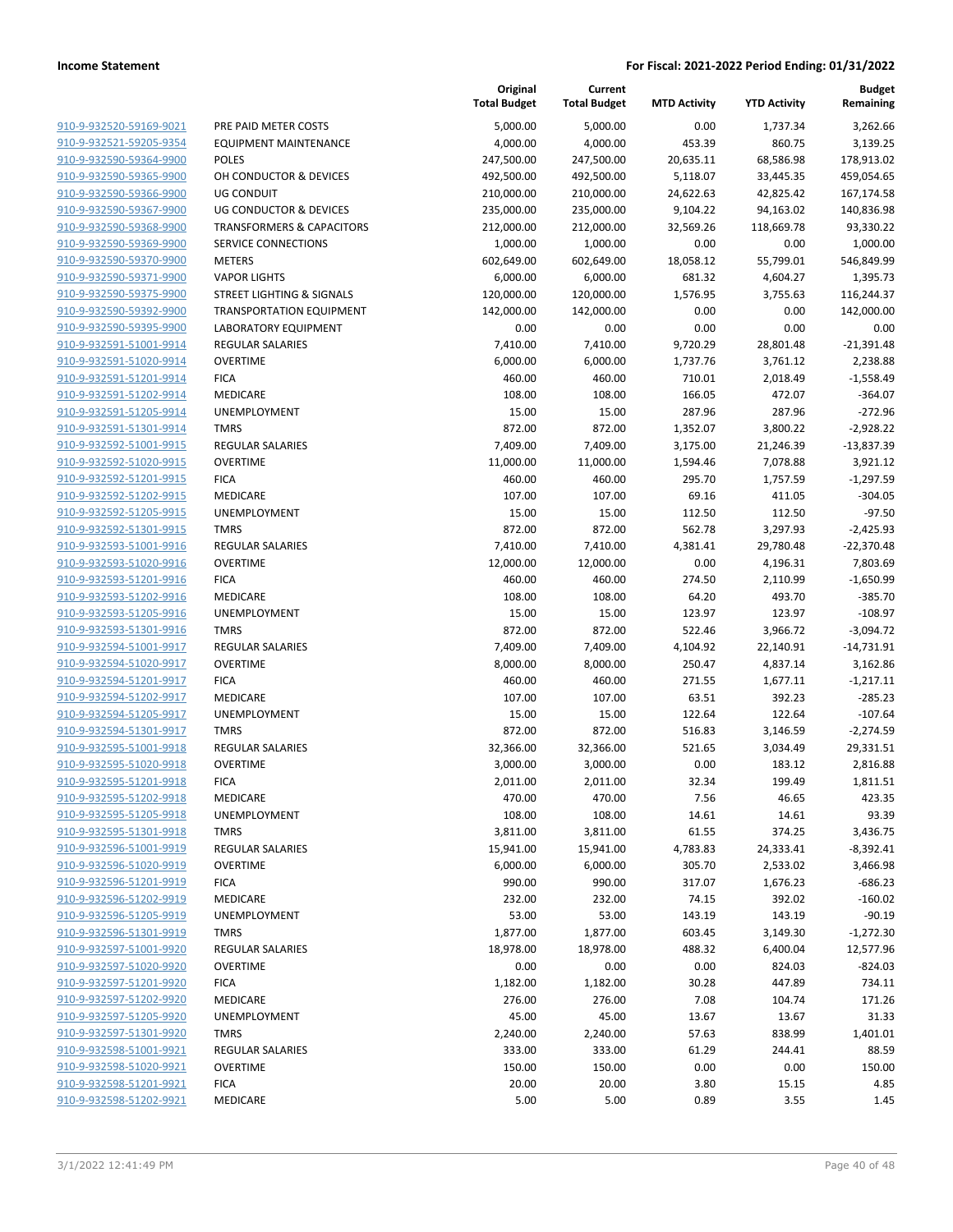|                                                    |                                      | Original<br><b>Total Budget</b> | Current<br><b>Total Budget</b> | <b>MTD Activity</b> | <b>YTD Activity</b> | <b>Budget</b><br>Remaining |
|----------------------------------------------------|--------------------------------------|---------------------------------|--------------------------------|---------------------|---------------------|----------------------------|
| 910-9-932520-59169-9021                            | PRE PAID METER COSTS                 | 5,000.00                        | 5,000.00                       | 0.00                | 1,737.34            | 3,262.66                   |
| 910-9-932521-59205-9354                            | <b>EQUIPMENT MAINTENANCE</b>         | 4,000.00                        | 4,000.00                       | 453.39              | 860.75              | 3,139.25                   |
| 910-9-932590-59364-9900                            | <b>POLES</b>                         | 247,500.00                      | 247,500.00                     | 20,635.11           | 68,586.98           | 178,913.02                 |
| 910-9-932590-59365-9900                            | OH CONDUCTOR & DEVICES               | 492,500.00                      | 492,500.00                     | 5,118.07            | 33,445.35           | 459,054.65                 |
| 910-9-932590-59366-9900                            | <b>UG CONDUIT</b>                    | 210,000.00                      | 210,000.00                     | 24,622.63           | 42,825.42           | 167,174.58                 |
| 910-9-932590-59367-9900                            | UG CONDUCTOR & DEVICES               | 235,000.00                      | 235,000.00                     | 9,104.22            | 94,163.02           | 140,836.98                 |
| 910-9-932590-59368-9900                            | <b>TRANSFORMERS &amp; CAPACITORS</b> | 212,000.00                      | 212,000.00                     | 32,569.26           | 118,669.78          | 93,330.22                  |
| 910-9-932590-59369-9900                            | SERVICE CONNECTIONS                  | 1,000.00                        | 1,000.00                       | 0.00                | 0.00                | 1,000.00                   |
| 910-9-932590-59370-9900                            | <b>METERS</b>                        | 602,649.00                      | 602,649.00                     | 18,058.12           | 55,799.01           | 546,849.99                 |
| 910-9-932590-59371-9900                            | <b>VAPOR LIGHTS</b>                  | 6,000.00                        | 6,000.00                       | 681.32              | 4,604.27            | 1,395.73                   |
| 910-9-932590-59375-9900                            | STREET LIGHTING & SIGNALS            | 120,000.00                      | 120,000.00                     | 1,576.95            | 3,755.63            | 116,244.37                 |
| 910-9-932590-59392-9900                            | <b>TRANSPORTATION EQUIPMENT</b>      | 142,000.00                      | 142,000.00                     | 0.00                | 0.00                | 142,000.00                 |
| 910-9-932590-59395-9900                            | <b>LABORATORY EQUIPMENT</b>          | 0.00                            | 0.00                           | 0.00                | 0.00                | 0.00                       |
| 910-9-932591-51001-9914                            | <b>REGULAR SALARIES</b>              | 7,410.00                        | 7,410.00                       | 9,720.29            | 28,801.48           | $-21,391.48$               |
| 910-9-932591-51020-9914                            | <b>OVERTIME</b>                      | 6,000.00                        | 6,000.00                       | 1,737.76            | 3,761.12            | 2,238.88                   |
| 910-9-932591-51201-9914                            | <b>FICA</b>                          | 460.00                          | 460.00                         | 710.01              | 2,018.49            | $-1,558.49$                |
| 910-9-932591-51202-9914                            | MEDICARE                             | 108.00                          | 108.00                         | 166.05              | 472.07              | $-364.07$                  |
| 910-9-932591-51205-9914                            | UNEMPLOYMENT                         | 15.00                           | 15.00                          | 287.96              | 287.96              | $-272.96$                  |
| 910-9-932591-51301-9914                            | <b>TMRS</b>                          | 872.00                          | 872.00                         | 1,352.07            | 3,800.22            | $-2,928.22$                |
| 910-9-932592-51001-9915                            | <b>REGULAR SALARIES</b>              | 7,409.00                        | 7,409.00                       | 3,175.00            | 21,246.39           | $-13,837.39$               |
| 910-9-932592-51020-9915                            | <b>OVERTIME</b>                      | 11,000.00                       | 11,000.00                      | 1,594.46            | 7,078.88            | 3,921.12                   |
| 910-9-932592-51201-9915                            | <b>FICA</b>                          | 460.00                          | 460.00                         | 295.70              | 1,757.59            | $-1,297.59$                |
| 910-9-932592-51202-9915                            | MEDICARE                             | 107.00                          | 107.00                         | 69.16               | 411.05              | $-304.05$                  |
| 910-9-932592-51205-9915                            | UNEMPLOYMENT                         | 15.00                           | 15.00                          | 112.50              | 112.50              | $-97.50$                   |
| 910-9-932592-51301-9915                            | <b>TMRS</b>                          | 872.00                          | 872.00                         | 562.78              | 3,297.93            | $-2,425.93$                |
| 910-9-932593-51001-9916                            | REGULAR SALARIES                     | 7,410.00                        | 7,410.00                       | 4,381.41            | 29,780.48           | $-22,370.48$               |
| 910-9-932593-51020-9916                            | <b>OVERTIME</b>                      | 12,000.00                       | 12,000.00                      | 0.00                | 4,196.31            | 7,803.69                   |
| 910-9-932593-51201-9916                            | <b>FICA</b>                          | 460.00                          | 460.00                         | 274.50              | 2,110.99            | $-1,650.99$                |
| 910-9-932593-51202-9916                            | MEDICARE                             | 108.00                          | 108.00                         | 64.20               | 493.70              | $-385.70$                  |
| 910-9-932593-51205-9916                            | UNEMPLOYMENT                         | 15.00                           | 15.00                          | 123.97              | 123.97              | $-108.97$                  |
| 910-9-932593-51301-9916                            | <b>TMRS</b>                          | 872.00                          | 872.00                         | 522.46              | 3,966.72            | $-3,094.72$                |
| 910-9-932594-51001-9917<br>910-9-932594-51020-9917 | REGULAR SALARIES                     | 7,409.00                        | 7,409.00                       | 4,104.92            | 22,140.91           | $-14,731.91$               |
| 910-9-932594-51201-9917                            | <b>OVERTIME</b>                      | 8,000.00                        | 8,000.00                       | 250.47              | 4,837.14            | 3,162.86                   |
| 910-9-932594-51202-9917                            | <b>FICA</b><br>MEDICARE              | 460.00<br>107.00                | 460.00<br>107.00               | 271.55<br>63.51     | 1,677.11<br>392.23  | $-1,217.11$<br>$-285.23$   |
| 910-9-932594-51205-9917                            | UNEMPLOYMENT                         | 15.00                           | 15.00                          | 122.64              | 122.64              | $-107.64$                  |
| 910-9-932594-51301-9917                            | <b>TMRS</b>                          | 872.00                          | 872.00                         | 516.83              | 3,146.59            | $-2,274.59$                |
| 910-9-932595-51001-9918                            | REGULAR SALARIES                     | 32,366.00                       | 32,366.00                      | 521.65              | 3,034.49            | 29,331.51                  |
| 910-9-932595-51020-9918                            | <b>OVERTIME</b>                      | 3,000.00                        | 3,000.00                       | 0.00                | 183.12              | 2,816.88                   |
| 910-9-932595-51201-9918                            | <b>FICA</b>                          | 2,011.00                        | 2,011.00                       | 32.34               | 199.49              | 1,811.51                   |
| 910-9-932595-51202-9918                            | MEDICARE                             | 470.00                          | 470.00                         | 7.56                | 46.65               | 423.35                     |
| 910-9-932595-51205-9918                            | UNEMPLOYMENT                         | 108.00                          | 108.00                         | 14.61               | 14.61               | 93.39                      |
| 910-9-932595-51301-9918                            | <b>TMRS</b>                          | 3,811.00                        | 3,811.00                       | 61.55               | 374.25              | 3,436.75                   |
| 910-9-932596-51001-9919                            | <b>REGULAR SALARIES</b>              | 15,941.00                       | 15,941.00                      | 4,783.83            | 24,333.41           | $-8,392.41$                |
| 910-9-932596-51020-9919                            | <b>OVERTIME</b>                      | 6,000.00                        | 6,000.00                       | 305.70              | 2,533.02            | 3,466.98                   |
| 910-9-932596-51201-9919                            | <b>FICA</b>                          | 990.00                          | 990.00                         | 317.07              | 1,676.23            | $-686.23$                  |
| 910-9-932596-51202-9919                            | MEDICARE                             | 232.00                          | 232.00                         | 74.15               | 392.02              | $-160.02$                  |
| 910-9-932596-51205-9919                            | UNEMPLOYMENT                         | 53.00                           | 53.00                          | 143.19              | 143.19              | $-90.19$                   |
| 910-9-932596-51301-9919                            | <b>TMRS</b>                          | 1,877.00                        | 1,877.00                       | 603.45              | 3,149.30            | $-1,272.30$                |
| 910-9-932597-51001-9920                            | <b>REGULAR SALARIES</b>              | 18,978.00                       | 18,978.00                      | 488.32              | 6,400.04            | 12,577.96                  |
| 910-9-932597-51020-9920                            | <b>OVERTIME</b>                      | 0.00                            | 0.00                           | 0.00                | 824.03              | $-824.03$                  |
| 910-9-932597-51201-9920                            | <b>FICA</b>                          | 1,182.00                        | 1,182.00                       | 30.28               | 447.89              | 734.11                     |
| 910-9-932597-51202-9920                            | MEDICARE                             | 276.00                          | 276.00                         | 7.08                | 104.74              | 171.26                     |
| 910-9-932597-51205-9920                            | UNEMPLOYMENT                         | 45.00                           | 45.00                          | 13.67               | 13.67               | 31.33                      |
| 910-9-932597-51301-9920                            | <b>TMRS</b>                          | 2,240.00                        | 2,240.00                       | 57.63               | 838.99              | 1,401.01                   |
| 910-9-932598-51001-9921                            | <b>REGULAR SALARIES</b>              | 333.00                          | 333.00                         | 61.29               | 244.41              | 88.59                      |
| 910-9-932598-51020-9921                            | <b>OVERTIME</b>                      | 150.00                          | 150.00                         | 0.00                | 0.00                | 150.00                     |
| 910-9-932598-51201-9921                            | <b>FICA</b>                          | 20.00                           | 20.00                          | 3.80                | 15.15               | 4.85                       |
| 910-9-932598-51202-9921                            | MEDICARE                             | 5.00                            | 5.00                           | 0.89                | 3.55                | 1.45                       |
|                                                    |                                      |                                 |                                |                     |                     |                            |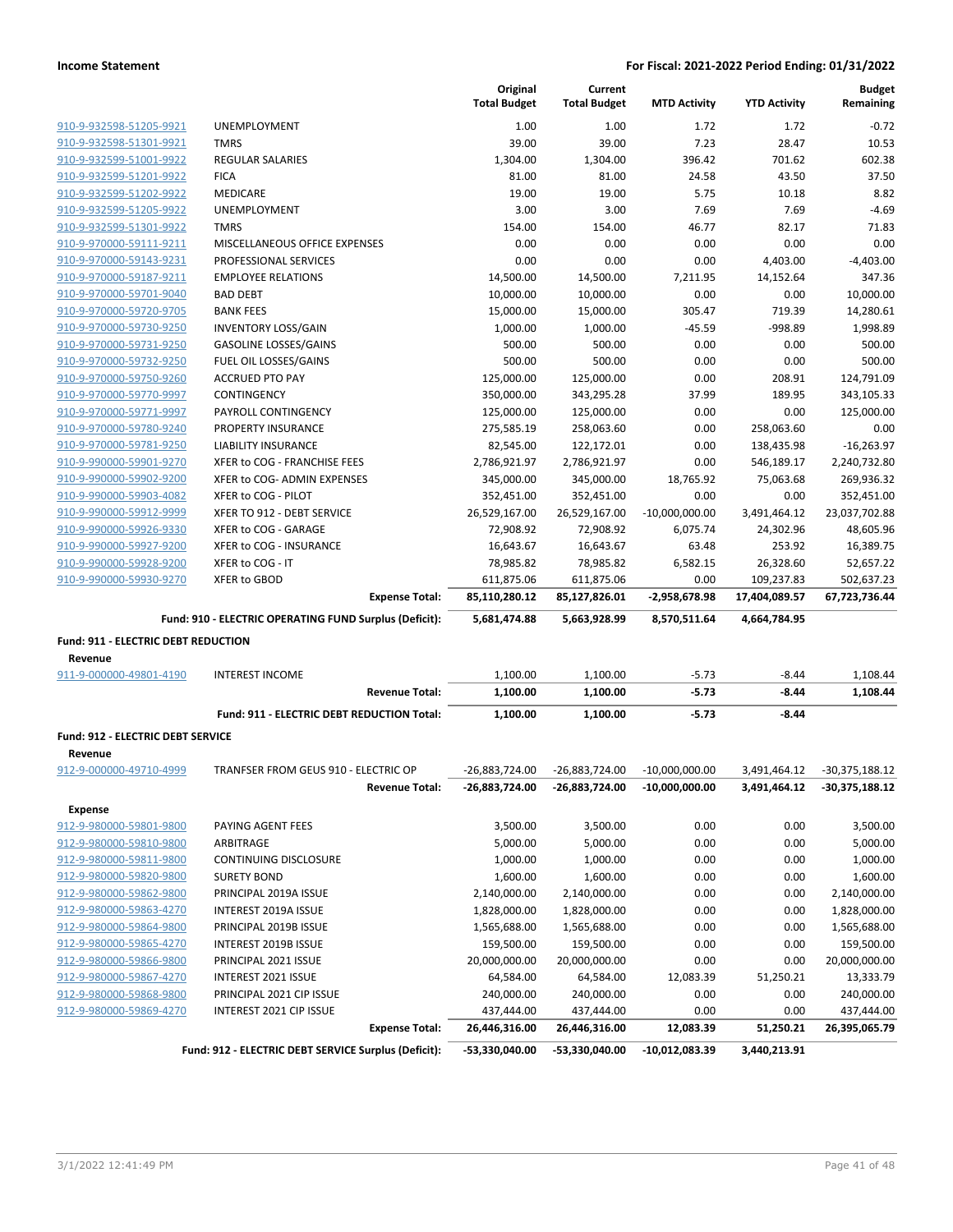|                                     |                                                        |                       | Original<br><b>Total Budget</b> | Current<br><b>Total Budget</b> | <b>MTD Activity</b> | <b>YTD Activity</b> | <b>Budget</b><br>Remaining |
|-------------------------------------|--------------------------------------------------------|-----------------------|---------------------------------|--------------------------------|---------------------|---------------------|----------------------------|
| 910-9-932598-51205-9921             | <b>UNEMPLOYMENT</b>                                    |                       | 1.00                            | 1.00                           | 1.72                | 1.72                | $-0.72$                    |
| 910-9-932598-51301-9921             | <b>TMRS</b>                                            |                       | 39.00                           | 39.00                          | 7.23                | 28.47               | 10.53                      |
| 910-9-932599-51001-9922             | <b>REGULAR SALARIES</b>                                |                       | 1,304.00                        | 1,304.00                       | 396.42              | 701.62              | 602.38                     |
| 910-9-932599-51201-9922             | <b>FICA</b>                                            |                       | 81.00                           | 81.00                          | 24.58               | 43.50               | 37.50                      |
| 910-9-932599-51202-9922             | MEDICARE                                               |                       | 19.00                           | 19.00                          | 5.75                | 10.18               | 8.82                       |
| 910-9-932599-51205-9922             | <b>UNEMPLOYMENT</b>                                    |                       | 3.00                            | 3.00                           | 7.69                | 7.69                | $-4.69$                    |
| 910-9-932599-51301-9922             | TMRS                                                   |                       | 154.00                          | 154.00                         | 46.77               | 82.17               | 71.83                      |
| 910-9-970000-59111-9211             | MISCELLANEOUS OFFICE EXPENSES                          |                       | 0.00                            | 0.00                           | 0.00                | 0.00                | 0.00                       |
| 910-9-970000-59143-9231             | PROFESSIONAL SERVICES                                  |                       | 0.00                            | 0.00                           | 0.00                | 4,403.00            | $-4,403.00$                |
| 910-9-970000-59187-9211             | <b>EMPLOYEE RELATIONS</b>                              |                       | 14,500.00                       | 14,500.00                      | 7,211.95            | 14,152.64           | 347.36                     |
| 910-9-970000-59701-9040             | <b>BAD DEBT</b>                                        |                       | 10,000.00                       | 10,000.00                      | 0.00                | 0.00                | 10,000.00                  |
| 910-9-970000-59720-9705             | <b>BANK FEES</b>                                       |                       | 15,000.00                       | 15,000.00                      | 305.47              | 719.39              | 14,280.61                  |
| 910-9-970000-59730-9250             | <b>INVENTORY LOSS/GAIN</b>                             |                       | 1,000.00                        | 1,000.00                       | $-45.59$            | $-998.89$           | 1,998.89                   |
| 910-9-970000-59731-9250             | <b>GASOLINE LOSSES/GAINS</b>                           |                       | 500.00                          | 500.00                         | 0.00                | 0.00                | 500.00                     |
| 910-9-970000-59732-9250             | FUEL OIL LOSSES/GAINS                                  |                       | 500.00                          | 500.00                         | 0.00                | 0.00                | 500.00                     |
| 910-9-970000-59750-9260             | <b>ACCRUED PTO PAY</b>                                 |                       | 125,000.00                      | 125,000.00                     | 0.00                | 208.91              | 124,791.09                 |
| 910-9-970000-59770-9997             | CONTINGENCY                                            |                       | 350,000.00                      | 343,295.28                     | 37.99               | 189.95              | 343,105.33                 |
| 910-9-970000-59771-9997             | PAYROLL CONTINGENCY                                    |                       | 125,000.00                      | 125,000.00                     | 0.00                | 0.00                | 125,000.00                 |
| 910-9-970000-59780-9240             | <b>PROPERTY INSURANCE</b>                              |                       | 275,585.19                      | 258,063.60                     | 0.00                | 258,063.60          | 0.00                       |
| 910-9-970000-59781-9250             | <b>LIABILITY INSURANCE</b>                             |                       | 82,545.00                       | 122,172.01                     | 0.00                | 138,435.98          | $-16,263.97$               |
| 910-9-990000-59901-9270             | XFER to COG - FRANCHISE FEES                           |                       | 2,786,921.97                    | 2,786,921.97                   | 0.00                | 546,189.17          | 2,240,732.80               |
| 910-9-990000-59902-9200             | XFER to COG- ADMIN EXPENSES                            |                       | 345,000.00                      | 345,000.00                     | 18,765.92           | 75,063.68           | 269,936.32                 |
| 910-9-990000-59903-4082             | XFER to COG - PILOT                                    |                       | 352,451.00                      | 352,451.00                     | 0.00                | 0.00                | 352,451.00                 |
| 910-9-990000-59912-9999             | XFER TO 912 - DEBT SERVICE                             |                       | 26,529,167.00                   | 26,529,167.00                  | $-10,000,000.00$    | 3,491,464.12        | 23,037,702.88              |
| 910-9-990000-59926-9330             | XFER to COG - GARAGE                                   |                       | 72,908.92                       | 72,908.92                      | 6,075.74            | 24,302.96           | 48,605.96                  |
| 910-9-990000-59927-9200             | XFER to COG - INSURANCE                                |                       | 16,643.67                       | 16,643.67                      | 63.48               | 253.92              | 16,389.75                  |
| 910-9-990000-59928-9200             | XFER to COG - IT                                       |                       | 78,985.82                       | 78,985.82                      | 6,582.15            | 26,328.60           | 52,657.22                  |
| 910-9-990000-59930-9270             | <b>XFER to GBOD</b>                                    |                       | 611,875.06                      | 611,875.06                     | 0.00                | 109,237.83          | 502,637.23                 |
|                                     |                                                        | <b>Expense Total:</b> | 85,110,280.12                   | 85,127,826.01                  | -2,958,678.98       | 17,404,089.57       | 67,723,736.44              |
|                                     | Fund: 910 - ELECTRIC OPERATING FUND Surplus (Deficit): |                       | 5,681,474.88                    | 5,663,928.99                   | 8,570,511.64        | 4,664,784.95        |                            |
| Fund: 911 - ELECTRIC DEBT REDUCTION |                                                        |                       |                                 |                                |                     |                     |                            |
| Revenue                             |                                                        |                       |                                 |                                |                     |                     |                            |
| 911-9-000000-49801-4190             | <b>INTEREST INCOME</b>                                 |                       | 1,100.00                        | 1,100.00                       | $-5.73$             | $-8.44$             | 1,108.44                   |
|                                     |                                                        | <b>Revenue Total:</b> | 1,100.00                        | 1,100.00                       | $-5.73$             | $-8.44$             | 1,108.44                   |
|                                     | Fund: 911 - ELECTRIC DEBT REDUCTION Total:             |                       | 1,100.00                        | 1,100.00                       | $-5.73$             | $-8.44$             |                            |
| Fund: 912 - ELECTRIC DEBT SERVICE   |                                                        |                       |                                 |                                |                     |                     |                            |
| Revenue                             |                                                        |                       |                                 |                                |                     |                     |                            |
| 912-9-000000-49710-4999             | TRANFSER FROM GEUS 910 - ELECTRIC OP                   |                       | -26,883,724.00                  | -26,883,724.00                 | $-10,000,000.00$    | 3,491,464.12        | $-30,375,188.12$           |
|                                     |                                                        | <b>Revenue Total:</b> | -26,883,724.00                  | -26,883,724.00                 | $-10,000,000.00$    | 3,491,464.12        | -30,375,188.12             |
| Expense                             |                                                        |                       |                                 |                                |                     |                     |                            |
| 912-9-980000-59801-9800             | PAYING AGENT FEES                                      |                       | 3,500.00                        | 3,500.00                       | 0.00                | 0.00                | 3,500.00                   |
| 912-9-980000-59810-9800             | ARBITRAGE                                              |                       | 5,000.00                        | 5,000.00                       | 0.00                | 0.00                | 5,000.00                   |
| 912-9-980000-59811-9800             | CONTINUING DISCLOSURE                                  |                       | 1,000.00                        | 1,000.00                       | 0.00                | 0.00                | 1,000.00                   |
| 912-9-980000-59820-9800             | <b>SURETY BOND</b>                                     |                       | 1,600.00                        | 1,600.00                       | 0.00                | 0.00                | 1,600.00                   |
| 912-9-980000-59862-9800             | PRINCIPAL 2019A ISSUE                                  |                       | 2,140,000.00                    | 2,140,000.00                   | 0.00                | 0.00                | 2,140,000.00               |
| 912-9-980000-59863-4270             | INTEREST 2019A ISSUE                                   |                       | 1,828,000.00                    | 1,828,000.00                   | 0.00                | 0.00                | 1,828,000.00               |
| 912-9-980000-59864-9800             | PRINCIPAL 2019B ISSUE                                  |                       | 1,565,688.00                    | 1,565,688.00                   | 0.00                | 0.00                | 1,565,688.00               |
| 912-9-980000-59865-4270             | INTEREST 2019B ISSUE                                   |                       | 159,500.00                      | 159,500.00                     | 0.00                | 0.00                | 159,500.00                 |
| 912-9-980000-59866-9800             | PRINCIPAL 2021 ISSUE                                   |                       | 20,000,000.00                   | 20,000,000.00                  | 0.00                | 0.00                | 20,000,000.00              |
| 912-9-980000-59867-4270             | INTEREST 2021 ISSUE                                    |                       | 64,584.00                       | 64,584.00                      | 12,083.39           | 51,250.21           | 13,333.79                  |
| 912-9-980000-59868-9800             | PRINCIPAL 2021 CIP ISSUE                               |                       | 240,000.00                      | 240,000.00                     | 0.00                | 0.00                | 240,000.00                 |
| 912-9-980000-59869-4270             | INTEREST 2021 CIP ISSUE                                |                       | 437,444.00                      | 437,444.00                     | 0.00                | 0.00                | 437,444.00                 |
|                                     |                                                        | <b>Expense Total:</b> | 26,446,316.00                   | 26,446,316.00                  | 12,083.39           | 51,250.21           | 26,395,065.79              |
|                                     | Fund: 912 - ELECTRIC DEBT SERVICE Surplus (Deficit):   |                       | -53,330,040.00                  | -53,330,040.00                 | $-10,012,083.39$    | 3,440,213.91        |                            |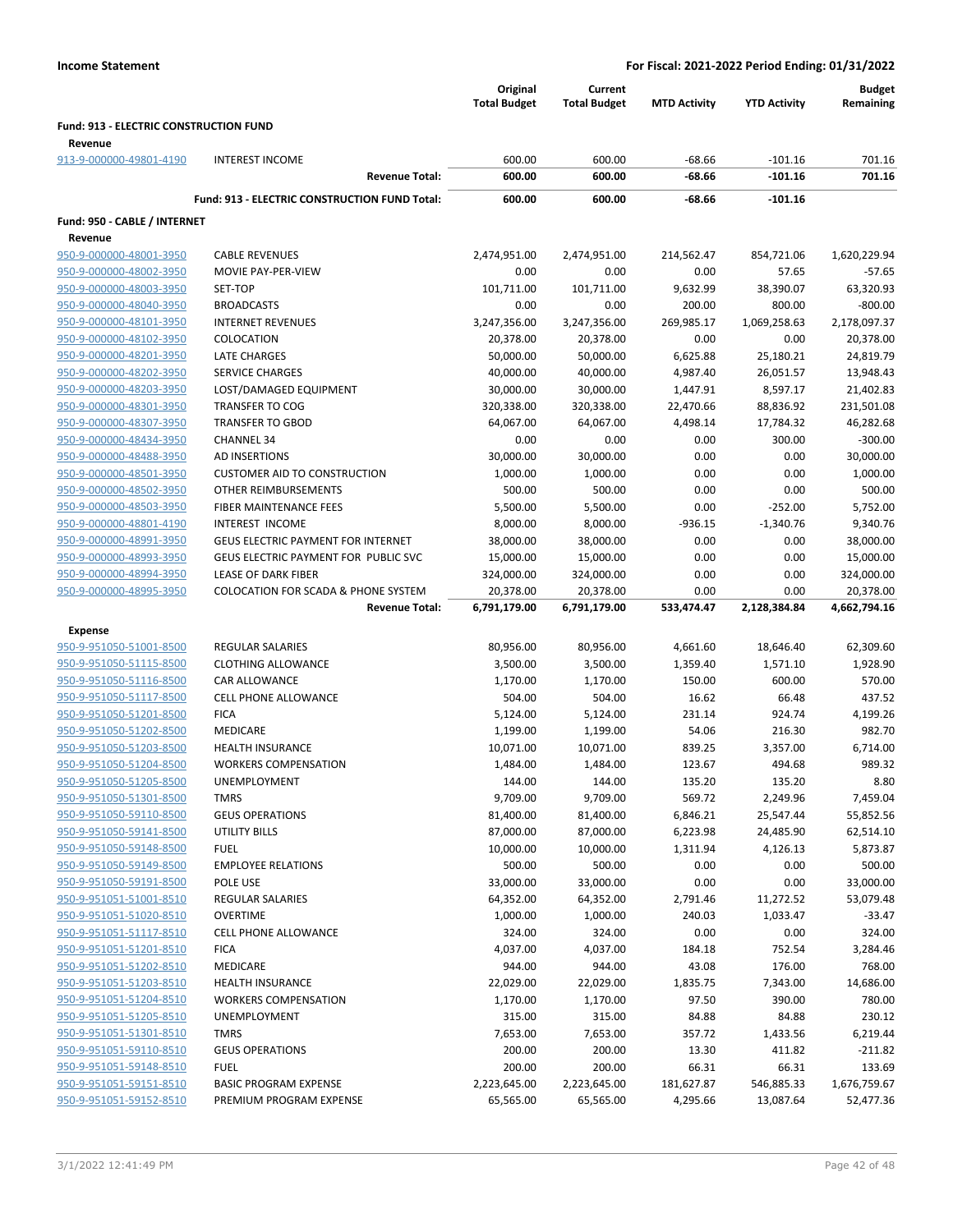|                                                    |                                                      | Original<br><b>Total Budget</b> | Current<br><b>Total Budget</b> | <b>MTD Activity</b>  | <b>YTD Activity</b>    | <b>Budget</b><br>Remaining |
|----------------------------------------------------|------------------------------------------------------|---------------------------------|--------------------------------|----------------------|------------------------|----------------------------|
| Fund: 913 - ELECTRIC CONSTRUCTION FUND             |                                                      |                                 |                                |                      |                        |                            |
| Revenue                                            |                                                      |                                 |                                |                      |                        |                            |
| 913-9-000000-49801-4190                            | <b>INTEREST INCOME</b>                               | 600.00                          | 600.00                         | $-68.66$<br>$-68.66$ | $-101.16$              | 701.16                     |
|                                                    | <b>Revenue Total:</b>                                | 600.00                          | 600.00                         |                      | $-101.16$              | 701.16                     |
|                                                    | <b>Fund: 913 - ELECTRIC CONSTRUCTION FUND Total:</b> | 600.00                          | 600.00                         | -68.66               | $-101.16$              |                            |
| Fund: 950 - CABLE / INTERNET                       |                                                      |                                 |                                |                      |                        |                            |
| Revenue                                            |                                                      |                                 |                                |                      |                        |                            |
| 950-9-000000-48001-3950                            | <b>CABLE REVENUES</b>                                | 2,474,951.00                    | 2,474,951.00                   | 214,562.47           | 854,721.06             | 1,620,229.94               |
| 950-9-000000-48002-3950                            | MOVIE PAY-PER-VIEW                                   | 0.00                            | 0.00                           | 0.00                 | 57.65                  | $-57.65$                   |
| 950-9-000000-48003-3950                            | SET-TOP                                              | 101,711.00                      | 101,711.00                     | 9,632.99             | 38,390.07              | 63,320.93                  |
| 950-9-000000-48040-3950                            | <b>BROADCASTS</b>                                    | 0.00                            | 0.00                           | 200.00               | 800.00                 | $-800.00$                  |
| 950-9-000000-48101-3950<br>950-9-000000-48102-3950 | <b>INTERNET REVENUES</b><br>COLOCATION               | 3,247,356.00                    | 3,247,356.00                   | 269,985.17<br>0.00   | 1,069,258.63<br>0.00   | 2,178,097.37<br>20,378.00  |
| 950-9-000000-48201-3950                            | LATE CHARGES                                         | 20,378.00<br>50,000.00          | 20,378.00<br>50,000.00         | 6,625.88             | 25,180.21              | 24,819.79                  |
| 950-9-000000-48202-3950                            | <b>SERVICE CHARGES</b>                               | 40,000.00                       | 40,000.00                      | 4,987.40             | 26,051.57              | 13,948.43                  |
| 950-9-000000-48203-3950                            | LOST/DAMAGED EQUIPMENT                               | 30,000.00                       | 30,000.00                      | 1,447.91             | 8,597.17               | 21,402.83                  |
| 950-9-000000-48301-3950                            | <b>TRANSFER TO COG</b>                               | 320,338.00                      | 320,338.00                     | 22,470.66            | 88,836.92              | 231,501.08                 |
| 950-9-000000-48307-3950                            | <b>TRANSFER TO GBOD</b>                              | 64,067.00                       | 64,067.00                      | 4,498.14             | 17,784.32              | 46,282.68                  |
| 950-9-000000-48434-3950                            | <b>CHANNEL 34</b>                                    | 0.00                            | 0.00                           | 0.00                 | 300.00                 | $-300.00$                  |
| 950-9-000000-48488-3950                            | AD INSERTIONS                                        | 30,000.00                       | 30,000.00                      | 0.00                 | 0.00                   | 30,000.00                  |
| 950-9-000000-48501-3950                            | <b>CUSTOMER AID TO CONSTRUCTION</b>                  | 1,000.00                        | 1,000.00                       | 0.00                 | 0.00                   | 1,000.00                   |
| 950-9-000000-48502-3950                            | OTHER REIMBURSEMENTS                                 | 500.00                          | 500.00                         | 0.00                 | 0.00                   | 500.00                     |
| 950-9-000000-48503-3950                            | FIBER MAINTENANCE FEES                               | 5,500.00                        | 5,500.00                       | 0.00                 | $-252.00$              | 5,752.00                   |
| 950-9-000000-48801-4190                            | INTEREST INCOME                                      | 8,000.00                        | 8,000.00                       | $-936.15$            | $-1,340.76$            | 9,340.76                   |
| 950-9-000000-48991-3950                            | <b>GEUS ELECTRIC PAYMENT FOR INTERNET</b>            | 38,000.00                       | 38,000.00                      | 0.00                 | 0.00                   | 38,000.00                  |
| 950-9-000000-48993-3950                            | GEUS ELECTRIC PAYMENT FOR PUBLIC SVC                 | 15,000.00                       | 15,000.00                      | 0.00                 | 0.00                   | 15,000.00                  |
| 950-9-000000-48994-3950                            | <b>LEASE OF DARK FIBER</b>                           | 324,000.00                      | 324,000.00                     | 0.00                 | 0.00                   | 324,000.00                 |
| 950-9-000000-48995-3950                            | <b>COLOCATION FOR SCADA &amp; PHONE SYSTEM</b>       | 20,378.00                       | 20,378.00                      | 0.00                 | 0.00                   | 20,378.00                  |
|                                                    | <b>Revenue Total:</b>                                | 6,791,179.00                    | 6,791,179.00                   | 533,474.47           | 2,128,384.84           | 4,662,794.16               |
| <b>Expense</b>                                     |                                                      |                                 |                                |                      |                        |                            |
| 950-9-951050-51001-8500                            | <b>REGULAR SALARIES</b>                              | 80,956.00                       | 80,956.00                      | 4,661.60             | 18,646.40              | 62,309.60                  |
| 950-9-951050-51115-8500                            | <b>CLOTHING ALLOWANCE</b>                            | 3,500.00                        | 3,500.00                       | 1,359.40             | 1,571.10               | 1,928.90                   |
| 950-9-951050-51116-8500                            | CAR ALLOWANCE                                        | 1,170.00                        | 1,170.00                       | 150.00               | 600.00                 | 570.00                     |
| 950-9-951050-51117-8500                            | <b>CELL PHONE ALLOWANCE</b>                          | 504.00                          | 504.00                         | 16.62                | 66.48                  | 437.52                     |
| 950-9-951050-51201-8500                            | <b>FICA</b>                                          | 5,124.00                        | 5,124.00                       | 231.14               | 924.74                 | 4,199.26                   |
| 950-9-951050-51202-8500                            | MEDICARE                                             | 1,199.00                        | 1,199.00                       | 54.06                | 216.30                 | 982.70                     |
| 950-9-951050-51203-8500                            | <b>HEALTH INSURANCE</b>                              | 10,071.00                       | 10,071.00                      | 839.25               | 3,357.00               | 6,714.00                   |
| 950-9-951050-51204-8500                            | <b>WORKERS COMPENSATION</b>                          | 1,484.00                        | 1,484.00                       | 123.67               | 494.68                 | 989.32                     |
| 950-9-951050-51205-8500                            | <b>UNEMPLOYMENT</b>                                  | 144.00                          | 144.00                         | 135.20               | 135.20                 | 8.80                       |
| 950-9-951050-51301-8500<br>950-9-951050-59110-8500 | <b>TMRS</b><br><b>GEUS OPERATIONS</b>                | 9,709.00                        | 9,709.00                       | 569.72               | 2,249.96               | 7,459.04                   |
| 950-9-951050-59141-8500                            | <b>UTILITY BILLS</b>                                 | 81,400.00<br>87,000.00          | 81,400.00<br>87,000.00         | 6,846.21<br>6,223.98 | 25,547.44<br>24,485.90 | 55,852.56<br>62,514.10     |
| 950-9-951050-59148-8500                            | <b>FUEL</b>                                          | 10,000.00                       | 10,000.00                      | 1,311.94             | 4,126.13               | 5,873.87                   |
| 950-9-951050-59149-8500                            | <b>EMPLOYEE RELATIONS</b>                            | 500.00                          | 500.00                         | 0.00                 | 0.00                   | 500.00                     |
| 950-9-951050-59191-8500                            | POLE USE                                             | 33,000.00                       | 33,000.00                      | 0.00                 | 0.00                   | 33,000.00                  |
| 950-9-951051-51001-8510                            | REGULAR SALARIES                                     | 64,352.00                       | 64,352.00                      | 2,791.46             | 11,272.52              | 53,079.48                  |
| 950-9-951051-51020-8510                            | <b>OVERTIME</b>                                      | 1,000.00                        | 1,000.00                       | 240.03               | 1,033.47               | $-33.47$                   |
| 950-9-951051-51117-8510                            | <b>CELL PHONE ALLOWANCE</b>                          | 324.00                          | 324.00                         | 0.00                 | 0.00                   | 324.00                     |
| 950-9-951051-51201-8510                            | <b>FICA</b>                                          | 4,037.00                        | 4,037.00                       | 184.18               | 752.54                 | 3,284.46                   |
| 950-9-951051-51202-8510                            | MEDICARE                                             | 944.00                          | 944.00                         | 43.08                | 176.00                 | 768.00                     |
| 950-9-951051-51203-8510                            | <b>HEALTH INSURANCE</b>                              | 22,029.00                       | 22,029.00                      | 1,835.75             | 7,343.00               | 14,686.00                  |
| 950-9-951051-51204-8510                            | <b>WORKERS COMPENSATION</b>                          | 1,170.00                        | 1,170.00                       | 97.50                | 390.00                 | 780.00                     |
| 950-9-951051-51205-8510                            | UNEMPLOYMENT                                         | 315.00                          | 315.00                         | 84.88                | 84.88                  | 230.12                     |
| 950-9-951051-51301-8510                            | <b>TMRS</b>                                          | 7,653.00                        | 7,653.00                       | 357.72               | 1,433.56               | 6,219.44                   |
| 950-9-951051-59110-8510                            | <b>GEUS OPERATIONS</b>                               | 200.00                          | 200.00                         | 13.30                | 411.82                 | $-211.82$                  |
| 950-9-951051-59148-8510                            | <b>FUEL</b>                                          | 200.00                          | 200.00                         | 66.31                | 66.31                  | 133.69                     |
| 950-9-951051-59151-8510                            | <b>BASIC PROGRAM EXPENSE</b>                         | 2,223,645.00                    | 2,223,645.00                   | 181,627.87           | 546,885.33             | 1,676,759.67               |
| 950-9-951051-59152-8510                            | PREMIUM PROGRAM EXPENSE                              | 65,565.00                       | 65,565.00                      | 4,295.66             | 13,087.64              | 52,477.36                  |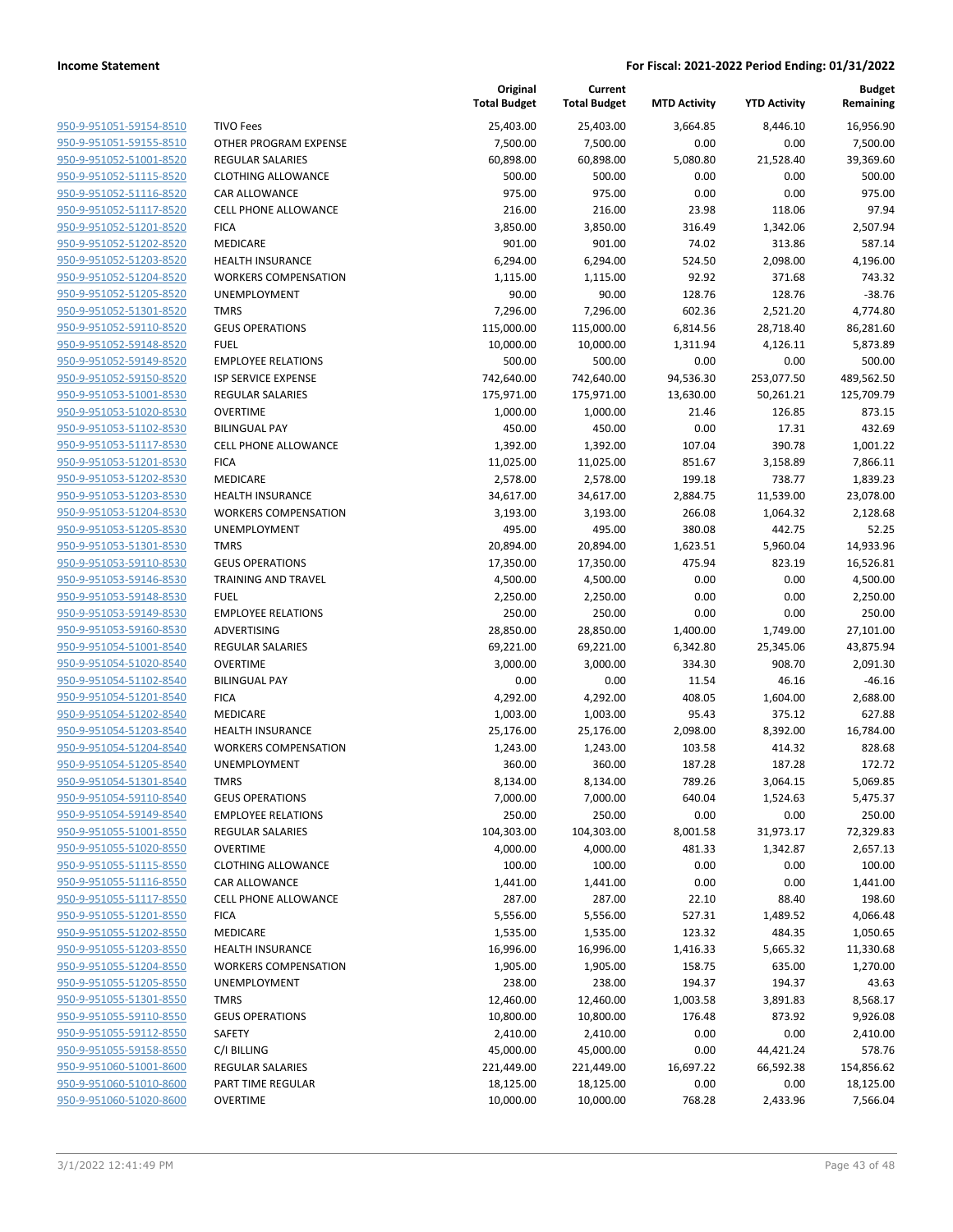| 950-9-951051-59154-8510        |
|--------------------------------|
| 950-9-951051-59155-8510        |
| 950-9-951052-51001-8520        |
| 950-9-951052-51115-8520        |
| 950-9-951052-51116-8520        |
| 950-9-951052-51117-8520        |
| 950-9-951052-51201-8520        |
|                                |
| 950-9-951052-51202-8520        |
| 950-9-951052-51203-8520        |
| 950-9-951052-51204-8520        |
| 950-9-951052-51205-8520        |
| 950-9-951052-51301-8520        |
| 950-9-951052-59110-8520        |
| 950-9-951052-59148-8520        |
| <u>950-9-951052-59149-8520</u> |
|                                |
| 950-9-951052-59150-8520        |
| 950-9-951053-51001-8530        |
| 950-9-951053-51020-8530        |
| 950-9-951053-51102-8530        |
| 950-9-951053-51117-8530        |
| 950-9-951053-51201-8530        |
| 950-9-951053-51202-8530        |
| 950-9-951053-51203-8530        |
|                                |
| 950-9-951053-51204-8530        |
| <u>950-9-951053-51205-8530</u> |
| 950-9-951053-51301-8530        |
| 950-9-951053-59110-8530        |
| 950-9-951053-59146-8530        |
| 950-9-951053-59148-8530        |
| 950-9-951053-59149-8530        |
| 950-9-951053-59160-8530        |
|                                |
| 950-9-951054-51001-8540        |
| 950-9-951054-51020-8540        |
| 950-9-951054-51102-8540        |
| <u>950-9-951054-51201-8540</u> |
| 950-9-951054-51202-8540        |
| 950-9-951054-51203-8540        |
| 950-9-951054-51204-8540        |
| 950-9-951054-51205-8540        |
| 950-9-951054-51301-8540        |
|                                |
| 950-9-951054-59110-8540        |
| <u>950-9-951054-59149-8540</u> |
| 950-9-951055-51001-8550        |
| 950-9-951055-51020-8550        |
| 950-9-951055-51115-8550        |
| <u>950-9-951055-51116-8550</u> |
| <u>950-9-951055-51117-8550</u> |
|                                |
| 950-9-951055-51201-8550        |
| 950-9-951055-51202-8550        |
| <u>950-9-951055-51203-8550</u> |
| 950-9-951055-51204-8550        |
| <u>950-9-951055-51205-8550</u> |
| 950-9-951055-51301-8550        |
| 950-9-951055-59110-8550        |
|                                |
| <u>950-9-951055-59112-8550</u> |
| 950-9-951055-59158-8550        |
| <u>950-9-951060-51001-8600</u> |
| 950-9-951060-51010-8600        |
| 950-9-951060-51020-8600        |
|                                |

|                         |                             | Original<br><b>Total Budget</b> | Current<br><b>Total Budget</b> | <b>MTD Activity</b> | <b>YTD Activity</b> | <b>Budget</b><br>Remaining |
|-------------------------|-----------------------------|---------------------------------|--------------------------------|---------------------|---------------------|----------------------------|
| 950-9-951051-59154-8510 | <b>TIVO Fees</b>            | 25,403.00                       | 25,403.00                      | 3,664.85            | 8,446.10            | 16,956.90                  |
| 950-9-951051-59155-8510 | OTHER PROGRAM EXPENSE       | 7,500.00                        | 7,500.00                       | 0.00                | 0.00                | 7,500.00                   |
| 950-9-951052-51001-8520 | <b>REGULAR SALARIES</b>     | 60,898.00                       | 60,898.00                      | 5,080.80            | 21,528.40           | 39,369.60                  |
| 950-9-951052-51115-8520 | <b>CLOTHING ALLOWANCE</b>   | 500.00                          | 500.00                         | 0.00                | 0.00                | 500.00                     |
| 950-9-951052-51116-8520 | <b>CAR ALLOWANCE</b>        | 975.00                          | 975.00                         | 0.00                | 0.00                | 975.00                     |
| 950-9-951052-51117-8520 | <b>CELL PHONE ALLOWANCE</b> | 216.00                          | 216.00                         | 23.98               | 118.06              | 97.94                      |
| 950-9-951052-51201-8520 | <b>FICA</b>                 | 3,850.00                        | 3,850.00                       | 316.49              | 1,342.06            | 2,507.94                   |
| 950-9-951052-51202-8520 | MEDICARE                    | 901.00                          | 901.00                         | 74.02               | 313.86              | 587.14                     |
| 950-9-951052-51203-8520 | <b>HEALTH INSURANCE</b>     | 6,294.00                        | 6,294.00                       | 524.50              | 2,098.00            | 4,196.00                   |
| 950-9-951052-51204-8520 | <b>WORKERS COMPENSATION</b> | 1,115.00                        | 1,115.00                       | 92.92               | 371.68              | 743.32                     |
| 950-9-951052-51205-8520 | <b>UNEMPLOYMENT</b>         | 90.00                           | 90.00                          | 128.76              | 128.76              | $-38.76$                   |
| 950-9-951052-51301-8520 | <b>TMRS</b>                 | 7,296.00                        | 7,296.00                       | 602.36              | 2,521.20            | 4,774.80                   |
| 950-9-951052-59110-8520 | <b>GEUS OPERATIONS</b>      | 115,000.00                      | 115,000.00                     | 6,814.56            | 28,718.40           | 86,281.60                  |
| 950-9-951052-59148-8520 | <b>FUEL</b>                 | 10,000.00                       | 10,000.00                      | 1,311.94            | 4,126.11            | 5,873.89                   |
| 950-9-951052-59149-8520 | <b>EMPLOYEE RELATIONS</b>   | 500.00                          | 500.00                         | 0.00                | 0.00                | 500.00                     |
| 950-9-951052-59150-8520 | <b>ISP SERVICE EXPENSE</b>  | 742,640.00                      | 742,640.00                     | 94,536.30           | 253,077.50          | 489,562.50                 |
| 950-9-951053-51001-8530 | <b>REGULAR SALARIES</b>     | 175,971.00                      | 175,971.00                     | 13,630.00           | 50,261.21           | 125,709.79                 |
| 950-9-951053-51020-8530 | <b>OVERTIME</b>             | 1,000.00                        | 1,000.00                       | 21.46               | 126.85              | 873.15                     |
| 950-9-951053-51102-8530 | <b>BILINGUAL PAY</b>        | 450.00                          | 450.00                         | 0.00                | 17.31               | 432.69                     |
| 950-9-951053-51117-8530 | <b>CELL PHONE ALLOWANCE</b> | 1,392.00                        | 1,392.00                       | 107.04              | 390.78              | 1,001.22                   |
| 950-9-951053-51201-8530 | <b>FICA</b>                 | 11,025.00                       | 11,025.00                      | 851.67              | 3,158.89            | 7,866.11                   |
| 950-9-951053-51202-8530 | MEDICARE                    | 2,578.00                        | 2,578.00                       | 199.18              | 738.77              | 1,839.23                   |
| 950-9-951053-51203-8530 | <b>HEALTH INSURANCE</b>     | 34,617.00                       | 34,617.00                      | 2,884.75            | 11,539.00           | 23,078.00                  |
| 950-9-951053-51204-8530 | <b>WORKERS COMPENSATION</b> | 3,193.00                        | 3,193.00                       | 266.08              | 1,064.32            | 2,128.68                   |
| 950-9-951053-51205-8530 | UNEMPLOYMENT                | 495.00                          | 495.00                         | 380.08              | 442.75              | 52.25                      |
| 950-9-951053-51301-8530 | <b>TMRS</b>                 | 20,894.00                       | 20,894.00                      | 1,623.51            | 5,960.04            | 14,933.96                  |
| 950-9-951053-59110-8530 | <b>GEUS OPERATIONS</b>      | 17,350.00                       | 17,350.00                      | 475.94              | 823.19              | 16,526.81                  |
| 950-9-951053-59146-8530 | TRAINING AND TRAVEL         | 4,500.00                        | 4,500.00                       | 0.00                | 0.00                | 4,500.00                   |
| 950-9-951053-59148-8530 | <b>FUEL</b>                 | 2,250.00                        | 2,250.00                       | 0.00                | 0.00                | 2,250.00                   |
| 950-9-951053-59149-8530 | <b>EMPLOYEE RELATIONS</b>   | 250.00                          | 250.00                         | 0.00                | 0.00                | 250.00                     |
| 950-9-951053-59160-8530 | ADVERTISING                 | 28,850.00                       | 28,850.00                      | 1,400.00            | 1,749.00            | 27,101.00                  |
| 950-9-951054-51001-8540 | <b>REGULAR SALARIES</b>     | 69,221.00                       | 69,221.00                      | 6,342.80            | 25,345.06           | 43,875.94                  |
| 950-9-951054-51020-8540 | <b>OVERTIME</b>             | 3,000.00                        | 3,000.00                       | 334.30              | 908.70              | 2,091.30                   |
| 950-9-951054-51102-8540 | <b>BILINGUAL PAY</b>        | 0.00                            | 0.00                           | 11.54               | 46.16               | $-46.16$                   |
| 950-9-951054-51201-8540 | <b>FICA</b>                 | 4,292.00                        | 4,292.00                       | 408.05              | 1,604.00            | 2,688.00                   |
| 950-9-951054-51202-8540 | MEDICARE                    | 1,003.00                        | 1,003.00                       | 95.43               | 375.12              | 627.88                     |
| 950-9-951054-51203-8540 | <b>HEALTH INSURANCE</b>     | 25,176.00                       | 25,176.00                      | 2,098.00            | 8,392.00            | 16,784.00                  |
| 950-9-951054-51204-8540 | <b>WORKERS COMPENSATION</b> | 1,243.00                        | 1,243.00                       | 103.58              | 414.32              | 828.68                     |
| 950-9-951054-51205-8540 | <b>UNEMPLOYMENT</b>         | 360.00                          | 360.00                         | 187.28              | 187.28              | 172.72                     |
| 950-9-951054-51301-8540 | <b>TMRS</b>                 | 8,134.00                        | 8,134.00                       | 789.26              | 3,064.15            | 5,069.85                   |
| 950-9-951054-59110-8540 | <b>GEUS OPERATIONS</b>      | 7,000.00                        | 7,000.00                       | 640.04              | 1,524.63            | 5,475.37                   |
| 950-9-951054-59149-8540 | <b>EMPLOYEE RELATIONS</b>   | 250.00                          | 250.00                         | 0.00                | 0.00                | 250.00                     |
| 950-9-951055-51001-8550 | <b>REGULAR SALARIES</b>     | 104,303.00                      | 104,303.00                     | 8,001.58            | 31,973.17           | 72,329.83                  |
| 950-9-951055-51020-8550 | OVERTIME                    | 4,000.00                        | 4,000.00                       | 481.33              | 1,342.87            | 2,657.13                   |
| 950-9-951055-51115-8550 | <b>CLOTHING ALLOWANCE</b>   | 100.00                          | 100.00                         | 0.00                | 0.00                | 100.00                     |
| 950-9-951055-51116-8550 | CAR ALLOWANCE               | 1,441.00                        | 1,441.00                       | 0.00                | 0.00                | 1,441.00                   |
| 950-9-951055-51117-8550 | CELL PHONE ALLOWANCE        | 287.00                          | 287.00                         | 22.10               | 88.40               | 198.60                     |
| 950-9-951055-51201-8550 | <b>FICA</b>                 | 5,556.00                        | 5,556.00                       | 527.31              | 1,489.52            | 4,066.48                   |
| 950-9-951055-51202-8550 | MEDICARE                    | 1,535.00                        | 1,535.00                       | 123.32              | 484.35              | 1,050.65                   |
| 950-9-951055-51203-8550 | <b>HEALTH INSURANCE</b>     | 16,996.00                       | 16,996.00                      | 1,416.33            | 5,665.32            | 11,330.68                  |
| 950-9-951055-51204-8550 | <b>WORKERS COMPENSATION</b> | 1,905.00                        | 1,905.00                       | 158.75              | 635.00              | 1,270.00                   |
| 950-9-951055-51205-8550 | <b>UNEMPLOYMENT</b>         | 238.00                          | 238.00                         | 194.37              | 194.37              | 43.63                      |
| 950-9-951055-51301-8550 | <b>TMRS</b>                 | 12,460.00                       | 12,460.00                      | 1,003.58            | 3,891.83            | 8,568.17                   |
| 950-9-951055-59110-8550 | <b>GEUS OPERATIONS</b>      | 10,800.00                       | 10,800.00                      | 176.48              | 873.92              | 9,926.08                   |
| 950-9-951055-59112-8550 | SAFETY                      | 2,410.00                        | 2,410.00                       | 0.00                | 0.00                | 2,410.00                   |
| 950-9-951055-59158-8550 | C/I BILLING                 | 45,000.00                       | 45,000.00                      | 0.00                | 44,421.24           | 578.76                     |
| 950-9-951060-51001-8600 | <b>REGULAR SALARIES</b>     | 221,449.00                      | 221,449.00                     | 16,697.22           | 66,592.38           | 154,856.62                 |
| 950-9-951060-51010-8600 | PART TIME REGULAR           | 18,125.00                       | 18,125.00                      | 0.00                | 0.00                | 18,125.00                  |
| 950-9-951060-51020-8600 | <b>OVERTIME</b>             | 10,000.00                       | 10,000.00                      | 768.28              | 2,433.96            | 7,566.04                   |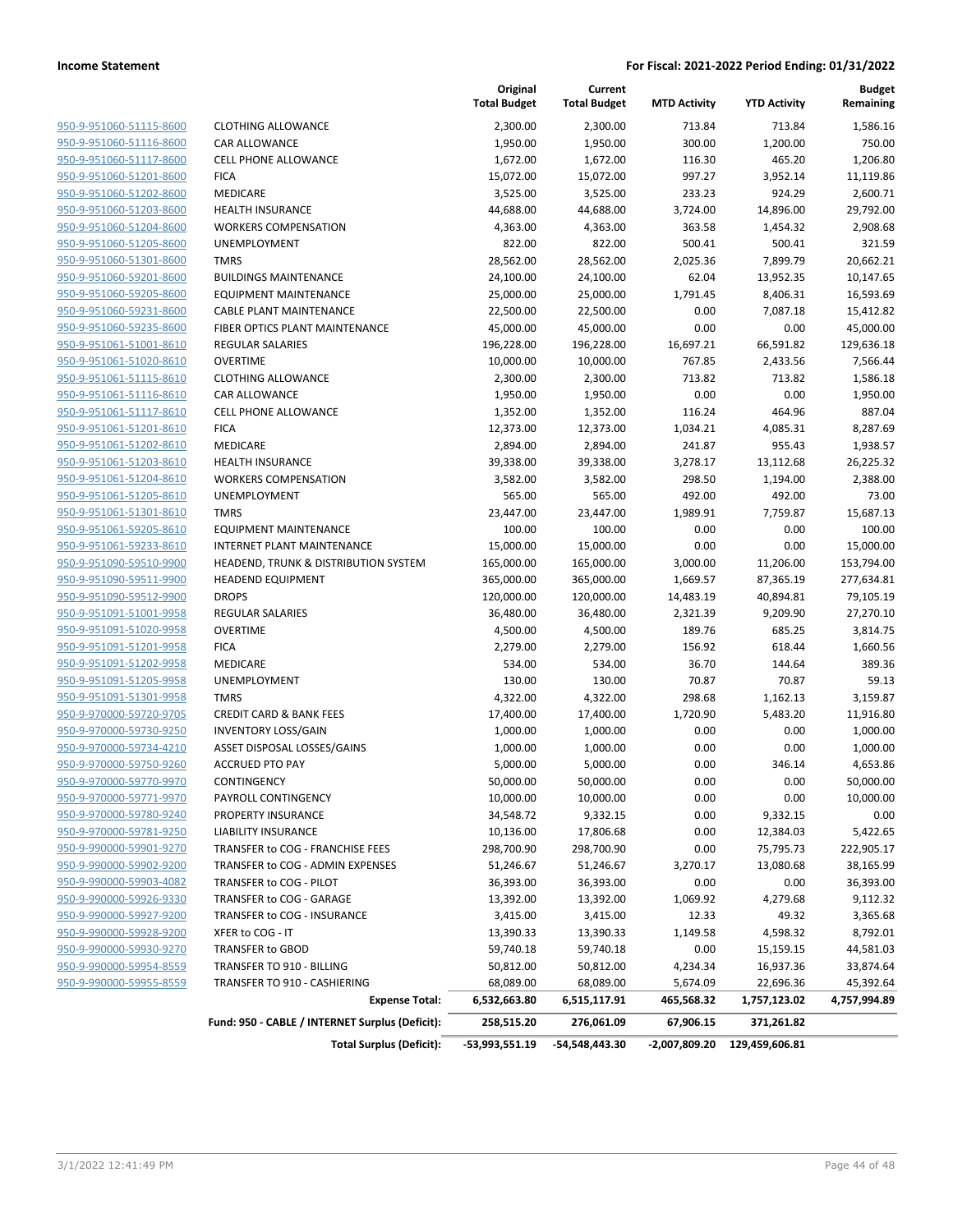| 950-9-951060-51115-8600        |
|--------------------------------|
| 950-9-951060-51116-8600        |
| 950-9-951060-51117-8600        |
| 950-9-951060-51201-8600        |
| 950-9-951060-51202-8600        |
| 950-9-951060-51203-8600        |
| 950-9-951060-51204-8600        |
| 950-9-951060-51205-8600        |
| <u>950-9-951060-51301-8600</u> |
| 950-9-951060-59201-8600        |
| 950-9-951060-59205-8600        |
| 950-9-951060-59231-8600        |
| 950-9-951060-59235-8600        |
| <u>950-9-951061-51001-8610</u> |
| <u>950-9-951061-51020-8610</u> |
| 950-9-951061-51115-8610        |
| 950-9-951061-51116-8610        |
| 950-9-951061-51117-8610        |
| 950-9-951061-51201-8610        |
| 950-9-951061-51202-8610        |
| 950-9-951061-51203-8610        |
| 950-9-951061-51204-8610        |
| 950-9-951061-51205-8610        |
| <u>950-9-951061-51301-8610</u> |
| 950-9-951061-59205-8610        |
| 950-9-951061-59233-8610        |
| 950-9-951090-59510-9900        |
| 950-9-951090-59511-9900        |
| <u>950-9-951090-59512-9900</u> |
| 950-9-951091-51001-9958        |
| 950-9-951091-51020-9958        |
| 950-9-951091-51201-9958        |
| <u>950-9-951091-51202-9958</u> |
| <u>950-9-951091-51205-9958</u> |
| 950-9-951091-51301-9958        |
| 950-9-970000-59720-9705        |
| 950-9-970000-59730-9250        |
| 950-9-970000-59734-4210        |
| 950-9-970000-59750-9260        |
| 950-9-970000-59770-9970        |
| 950-9-970000-59771-9970        |
| 950-9-970000-59780-9240        |
| 950-9-970000-59781-9250        |
| 950-9-990000-59901-9270        |
| 950-9-990000-59902-9200        |
| 950-9-990000-59903-4082        |
| 950-9-990000-59926-9330        |
| <u>950-9-990000-59927-9200</u> |
| <u>950-9-990000-59928-9200</u> |
| 950-9-990000-59930-9270        |
| 950-9-990000-59954-8559        |
| 950-9-990000-59955-8559        |
|                                |

|                                                    |                                                 | Original<br><b>Total Budget</b> | Current<br><b>Total Budget</b> | <b>MTD Activity</b>   | <b>YTD Activity</b>   | <b>Budget</b><br>Remaining |
|----------------------------------------------------|-------------------------------------------------|---------------------------------|--------------------------------|-----------------------|-----------------------|----------------------------|
| 950-9-951060-51115-8600                            | <b>CLOTHING ALLOWANCE</b>                       | 2,300.00                        | 2,300.00                       | 713.84                | 713.84                | 1,586.16                   |
| 950-9-951060-51116-8600                            | <b>CAR ALLOWANCE</b>                            | 1,950.00                        | 1,950.00                       | 300.00                | 1,200.00              | 750.00                     |
| 950-9-951060-51117-8600                            | <b>CELL PHONE ALLOWANCE</b>                     | 1,672.00                        | 1,672.00                       | 116.30                | 465.20                | 1,206.80                   |
| 950-9-951060-51201-8600                            | <b>FICA</b>                                     | 15,072.00                       | 15,072.00                      | 997.27                | 3,952.14              | 11,119.86                  |
| 950-9-951060-51202-8600                            | <b>MEDICARE</b>                                 | 3,525.00                        | 3,525.00                       | 233.23                | 924.29                | 2,600.71                   |
| 950-9-951060-51203-8600                            | <b>HEALTH INSURANCE</b>                         | 44,688.00                       | 44,688.00                      | 3,724.00              | 14,896.00             | 29,792.00                  |
| 950-9-951060-51204-8600                            | <b>WORKERS COMPENSATION</b>                     | 4,363.00                        | 4,363.00                       | 363.58                | 1,454.32              | 2,908.68                   |
| 950-9-951060-51205-8600                            | UNEMPLOYMENT                                    | 822.00                          | 822.00                         | 500.41                | 500.41                | 321.59                     |
| 950-9-951060-51301-8600                            | <b>TMRS</b>                                     | 28,562.00                       | 28,562.00                      | 2,025.36              | 7,899.79              | 20,662.21                  |
| 950-9-951060-59201-8600                            | <b>BUILDINGS MAINTENANCE</b>                    | 24,100.00                       | 24,100.00                      | 62.04                 | 13,952.35             | 10,147.65                  |
| 950-9-951060-59205-8600                            | <b>EQUIPMENT MAINTENANCE</b>                    | 25,000.00                       | 25,000.00                      | 1,791.45              | 8,406.31              | 16,593.69                  |
| 950-9-951060-59231-8600                            | <b>CABLE PLANT MAINTENANCE</b>                  | 22,500.00                       | 22,500.00                      | 0.00                  | 7,087.18              | 15,412.82                  |
| 950-9-951060-59235-8600                            | FIBER OPTICS PLANT MAINTENANCE                  | 45,000.00                       | 45,000.00                      | 0.00                  | 0.00                  | 45,000.00                  |
| 950-9-951061-51001-8610                            | <b>REGULAR SALARIES</b>                         | 196,228.00                      | 196,228.00                     | 16,697.21             | 66,591.82             | 129,636.18                 |
| 950-9-951061-51020-8610                            | <b>OVERTIME</b>                                 | 10,000.00                       | 10,000.00                      | 767.85                | 2,433.56              | 7,566.44                   |
| 950-9-951061-51115-8610                            | <b>CLOTHING ALLOWANCE</b>                       | 2,300.00                        | 2,300.00                       | 713.82                | 713.82                | 1,586.18                   |
| 950-9-951061-51116-8610                            | CAR ALLOWANCE                                   | 1,950.00                        | 1,950.00                       | 0.00                  | 0.00                  | 1,950.00                   |
| 950-9-951061-51117-8610                            | CELL PHONE ALLOWANCE                            | 1,352.00                        | 1,352.00                       | 116.24                | 464.96                | 887.04                     |
| 950-9-951061-51201-8610                            | <b>FICA</b>                                     | 12,373.00                       | 12,373.00                      | 1,034.21              | 4,085.31              | 8,287.69                   |
| 950-9-951061-51202-8610                            | <b>MEDICARE</b>                                 | 2,894.00                        | 2,894.00                       | 241.87                | 955.43                | 1,938.57                   |
| 950-9-951061-51203-8610                            | <b>HEALTH INSURANCE</b>                         | 39,338.00                       | 39,338.00                      | 3,278.17              | 13,112.68             | 26,225.32                  |
| 950-9-951061-51204-8610                            | <b>WORKERS COMPENSATION</b>                     | 3,582.00                        | 3,582.00                       | 298.50                | 1,194.00              | 2,388.00                   |
| 950-9-951061-51205-8610                            | UNEMPLOYMENT                                    | 565.00                          | 565.00                         | 492.00                | 492.00                | 73.00                      |
| 950-9-951061-51301-8610                            | <b>TMRS</b>                                     | 23,447.00                       | 23,447.00                      | 1,989.91              | 7,759.87              | 15,687.13                  |
| 950-9-951061-59205-8610                            | <b>EQUIPMENT MAINTENANCE</b>                    | 100.00                          | 100.00                         | 0.00                  | 0.00                  | 100.00                     |
| 950-9-951061-59233-8610                            | <b>INTERNET PLANT MAINTENANCE</b>               | 15,000.00                       | 15,000.00<br>165,000.00        | 0.00                  | 0.00                  | 15,000.00                  |
| 950-9-951090-59510-9900<br>950-9-951090-59511-9900 | HEADEND, TRUNK & DISTRIBUTION SYSTEM            | 165,000.00                      |                                | 3,000.00              | 11,206.00             | 153,794.00                 |
| 950-9-951090-59512-9900                            | <b>HEADEND EQUIPMENT</b><br><b>DROPS</b>        | 365,000.00                      | 365,000.00                     | 1,669.57              | 87,365.19             | 277,634.81<br>79,105.19    |
| 950-9-951091-51001-9958                            | <b>REGULAR SALARIES</b>                         | 120,000.00<br>36,480.00         | 120,000.00<br>36,480.00        | 14,483.19<br>2,321.39 | 40,894.81<br>9,209.90 | 27,270.10                  |
| 950-9-951091-51020-9958                            | <b>OVERTIME</b>                                 | 4,500.00                        | 4,500.00                       | 189.76                | 685.25                | 3,814.75                   |
| 950-9-951091-51201-9958                            | <b>FICA</b>                                     | 2,279.00                        | 2,279.00                       | 156.92                | 618.44                | 1,660.56                   |
| 950-9-951091-51202-9958                            | MEDICARE                                        | 534.00                          | 534.00                         | 36.70                 | 144.64                | 389.36                     |
| 950-9-951091-51205-9958                            | UNEMPLOYMENT                                    | 130.00                          | 130.00                         | 70.87                 | 70.87                 | 59.13                      |
| 950-9-951091-51301-9958                            | <b>TMRS</b>                                     | 4,322.00                        | 4,322.00                       | 298.68                | 1,162.13              | 3,159.87                   |
| 950-9-970000-59720-9705                            | <b>CREDIT CARD &amp; BANK FEES</b>              | 17,400.00                       | 17,400.00                      | 1,720.90              | 5,483.20              | 11,916.80                  |
| 950-9-970000-59730-9250                            | <b>INVENTORY LOSS/GAIN</b>                      | 1,000.00                        | 1,000.00                       | 0.00                  | 0.00                  | 1,000.00                   |
| 950-9-970000-59734-4210                            | ASSET DISPOSAL LOSSES/GAINS                     | 1,000.00                        | 1,000.00                       | 0.00                  | 0.00                  | 1,000.00                   |
| 950-9-970000-59750-9260                            | <b>ACCRUED PTO PAY</b>                          | 5,000.00                        | 5,000.00                       | 0.00                  | 346.14                | 4,653.86                   |
| 950-9-970000-59770-9970                            | CONTINGENCY                                     | 50,000.00                       | 50,000.00                      | 0.00                  | 0.00                  | 50,000.00                  |
| 950-9-970000-59771-9970                            | PAYROLL CONTINGENCY                             | 10,000.00                       | 10,000.00                      | 0.00                  | 0.00                  | 10,000.00                  |
| 950-9-970000-59780-9240                            | PROPERTY INSURANCE                              | 34,548.72                       | 9,332.15                       | 0.00                  | 9,332.15              | 0.00                       |
| 950-9-970000-59781-9250                            | LIABILITY INSURANCE                             | 10,136.00                       | 17,806.68                      | 0.00                  | 12,384.03             | 5,422.65                   |
| 950-9-990000-59901-9270                            | TRANSFER to COG - FRANCHISE FEES                | 298,700.90                      | 298,700.90                     | 0.00                  | 75,795.73             | 222,905.17                 |
| 950-9-990000-59902-9200                            | TRANSFER to COG - ADMIN EXPENSES                | 51,246.67                       | 51,246.67                      | 3,270.17              | 13,080.68             | 38,165.99                  |
| 950-9-990000-59903-4082                            | TRANSFER to COG - PILOT                         | 36,393.00                       | 36,393.00                      | 0.00                  | 0.00                  | 36,393.00                  |
| 950-9-990000-59926-9330                            | TRANSFER to COG - GARAGE                        | 13,392.00                       | 13,392.00                      | 1,069.92              | 4,279.68              | 9,112.32                   |
| 950-9-990000-59927-9200                            | TRANSFER to COG - INSURANCE                     | 3,415.00                        | 3,415.00                       | 12.33                 | 49.32                 | 3,365.68                   |
| 950-9-990000-59928-9200                            | XFER to COG - IT                                | 13,390.33                       | 13,390.33                      | 1,149.58              | 4,598.32              | 8,792.01                   |
| 950-9-990000-59930-9270                            | <b>TRANSFER to GBOD</b>                         | 59,740.18                       | 59,740.18                      | 0.00                  | 15,159.15             | 44,581.03                  |
| 950-9-990000-59954-8559                            | TRANSFER TO 910 - BILLING                       | 50,812.00                       | 50,812.00                      | 4,234.34              | 16,937.36             | 33,874.64                  |
| 950-9-990000-59955-8559                            | TRANSFER TO 910 - CASHIERING                    | 68,089.00                       | 68,089.00                      | 5,674.09              | 22,696.36             | 45,392.64                  |
|                                                    | <b>Expense Total:</b>                           | 6,532,663.80                    | 6,515,117.91                   | 465,568.32            | 1,757,123.02          | 4,757,994.89               |
|                                                    | Fund: 950 - CABLE / INTERNET Surplus (Deficit): | 258,515.20                      | 276,061.09                     | 67,906.15             | 371,261.82            |                            |
|                                                    | <b>Total Surplus (Deficit):</b>                 | -53,993,551.19                  | -54,548,443.30                 | -2,007,809.20         | 129,459,606.81        |                            |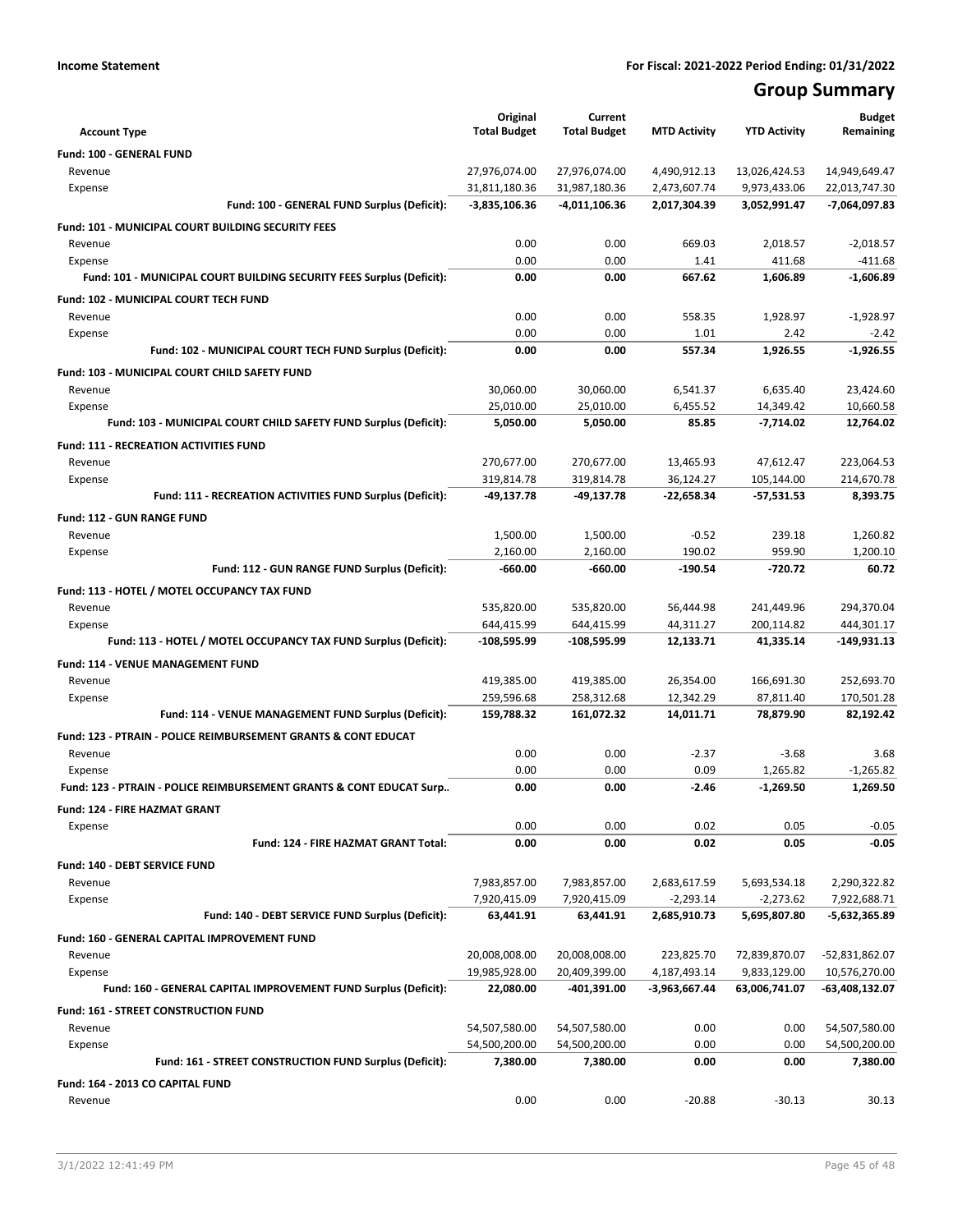# **Group Summary**

| <b>Account Type</b>                                                       | Original<br><b>Total Budget</b> | Current<br><b>Total Budget</b> | <b>MTD Activity</b> | <b>YTD Activity</b> | <b>Budget</b><br>Remaining |
|---------------------------------------------------------------------------|---------------------------------|--------------------------------|---------------------|---------------------|----------------------------|
| <b>Fund: 100 - GENERAL FUND</b>                                           |                                 |                                |                     |                     |                            |
| Revenue                                                                   | 27,976,074.00                   | 27,976,074.00                  | 4,490,912.13        | 13,026,424.53       | 14,949,649.47              |
| Expense                                                                   | 31,811,180.36                   | 31,987,180.36                  | 2,473,607.74        | 9,973,433.06        | 22,013,747.30              |
| Fund: 100 - GENERAL FUND Surplus (Deficit):                               | $-3,835,106.36$                 | -4,011,106.36                  | 2,017,304.39        | 3,052,991.47        | -7,064,097.83              |
| Fund: 101 - MUNICIPAL COURT BUILDING SECURITY FEES                        |                                 |                                |                     |                     |                            |
| Revenue                                                                   | 0.00                            | 0.00                           | 669.03              | 2,018.57            | $-2,018.57$                |
| Expense                                                                   | 0.00                            | 0.00                           | 1.41                | 411.68              | $-411.68$                  |
| Fund: 101 - MUNICIPAL COURT BUILDING SECURITY FEES Surplus (Deficit):     | 0.00                            | 0.00                           | 667.62              | 1,606.89            | $-1.606.89$                |
| Fund: 102 - MUNICIPAL COURT TECH FUND                                     |                                 |                                |                     |                     |                            |
| Revenue                                                                   | 0.00                            | 0.00                           | 558.35              | 1,928.97            | $-1,928.97$                |
| Expense                                                                   | 0.00                            | 0.00                           | 1.01                | 2.42                | $-2.42$                    |
| Fund: 102 - MUNICIPAL COURT TECH FUND Surplus (Deficit):                  | 0.00                            | 0.00                           | 557.34              | 1,926.55            | $-1,926.55$                |
| Fund: 103 - MUNICIPAL COURT CHILD SAFETY FUND                             |                                 |                                |                     |                     |                            |
| Revenue                                                                   | 30,060.00                       | 30,060.00                      | 6,541.37            | 6,635.40            | 23,424.60                  |
| Expense                                                                   | 25,010.00                       | 25,010.00                      | 6,455.52            | 14,349.42           | 10.660.58                  |
| Fund: 103 - MUNICIPAL COURT CHILD SAFETY FUND Surplus (Deficit):          | 5,050.00                        | 5,050.00                       | 85.85               | $-7,714.02$         | 12,764.02                  |
| <b>Fund: 111 - RECREATION ACTIVITIES FUND</b>                             |                                 |                                |                     |                     |                            |
| Revenue                                                                   | 270,677.00                      | 270,677.00                     | 13,465.93           | 47,612.47           | 223,064.53                 |
| Expense                                                                   | 319,814.78                      | 319,814.78                     | 36,124.27           | 105,144.00          | 214,670.78                 |
| Fund: 111 - RECREATION ACTIVITIES FUND Surplus (Deficit):                 | $-49,137.78$                    | -49,137.78                     | -22,658.34          | -57,531.53          | 8,393.75                   |
| <b>Fund: 112 - GUN RANGE FUND</b>                                         |                                 |                                |                     |                     |                            |
| Revenue                                                                   | 1,500.00                        | 1,500.00                       | $-0.52$             | 239.18              | 1,260.82                   |
| Expense                                                                   | 2,160.00                        | 2,160.00                       | 190.02              | 959.90              | 1,200.10                   |
| Fund: 112 - GUN RANGE FUND Surplus (Deficit):                             | $-660.00$                       | $-660.00$                      | $-190.54$           | $-720.72$           | 60.72                      |
| Fund: 113 - HOTEL / MOTEL OCCUPANCY TAX FUND                              |                                 |                                |                     |                     |                            |
| Revenue                                                                   | 535,820.00                      | 535,820.00                     | 56,444.98           | 241,449.96          | 294,370.04                 |
| Expense                                                                   | 644,415.99                      | 644,415.99                     | 44,311.27           | 200,114.82          | 444,301.17                 |
| Fund: 113 - HOTEL / MOTEL OCCUPANCY TAX FUND Surplus (Deficit):           | -108,595.99                     | -108,595.99                    | 12,133.71           | 41,335.14           | -149,931.13                |
| Fund: 114 - VENUE MANAGEMENT FUND                                         |                                 |                                |                     |                     |                            |
| Revenue                                                                   | 419,385.00                      | 419,385.00                     | 26,354.00           | 166,691.30          | 252,693.70                 |
| Expense                                                                   | 259,596.68                      | 258,312.68                     | 12,342.29           | 87,811.40           | 170,501.28                 |
| Fund: 114 - VENUE MANAGEMENT FUND Surplus (Deficit):                      | 159,788.32                      | 161,072.32                     | 14,011.71           | 78,879.90           | 82,192.42                  |
| <b>Fund: 123 - PTRAIN - POLICE REIMBURSEMENT GRANTS &amp; CONT EDUCAT</b> |                                 |                                |                     |                     |                            |
| Revenue                                                                   | 0.00                            | 0.00                           | $-2.37$             | $-3.68$             | 3.68                       |
| Expense                                                                   | 0.00                            | 0.00                           | 0.09                | 1,265.82            | $-1,265.82$                |
| Fund: 123 - PTRAIN - POLICE REIMBURSEMENT GRANTS & CONT EDUCAT Surp       | 0.00                            | 0.00                           | $-2.46$             | $-1,269.50$         | 1.269.50                   |
| Fund: 124 - FIRE HAZMAT GRANT                                             |                                 |                                |                     |                     |                            |
| Expense                                                                   | 0.00                            | 0.00                           | 0.02                | 0.05                | $-0.05$                    |
| Fund: 124 - FIRE HAZMAT GRANT Total:                                      | 0.00                            | 0.00                           | 0.02                | 0.05                | $-0.05$                    |
| Fund: 140 - DEBT SERVICE FUND                                             |                                 |                                |                     |                     |                            |
| Revenue                                                                   | 7,983,857.00                    | 7,983,857.00                   | 2,683,617.59        | 5,693,534.18        | 2,290,322.82               |
| Expense                                                                   | 7,920,415.09                    | 7,920,415.09                   | $-2,293.14$         | $-2,273.62$         | 7,922,688.71               |
| Fund: 140 - DEBT SERVICE FUND Surplus (Deficit):                          | 63,441.91                       | 63,441.91                      | 2,685,910.73        | 5,695,807.80        | $-5,632,365.89$            |
| Fund: 160 - GENERAL CAPITAL IMPROVEMENT FUND                              |                                 |                                |                     |                     |                            |
| Revenue                                                                   | 20,008,008.00                   | 20,008,008.00                  | 223,825.70          | 72,839,870.07       | -52,831,862.07             |
| Expense                                                                   | 19,985,928.00                   | 20,409,399.00                  | 4,187,493.14        | 9,833,129.00        | 10,576,270.00              |
| Fund: 160 - GENERAL CAPITAL IMPROVEMENT FUND Surplus (Deficit):           | 22,080.00                       | $-401,391.00$                  | -3,963,667.44       | 63,006,741.07       | -63,408,132.07             |
| Fund: 161 - STREET CONSTRUCTION FUND                                      |                                 |                                |                     |                     |                            |
| Revenue                                                                   | 54,507,580.00                   | 54,507,580.00                  | 0.00                | 0.00                | 54,507,580.00              |
| Expense                                                                   | 54,500,200.00                   | 54,500,200.00                  | 0.00                | 0.00                | 54,500,200.00              |
| Fund: 161 - STREET CONSTRUCTION FUND Surplus (Deficit):                   | 7,380.00                        | 7,380.00                       | 0.00                | 0.00                | 7,380.00                   |
| Fund: 164 - 2013 CO CAPITAL FUND                                          |                                 |                                |                     |                     |                            |
| Revenue                                                                   | 0.00                            | 0.00                           | $-20.88$            | $-30.13$            | 30.13                      |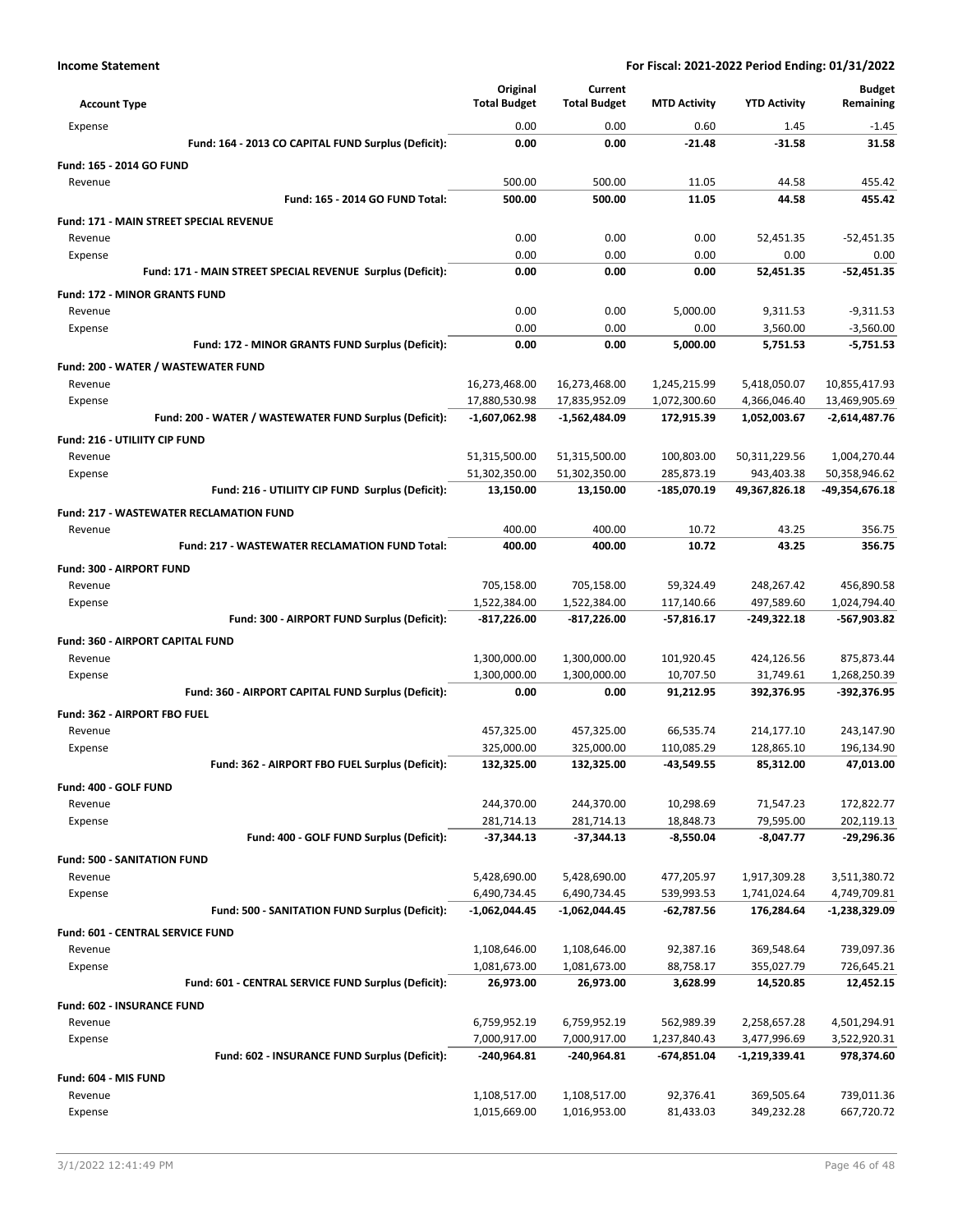|                                                                   | Original                       | Current                        |                              |                              | <b>Budget</b>                  |
|-------------------------------------------------------------------|--------------------------------|--------------------------------|------------------------------|------------------------------|--------------------------------|
| <b>Account Type</b>                                               | <b>Total Budget</b>            | <b>Total Budget</b>            | <b>MTD Activity</b>          | <b>YTD Activity</b>          | Remaining                      |
| Expense                                                           | 0.00                           | 0.00                           | 0.60                         | 1.45                         | $-1.45$                        |
| Fund: 164 - 2013 CO CAPITAL FUND Surplus (Deficit):               | 0.00                           | 0.00                           | -21.48                       | $-31.58$                     | 31.58                          |
| Fund: 165 - 2014 GO FUND                                          |                                |                                |                              |                              |                                |
| Revenue                                                           | 500.00                         | 500.00                         | 11.05                        | 44.58                        | 455.42                         |
| Fund: 165 - 2014 GO FUND Total:                                   | 500.00                         | 500.00                         | 11.05                        | 44.58                        | 455.42                         |
| Fund: 171 - MAIN STREET SPECIAL REVENUE                           |                                |                                |                              |                              |                                |
| Revenue                                                           | 0.00                           | 0.00                           | 0.00                         | 52,451.35                    | $-52,451.35$                   |
| Expense                                                           | 0.00                           | 0.00                           | 0.00                         | 0.00                         | 0.00                           |
| Fund: 171 - MAIN STREET SPECIAL REVENUE Surplus (Deficit):        | 0.00                           | 0.00                           | 0.00                         | 52,451.35                    | $-52,451.35$                   |
| <b>Fund: 172 - MINOR GRANTS FUND</b>                              |                                |                                |                              |                              |                                |
| Revenue                                                           | 0.00                           | 0.00                           | 5,000.00                     | 9,311.53                     | $-9,311.53$                    |
| Expense                                                           | 0.00                           | 0.00                           | 0.00                         | 3,560.00                     | $-3,560.00$                    |
| Fund: 172 - MINOR GRANTS FUND Surplus (Deficit):                  | 0.00                           | 0.00                           | 5,000.00                     | 5,751.53                     | $-5,751.53$                    |
| Fund: 200 - WATER / WASTEWATER FUND                               |                                |                                |                              |                              |                                |
| Revenue                                                           | 16,273,468.00<br>17,880,530.98 | 16,273,468.00<br>17,835,952.09 | 1,245,215.99<br>1,072,300.60 | 5,418,050.07<br>4,366,046.40 | 10,855,417.93<br>13,469,905.69 |
| Expense<br>Fund: 200 - WATER / WASTEWATER FUND Surplus (Deficit): | $-1,607,062.98$                | -1,562,484.09                  | 172,915.39                   | 1,052,003.67                 | $-2,614,487.76$                |
|                                                                   |                                |                                |                              |                              |                                |
| Fund: 216 - UTILIITY CIP FUND<br>Revenue                          | 51,315,500.00                  | 51,315,500.00                  | 100,803.00                   | 50,311,229.56                | 1,004,270.44                   |
| Expense                                                           | 51,302,350.00                  | 51,302,350.00                  | 285,873.19                   | 943,403.38                   | 50,358,946.62                  |
| Fund: 216 - UTILIITY CIP FUND Surplus (Deficit):                  | 13,150.00                      | 13,150.00                      | -185,070.19                  | 49,367,826.18                | -49,354,676.18                 |
| <b>Fund: 217 - WASTEWATER RECLAMATION FUND</b>                    |                                |                                |                              |                              |                                |
| Revenue                                                           | 400.00                         | 400.00                         | 10.72                        | 43.25                        | 356.75                         |
| <b>Fund: 217 - WASTEWATER RECLAMATION FUND Total:</b>             | 400.00                         | 400.00                         | 10.72                        | 43.25                        | 356.75                         |
| Fund: 300 - AIRPORT FUND                                          |                                |                                |                              |                              |                                |
| Revenue                                                           | 705,158.00                     | 705,158.00                     | 59,324.49                    | 248,267.42                   | 456,890.58                     |
| Expense                                                           | 1,522,384.00                   | 1,522,384.00                   | 117,140.66                   | 497,589.60                   | 1,024,794.40                   |
| Fund: 300 - AIRPORT FUND Surplus (Deficit):                       | $-817,226.00$                  | -817,226.00                    | $-57,816.17$                 | -249,322.18                  | -567,903.82                    |
| Fund: 360 - AIRPORT CAPITAL FUND                                  |                                |                                |                              |                              |                                |
| Revenue                                                           | 1,300,000.00                   | 1,300,000.00                   | 101,920.45                   | 424,126.56                   | 875,873.44                     |
| Expense                                                           | 1,300,000.00                   | 1,300,000.00                   | 10,707.50                    | 31,749.61                    | 1,268,250.39                   |
| Fund: 360 - AIRPORT CAPITAL FUND Surplus (Deficit):               | 0.00                           | 0.00                           | 91,212.95                    | 392,376.95                   | -392,376.95                    |
| <b>Fund: 362 - AIRPORT FBO FUEL</b>                               |                                |                                |                              |                              |                                |
| Revenue                                                           | 457,325.00                     | 457,325.00                     | 66,535.74                    | 214,177.10                   | 243,147.90                     |
| Expense                                                           | 325,000.00                     | 325,000.00                     | 110,085.29                   | 128,865.10                   | 196,134.90                     |
| Fund: 362 - AIRPORT FBO FUEL Surplus (Deficit):                   | 132,325.00                     | 132,325.00                     | $-43,549.55$                 | 85,312.00                    | 47,013.00                      |
| Fund: 400 - GOLF FUND                                             |                                |                                |                              |                              |                                |
| Revenue                                                           | 244,370.00                     | 244,370.00                     | 10,298.69                    | 71,547.23                    | 172,822.77                     |
| Expense                                                           | 281,714.13                     | 281,714.13                     | 18,848.73                    | 79,595.00                    | 202,119.13                     |
| Fund: 400 - GOLF FUND Surplus (Deficit):                          | $-37,344.13$                   | -37,344.13                     | $-8,550.04$                  | $-8,047.77$                  | -29,296.36                     |
| <b>Fund: 500 - SANITATION FUND</b>                                |                                |                                |                              |                              |                                |
| Revenue                                                           | 5,428,690.00                   | 5,428,690.00                   | 477,205.97                   | 1,917,309.28                 | 3,511,380.72                   |
| Expense<br>Fund: 500 - SANITATION FUND Surplus (Deficit):         | 6,490,734.45<br>-1,062,044.45  | 6,490,734.45<br>-1,062,044.45  | 539,993.53<br>$-62,787.56$   | 1,741,024.64<br>176,284.64   | 4,749,709.81<br>-1,238,329.09  |
|                                                                   |                                |                                |                              |                              |                                |
| Fund: 601 - CENTRAL SERVICE FUND<br>Revenue                       | 1,108,646.00                   | 1,108,646.00                   | 92,387.16                    | 369,548.64                   | 739,097.36                     |
| Expense                                                           | 1,081,673.00                   | 1,081,673.00                   | 88,758.17                    | 355,027.79                   | 726,645.21                     |
| Fund: 601 - CENTRAL SERVICE FUND Surplus (Deficit):               | 26,973.00                      | 26,973.00                      | 3,628.99                     | 14,520.85                    | 12,452.15                      |
| Fund: 602 - INSURANCE FUND                                        |                                |                                |                              |                              |                                |
| Revenue                                                           | 6,759,952.19                   | 6,759,952.19                   | 562,989.39                   | 2,258,657.28                 | 4,501,294.91                   |
| Expense                                                           | 7,000,917.00                   | 7,000,917.00                   | 1,237,840.43                 | 3,477,996.69                 | 3,522,920.31                   |
| Fund: 602 - INSURANCE FUND Surplus (Deficit):                     | $-240,964.81$                  | -240,964.81                    | -674,851.04                  | -1,219,339.41                | 978,374.60                     |
| Fund: 604 - MIS FUND                                              |                                |                                |                              |                              |                                |
| Revenue                                                           | 1,108,517.00                   | 1,108,517.00                   | 92,376.41                    | 369,505.64                   | 739,011.36                     |
| Expense                                                           | 1,015,669.00                   | 1,016,953.00                   | 81,433.03                    | 349,232.28                   | 667,720.72                     |
|                                                                   |                                |                                |                              |                              |                                |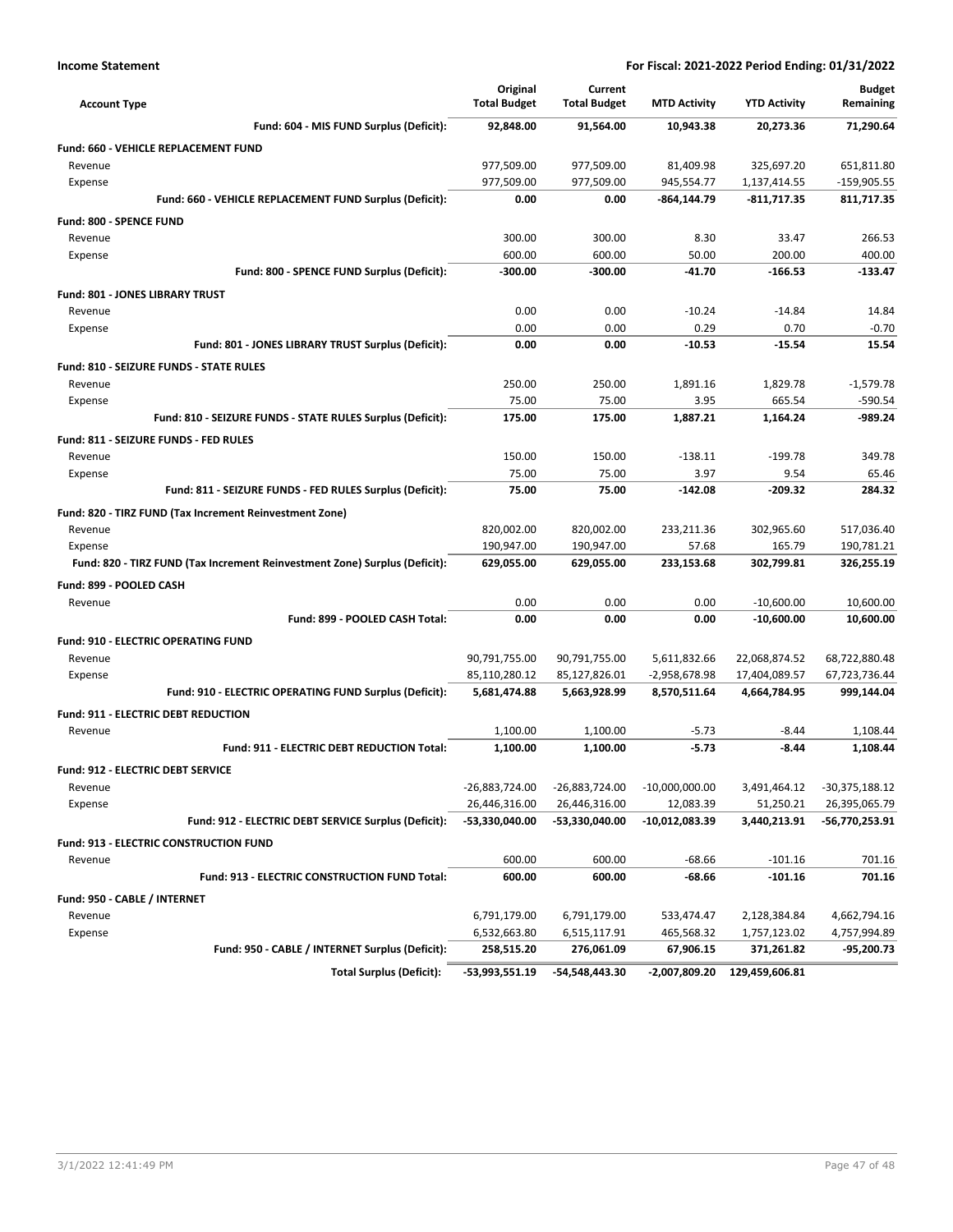| <b>Account Type</b>                                                        | Original<br><b>Total Budget</b> | Current<br><b>Total Budget</b>  | <b>MTD Activity</b>           | <b>YTD Activity</b>       | <b>Budget</b><br>Remaining      |
|----------------------------------------------------------------------------|---------------------------------|---------------------------------|-------------------------------|---------------------------|---------------------------------|
| Fund: 604 - MIS FUND Surplus (Deficit):                                    | 92,848.00                       | 91,564.00                       | 10,943.38                     | 20,273.36                 | 71,290.64                       |
| <b>Fund: 660 - VEHICLE REPLACEMENT FUND</b>                                |                                 |                                 |                               |                           |                                 |
| Revenue                                                                    | 977,509.00                      | 977,509.00                      | 81,409.98                     | 325,697.20                | 651,811.80                      |
| Expense                                                                    | 977,509.00                      | 977,509.00                      | 945,554.77                    | 1,137,414.55              | -159,905.55                     |
| Fund: 660 - VEHICLE REPLACEMENT FUND Surplus (Deficit):                    | 0.00                            | 0.00                            | -864,144.79                   | $-811,717.35$             | 811,717.35                      |
| <b>Fund: 800 - SPENCE FUND</b>                                             |                                 |                                 |                               |                           |                                 |
| Revenue                                                                    | 300.00                          | 300.00                          | 8.30                          | 33.47                     | 266.53                          |
| Expense                                                                    | 600.00                          | 600.00                          | 50.00                         | 200.00                    | 400.00                          |
| Fund: 800 - SPENCE FUND Surplus (Deficit):                                 | -300.00                         | $-300.00$                       | $-41.70$                      | $-166.53$                 | -133.47                         |
| Fund: 801 - JONES LIBRARY TRUST                                            |                                 |                                 |                               |                           |                                 |
| Revenue                                                                    | 0.00                            | 0.00                            | $-10.24$                      | $-14.84$                  | 14.84                           |
| Expense                                                                    | 0.00                            | 0.00                            | 0.29                          | 0.70                      | $-0.70$                         |
| Fund: 801 - JONES LIBRARY TRUST Surplus (Deficit):                         | 0.00                            | 0.00                            | $-10.53$                      | $-15.54$                  | 15.54                           |
| Fund: 810 - SEIZURE FUNDS - STATE RULES                                    |                                 |                                 |                               |                           |                                 |
| Revenue                                                                    | 250.00                          | 250.00                          | 1,891.16                      | 1,829.78                  | $-1,579.78$                     |
| Expense                                                                    | 75.00                           | 75.00                           | 3.95                          | 665.54                    | $-590.54$                       |
| Fund: 810 - SEIZURE FUNDS - STATE RULES Surplus (Deficit):                 | 175.00                          | 175.00                          | 1,887.21                      | 1,164.24                  | -989.24                         |
| Fund: 811 - SEIZURE FUNDS - FED RULES                                      |                                 |                                 |                               |                           |                                 |
| Revenue                                                                    | 150.00                          | 150.00                          | $-138.11$                     | $-199.78$                 | 349.78                          |
| Expense                                                                    | 75.00                           | 75.00                           | 3.97                          | 9.54                      | 65.46                           |
| Fund: 811 - SEIZURE FUNDS - FED RULES Surplus (Deficit):                   | 75.00                           | 75.00                           | $-142.08$                     | -209.32                   | 284.32                          |
| Fund: 820 - TIRZ FUND (Tax Increment Reinvestment Zone)                    |                                 |                                 |                               |                           |                                 |
| Revenue                                                                    | 820,002.00                      | 820,002.00                      | 233,211.36                    | 302,965.60                | 517,036.40                      |
| Expense                                                                    | 190,947.00                      | 190,947.00                      | 57.68                         | 165.79                    | 190,781.21                      |
| Fund: 820 - TIRZ FUND (Tax Increment Reinvestment Zone) Surplus (Deficit): | 629,055.00                      | 629,055.00                      | 233,153.68                    | 302,799.81                | 326,255.19                      |
| Fund: 899 - POOLED CASH                                                    |                                 |                                 |                               |                           |                                 |
| Revenue                                                                    | 0.00                            | 0.00                            | 0.00                          | $-10,600.00$              | 10,600.00                       |
| Fund: 899 - POOLED CASH Total:                                             | 0.00                            | 0.00                            | 0.00                          | $-10,600.00$              | 10,600.00                       |
| <b>Fund: 910 - ELECTRIC OPERATING FUND</b>                                 |                                 |                                 |                               |                           |                                 |
| Revenue                                                                    | 90,791,755.00                   | 90,791,755.00                   | 5,611,832.66                  | 22,068,874.52             | 68,722,880.48                   |
| Expense                                                                    | 85,110,280.12                   | 85,127,826.01                   | -2,958,678.98                 | 17,404,089.57             | 67,723,736.44                   |
| Fund: 910 - ELECTRIC OPERATING FUND Surplus (Deficit):                     | 5,681,474.88                    | 5,663,928.99                    | 8,570,511.64                  | 4,664,784.95              | 999,144.04                      |
| Fund: 911 - ELECTRIC DEBT REDUCTION                                        |                                 |                                 |                               |                           |                                 |
| Revenue                                                                    | 1,100.00                        | 1,100.00                        | $-5.73$                       | $-8.44$                   | 1,108.44                        |
| Fund: 911 - ELECTRIC DEBT REDUCTION Total:                                 | 1,100.00                        | 1,100.00                        | $-5.73$                       | $-8.44$                   | 1,108.44                        |
|                                                                            |                                 |                                 |                               |                           |                                 |
| <b>Fund: 912 - ELECTRIC DEBT SERVICE</b>                                   |                                 |                                 |                               |                           |                                 |
| Revenue                                                                    | -26,883,724.00<br>26,446,316.00 | -26,883,724.00                  | $-10,000,000.00$<br>12,083.39 | 3,491,464.12<br>51,250.21 | -30,375,188.12<br>26,395,065.79 |
| Expense<br>Fund: 912 - ELECTRIC DEBT SERVICE Surplus (Deficit):            | -53,330,040.00                  | 26,446,316.00<br>-53,330,040.00 | -10,012,083.39                | 3,440,213.91              | -56,770,253.91                  |
|                                                                            |                                 |                                 |                               |                           |                                 |
| <b>Fund: 913 - ELECTRIC CONSTRUCTION FUND</b>                              |                                 |                                 |                               |                           |                                 |
| Revenue                                                                    | 600.00                          | 600.00                          | $-68.66$                      | $-101.16$                 | 701.16                          |
| Fund: 913 - ELECTRIC CONSTRUCTION FUND Total:                              | 600.00                          | 600.00                          | $-68.66$                      | $-101.16$                 | 701.16                          |
| Fund: 950 - CABLE / INTERNET                                               |                                 |                                 |                               |                           |                                 |
| Revenue                                                                    | 6,791,179.00                    | 6,791,179.00                    | 533,474.47                    | 2,128,384.84              | 4,662,794.16                    |
| Expense                                                                    | 6,532,663.80                    | 6,515,117.91                    | 465,568.32                    | 1,757,123.02              | 4,757,994.89                    |
| Fund: 950 - CABLE / INTERNET Surplus (Deficit):                            | 258,515.20                      | 276,061.09                      | 67,906.15                     | 371,261.82                | -95,200.73                      |
| <b>Total Surplus (Deficit):</b>                                            | -53,993,551.19                  | -54,548,443.30                  | -2,007,809.20                 | 129,459,606.81            |                                 |